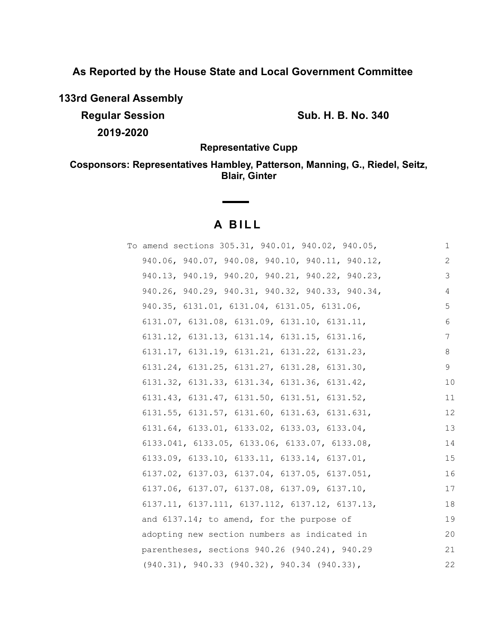**As Reported by the House State and Local Government Committee**

**133rd General Assembly**

**Regular Session Sub. H. B. No. 340 2019-2020**

**Representative Cupp**

**Cosponsors: Representatives Hambley, Patterson, Manning, G., Riedel, Seitz, Blair, Ginter**

# **A B I L L**

**Contract Contract Contract** 

| To amend sections 305.31, 940.01, 940.02, 940.05,            | 1  |
|--------------------------------------------------------------|----|
| 940.06, 940.07, 940.08, 940.10, 940.11, 940.12,              | 2  |
| 940.13, 940.19, 940.20, 940.21, 940.22, 940.23,              | 3  |
| 940.26, 940.29, 940.31, 940.32, 940.33, 940.34,              | 4  |
| 940.35, 6131.01, 6131.04, 6131.05, 6131.06,                  | 5  |
| $6131.07$ , $6131.08$ , $6131.09$ , $6131.10$ , $6131.11$ ,  | 6  |
| $6131.12$ , $6131.13$ , $6131.14$ , $6131.15$ , $6131.16$ ,  | 7  |
| $6131.17$ , $6131.19$ , $6131.21$ , $6131.22$ , $6131.23$ ,  | 8  |
| 6131.24, 6131.25, 6131.27, 6131.28, 6131.30,                 | 9  |
| $6131.32$ , $6131.33$ , $6131.34$ , $6131.36$ , $6131.42$ ,  | 10 |
| $6131.43, 6131.47, 6131.50, 6131.51, 6131.52,$               | 11 |
| $6131.55$ , $6131.57$ , $6131.60$ , $6131.63$ , $6131.631$ , | 12 |
| $6131.64, 6133.01, 6133.02, 6133.03, 6133.04,$               | 13 |
| 6133.041, 6133.05, 6133.06, 6133.07, 6133.08,                | 14 |
| $6133.09, 6133.10, 6133.11, 6133.14, 6137.01,$               | 15 |
| 6137.02, 6137.03, 6137.04, 6137.05, 6137.051,                | 16 |
| $6137.06$ , $6137.07$ , $6137.08$ , $6137.09$ , $6137.10$ ,  | 17 |
| $6137.11, 6137.111, 6137.112, 6137.12, 6137.13,$             | 18 |
| and 6137.14; to amend, for the purpose of                    | 19 |
| adopting new section numbers as indicated in                 | 20 |
| parentheses, sections 940.26 (940.24), 940.29                | 21 |
| $(940.31)$ , $940.33$ $(940.32)$ , $940.34$ $(940.33)$ ,     | 22 |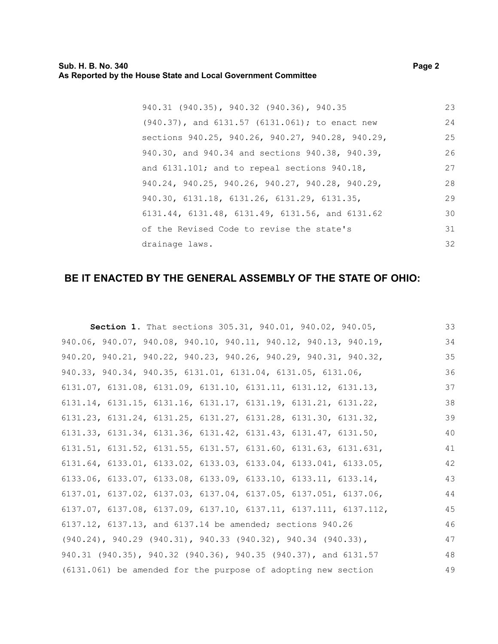| 940.31 (940.35), 940.32 (940.36), 940.35           | 23 |
|----------------------------------------------------|----|
| (940.37), and 6131.57 (6131.061); to enact new     | 24 |
| sections 940.25, 940.26, 940.27, 940.28, 940.29,   | 25 |
| 940.30, and 940.34 and sections 940.38, 940.39,    | 26 |
| and $6131.101$ ; and to repeal sections $940.18$ , | 27 |
| 940.24, 940.25, 940.26, 940.27, 940.28, 940.29,    | 28 |
| 940.30, 6131.18, 6131.26, 6131.29, 6131.35,        | 29 |
| 6131.44, 6131.48, 6131.49, 6131.56, and 6131.62    | 30 |
| of the Revised Code to revise the state's          | 31 |
| drainage laws.                                     | 32 |

# **BE IT ENACTED BY THE GENERAL ASSEMBLY OF THE STATE OF OHIO:**

| Section 1. That sections 305.31, 940.01, 940.02, 940.05,                             | 33 |
|--------------------------------------------------------------------------------------|----|
| 940.06, 940.07, 940.08, 940.10, 940.11, 940.12, 940.13, 940.19,                      | 34 |
| 940.20, 940.21, 940.22, 940.23, 940.26, 940.29, 940.31, 940.32,                      | 35 |
| 940.33, 940.34, 940.35, 6131.01, 6131.04, 6131.05, 6131.06,                          | 36 |
| $6131.07$ , $6131.08$ , $6131.09$ , $6131.10$ , $6131.11$ , $6131.12$ , $6131.13$ ,  | 37 |
| $6131.14$ , $6131.15$ , $6131.16$ , $6131.17$ , $6131.19$ , $6131.21$ , $6131.22$ ,  | 38 |
| 6131.23, 6131.24, 6131.25, 6131.27, 6131.28, 6131.30, 6131.32,                       | 39 |
| $6131.33$ , $6131.34$ , $6131.36$ , $6131.42$ , $6131.43$ , $6131.47$ , $6131.50$ ,  | 40 |
| $6131.51$ , $6131.52$ , $6131.55$ , $6131.57$ , $6131.60$ , $6131.63$ , $6131.631$ , | 41 |
| $6131.64, 6133.01, 6133.02, 6133.03, 6133.04, 6133.041, 6133.05,$                    | 42 |
| $6133.06$ , $6133.07$ , $6133.08$ , $6133.09$ , $6133.10$ , $6133.11$ , $6133.14$ ,  | 43 |
| $6137.01, 6137.02, 6137.03, 6137.04, 6137.05, 6137.051, 6137.06,$                    | 44 |
| 6137.07, 6137.08, 6137.09, 6137.10, 6137.11, 6137.111, 6137.112,                     | 45 |
| 6137.12, 6137.13, and 6137.14 be amended; sections 940.26                            | 46 |
| $(940.24)$ , $940.29$ $(940.31)$ , $940.33$ $(940.32)$ , $940.34$ $(940.33)$ ,       | 47 |
| 940.31 (940.35), 940.32 (940.36), 940.35 (940.37), and 6131.57                       | 48 |
| (6131.061) be amended for the purpose of adopting new section                        | 49 |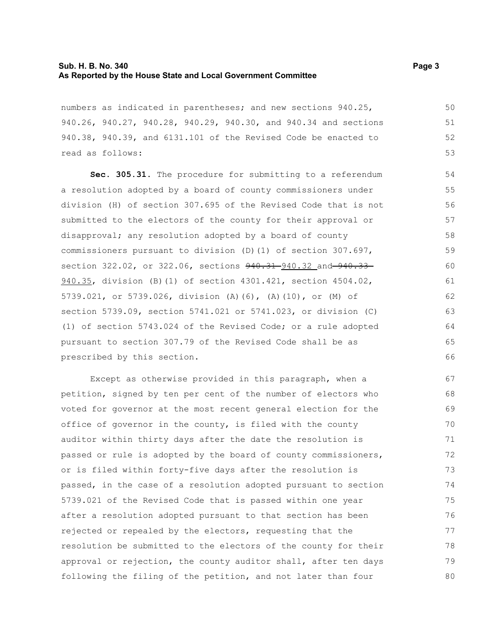#### **Sub. H. B. No. 340 Page 3 As Reported by the House State and Local Government Committee**

numbers as indicated in parentheses; and new sections 940.25, 940.26, 940.27, 940.28, 940.29, 940.30, and 940.34 and sections 940.38, 940.39, and 6131.101 of the Revised Code be enacted to read as follows:

**Sec. 305.31.** The procedure for submitting to a referendum a resolution adopted by a board of county commissioners under division (H) of section 307.695 of the Revised Code that is not submitted to the electors of the county for their approval or disapproval; any resolution adopted by a board of county commissioners pursuant to division (D)(1) of section 307.697, section 322.02, or 322.06, sections  $940.31 - 940.32$  and  $940.33 -$ 940.35, division (B)(1) of section 4301.421, section 4504.02, 5739.021, or 5739.026, division (A)(6), (A)(10), or (M) of section 5739.09, section 5741.021 or 5741.023, or division (C) (1) of section 5743.024 of the Revised Code; or a rule adopted pursuant to section 307.79 of the Revised Code shall be as prescribed by this section. 54 55 56 57 58 59 60 61 62 63 64 65 66

Except as otherwise provided in this paragraph, when a petition, signed by ten per cent of the number of electors who voted for governor at the most recent general election for the office of governor in the county, is filed with the county auditor within thirty days after the date the resolution is passed or rule is adopted by the board of county commissioners, or is filed within forty-five days after the resolution is passed, in the case of a resolution adopted pursuant to section 5739.021 of the Revised Code that is passed within one year after a resolution adopted pursuant to that section has been rejected or repealed by the electors, requesting that the resolution be submitted to the electors of the county for their approval or rejection, the county auditor shall, after ten days following the filing of the petition, and not later than four 67 68 69 70 71 72 73 74 75 76 77 78 79 80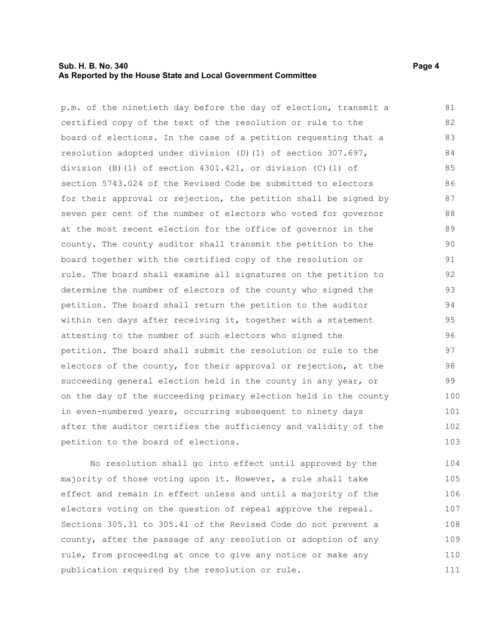#### **Sub. H. B. No. 340 Page 4 As Reported by the House State and Local Government Committee**

p.m. of the ninetieth day before the day of election, transmit a certified copy of the text of the resolution or rule to the board of elections. In the case of a petition requesting that a resolution adopted under division (D)(1) of section 307.697, division (B)(1) of section 4301.421, or division (C)(1) of section 5743.024 of the Revised Code be submitted to electors for their approval or rejection, the petition shall be signed by seven per cent of the number of electors who voted for governor at the most recent election for the office of governor in the county. The county auditor shall transmit the petition to the board together with the certified copy of the resolution or rule. The board shall examine all signatures on the petition to determine the number of electors of the county who signed the petition. The board shall return the petition to the auditor within ten days after receiving it, together with a statement attesting to the number of such electors who signed the petition. The board shall submit the resolution or rule to the electors of the county, for their approval or rejection, at the succeeding general election held in the county in any year, or on the day of the succeeding primary election held in the county in even-numbered years, occurring subsequent to ninety days after the auditor certifies the sufficiency and validity of the petition to the board of elections. 81 82 83 84 85 86 87 88 89 90 91 92 93 94 95 96 97 98 99 100 101 102 103

No resolution shall go into effect until approved by the majority of those voting upon it. However, a rule shall take effect and remain in effect unless and until a majority of the electors voting on the question of repeal approve the repeal. Sections 305.31 to 305.41 of the Revised Code do not prevent a county, after the passage of any resolution or adoption of any rule, from proceeding at once to give any notice or make any publication required by the resolution or rule. 104 105 106 107 108 109 110 111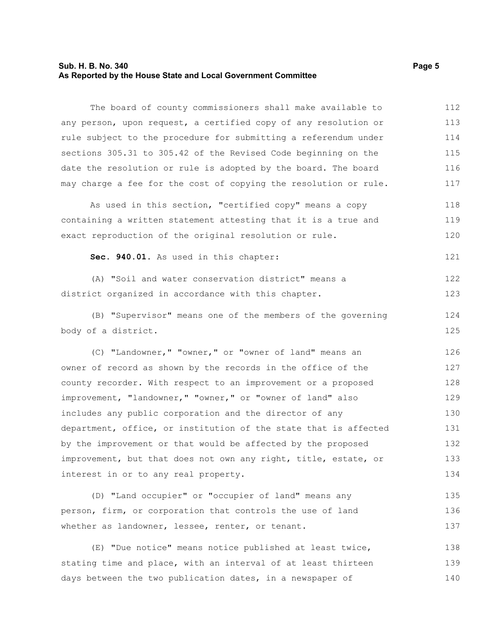#### **Sub. H. B. No. 340 Page 5 As Reported by the House State and Local Government Committee**

The board of county commissioners shall make available to any person, upon request, a certified copy of any resolution or rule subject to the procedure for submitting a referendum under sections 305.31 to 305.42 of the Revised Code beginning on the date the resolution or rule is adopted by the board. The board may charge a fee for the cost of copying the resolution or rule. 112 113 114 115 116 117

As used in this section, "certified copy" means a copy containing a written statement attesting that it is a true and exact reproduction of the original resolution or rule. 118 119 120

**Sec. 940.01.** As used in this chapter: 121

(A) "Soil and water conservation district" means a district organized in accordance with this chapter. 122 123

(B) "Supervisor" means one of the members of the governing body of a district.

(C) "Landowner," "owner," or "owner of land" means an owner of record as shown by the records in the office of the county recorder. With respect to an improvement or a proposed improvement, "landowner," "owner," or "owner of land" also includes any public corporation and the director of any department, office, or institution of the state that is affected by the improvement or that would be affected by the proposed improvement, but that does not own any right, title, estate, or interest in or to any real property. 126 127 128 129 130 131 132 133 134

(D) "Land occupier" or "occupier of land" means any person, firm, or corporation that controls the use of land whether as landowner, lessee, renter, or tenant. 135 136 137

(E) "Due notice" means notice published at least twice, stating time and place, with an interval of at least thirteen days between the two publication dates, in a newspaper of 138 139 140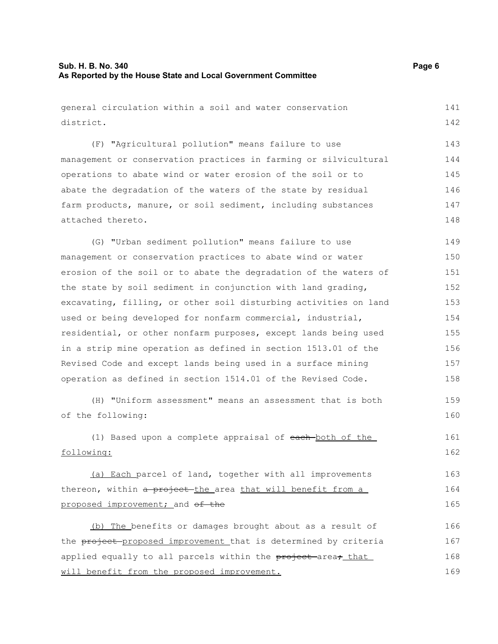general circulation within a soil and water conservation district. 141 142

(F) "Agricultural pollution" means failure to use management or conservation practices in farming or silvicultural operations to abate wind or water erosion of the soil or to abate the degradation of the waters of the state by residual farm products, manure, or soil sediment, including substances attached thereto. 143 144 145 146 147 148

(G) "Urban sediment pollution" means failure to use management or conservation practices to abate wind or water erosion of the soil or to abate the degradation of the waters of the state by soil sediment in conjunction with land grading, excavating, filling, or other soil disturbing activities on land used or being developed for nonfarm commercial, industrial, residential, or other nonfarm purposes, except lands being used in a strip mine operation as defined in section 1513.01 of the Revised Code and except lands being used in a surface mining operation as defined in section 1514.01 of the Revised Code. 149 150 151 152 153 154 155 156 157 158

(H) "Uniform assessment" means an assessment that is both of the following: 159 160

(1) Based upon a complete appraisal of each both of the following: 161 162

(a) Each parcel of land, together with all improvements thereon, within a project the area that will benefit from a proposed improvement; and of the 163 164 165

(b) The benefits or damages brought about as a result of the project-proposed improvement that is determined by criteria applied equally to all parcels within the project area, that will benefit from the proposed improvement. 166 167 168 169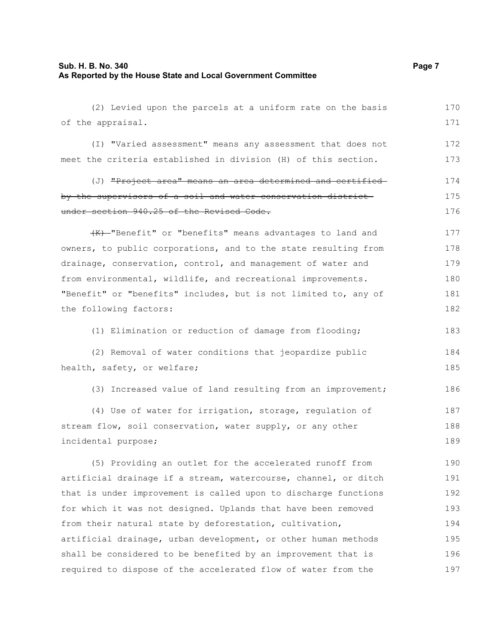#### **Sub. H. B. No. 340 Page 7 As Reported by the House State and Local Government Committee**

(2) Levied upon the parcels at a uniform rate on the basis of the appraisal. (I) "Varied assessment" means any assessment that does not meet the criteria established in division (H) of this section. (J) "Project area" means an area determined and certified by the supervisors of a soil and water conservation district under section 940.25 of the Revised Code. (K) "Benefit" or "benefits" means advantages to land and owners, to public corporations, and to the state resulting from drainage, conservation, control, and management of water and from environmental, wildlife, and recreational improvements. "Benefit" or "benefits" includes, but is not limited to, any of the following factors: (1) Elimination or reduction of damage from flooding; (2) Removal of water conditions that jeopardize public health, safety, or welfare; 170 171 172 173 174 175 176 177 178 179 180 181 182 183 184 185

(3) Increased value of land resulting from an improvement; 186

(4) Use of water for irrigation, storage, regulation of stream flow, soil conservation, water supply, or any other incidental purpose; 187 188 189

(5) Providing an outlet for the accelerated runoff from artificial drainage if a stream, watercourse, channel, or ditch that is under improvement is called upon to discharge functions for which it was not designed. Uplands that have been removed from their natural state by deforestation, cultivation, artificial drainage, urban development, or other human methods shall be considered to be benefited by an improvement that is required to dispose of the accelerated flow of water from the 190 191 192 193 194 195 196 197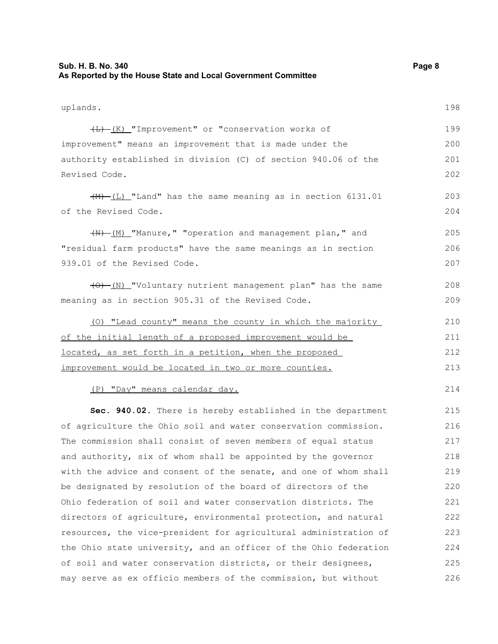## **Sub. H. B. No. 340 Page 8 As Reported by the House State and Local Government Committee**

| uplands.                                                          | 198 |
|-------------------------------------------------------------------|-----|
| (L) (K) "Improvement" or "conservation works of                   | 199 |
| improvement" means an improvement that is made under the          | 200 |
| authority established in division (C) of section 940.06 of the    | 201 |
| Revised Code.                                                     | 202 |
| $\frac{+M}{-L}$ "Land" has the same meaning as in section 6131.01 | 203 |
| of the Revised Code.                                              | 204 |
| (N) [M] "Manure," "operation and management plan," and            | 205 |
| "residual farm products" have the same meanings as in section     | 206 |
| 939.01 of the Revised Code.                                       | 207 |
| (0) (N) "Voluntary nutrient management plan" has the same         | 208 |
| meaning as in section 905.31 of the Revised Code.                 | 209 |
| (0) "Lead county" means the county in which the majority          | 210 |
| of the initial length of a proposed improvement would be          | 211 |
| located, as set forth in a petition, when the proposed            | 212 |
| improvement would be located in two or more counties.             | 213 |
| (P) "Day" means calendar day.                                     | 214 |
| Sec. 940.02. There is hereby established in the department        | 215 |
| of agriculture the Ohio soil and water conservation commission.   | 216 |
| The commission shall consist of seven members of equal status     | 217 |
| and authority, six of whom shall be appointed by the governor     | 218 |
| with the advice and consent of the senate, and one of whom shall  | 219 |
| be designated by resolution of the board of directors of the      | 220 |
| Ohio federation of soil and water conservation districts. The     | 221 |
| directors of agriculture, environmental protection, and natural   | 222 |
| resources, the vice-president for agricultural administration of  | 223 |
| the Ohio state university, and an officer of the Ohio federation  | 224 |
| of soil and water conservation districts, or their designees,     | 225 |
| may serve as ex officio members of the commission, but without    | 226 |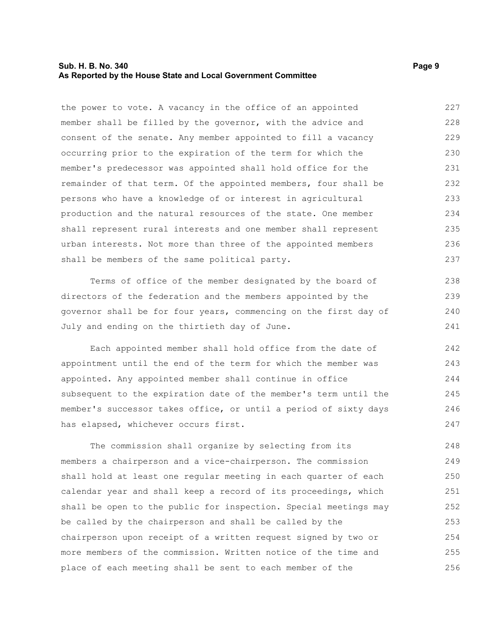#### **Sub. H. B. No. 340 Page 9 As Reported by the House State and Local Government Committee**

the power to vote. A vacancy in the office of an appointed member shall be filled by the governor, with the advice and consent of the senate. Any member appointed to fill a vacancy occurring prior to the expiration of the term for which the member's predecessor was appointed shall hold office for the remainder of that term. Of the appointed members, four shall be persons who have a knowledge of or interest in agricultural production and the natural resources of the state. One member shall represent rural interests and one member shall represent urban interests. Not more than three of the appointed members shall be members of the same political party. 227 228 229 230 231 232 233 234 235 236 237

Terms of office of the member designated by the board of directors of the federation and the members appointed by the governor shall be for four years, commencing on the first day of July and ending on the thirtieth day of June.

Each appointed member shall hold office from the date of appointment until the end of the term for which the member was appointed. Any appointed member shall continue in office subsequent to the expiration date of the member's term until the member's successor takes office, or until a period of sixty days has elapsed, whichever occurs first.

The commission shall organize by selecting from its members a chairperson and a vice-chairperson. The commission shall hold at least one regular meeting in each quarter of each calendar year and shall keep a record of its proceedings, which shall be open to the public for inspection. Special meetings may be called by the chairperson and shall be called by the chairperson upon receipt of a written request signed by two or more members of the commission. Written notice of the time and place of each meeting shall be sent to each member of the 248 249 250 251 252 253 254 255 256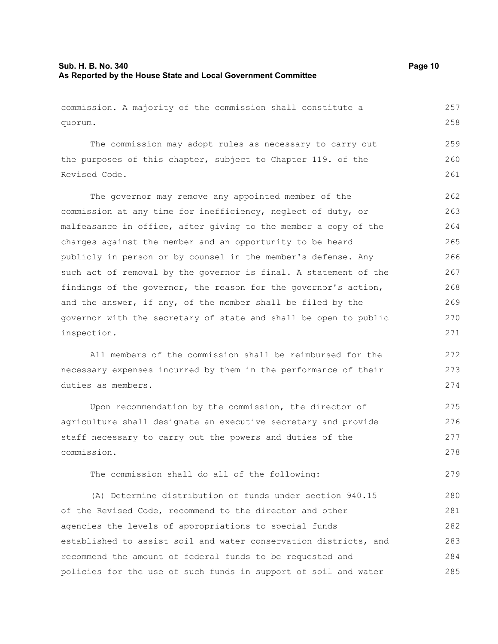## **Sub. H. B. No. 340 Page 10 As Reported by the House State and Local Government Committee**

| commission. A majority of the commission shall constitute a      | 257 |
|------------------------------------------------------------------|-----|
| quorum.                                                          | 258 |
| The commission may adopt rules as necessary to carry out         | 259 |
| the purposes of this chapter, subject to Chapter 119. of the     | 260 |
| Revised Code.                                                    | 261 |
| The governor may remove any appointed member of the              | 262 |
| commission at any time for inefficiency, neglect of duty, or     | 263 |
| malfeasance in office, after giving to the member a copy of the  | 264 |
| charges against the member and an opportunity to be heard        | 265 |
| publicly in person or by counsel in the member's defense. Any    | 266 |
| such act of removal by the governor is final. A statement of the | 267 |
| findings of the governor, the reason for the governor's action,  | 268 |
| and the answer, if any, of the member shall be filed by the      | 269 |
| governor with the secretary of state and shall be open to public | 270 |
| inspection.                                                      | 271 |
| All members of the commission shall be reimbursed for the        | 272 |
| necessary expenses incurred by them in the performance of their  | 273 |
| duties as members.                                               | 274 |
| Upon recommendation by the commission, the director of           | 275 |
| agriculture shall designate an executive secretary and provide   | 276 |
| staff necessary to carry out the powers and duties of the        | 277 |
| commission.                                                      | 278 |
| The commission shall do all of the following:                    | 279 |
| (A) Determine distribution of funds under section 940.15         | 280 |
| of the Revised Code, recommend to the director and other         | 281 |
| agencies the levels of appropriations to special funds           | 282 |
| established to assist soil and water conservation districts, and | 283 |
| recommend the amount of federal funds to be requested and        | 284 |
| policies for the use of such funds in support of soil and water  | 285 |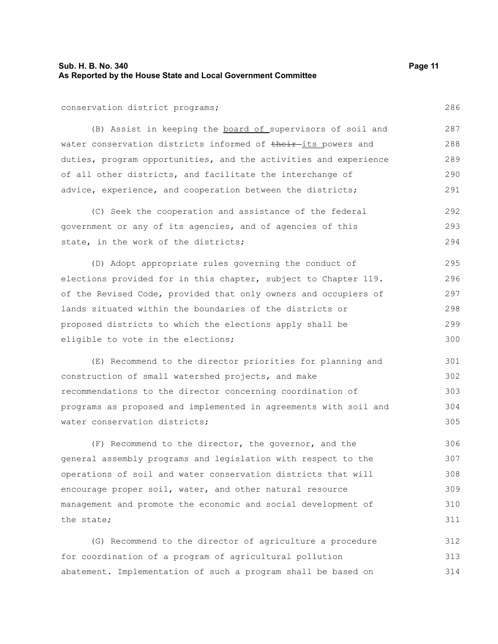#### **Sub. H. B. No. 340 Page 11 As Reported by the House State and Local Government Committee**

#### conservation district programs;

(B) Assist in keeping the board of supervisors of soil and water conservation districts informed of their-its powers and duties, program opportunities, and the activities and experience of all other districts, and facilitate the interchange of advice, experience, and cooperation between the districts; 287 288 289 290 291

(C) Seek the cooperation and assistance of the federal government or any of its agencies, and of agencies of this state, in the work of the districts; 292 293 294

(D) Adopt appropriate rules governing the conduct of elections provided for in this chapter, subject to Chapter 119. of the Revised Code, provided that only owners and occupiers of lands situated within the boundaries of the districts or proposed districts to which the elections apply shall be eligible to vote in the elections; 295 296 297 298 299 300

(E) Recommend to the director priorities for planning and construction of small watershed projects, and make recommendations to the director concerning coordination of programs as proposed and implemented in agreements with soil and water conservation districts; 301 302 303 304 305

(F) Recommend to the director, the governor, and the general assembly programs and legislation with respect to the operations of soil and water conservation districts that will encourage proper soil, water, and other natural resource management and promote the economic and social development of the state; 306 307 308 309 310 311

(G) Recommend to the director of agriculture a procedure for coordination of a program of agricultural pollution abatement. Implementation of such a program shall be based on 312 313 314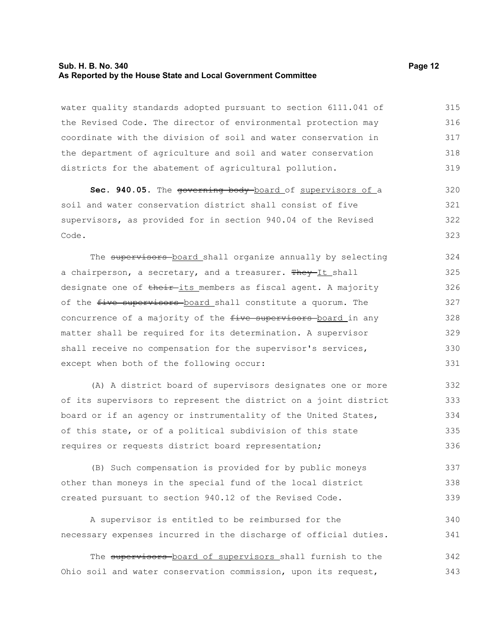#### **Sub. H. B. No. 340 Page 12 As Reported by the House State and Local Government Committee**

water quality standards adopted pursuant to section 6111.041 of the Revised Code. The director of environmental protection may coordinate with the division of soil and water conservation in the department of agriculture and soil and water conservation districts for the abatement of agricultural pollution. 315 316 317 318 319

Sec. 940.05. The governing body board of supervisors of a soil and water conservation district shall consist of five supervisors, as provided for in section 940.04 of the Revised Code. 320 321 322 323

The supervisors board shall organize annually by selecting a chairperson, a secretary, and a treasurer. They-It shall designate one of their its members as fiscal agent. A majority of the five supervisors board shall constitute a quorum. The concurrence of a majority of the five supervisors board in any matter shall be required for its determination. A supervisor shall receive no compensation for the supervisor's services, except when both of the following occur: 324 325 326 327 328 329 330 331

(A) A district board of supervisors designates one or more of its supervisors to represent the district on a joint district board or if an agency or instrumentality of the United States, of this state, or of a political subdivision of this state requires or requests district board representation; 332 333 334 335 336

(B) Such compensation is provided for by public moneys other than moneys in the special fund of the local district created pursuant to section 940.12 of the Revised Code. 337 338 339

A supervisor is entitled to be reimbursed for the necessary expenses incurred in the discharge of official duties. 340 341

The supervisors board of supervisors shall furnish to the Ohio soil and water conservation commission, upon its request, 342 343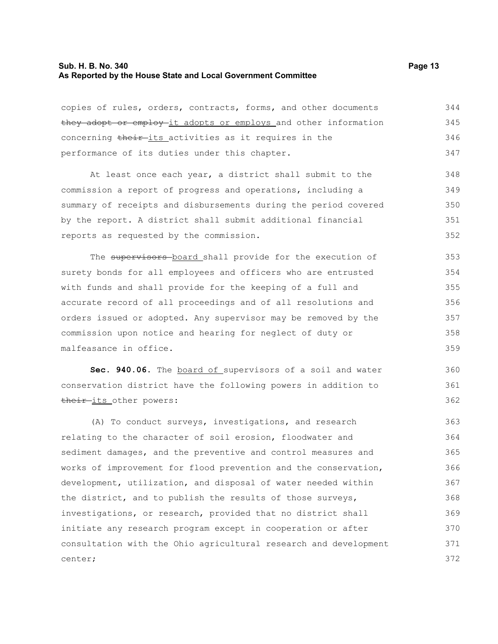### **Sub. H. B. No. 340 Page 13 As Reported by the House State and Local Government Committee**

| copies of rules, orders, contracts, forms, and other documents   | 344 |
|------------------------------------------------------------------|-----|
| they adopt or employ it adopts or employs and other information  | 345 |
| concerning their-its activities as it requires in the            |     |
| performance of its duties under this chapter.                    | 347 |
| At least once each year, a district shall submit to the          | 348 |
| commission a report of progress and operations, including a      | 349 |
| summary of receipts and disbursements during the period covered  | 350 |
| by the report. A district shall submit additional financial      | 351 |
| reports as requested by the commission.                          | 352 |
| The supervisors board shall provide for the execution of         | 353 |
| surety bonds for all employees and officers who are entrusted    | 354 |
| with funds and shall provide for the keeping of a full and       | 355 |
| accurate record of all proceedings and of all resolutions and    | 356 |
| orders issued or adopted. Any supervisor may be removed by the   |     |
| commission upon notice and hearing for neglect of duty or        |     |
| malfeasance in office.                                           | 359 |
| Sec. 940.06. The board of supervisors of a soil and water        | 360 |
| conservation district have the following powers in addition to   | 361 |
| their-its other powers:                                          | 362 |
| (A) To conduct surveys, investigations, and research             | 363 |
| relating to the character of soil erosion, floodwater and        | 364 |
| sediment damages, and the preventive and control measures and    | 365 |
| works of improvement for flood prevention and the conservation,  | 366 |
| development, utilization, and disposal of water needed within    | 367 |
| the district, and to publish the results of those surveys,       | 368 |
| investigations, or research, provided that no district shall     | 369 |
| initiate any research program except in cooperation or after     | 370 |
| consultation with the Ohio agricultural research and development | 371 |
| center;                                                          | 372 |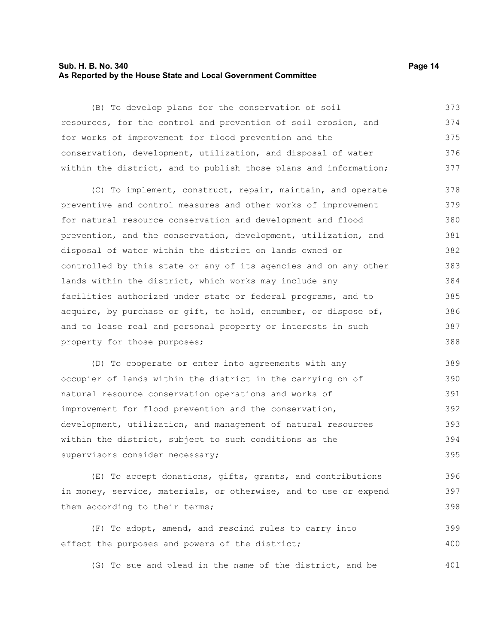#### **Sub. H. B. No. 340 Page 14 As Reported by the House State and Local Government Committee**

(B) To develop plans for the conservation of soil resources, for the control and prevention of soil erosion, and for works of improvement for flood prevention and the conservation, development, utilization, and disposal of water within the district, and to publish those plans and information;

(C) To implement, construct, repair, maintain, and operate preventive and control measures and other works of improvement for natural resource conservation and development and flood prevention, and the conservation, development, utilization, and disposal of water within the district on lands owned or controlled by this state or any of its agencies and on any other lands within the district, which works may include any facilities authorized under state or federal programs, and to acquire, by purchase or gift, to hold, encumber, or dispose of, and to lease real and personal property or interests in such property for those purposes; 378 379 380 381 382 383 384 385 386 387 388

(D) To cooperate or enter into agreements with any occupier of lands within the district in the carrying on of natural resource conservation operations and works of improvement for flood prevention and the conservation, development, utilization, and management of natural resources within the district, subject to such conditions as the supervisors consider necessary; 389 390 391 392 393 394 395

(E) To accept donations, gifts, grants, and contributions in money, service, materials, or otherwise, and to use or expend them according to their terms;

(F) To adopt, amend, and rescind rules to carry into effect the purposes and powers of the district; 399 400

(G) To sue and plead in the name of the district, and be 401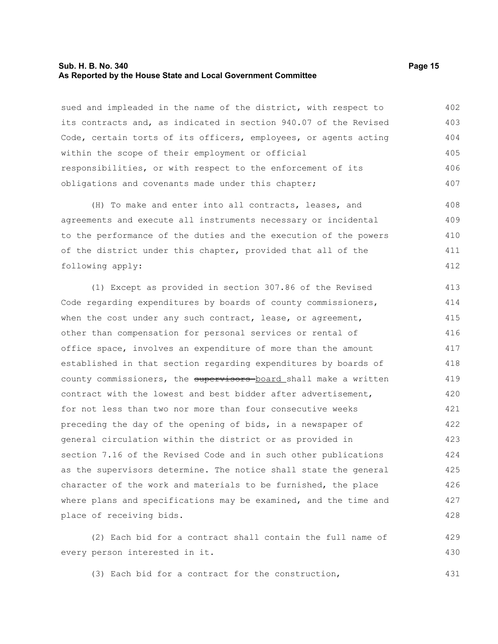#### **Sub. H. B. No. 340 Page 15 As Reported by the House State and Local Government Committee**

sued and impleaded in the name of the district, with respect to its contracts and, as indicated in section 940.07 of the Revised Code, certain torts of its officers, employees, or agents acting within the scope of their employment or official responsibilities, or with respect to the enforcement of its obligations and covenants made under this chapter; 402 403 404 405 406 407

(H) To make and enter into all contracts, leases, and agreements and execute all instruments necessary or incidental to the performance of the duties and the execution of the powers of the district under this chapter, provided that all of the following apply: 408 409 410 411 412

(1) Except as provided in section 307.86 of the Revised Code regarding expenditures by boards of county commissioners, when the cost under any such contract, lease, or agreement, other than compensation for personal services or rental of office space, involves an expenditure of more than the amount established in that section regarding expenditures by boards of county commissioners, the supervisors board shall make a written contract with the lowest and best bidder after advertisement, for not less than two nor more than four consecutive weeks preceding the day of the opening of bids, in a newspaper of general circulation within the district or as provided in section 7.16 of the Revised Code and in such other publications as the supervisors determine. The notice shall state the general character of the work and materials to be furnished, the place where plans and specifications may be examined, and the time and place of receiving bids. 413 414 415 416 417 418 419 420 421 422 423 424 425 426 427 428

(2) Each bid for a contract shall contain the full name of every person interested in it. 429 430

(3) Each bid for a contract for the construction, 431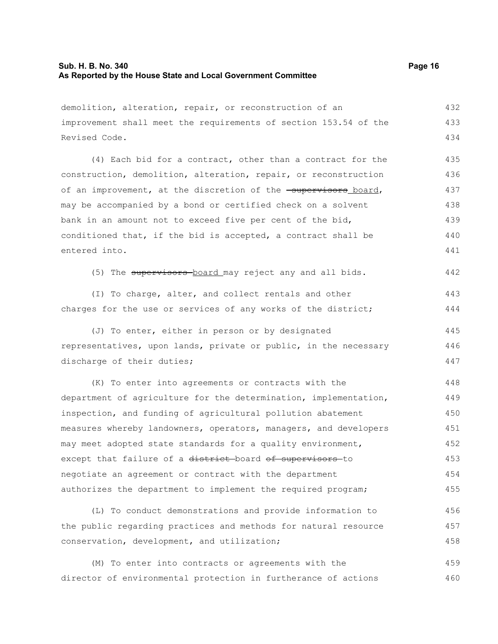### **Sub. H. B. No. 340 Page 16 As Reported by the House State and Local Government Committee**

| demolition, alteration, repair, or reconstruction of an          | 432 |
|------------------------------------------------------------------|-----|
| improvement shall meet the requirements of section 153.54 of the | 433 |
| Revised Code.                                                    | 434 |
| (4) Each bid for a contract, other than a contract for the       | 435 |
| construction, demolition, alteration, repair, or reconstruction  | 436 |
| of an improvement, at the discretion of the -supervisors_board,  | 437 |
| may be accompanied by a bond or certified check on a solvent     | 438 |
| bank in an amount not to exceed five per cent of the bid,        | 439 |
| conditioned that, if the bid is accepted, a contract shall be    | 440 |
| entered into.                                                    | 441 |
| (5) The supervisors board may reject any and all bids.           | 442 |
| (I) To charge, alter, and collect rentals and other              | 443 |
| charges for the use or services of any works of the district;    | 444 |
| (J) To enter, either in person or by designated                  | 445 |
| representatives, upon lands, private or public, in the necessary |     |
| discharge of their duties;                                       | 447 |
| (K) To enter into agreements or contracts with the               | 448 |
| department of agriculture for the determination, implementation, | 449 |
| inspection, and funding of agricultural pollution abatement      | 450 |
| measures whereby landowners, operators, managers, and developers | 451 |
| may meet adopted state standards for a quality environment,      | 452 |
| except that failure of a district board of supervisors to        | 453 |
| negotiate an agreement or contract with the department           | 454 |
| authorizes the department to implement the required program;     | 455 |
| (L) To conduct demonstrations and provide information to         | 456 |
| the public regarding practices and methods for natural resource  | 457 |
| conservation, development, and utilization;                      | 458 |
| (M) To enter into contracts or agreements with the               | 459 |
| director of environmental protection in furtherance of actions   | 460 |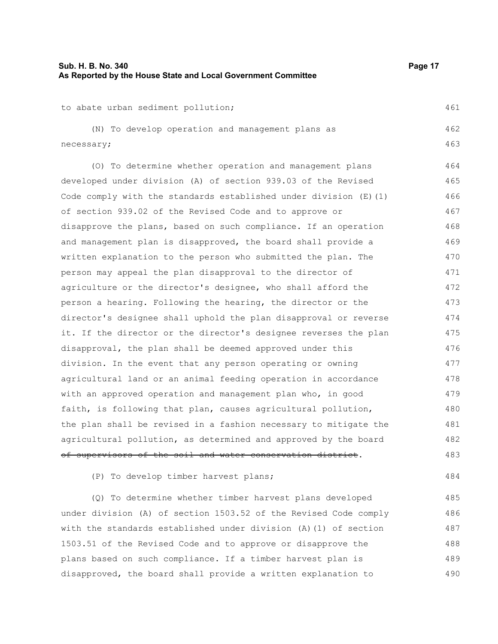461

484

to abate urban sediment pollution;

(N) To develop operation and management plans as necessary; 462 463

(O) To determine whether operation and management plans developed under division (A) of section 939.03 of the Revised Code comply with the standards established under division (E)(1) of section 939.02 of the Revised Code and to approve or disapprove the plans, based on such compliance. If an operation and management plan is disapproved, the board shall provide a written explanation to the person who submitted the plan. The person may appeal the plan disapproval to the director of agriculture or the director's designee, who shall afford the person a hearing. Following the hearing, the director or the director's designee shall uphold the plan disapproval or reverse it. If the director or the director's designee reverses the plan disapproval, the plan shall be deemed approved under this division. In the event that any person operating or owning agricultural land or an animal feeding operation in accordance with an approved operation and management plan who, in good faith, is following that plan, causes agricultural pollution, the plan shall be revised in a fashion necessary to mitigate the agricultural pollution, as determined and approved by the board of supervisors of the soil and water conservation district. 464 465 466 467 468 469 470 471 472 473 474 475 476 477 478 479 480 481 482 483

(P) To develop timber harvest plans;

(Q) To determine whether timber harvest plans developed under division (A) of section 1503.52 of the Revised Code comply with the standards established under division (A)(1) of section 1503.51 of the Revised Code and to approve or disapprove the plans based on such compliance. If a timber harvest plan is disapproved, the board shall provide a written explanation to 485 486 487 488 489 490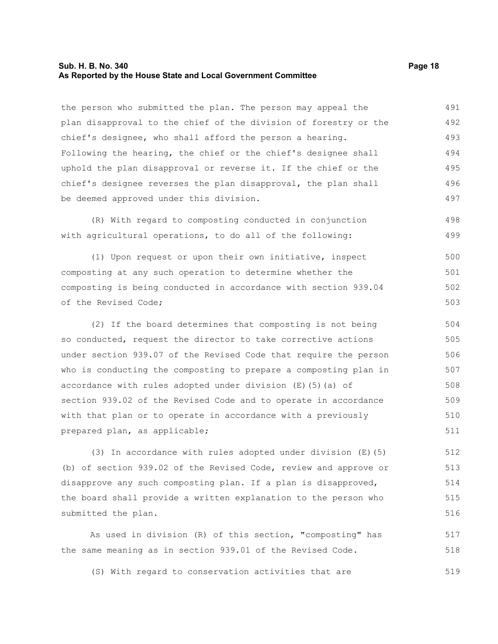#### **Sub. H. B. No. 340 Page 18 As Reported by the House State and Local Government Committee**

the person who submitted the plan. The person may appeal the plan disapproval to the chief of the division of forestry or the chief's designee, who shall afford the person a hearing. Following the hearing, the chief or the chief's designee shall uphold the plan disapproval or reverse it. If the chief or the chief's designee reverses the plan disapproval, the plan shall be deemed approved under this division. 491 492 493 494 495 496 497

(R) With regard to composting conducted in conjunction with agricultural operations, to do all of the following: 498 499

(1) Upon request or upon their own initiative, inspect composting at any such operation to determine whether the composting is being conducted in accordance with section 939.04 of the Revised Code; 500 501 502 503

(2) If the board determines that composting is not being so conducted, request the director to take corrective actions under section 939.07 of the Revised Code that require the person who is conducting the composting to prepare a composting plan in accordance with rules adopted under division (E)(5)(a) of section 939.02 of the Revised Code and to operate in accordance with that plan or to operate in accordance with a previously prepared plan, as applicable; 504 505 506 507 508 509 510 511

(3) In accordance with rules adopted under division (E)(5) (b) of section 939.02 of the Revised Code, review and approve or disapprove any such composting plan. If a plan is disapproved, the board shall provide a written explanation to the person who submitted the plan. 512 513 514 515 516

As used in division (R) of this section, "composting" has the same meaning as in section 939.01 of the Revised Code. 517 518

(S) With regard to conservation activities that are 519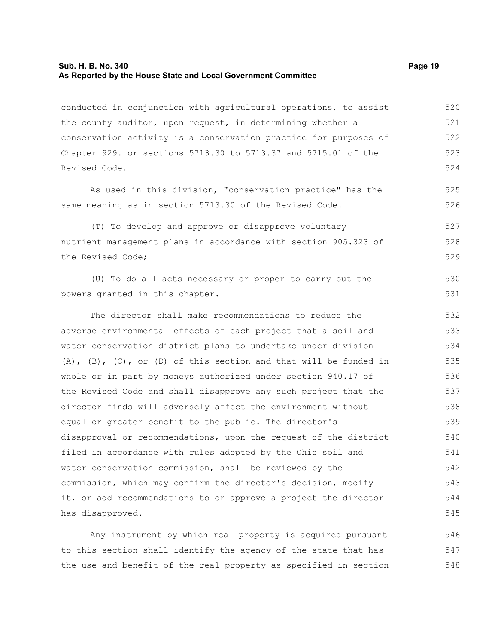#### **Sub. H. B. No. 340 Page 19 As Reported by the House State and Local Government Committee**

conducted in conjunction with agricultural operations, to assist the county auditor, upon request, in determining whether a conservation activity is a conservation practice for purposes of Chapter 929. or sections 5713.30 to 5713.37 and 5715.01 of the Revised Code. 520 521 522 523 524

As used in this division, "conservation practice" has the same meaning as in section 5713.30 of the Revised Code.

(T) To develop and approve or disapprove voluntary nutrient management plans in accordance with section 905.323 of the Revised Code; 527 528 529

(U) To do all acts necessary or proper to carry out the powers granted in this chapter.

The director shall make recommendations to reduce the adverse environmental effects of each project that a soil and water conservation district plans to undertake under division  $(A)$ ,  $(B)$ ,  $(C)$ , or  $(D)$  of this section and that will be funded in whole or in part by moneys authorized under section 940.17 of the Revised Code and shall disapprove any such project that the director finds will adversely affect the environment without equal or greater benefit to the public. The director's disapproval or recommendations, upon the request of the district filed in accordance with rules adopted by the Ohio soil and water conservation commission, shall be reviewed by the commission, which may confirm the director's decision, modify it, or add recommendations to or approve a project the director has disapproved. 532 533 534 535 536 537 538 539 540 541 542 543 544 545

Any instrument by which real property is acquired pursuant to this section shall identify the agency of the state that has the use and benefit of the real property as specified in section 546 547 548

525 526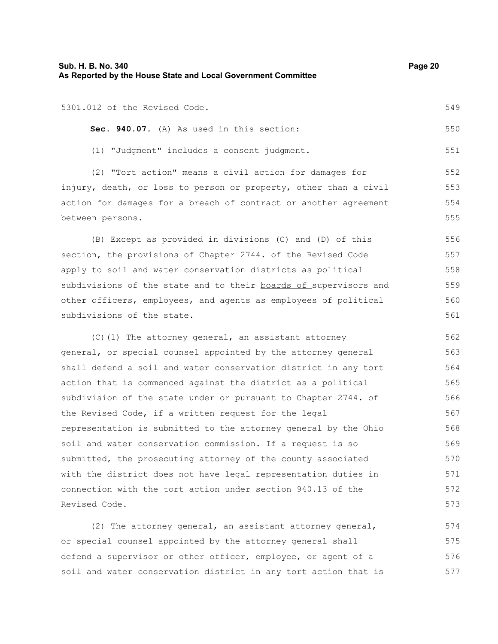| Sub. H. B. No. 340<br>As Reported by the House State and Local Government Committee | Page 20 |
|-------------------------------------------------------------------------------------|---------|
| 5301.012 of the Revised Code.                                                       | 549     |
| Sec. 940.07. (A) As used in this section:                                           | 550     |
| (1) "Judgment" includes a consent judgment.                                         | 551     |
| (2) "Tort action" means a civil action for damages for                              | 552     |
| injury, death, or loss to person or property, other than a civil                    | 553     |
| action for damages for a breach of contract or another agreement                    | 554     |
| between persons.                                                                    | 555     |
| (B) Except as provided in divisions (C) and (D) of this                             | 556     |
| section, the provisions of Chapter 2744. of the Revised Code                        | 557     |
| apply to soil and water conservation districts as political                         | 558     |
| subdivisions of the state and to their boards of supervisors and                    | 559     |
| other officers, employees, and agents as employees of political                     | 560     |
| subdivisions of the state.                                                          | 561     |
| (C) (1) The attorney general, an assistant attorney                                 | 562     |
| general, or special counsel appointed by the attorney general                       | 563     |
| shall defend a soil and water conservation district in any tort                     | 564     |
| action that is commenced against the district as a political                        | 565     |
| subdivision of the state under or pursuant to Chapter 2744. of                      | 566     |
| the Revised Code, if a written request for the legal                                | 567     |
| representation is submitted to the attorney general by the Ohio                     | 568     |
| soil and water conservation commission. If a request is so                          | 569     |
| submitted, the prosecuting attorney of the county associated                        | 570     |
| with the district does not have legal representation duties in                      | 571     |
| connection with the tort action under section 940.13 of the                         | 572     |
| Revised Code.                                                                       | 573     |
| (2) The attorney general, an assistant attorney general,                            | 574     |
| or special counsel appointed by the attorney general shall                          | 575     |
| defend a supervisor or other officer, employee, or agent of a                       | 576     |
| soil and water conservation district in any tort action that is                     | 577     |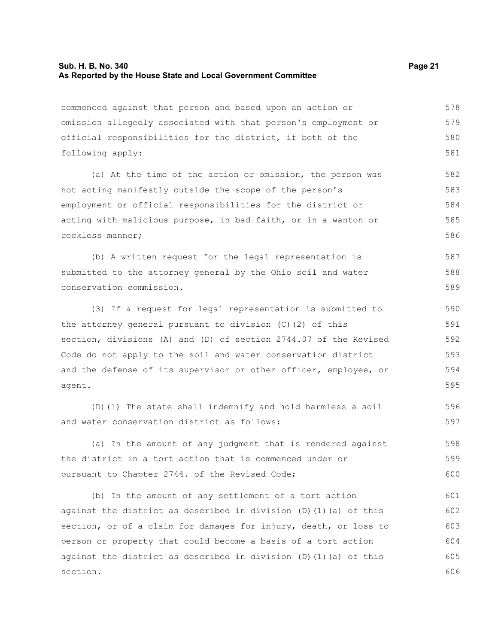#### **Sub. H. B. No. 340 Page 21 As Reported by the House State and Local Government Committee**

commenced against that person and based upon an action or omission allegedly associated with that person's employment or official responsibilities for the district, if both of the following apply: (a) At the time of the action or omission, the person was not acting manifestly outside the scope of the person's employment or official responsibilities for the district or acting with malicious purpose, in bad faith, or in a wanton or reckless manner; (b) A written request for the legal representation is submitted to the attorney general by the Ohio soil and water conservation commission. (3) If a request for legal representation is submitted to the attorney general pursuant to division (C)(2) of this section, divisions (A) and (D) of section 2744.07 of the Revised Code do not apply to the soil and water conservation district and the defense of its supervisor or other officer, employee, or agent. (D)(1) The state shall indemnify and hold harmless a soil and water conservation district as follows: (a) In the amount of any judgment that is rendered against the district in a tort action that is commenced under or pursuant to Chapter 2744. of the Revised Code; (b) In the amount of any settlement of a tort action against the district as described in division (D)(1)(a) of this section, or of a claim for damages for injury, death, or loss to person or property that could become a basis of a tort action against the district as described in division  $(D)$  (1)(a) of this section. 578 579 580 581 582 583 584 585 586 587 588 589 590 591 592 593 594 595 596 597 598 599 600 601 602 603 604 605 606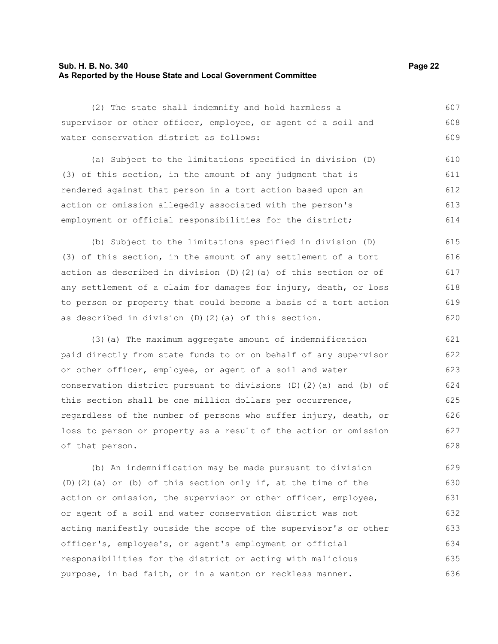### **Sub. H. B. No. 340 Page 22 As Reported by the House State and Local Government Committee**

| (2) The state shall indemnify and hold harmless a                       | 607 |
|-------------------------------------------------------------------------|-----|
| supervisor or other officer, employee, or agent of a soil and           | 608 |
| water conservation district as follows:                                 | 609 |
| (a) Subject to the limitations specified in division (D)                | 610 |
| (3) of this section, in the amount of any judgment that is              | 611 |
| rendered against that person in a tort action based upon an             | 612 |
| action or omission allegedly associated with the person's               | 613 |
| employment or official responsibilities for the district;               | 614 |
| (b) Subject to the limitations specified in division (D)                | 615 |
| (3) of this section, in the amount of any settlement of a tort          | 616 |
| action as described in division $(D)$ $(2)$ $(a)$ of this section or of | 617 |
| any settlement of a claim for damages for injury, death, or loss        | 618 |
| to person or property that could become a basis of a tort action        | 619 |
| as described in division (D) (2) (a) of this section.                   | 620 |
| (3) (a) The maximum aggregate amount of indemnification                 | 621 |
| paid directly from state funds to or on behalf of any supervisor        | 622 |
| or other officer, employee, or agent of a soil and water                | 623 |
| conservation district pursuant to divisions (D)(2)(a) and (b) of        | 624 |
| this section shall be one million dollars per occurrence,               | 625 |
| regardless of the number of persons who suffer injury, death, or        | 626 |
| loss to person or property as a result of the action or omission        | 627 |
| of that person.                                                         | 628 |
| (b) An indemnification may be made pursuant to division                 | 629 |
| $(D)$ (2) (a) or (b) of this section only if, at the time of the        | 630 |
| action or omission, the supervisor or other officer, employee,          | 631 |
| or agent of a soil and water conservation district was not              | 632 |
| acting manifestly outside the scope of the supervisor's or other        | 633 |

officer's, employee's, or agent's employment or official responsibilities for the district or acting with malicious purpose, in bad faith, or in a wanton or reckless manner. 634 635 636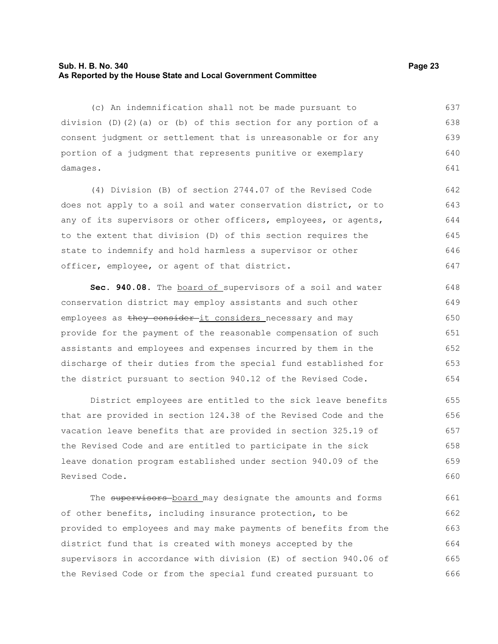#### **Sub. H. B. No. 340 Page 23 As Reported by the House State and Local Government Committee**

(c) An indemnification shall not be made pursuant to division (D)(2)(a) or (b) of this section for any portion of a consent judgment or settlement that is unreasonable or for any portion of a judgment that represents punitive or exemplary damages. 637 638 639 640 641

(4) Division (B) of section 2744.07 of the Revised Code does not apply to a soil and water conservation district, or to any of its supervisors or other officers, employees, or agents, to the extent that division (D) of this section requires the state to indemnify and hold harmless a supervisor or other officer, employee, or agent of that district. 642 643 644 645 646 647

**Sec. 940.08.** The board of supervisors of a soil and water conservation district may employ assistants and such other employees as they consider-it considers necessary and may provide for the payment of the reasonable compensation of such assistants and employees and expenses incurred by them in the discharge of their duties from the special fund established for the district pursuant to section 940.12 of the Revised Code. 648 649 650 651 652 653 654

District employees are entitled to the sick leave benefits that are provided in section 124.38 of the Revised Code and the vacation leave benefits that are provided in section 325.19 of the Revised Code and are entitled to participate in the sick leave donation program established under section 940.09 of the Revised Code. 655 656 657 658 659 660

The supervisors board may designate the amounts and forms of other benefits, including insurance protection, to be provided to employees and may make payments of benefits from the district fund that is created with moneys accepted by the supervisors in accordance with division (E) of section 940.06 of the Revised Code or from the special fund created pursuant to 661 662 663 664 665 666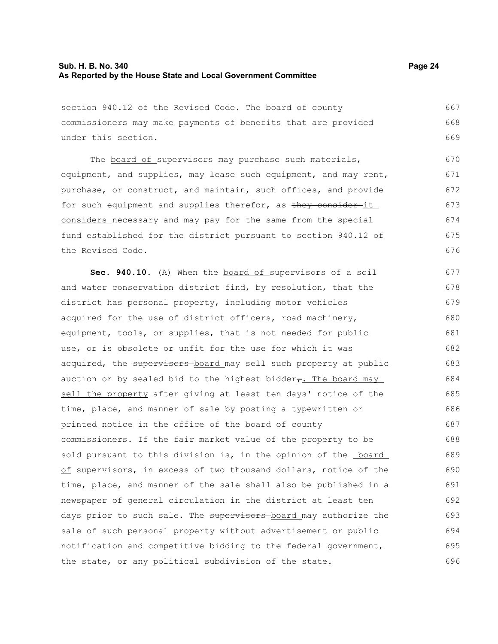#### **Sub. H. B. No. 340 Page 24 As Reported by the House State and Local Government Committee**

section 940.12 of the Revised Code. The board of county commissioners may make payments of benefits that are provided under this section. 667 668 669

The board of supervisors may purchase such materials, equipment, and supplies, may lease such equipment, and may rent, purchase, or construct, and maintain, such offices, and provide for such equipment and supplies therefor, as they consider it considers necessary and may pay for the same from the special fund established for the district pursuant to section 940.12 of the Revised Code. 670 671 672 673 674 675 676

Sec. 940.10. (A) When the **board of supervisors of a soil** and water conservation district find, by resolution, that the district has personal property, including motor vehicles acquired for the use of district officers, road machinery, equipment, tools, or supplies, that is not needed for public use, or is obsolete or unfit for the use for which it was acquired, the supervisors board may sell such property at public auction or by sealed bid to the highest bidder $\tau$ . The board may sell the property after giving at least ten days' notice of the time, place, and manner of sale by posting a typewritten or printed notice in the office of the board of county commissioners. If the fair market value of the property to be sold pursuant to this division is, in the opinion of the **board** of supervisors, in excess of two thousand dollars, notice of the time, place, and manner of the sale shall also be published in a newspaper of general circulation in the district at least ten days prior to such sale. The supervisors board may authorize the sale of such personal property without advertisement or public notification and competitive bidding to the federal government, the state, or any political subdivision of the state. 677 678 679 680 681 682 683 684 685 686 687 688 689 690 691 692 693 694 695 696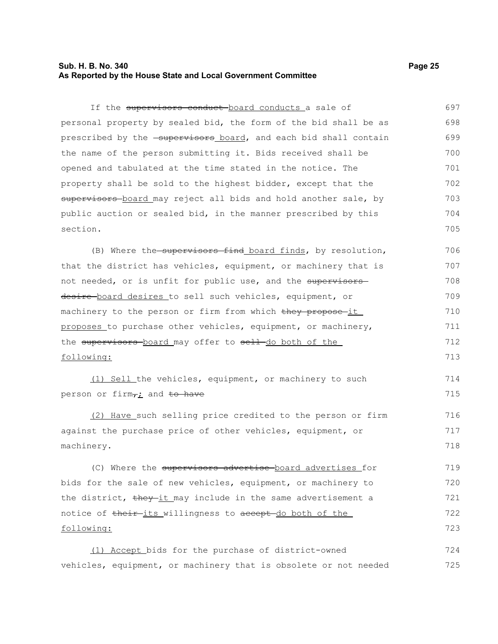#### **Sub. H. B. No. 340 Page 25 As Reported by the House State and Local Government Committee**

If the supervisors conduct-board conducts a sale of personal property by sealed bid, the form of the bid shall be as prescribed by the -supervisors board, and each bid shall contain the name of the person submitting it. Bids received shall be opened and tabulated at the time stated in the notice. The property shall be sold to the highest bidder, except that the supervisors-board may reject all bids and hold another sale, by public auction or sealed bid, in the manner prescribed by this section. 697 698 699 700 701 702 703 704 705

(B) Where the supervisors find board finds, by resolution, that the district has vehicles, equipment, or machinery that is not needed, or is unfit for public use, and the supervisors desire-board desires to sell such vehicles, equipment, or machinery to the person or firm from which they propose it proposes to purchase other vehicles, equipment, or machinery, the supervisors board may offer to sell do both of the following: 706 707 708 709 710 711 712 713

(1) Sell the vehicles, equipment, or machinery to such person or firm $\tau_i$  and to have

(2) Have such selling price credited to the person or firm against the purchase price of other vehicles, equipment, or machinery. 716 717 718

(C) Where the supervisors advertise board advertises for bids for the sale of new vehicles, equipment, or machinery to the district, they it may include in the same advertisement a notice of their its willingness to accept do both of the following: 719 720 721 722 723

(1) Accept bids for the purchase of district-owned vehicles, equipment, or machinery that is obsolete or not needed 724 725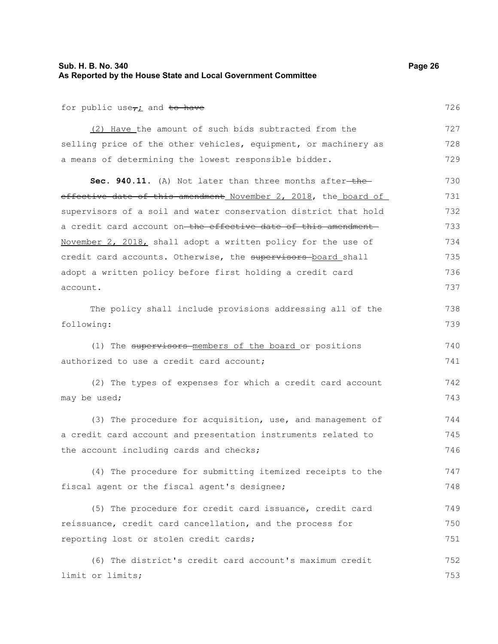### **Sub. H. B. No. 340 Page 26 As Reported by the House State and Local Government Committee**

726

738 739

for public use<sub> $\tau$ i</sub> and to have

(2) Have the amount of such bids subtracted from the selling price of the other vehicles, equipment, or machinery as a means of determining the lowest responsible bidder. 727 728 729

Sec. 940.11. (A) Not later than three months after-theeffective date of this amendment November 2, 2018, the board of supervisors of a soil and water conservation district that hold a credit card account on the effective date of this amendment November 2, 2018, shall adopt a written policy for the use of credit card accounts. Otherwise, the supervisors board shall adopt a written policy before first holding a credit card account. 730 731 732 733 734 735 736 737

The policy shall include provisions addressing all of the following:

(1) The supervisors members of the board or positions authorized to use a credit card account: 740 741

(2) The types of expenses for which a credit card account may be used; 742 743

(3) The procedure for acquisition, use, and management of a credit card account and presentation instruments related to the account including cards and checks; 744 745 746

(4) The procedure for submitting itemized receipts to the fiscal agent or the fiscal agent's designee; 747 748

(5) The procedure for credit card issuance, credit card reissuance, credit card cancellation, and the process for reporting lost or stolen credit cards; 749 750 751

(6) The district's credit card account's maximum credit limit or limits; 752 753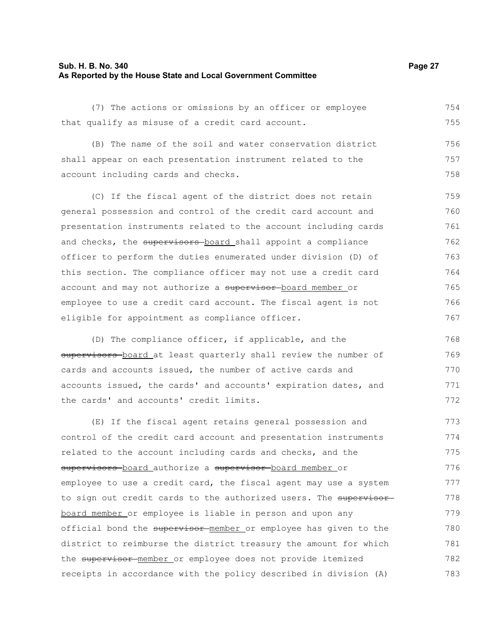#### **Sub. H. B. No. 340 Page 27 As Reported by the House State and Local Government Committee**

(7) The actions or omissions by an officer or employee that qualify as misuse of a credit card account. 754 755

(B) The name of the soil and water conservation district shall appear on each presentation instrument related to the account including cards and checks. 756 757 758

(C) If the fiscal agent of the district does not retain general possession and control of the credit card account and presentation instruments related to the account including cards and checks, the supervisors board shall appoint a compliance officer to perform the duties enumerated under division (D) of this section. The compliance officer may not use a credit card account and may not authorize a supervisor board member or employee to use a credit card account. The fiscal agent is not eligible for appointment as compliance officer. 759 760 761 762 763 764 765 766 767

(D) The compliance officer, if applicable, and the supervisors board at least quarterly shall review the number of cards and accounts issued, the number of active cards and accounts issued, the cards' and accounts' expiration dates, and the cards' and accounts' credit limits. 768 769 770 771 772

(E) If the fiscal agent retains general possession and control of the credit card account and presentation instruments related to the account including cards and checks, and the supervisors board authorize a supervisor board member or employee to use a credit card, the fiscal agent may use a system to sign out credit cards to the authorized users. The supervisor board member or employee is liable in person and upon any official bond the supervisor member or employee has given to the district to reimburse the district treasury the amount for which the supervisor member or employee does not provide itemized receipts in accordance with the policy described in division (A) 773 774 775 776 777 778 779 780 781 782 783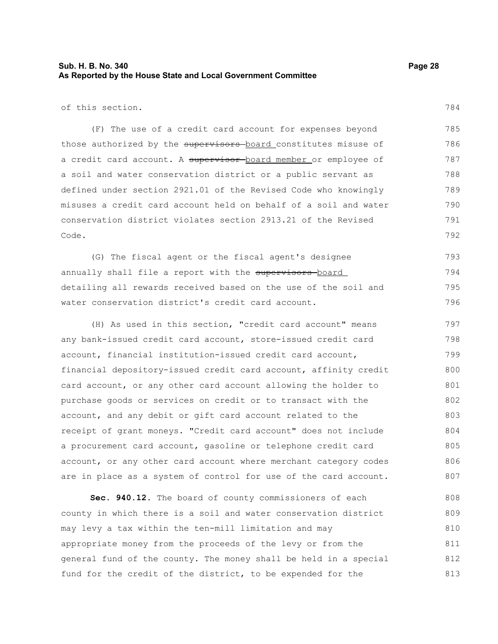### **Sub. H. B. No. 340 Page 28 As Reported by the House State and Local Government Committee**

of this section.

(F) The use of a credit card account for expenses beyond those authorized by the supervisors board constitutes misuse of a credit card account. A supervisor board member or employee of a soil and water conservation district or a public servant as defined under section 2921.01 of the Revised Code who knowingly misuses a credit card account held on behalf of a soil and water conservation district violates section 2913.21 of the Revised Code. 785 786 787 788 789 790 791 792

(G) The fiscal agent or the fiscal agent's designee annually shall file a report with the supervisors-board detailing all rewards received based on the use of the soil and water conservation district's credit card account. 793 794 795 796

(H) As used in this section, "credit card account" means any bank-issued credit card account, store-issued credit card account, financial institution-issued credit card account, financial depository-issued credit card account, affinity credit card account, or any other card account allowing the holder to purchase goods or services on credit or to transact with the account, and any debit or gift card account related to the receipt of grant moneys. "Credit card account" does not include a procurement card account, gasoline or telephone credit card account, or any other card account where merchant category codes are in place as a system of control for use of the card account. 797 798 799 800 801 802 803 804 805 806 807

**Sec. 940.12.** The board of county commissioners of each county in which there is a soil and water conservation district may levy a tax within the ten-mill limitation and may appropriate money from the proceeds of the levy or from the general fund of the county. The money shall be held in a special fund for the credit of the district, to be expended for the 808 809 810 811 812 813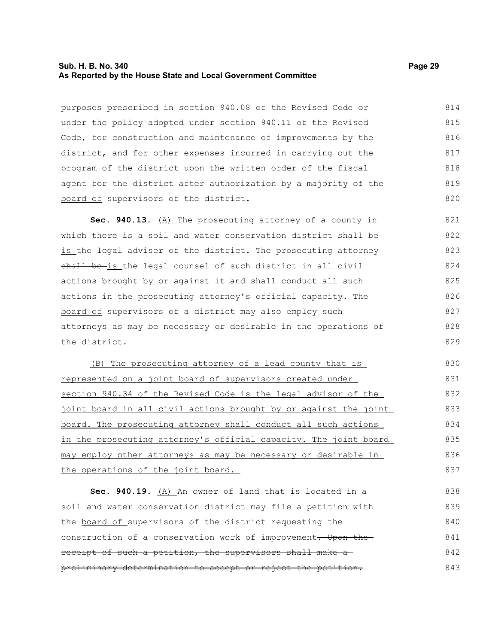#### **Sub. H. B. No. 340 Page 29 As Reported by the House State and Local Government Committee**

purposes prescribed in section 940.08 of the Revised Code or under the policy adopted under section 940.11 of the Revised Code, for construction and maintenance of improvements by the district, and for other expenses incurred in carrying out the program of the district upon the written order of the fiscal agent for the district after authorization by a majority of the board of supervisors of the district. 814 815 816 817 818 819 820

**Sec. 940.13.** (A) The prosecuting attorney of a county in which there is a soil and water conservation district shall beis the legal adviser of the district. The prosecuting attorney shall be-is the legal counsel of such district in all civil actions brought by or against it and shall conduct all such actions in the prosecuting attorney's official capacity. The board of supervisors of a district may also employ such attorneys as may be necessary or desirable in the operations of the district. 821 822 823 824 825 826 827 828 829

(B) The prosecuting attorney of a lead county that is represented on a joint board of supervisors created under section 940.34 of the Revised Code is the legal advisor of the joint board in all civil actions brought by or against the joint board. The prosecuting attorney shall conduct all such actions in the prosecuting attorney's official capacity. The joint board may employ other attorneys as may be necessary or desirable in the operations of the joint board.

**Sec. 940.19.** (A) An owner of land that is located in a soil and water conservation district may file a petition with the board of supervisors of the district requesting the construction of a conservation work of improvement. Upon the receipt of such a petition, the supervisors shall make a preliminary determination to accept or reject the petition. 838 839 840 841 842 843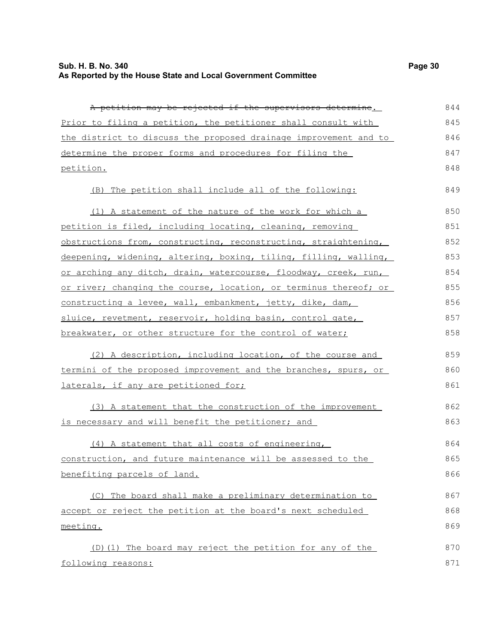### **Sub. H. B. No. 340 Page 30 As Reported by the House State and Local Government Committee**

A petition may be rejected if the supervisors determine. Prior to filing a petition, the petitioner shall consult with the district to discuss the proposed drainage improvement and to determine the proper forms and procedures for filing the (B) The petition shall include all of the following: (1) A statement of the nature of the work for which a petition is filed, including locating, cleaning, removing obstructions from, constructing, reconstructing, straightening,

deepening, widening, altering, boxing, tiling, filling, walling, or arching any ditch, drain, watercourse, floodway, creek, run, or river; changing the course, location, or terminus thereof; or constructing a levee, wall, embankment, jetty, dike, dam, sluice, revetment, reservoir, holding basin, control gate, breakwater, or other structure for the control of water; (2) A description, including location, of the course and termini of the proposed improvement and the branches, spurs, or laterals, if any are petitioned for; (3) A statement that the construction of the improvement is necessary and will benefit the petitioner; and (4) A statement that all costs of engineering, construction, and future maintenance will be assessed to the benefiting parcels of land. (C) The board shall make a preliminary determination to accept or reject the petition at the board's next scheduled 853 854 855 856 857 858 859 860 861 862 863 864 865 866 867 868

meeting.

petition.

(D)(1) The board may reject the petition for any of the following reasons: 870 871

849

850 851 852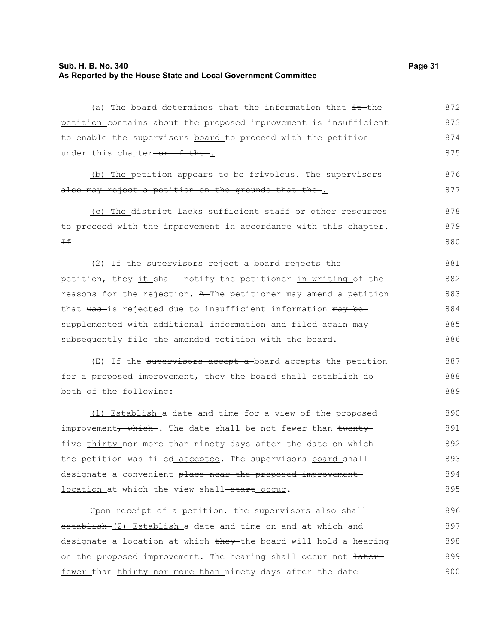#### **Sub. H. B. No. 340 Page 31 As Reported by the House State and Local Government Committee**

(a) The board determines that the information that it the petition contains about the proposed improvement is insufficient to enable the supervisors board to proceed with the petition under this chapter-or if the. 872 873 874 875

(b) The petition appears to be frivolous. The supervisorsalso may reject a petition on the grounds that the. 876 877

(c) The district lacks sufficient staff or other resources to proceed with the improvement in accordance with this chapter.  $\pm$ 878 879 880

(2) If the supervisors reject a board rejects the petition, they-it shall notify the petitioner in writing of the reasons for the rejection. A The petitioner may amend a petition that was-is rejected due to insufficient information may besupplemented with additional information and filed again may subsequently file the amended petition with the board. 881 882 883 884 885 886

(E) If the supervisors accept a board accepts the petition for a proposed improvement, they the board shall establish do both of the following:

(1) Establish a date and time for a view of the proposed improvement, which . The date shall be not fewer than twentyfive thirty nor more than ninety days after the date on which the petition was-filed accepted. The supervisors board shall designate a convenient place near the proposed improvement location at which the view shall-start occur. 890 891 892 893 894 895

Upon receipt of a petition, the supervisors also shallestablish (2) Establish a date and time on and at which and designate a location at which they the board will hold a hearing on the proposed improvement. The hearing shall occur not  $\frac{1}{1 + \frac{1}{1 + \frac{1}{1}}$ fewer than thirty nor more than ninety days after the date 896 897 898 899 900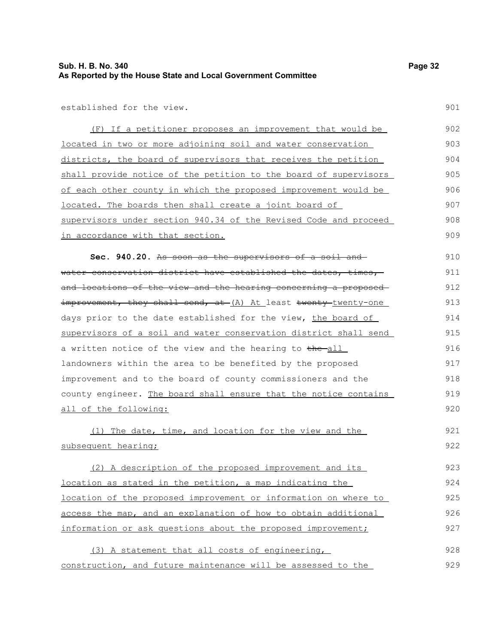901

established for the view.

(F) If a petitioner proposes an improvement that would be located in two or more adjoining soil and water conservation districts, the board of supervisors that receives the petition shall provide notice of the petition to the board of supervisors of each other county in which the proposed improvement would be located. The boards then shall create a joint board of supervisors under section 940.34 of the Revised Code and proceed in accordance with that section. 902 903 904 905 906 907 908 909

**Sec. 940.20.** As soon as the supervisors of a soil and water conservation district have established the dates, times, and locations of the view and the hearing concerning a proposed improvement, they shall send, at (A) At least twenty-twenty-one days prior to the date established for the view, the board of supervisors of a soil and water conservation district shall send a written notice of the view and the hearing to the all landowners within the area to be benefited by the proposed improvement and to the board of county commissioners and the county engineer. The board shall ensure that the notice contains all of the following: 910 911 912 913 914 915 916 917 918 919 920

(1) The date, time, and location for the view and the subsequent hearing; 921 922

(2) A description of the proposed improvement and its location as stated in the petition, a map indicating the location of the proposed improvement or information on where to access the map, and an explanation of how to obtain additional information or ask questions about the proposed improvement; 923 924 925 926 927

(3) A statement that all costs of engineering, construction, and future maintenance will be assessed to the 928 929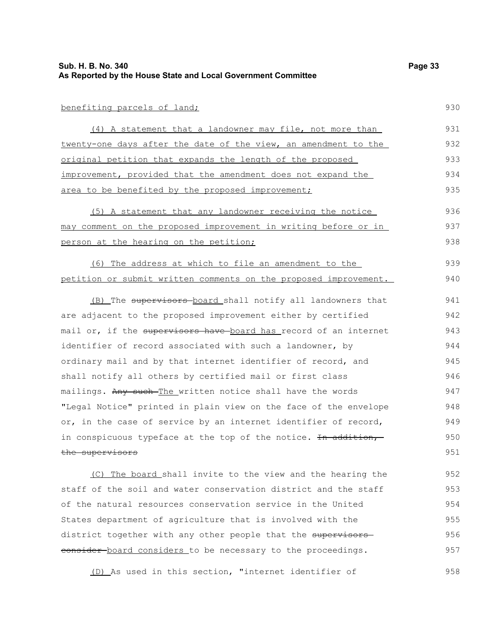#### benefiting parcels of land;

(4) A statement that a landowner may file, not more than twenty-one days after the date of the view, an amendment to the original petition that expands the length of the proposed improvement, provided that the amendment does not expand the area to be benefited by the proposed improvement; 931 932 933 934 935

(5) A statement that any landowner receiving the notice may comment on the proposed improvement in writing before or in person at the hearing on the petition; 936 937 938

(6) The address at which to file an amendment to the petition or submit written comments on the proposed improvement. 939 940

(B) The supervisors-board shall notify all landowners that are adjacent to the proposed improvement either by certified mail or, if the supervisors have board has record of an internet identifier of record associated with such a landowner, by ordinary mail and by that internet identifier of record, and shall notify all others by certified mail or first class mailings. Any such The written notice shall have the words "Legal Notice" printed in plain view on the face of the envelope or, in the case of service by an internet identifier of record, in conspicuous typeface at the top of the notice. In addition, the supervisors 941 942 943 944 945 946 947 948 949 950 951

(C) The board shall invite to the view and the hearing the staff of the soil and water conservation district and the staff of the natural resources conservation service in the United States department of agriculture that is involved with the district together with any other people that the supervisors eonsider board considers to be necessary to the proceedings. 952 953 954 955 956 957

(D) As used in this section, "internet identifier of 958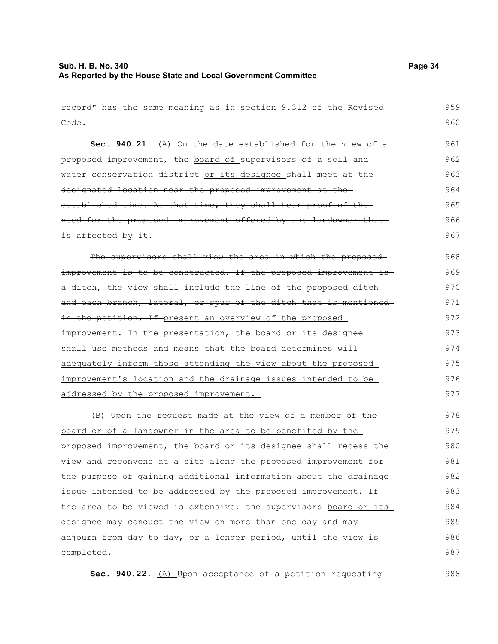## **Sub. H. B. No. 340 Page 34 As Reported by the House State and Local Government Committee**

| record" has the same meaning as in section 9.312 of the Revised  | 959 |
|------------------------------------------------------------------|-----|
| Code.                                                            | 960 |
| Sec. 940.21. (A) On the date established for the view of a       | 961 |
| proposed improvement, the board of supervisors of a soil and     | 962 |
| water conservation district or its designee shall meet at the    | 963 |
| designated location near the proposed improvement at the         | 964 |
| established time. At that time, they shall hear proof of the     | 965 |
| need for the proposed improvement offered by any landowner that  | 966 |
| is affected by it.                                               | 967 |
| The supervisors shall view the area in which the proposed-       | 968 |
| improvement is to be constructed. If the proposed improvement is | 969 |
| a ditch, the view shall include the line of the proposed ditch-  | 970 |
| and each branch, lateral, or spur of the ditch that is mentioned | 971 |
| in the petition. If present an overview of the proposed          | 972 |
| improvement. In the presentation, the board or its designee      | 973 |
| shall use methods and means that the board determines will       | 974 |
| adequately inform those attending the view about the proposed    | 975 |
| improvement's location and the drainage issues intended to be    | 976 |
| addressed by the proposed improvement.                           | 977 |
| (B) Upon the request made at the view of a member of the         | 978 |
| board or of a landowner in the area to be benefited by the       | 979 |
| proposed improvement, the board or its designee shall recess the | 980 |
| view and reconvene at a site along the proposed improvement for  | 981 |
| the purpose of gaining additional information about the drainage | 982 |
| issue intended to be addressed by the proposed improvement. If   | 983 |
| the area to be viewed is extensive, the supervisors board or its | 984 |
| designee may conduct the view on more than one day and may       | 985 |
| adjourn from day to day, or a longer period, until the view is   | 986 |
| completed.                                                       | 987 |
| Sec. 940.22. (A) Upon acceptance of a petition requesting        | 988 |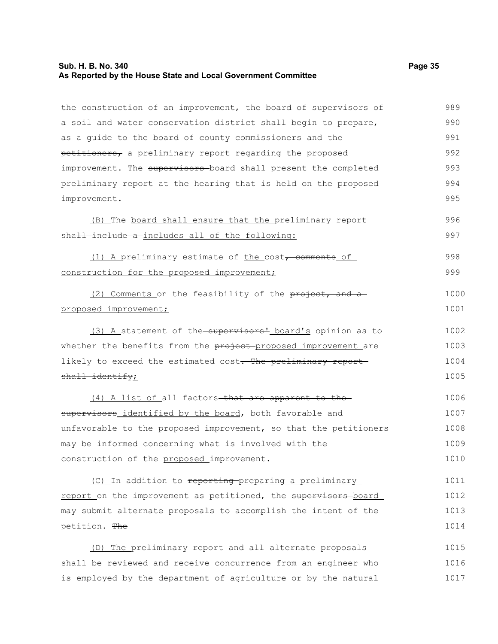#### **Sub. H. B. No. 340 Page 35 As Reported by the House State and Local Government Committee**

the construction of an improvement, the board of supervisors of a soil and water conservation district shall begin to prepareas a guide to the board of county commissioners and the petitioners, a preliminary report regarding the proposed improvement. The supervisors board shall present the completed preliminary report at the hearing that is held on the proposed improvement. (B) The board shall ensure that the preliminary report shall include a includes all of the following:

(1) A preliminary estimate of the  $cost<sub>r</sub>$  comments of construction for the proposed improvement; 998 999

(2) Comments on the feasibility of the  $\frac{1}{2}$  comments on the feasibility of the  $\frac{1}{2}$ proposed improvement; 1000 1001

(3) A statement of the supervisors' board's opinion as to whether the benefits from the project proposed improvement are likely to exceed the estimated cost. The preliminary reportshall identify; 1002 1003 1004 1005

(4) A list of all factors-that are apparent to thesupervisors identified by the board, both favorable and unfavorable to the proposed improvement, so that the petitioners may be informed concerning what is involved with the construction of the proposed improvement. 1006 1007 1008 1009 1010

(C) In addition to reporting preparing a preliminary report on the improvement as petitioned, the supervisors board may submit alternate proposals to accomplish the intent of the petition. The 1011 1012 1013 1014

(D) The preliminary report and all alternate proposals shall be reviewed and receive concurrence from an engineer who is employed by the department of agriculture or by the natural 1015 1016 1017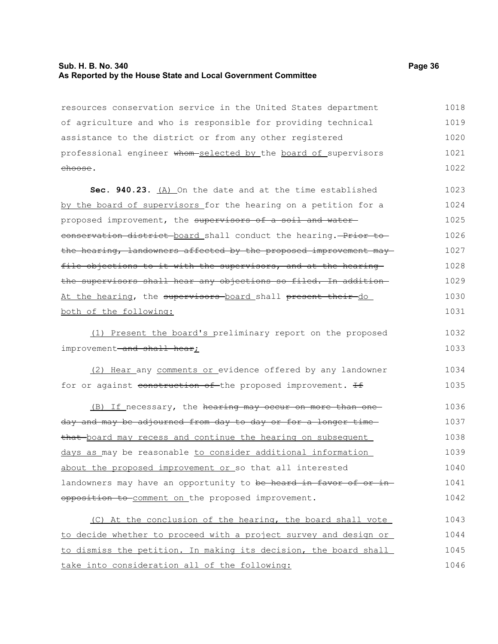### **Sub. H. B. No. 340 Page 36 As Reported by the House State and Local Government Committee**

take into consideration all of the following:

| resources conservation service in the United States department    | 1018 |
|-------------------------------------------------------------------|------|
| of agriculture and who is responsible for providing technical     | 1019 |
| assistance to the district or from any other registered           | 1020 |
| professional engineer whom selected by the board of supervisors   | 1021 |
| <del>choose</del> .                                               | 1022 |
| Sec. 940.23. (A) On the date and at the time established          | 1023 |
| by the board of supervisors for the hearing on a petition for a   | 1024 |
| proposed improvement, the supervisors of a soil and water-        | 1025 |
| conservation district board shall conduct the hearing. Prior to   | 1026 |
| the hearing, landowners affected by the proposed improvement may  | 1027 |
| file objections to it with the supervisors, and at the hearing    | 1028 |
| the supervisors shall hear any objections so filed. In addition   | 1029 |
| At the hearing, the supervisors-board shall present their-do      | 1030 |
| both of the following:                                            | 1031 |
| (1) Present the board's preliminary report on the proposed        | 1032 |
| improvement-and shall hear;                                       | 1033 |
| (2) Hear any comments or evidence offered by any landowner        | 1034 |
| for or against construction of the proposed improvement. If       | 1035 |
| (B) If necessary, the hearing may occur on more than one          | 1036 |
| day and may be adjourned from day to day or for a longer time     | 1037 |
| that board may recess and continue the hearing on subsequent      | 1038 |
| days as may be reasonable to consider additional information      | 1039 |
| about the proposed improvement or so that all interested          | 1040 |
| landowners may have an opportunity to be heard in favor of or in- | 1041 |
| opposition to comment on the proposed improvement.                | 1042 |
| (C) At the conclusion of the hearing, the board shall vote        | 1043 |
| to decide whether to proceed with a project survey and design or  | 1044 |
| to dismiss the petition. In making its decision, the board shall  | 1045 |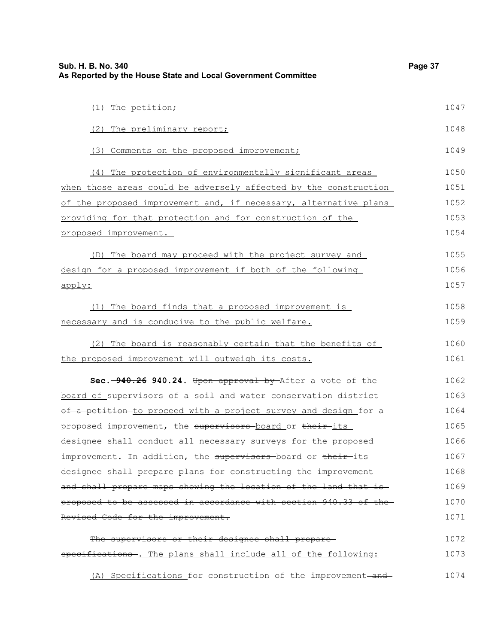| Sub. H. B. No. 340<br>As Reported by the House State and Local Government Committee | Page 37 |
|-------------------------------------------------------------------------------------|---------|
| (1) The petition;                                                                   | 1047    |
| (2) The preliminary report;                                                         | 1048    |
| (3) Comments on the proposed improvement;                                           | 1049    |
| (4) The protection of environmentally significant areas                             | 1050    |
| when those areas could be adversely affected by the construction                    | 1051    |
| of the proposed improvement and, if necessary, alternative plans                    | 1052    |
| providing for that protection and for construction of the                           | 1053    |
| proposed improvement.                                                               | 1054    |
| (D) The board may proceed with the project survey and                               | 1055    |
| design for a proposed improvement if both of the following                          | 1056    |
| apply:                                                                              | 1057    |
| (1) The board finds that a proposed improvement is                                  | 1058    |
| necessary and is conducive to the public welfare.                                   | 1059    |
| (2) The board is reasonably certain that the benefits of                            | 1060    |
| the proposed improvement will outweigh its costs.                                   | 1061    |
| Sec. -940.26 940.24. Upon approval by After a vote of the                           | 1062    |
| board of supervisors of a soil and water conservation district                      | 1063    |
| of a petition to proceed with a project survey and design for a                     | 1064    |
| proposed improvement, the supervisors board or their its                            | 1065    |
| designee shall conduct all necessary surveys for the proposed                       | 1066    |
| improvement. In addition, the supervisors-board or their-its                        | 1067    |
| designee shall prepare plans for constructing the improvement                       | 1068    |
| and shall prepare maps showing the location of the land that is-                    | 1069    |
| proposed to be assessed in accordance with section 940.33 of the                    | 1070    |
| Revised Code for the improvement.                                                   | 1071    |
| The supervisors or their designee shall prepare-                                    | 1072    |
| specifications-. The plans shall include all of the following:                      | 1073    |
| (A) Specifications for construction of the improvement-and-                         | 1074    |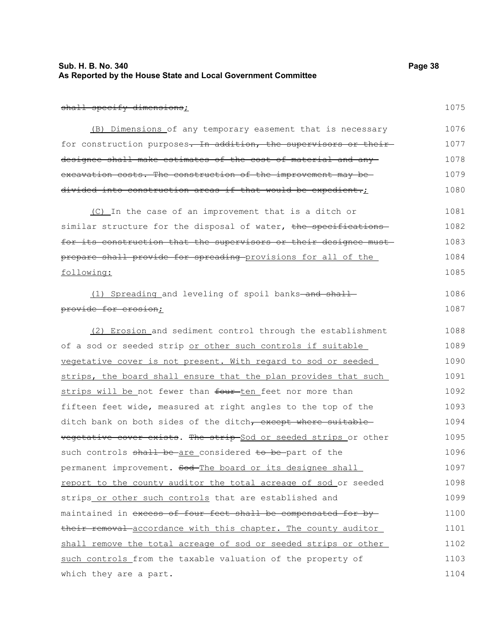| Sub. H. B. No. 340                                            | Page 38 |
|---------------------------------------------------------------|---------|
| As Reported by the House State and Local Government Committee |         |

1075

1086 1087

#### shall specify dimensions;

(B) Dimensions of any temporary easement that is necessary for construction purposes. In addition, the supervisors or theirdesignee shall make estimates of the cost of material and any excavation costs. The construction of the improvement may be divided into construction areas if that would be expedient.; 1076 1077 1078 1079 1080

(C) In the case of an improvement that is a ditch or similar structure for the disposal of water, the specificationsfor its construction that the supervisors or their designee must prepare shall provide for spreading provisions for all of the following: 1081 1082 1083 1084 1085

(1) Spreading and leveling of spoil banks-and shallprovide for erosion;

(2) Erosion and sediment control through the establishment of a sod or seeded strip or other such controls if suitable vegetative cover is not present. With regard to sod or seeded strips, the board shall ensure that the plan provides that such strips will be not fewer than four-ten feet nor more than fifteen feet wide, measured at right angles to the top of the ditch bank on both sides of the ditch, except where suitable vegetative cover exists. The strip Sod or seeded strips or other such controls shall be are considered to be part of the permanent improvement. Sod-The board or its designee shall report to the county auditor the total acreage of sod or seeded strips or other such controls that are established and maintained in excess of four feet shall be compensated for bytheir removal accordance with this chapter. The county auditor shall remove the total acreage of sod or seeded strips or other such controls from the taxable valuation of the property of which they are a part. 1088 1089 1090 1091 1092 1093 1094 1095 1096 1097 1098 1099 1100 1101 1102 1103 1104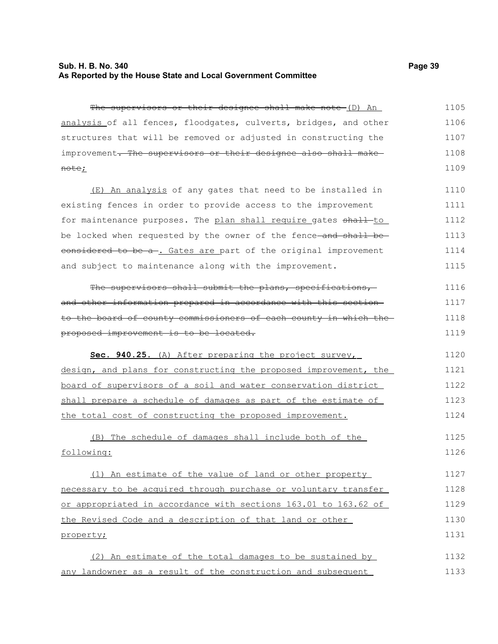### **Sub. H. B. No. 340 Page 39 As Reported by the House State and Local Government Committee**

The supervisors or their designee shall make note (D) An analysis of all fences, floodgates, culverts, bridges, and other structures that will be removed or adjusted in constructing the improvement. The supervisors or their designee also shall makenote; 1105 1106 1107 1108 1109

(E) An analysis of any gates that need to be installed in existing fences in order to provide access to the improvement for maintenance purposes. The plan shall require gates shall-to be locked when requested by the owner of the fence and shall be eonsidered to be a-. Gates are part of the original improvement and subject to maintenance along with the improvement. 1110 1111 1112 1113 1114 1115

The supervisors shall submit the plans, specifications, and other information prepared in accordance with this section to the board of county commissioners of each county in which the proposed improvement is to be located. 1116 1117 1118 1119

 **Sec. 940.25.** (A) After preparing the project survey, design, and plans for constructing the proposed improvement, the board of supervisors of a soil and water conservation district shall prepare a schedule of damages as part of the estimate of the total cost of constructing the proposed improvement. 1120 1121 1122 1123 1124

(B) The schedule of damages shall include both of the following: 1125 1126

(1) An estimate of the value of land or other property necessary to be acquired through purchase or voluntary transfer or appropriated in accordance with sections 163.01 to 163.62 of the Revised Code and a description of that land or other property; 1127 1128 1129 1130 1131

(2) An estimate of the total damages to be sustained by any landowner as a result of the construction and subsequent 1132 1133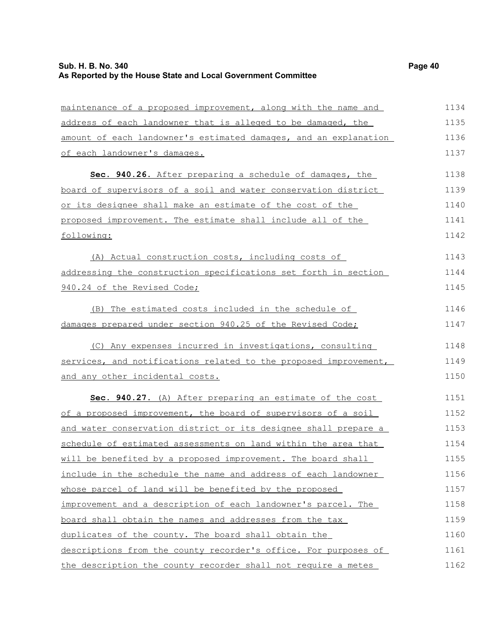| maintenance of a proposed improvement, along with the name and   | 1134 |
|------------------------------------------------------------------|------|
| address of each landowner that is alleged to be damaged, the     | 1135 |
| amount of each landowner's estimated damages, and an explanation | 1136 |
| of each landowner's damages.                                     | 1137 |
| Sec. 940.26. After preparing a schedule of damages, the          | 1138 |
| board of supervisors of a soil and water conservation district   | 1139 |
| or its designee shall make an estimate of the cost of the        | 1140 |
| proposed improvement. The estimate shall include all of the      | 1141 |
| following:                                                       | 1142 |
| (A) Actual construction costs, including costs of                | 1143 |
| addressing the construction specifications set forth in section  | 1144 |
| 940.24 of the Revised Code;                                      | 1145 |
| (B) The estimated costs included in the schedule of              | 1146 |
| damages prepared under section 940.25 of the Revised Code;       | 1147 |
| (C) Any expenses incurred in investigations, consulting          | 1148 |
| services, and notifications related to the proposed improvement, | 1149 |
| and any other incidental costs.                                  | 1150 |
| Sec. 940.27. (A) After preparing an estimate of the cost         | 1151 |
| of a proposed improvement, the board of supervisors of a soil    | 1152 |
| and water conservation district or its designee shall prepare a  | 1153 |
| schedule of estimated assessments on land within the area that   | 1154 |
| will be benefited by a proposed improvement. The board shall     | 1155 |
| include in the schedule the name and address of each landowner   | 1156 |
| whose parcel of land will be benefited by the proposed           | 1157 |
| improvement and a description of each landowner's parcel. The    | 1158 |
| board shall obtain the names and addresses from the tax          | 1159 |
| duplicates of the county. The board shall obtain the             | 1160 |
| descriptions from the county recorder's office. For purposes of  | 1161 |
| the description the county recorder shall not require a metes    | 1162 |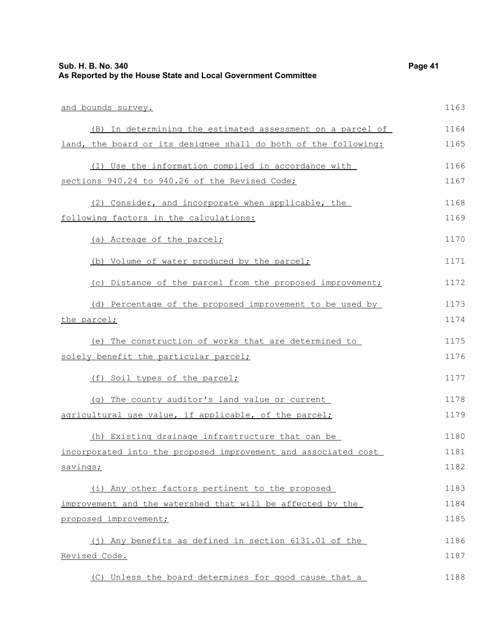| Sub. H. B. No. 340<br>As Reported by the House State and Local Government Committee | Page 41 |
|-------------------------------------------------------------------------------------|---------|
| and bounds survey.                                                                  | 1163    |
| (B) In determining the estimated assessment on a parcel of                          | 1164    |
| land, the board or its designee shall do both of the following:                     | 1165    |
| (1) Use the information compiled in accordance with                                 | 1166    |
| sections 940.24 to 940.26 of the Revised Code;                                      | 1167    |
| (2) Consider, and incorporate when applicable, the                                  | 1168    |
| following factors in the calculations:                                              | 1169    |
| (a) Acreage of the parcel;                                                          | 1170    |
| (b) Volume of water produced by the parcel;                                         | 1171    |
| (c) Distance of the parcel from the proposed improvement;                           | 1172    |
| (d) Percentage of the proposed improvement to be used by                            | 1173    |
| the parcel;                                                                         | 1174    |
| (e) The construction of works that are determined to                                | 1175    |
| solely benefit the particular parcel;                                               | 1176    |
| (f) Soil types of the parcel;                                                       | 1177    |
| (q) The county auditor's land value or current                                      | 1178    |
| agricultural use value, if applicable, of the parcel;                               | 1179    |
| (h) Existing drainage infrastructure that can be                                    | 1180    |
| incorporated into the proposed improvement and associated cost                      | 1181    |
| savings;                                                                            | 1182    |
| (i) Any other factors pertinent to the proposed                                     | 1183    |
| improvement and the watershed that will be affected by the                          | 1184    |
| proposed improvement;                                                               | 1185    |
| (j) Any benefits as defined in section 6131.01 of the                               | 1186    |
| Revised Code.                                                                       | 1187    |
| (C) Unless the board determines for good cause that a                               | 1188    |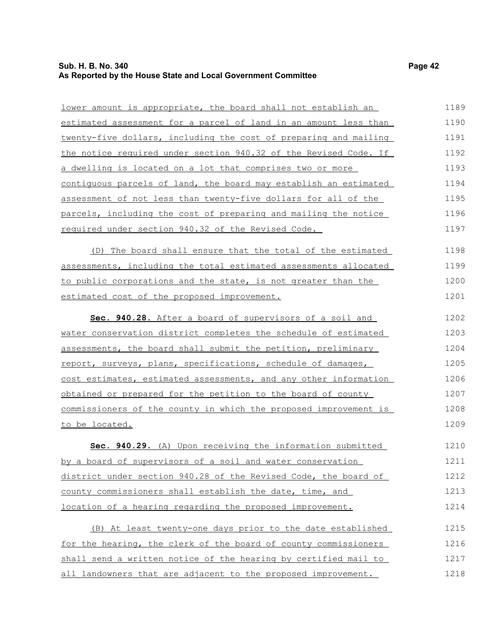## **Sub. H. B. No. 340 Page 42 As Reported by the House State and Local Government Committee**

| lower amount is appropriate, the board shall not establish an    | 1189 |
|------------------------------------------------------------------|------|
| estimated assessment for a parcel of land in an amount less than | 1190 |
| twenty-five dollars, including the cost of preparing and mailing | 1191 |
| the notice required under section 940.32 of the Revised Code. If | 1192 |
| a dwelling is located on a lot that comprises two or more        | 1193 |
| contiquous parcels of land, the board may establish an estimated | 1194 |
| assessment of not less than twenty-five dollars for all of the   | 1195 |
| parcels, including the cost of preparing and mailing the notice  | 1196 |
| required under section 940.32 of the Revised Code.               | 1197 |
| (D) The board shall ensure that the total of the estimated       | 1198 |
| assessments, including the total estimated assessments allocated | 1199 |
| to public corporations and the state, is not greater than the    | 1200 |
| estimated cost of the proposed improvement.                      | 1201 |
| Sec. 940.28. After a board of supervisors of a soil and          | 1202 |
| water conservation district completes the schedule of estimated  | 1203 |
| assessments, the board shall submit the petition, preliminary    | 1204 |
| report, surveys, plans, specifications, schedule of damages,     | 1205 |
| cost estimates, estimated assessments, and any other information | 1206 |
| obtained or prepared for the petition to the board of county     | 1207 |
| commissioners of the county in which the proposed improvement is | 1208 |
| to be located.                                                   | 1209 |
| Sec. 940.29. (A) Upon receiving the information submitted        | 1210 |
| by a board of supervisors of a soil and water conservation       | 1211 |
| district under section 940.28 of the Revised Code, the board of  | 1212 |
| county commissioners shall establish the date, time, and         | 1213 |
| location of a hearing regarding the proposed improvement.        | 1214 |
| (B) At least twenty-one days prior to the date established       | 1215 |
| for the hearing, the clerk of the board of county commissioners  | 1216 |
| shall send a written notice of the hearing by certified mail to  | 1217 |
| all landowners that are adjacent to the proposed improvement.    | 1218 |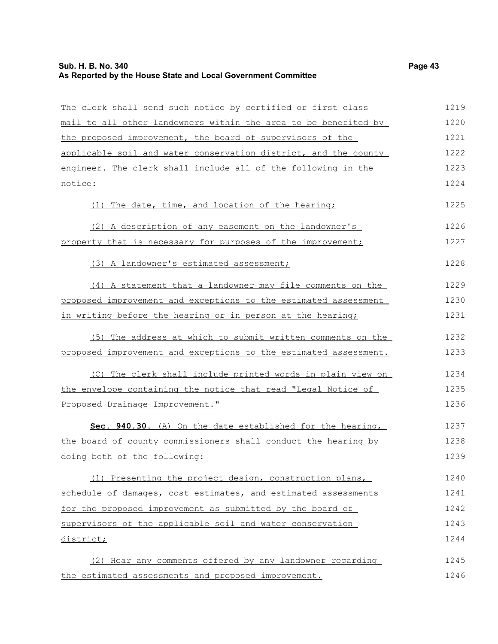| The clerk shall send such notice by certified or first class     | 1219 |
|------------------------------------------------------------------|------|
| mail to all other landowners within the area to be benefited by  | 1220 |
| the proposed improvement, the board of supervisors of the        | 1221 |
| applicable soil and water conservation district, and the county  | 1222 |
| engineer. The clerk shall include all of the following in the    | 1223 |
| notice:                                                          | 1224 |
| (1) The date, time, and location of the hearing;                 | 1225 |
| (2) A description of any easement on the landowner's             | 1226 |
| property that is necessary for purposes of the improvement;      | 1227 |
| (3) A landowner's estimated assessment;                          | 1228 |
| (4) A statement that a landowner may file comments on the        | 1229 |
| proposed improvement and exceptions to the estimated assessment  | 1230 |
| in writing before the hearing or in person at the hearing;       | 1231 |
| (5) The address at which to submit written comments on the       | 1232 |
| proposed improvement and exceptions to the estimated assessment. | 1233 |
| (C) The clerk shall include printed words in plain view on       | 1234 |
| the envelope containing the notice that read "Legal Notice of    | 1235 |
| Proposed Drainage Improvement."                                  | 1236 |
| Sec. 940.30. (A) On the date established for the hearing,        | 1237 |
| the board of county commissioners shall conduct the hearing by   | 1238 |
| doing both of the following:                                     | 1239 |
| (1) Presenting the project design, construction plans,           | 1240 |
| schedule of damages, cost estimates, and estimated assessments   | 1241 |
| for the proposed improvement as submitted by the board of        | 1242 |
| supervisors of the applicable soil and water conservation        | 1243 |
| district;                                                        | 1244 |
| (2) Hear any comments offered by any landowner regarding         | 1245 |
| the estimated assessments and proposed improvement.              | 1246 |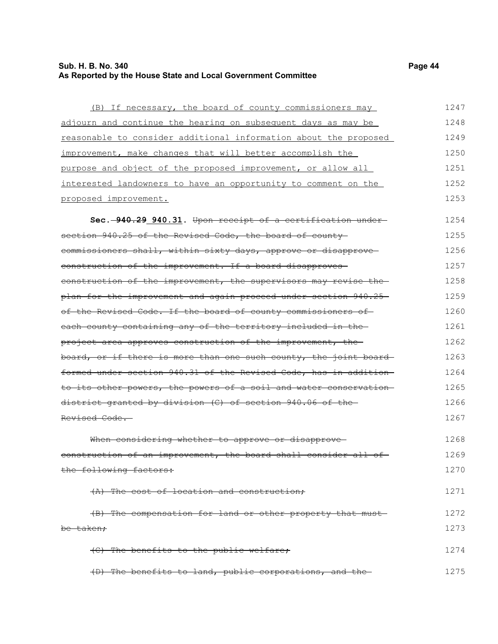## **Sub. H. B. No. 340 Page 44 As Reported by the House State and Local Government Committee**

| (B) If necessary, the board of county commissioners may                      | 1247 |
|------------------------------------------------------------------------------|------|
| adjourn and continue the hearing on subsequent days as may be                | 1248 |
| reasonable to consider additional information about the proposed             | 1249 |
| improvement, make changes that will better accomplish the                    | 1250 |
| purpose and object of the proposed improvement, or allow all                 | 1251 |
| interested landowners to have an opportunity to comment on the               | 1252 |
| proposed improvement.                                                        | 1253 |
| Sec. -940.29 940.31. Upon receipt of a certification under-                  | 1254 |
| section 940.25 of the Revised Code, the board of county-                     | 1255 |
| commissioners shall, within sixty days, approve or disapprove-               | 1256 |
| construction of the improvement. If a board disapproves-                     | 1257 |
| construction of the improvement, the supervisors may revise the-             | 1258 |
| plan for the improvement and again proceed under section 940.25—             | 1259 |
| of the Revised Code. If the board of county commissioners of                 | 1260 |
| each county containing any of the territory included in the-                 | 1261 |
| <del>project area approves construction of the improvement, the -</del>      | 1262 |
| <del>board, or if there is more than one such county, the joint board-</del> | 1263 |
| formed under section 940.31 of the Revised Code, has in addition             | 1264 |
| to its other powers, the powers of a soil and water conservation-            | 1265 |
| district granted by division (C) of section 940.06 of the-                   | 1266 |
| <del>Revised Code.</del>                                                     | 1267 |
| When considering whether to approve or disapprove-                           | 1268 |
| construction of an improvement, the board shall consider all of-             | 1269 |
| the following factors:                                                       | 1270 |
| (A) The cost of location and construction;                                   | 1271 |
| (B) The compensation for land or other property that must-                   | 1272 |
| be taken <i>:</i>                                                            | 1273 |
| (C) The benefits to the public welfare;                                      | 1274 |
| (D) The benefits to land, public corporations, and the-                      | 1275 |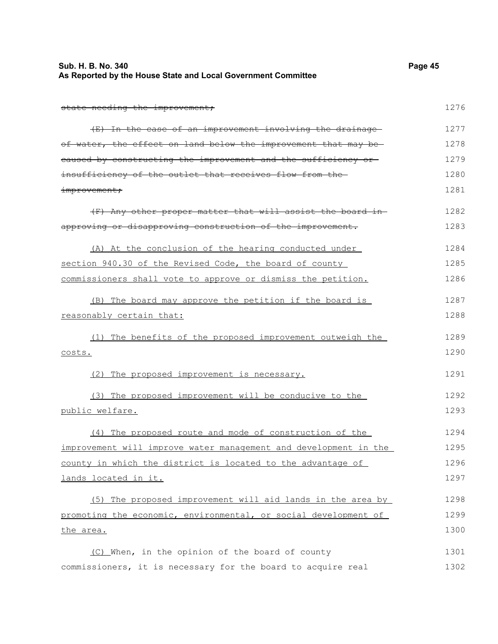| Sub. H. B. No. 340<br>As Reported by the House State and Local Government Committee | Page 45 |
|-------------------------------------------------------------------------------------|---------|
| state needing the improvement;                                                      | 1276    |
| (E) In the case of an improvement involving the drainage-                           | 1277    |
| of water, the effect on land below the improvement that may be-                     | 1278    |
| eaused by constructing the improvement and the sufficiency or                       | 1279    |
| insufficiency of the outlet that receives flow from the                             | 1280    |
| improvement;                                                                        | 1281    |
| (F) Any other proper matter that will assist the board in-                          | 1282    |
| approving or disapproving construction of the improvement.                          | 1283    |
| (A) At the conclusion of the hearing conducted under                                | 1284    |
| section 940.30 of the Revised Code, the board of county                             | 1285    |
| commissioners shall vote to approve or dismiss the petition.                        | 1286    |
| (B) The board may approve the petition if the board is                              | 1287    |
| reasonably certain that:                                                            | 1288    |
| (1) The benefits of the proposed improvement outweigh the                           | 1289    |
| costs.                                                                              | 1290    |
| (2) The proposed improvement is necessary.                                          | 1291    |
| (3) The proposed improvement will be conducive to the                               | 1292    |
| public welfare.                                                                     | 1293    |
| (4) The proposed route and mode of construction of the                              | 1294    |
| improvement will improve water management and development in the                    | 1295    |
| county in which the district is located to the advantage of                         | 1296    |
| lands located in it.                                                                | 1297    |
| (5) The proposed improvement will aid lands in the area by                          | 1298    |
| promoting the economic, environmental, or social development of                     | 1299    |
| the area.                                                                           | 1300    |
| (C) When, in the opinion of the board of county                                     | 1301    |
| commissioners, it is necessary for the board to acquire real                        | 1302    |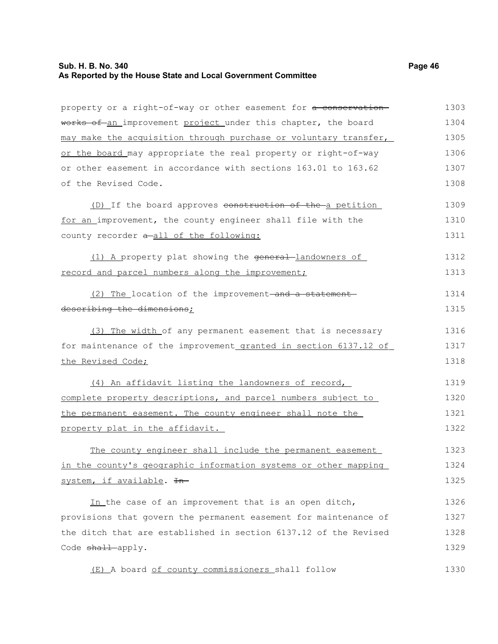## **Sub. H. B. No. 340 Page 46 As Reported by the House State and Local Government Committee**

| property or a right-of-way or other easement for a conservation- | 1303 |
|------------------------------------------------------------------|------|
| works of an improvement project under this chapter, the board    | 1304 |
| may make the acquisition through purchase or voluntary transfer, | 1305 |
| or the board may appropriate the real property or right-of-way   | 1306 |
| or other easement in accordance with sections 163.01 to 163.62   | 1307 |
| of the Revised Code.                                             | 1308 |
| (D) If the board approves construction of the a petition         | 1309 |
| for an improvement, the county engineer shall file with the      | 1310 |
| county recorder a-all of the following:                          | 1311 |
| (1) A property plat showing the general-landowners of            | 1312 |
| record and parcel numbers along the improvement;                 | 1313 |
| (2) The location of the improvement-and a statement-             | 1314 |
| describing the dimensions;                                       | 1315 |
| (3) The width of any permanent easement that is necessary        | 1316 |
| for maintenance of the improvement_granted in section 6137.12 of | 1317 |
| the Revised Code;                                                | 1318 |
| (4) An affidavit listing the landowners of record,               | 1319 |
| complete property descriptions, and parcel numbers subject to    | 1320 |
| the permanent easement. The county engineer shall note the       | 1321 |
| property plat in the affidavit.                                  | 1322 |
| The county engineer shall include the permanent easement         | 1323 |
| in the county's geographic information systems or other mapping  | 1324 |
| system, if available. In-                                        | 1325 |
| In the case of an improvement that is an open ditch,             | 1326 |
| provisions that govern the permanent easement for maintenance of | 1327 |
| the ditch that are established in section 6137.12 of the Revised | 1328 |
| Code shall-apply.                                                | 1329 |
| (E) A board of county commissioners shall follow                 | 1330 |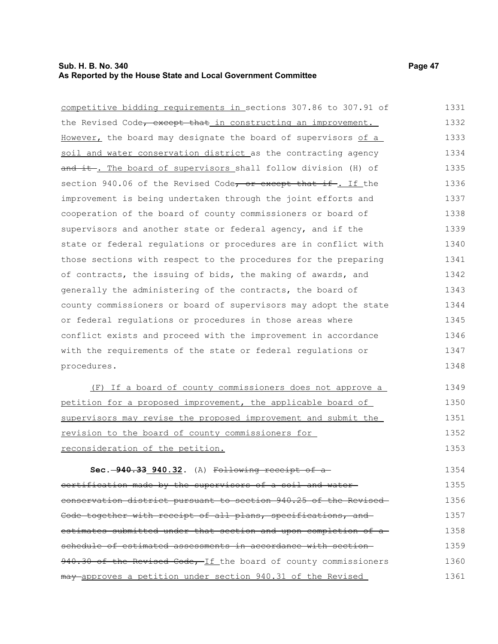### **Sub. H. B. No. 340 Page 47 As Reported by the House State and Local Government Committee**

procedures.

competitive bidding requirements in sections 307.86 to 307.91 of the Revised Code<del>, except that</del> in constructing an improvement. However, the board may designate the board of supervisors of a soil and water conservation district as the contracting agency and it. The board of supervisors shall follow division (H) of section 940.06 of the Revised Code, or except that if. If the improvement is being undertaken through the joint efforts and cooperation of the board of county commissioners or board of supervisors and another state or federal agency, and if the state or federal regulations or procedures are in conflict with those sections with respect to the procedures for the preparing of contracts, the issuing of bids, the making of awards, and generally the administering of the contracts, the board of county commissioners or board of supervisors may adopt the state or federal regulations or procedures in those areas where conflict exists and proceed with the improvement in accordance with the requirements of the state or federal regulations or 1331 1332 1333 1334 1335 1336 1337 1338 1339 1340 1341 1342 1343 1344 1345 1346 1347

(F) If a board of county commissioners does not approve a petition for a proposed improvement, the applicable board of supervisors may revise the proposed improvement and submit the revision to the board of county commissioners for reconsideration of the petition. 1349 1350 1351 1352 1353

**Sec. 940.33 940.32.** (A) Following receipt of a certification made by the supervisors of a soil and water conservation district pursuant to section 940.25 of the Revised Code together with receipt of all plans, specifications, and estimates submitted under that section and upon completion of a schedule of estimated assessments in accordance with section-940.30 of the Revised Code, If the board of county commissioners may approves a petition under section 940.31 of the Revised 1354 1355 1356 1357 1358 1359 1360 1361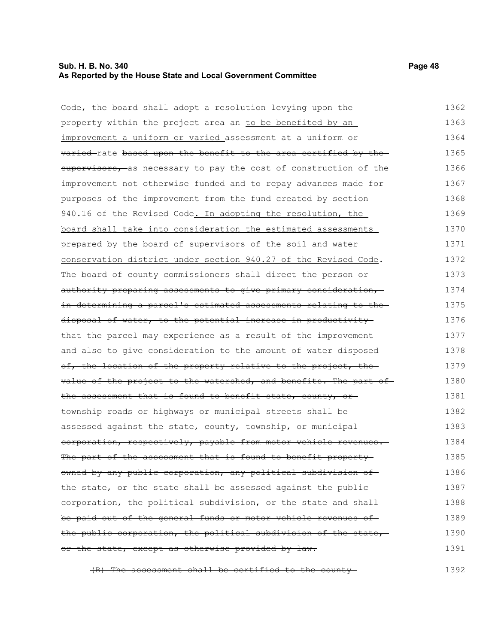### **Sub. H. B. No. 340 Page 48 As Reported by the House State and Local Government Committee**

Code, the board shall adopt a resolution levying upon the property within the project area an to be benefited by an improvement a uniform or varied assessment at a uniform or varied-rate based upon the benefit to the area certified by thesupervisors, as necessary to pay the cost of construction of the improvement not otherwise funded and to repay advances made for purposes of the improvement from the fund created by section 940.16 of the Revised Code. In adopting the resolution, the board shall take into consideration the estimated assessments prepared by the board of supervisors of the soil and water conservation district under section 940.27 of the Revised Code. The board of county commissioners shall direct the person or authority preparing assessments to give primary consideration, in determining a parcel's estimated assessments relating to the disposal of water, to the potential increase in productivity that the parcel may experience as a result of the improvement and also to give consideration to the amount of water disposed of, the location of the property relative to the project, the value of the project to the watershed, and benefits. The part of the assessment that is found to benefit state, county, or township roads or highways or municipal streets shall be assessed against the state, county, township, or municipalcorporation, respectively, payable from motor vehicle revenues. The part of the assessment that is found to benefit propertyowned by any public corporation, any political subdivision of the state, or the state shall be assessed against the publiccorporation, the political subdivision, or the state and shall 1362 1363 1364 1365 1366 1367 1368 1369 1370 1371 1372 1373 1374 1375 1376 1377 1378 1379 1380 1381 1382 1383 1384 1385 1386 1387 1388

be paid out of the general funds or motor vehicle revenues of the public corporation, the political subdivision of the state, or the state, except as otherwise provided by law. 1389 1390 1391

(B) The assessment shall be certified to the county 1392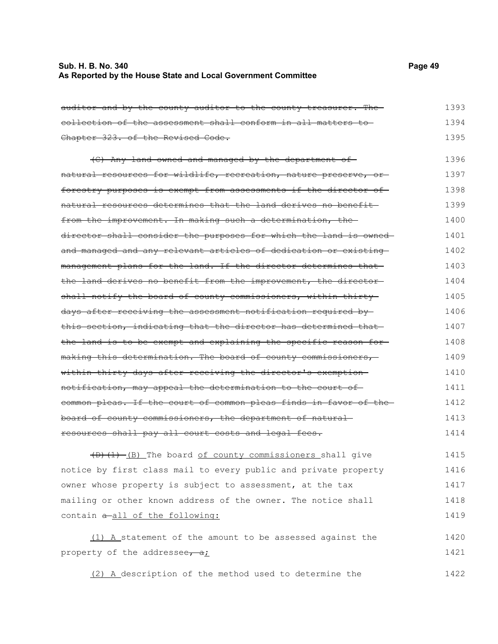### **Sub. H. B. No. 340 Page 49 As Reported by the House State and Local Government Committee**

| auditor and by the county auditor to the county treasurer. The    | 1393 |
|-------------------------------------------------------------------|------|
| collection of the assessment shall conform in all matters to      | 1394 |
| Chapter 323. of the Revised Code.                                 | 1395 |
| (C) Any land owned and managed by the department of-              | 1396 |
| natural resources for wildlife, recreation, nature preserve, or-  | 1397 |
| forestry purposes is exempt from assessments if the director of-  | 1398 |
| natural resources determines that the land derives no benefit-    | 1399 |
| from the improvement. In making such a determination, the         | 1400 |
| director shall consider the purposes for which the land is owned- | 1401 |
| and managed and any relevant articles of dedication or existing   | 1402 |
| management plans for the land. If the director determines that-   | 1403 |
| the land derives no benefit from the improvement, the director-   | 1404 |
| shall notify the board of county commissioners, within thirty     | 1405 |
| days after receiving the assessment notification required by      | 1406 |
| this section, indicating that the director has determined that    | 1407 |
| the land is to be exempt and explaining the specific reason for-  | 1408 |
| making this determination. The board of county commissioners,     | 1409 |
| within thirty days after receiving the director's exemption-      | 1410 |
| notification, may appeal the determination to the court of        | 1411 |
| common pleas. If the court of common pleas finds in favor of the  | 1412 |
| board of county commissioners, the department of natural          | 1413 |
| resources shall pay all court costs and legal fees.               | 1414 |
|                                                                   | 1415 |
| (D)(1)-(B) The board of county commissioners shall give           |      |
| notice by first class mail to every public and private property   | 1416 |
| owner whose property is subject to assessment, at the tax         | 1417 |
| mailing or other known address of the owner. The notice shall     | 1418 |
| contain a-all of the following:                                   | 1419 |

(1) A statement of the amount to be assessed against the property of the addressee,  $a_i$ 1420 1421

(2) A description of the method used to determine the 1422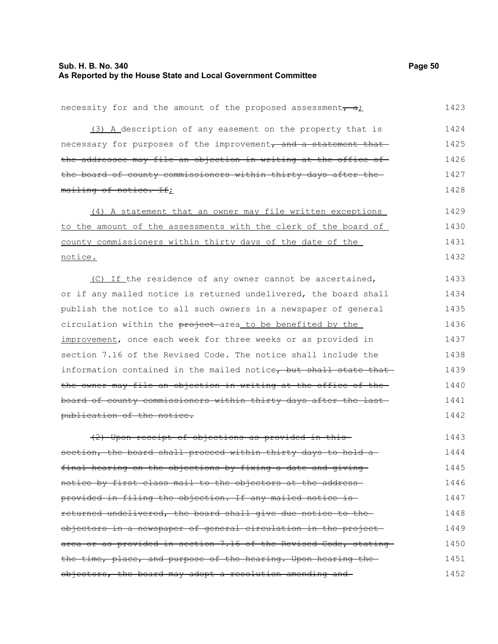## **Sub. H. B. No. 340 Page 50 As Reported by the House State and Local Government Committee**

| necessity for and the amount of the proposed assessment, all         | 1423 |
|----------------------------------------------------------------------|------|
| (3) A description of any easement on the property that is            | 1424 |
| necessary for purposes of the improvement, and a statement that      | 1425 |
| the addressee may file an objection in writing at the office of      | 1426 |
| the board of county commissioners within thirty days after the       | 1427 |
| mailing of notice. If;                                               | 1428 |
| (4) A statement that an owner may file written exceptions            | 1429 |
| to the amount of the assessments with the clerk of the board of      | 1430 |
| county commissioners within thirty days of the date of the           | 1431 |
| <u>notice.</u>                                                       | 1432 |
| (C) If the residence of any owner cannot be ascertained,             | 1433 |
| or if any mailed notice is returned undelivered, the board shall     | 1434 |
| publish the notice to all such owners in a newspaper of general      | 1435 |
| circulation within the project area_to be benefited by the           | 1436 |
| improvement, once each week for three weeks or as provided in        | 1437 |
| section 7.16 of the Revised Code. The notice shall include the       | 1438 |
| information contained in the mailed notice, but shall state that     | 1439 |
| the owner may file an objection in writing at the office of the-     | 1440 |
| board of county commissioners within thirty days after the last-     | 1441 |
| publication of the notice.                                           | 1442 |
| (2) Upon receipt of objections as provided in this-                  | 1443 |
| section, the board shall proceed within thirty days to hold a-       | 1444 |
| final hearing on the objections by fixing a date and giving          | 1445 |
| notice by first class mail to the objectors at the address-          | 1446 |
| provided in filing the objection. If any mailed notice is-           | 1447 |
| returned undelivered, the board shall give due notice to the         | 1448 |
| objectors in a newspaper of general circulation in the project-      | 1449 |
| area or as provided in section 7.16 of the Revised Code, stating     | 1450 |
| the time, place, and purpose of the hearing. Upon hearing the-       | 1451 |
| <del>objectors, the board may adopt a resolution amending and-</del> | 1452 |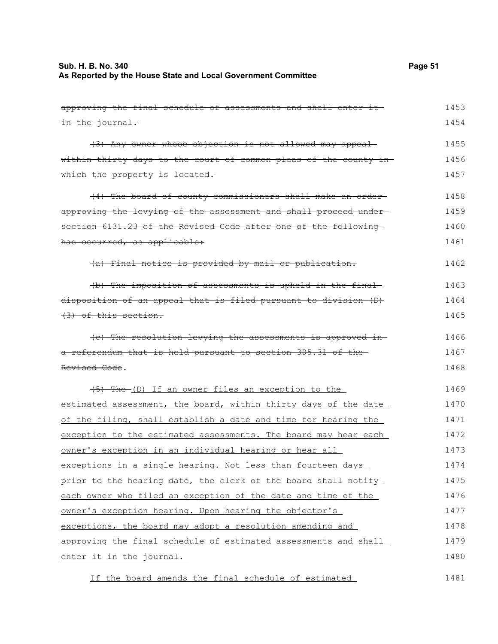# **Sub. H. B. No. 340 Page 51 As Reported by the House State and Local Government Committee**

| approving the final schedule of assessments and shall enter it-   | 1453 |
|-------------------------------------------------------------------|------|
| in the journal.                                                   | 1454 |
| (3) Any owner whose objection is not allowed may appeal           | 1455 |
| within thirty days to the court of common pleas of the county in- | 1456 |
| which the property is located.                                    | 1457 |
| (4) The board of county commissioners shall make an order-        | 1458 |
| approving the levying of the assessment and shall proceed under-  | 1459 |
| section 6131.23 of the Revised Code after one of the following    | 1460 |
| has occurred, as applicable:                                      | 1461 |
| (a) Final notice is provided by mail or publication.              | 1462 |
| (b) The imposition of assessments is upheld in the final-         | 1463 |
| disposition of an appeal that is filed pursuant to division (D)   | 1464 |
| (3) of this section.                                              | 1465 |
| (e) The resolution levying the assessments is approved in-        | 1466 |
| a referendum that is held pursuant to section 305.31 of the       | 1467 |
| Revised Code.                                                     | 1468 |
| (5) The (D) If an owner files an exception to the                 | 1469 |
| estimated assessment, the board, within thirty days of the date   | 1470 |
| of the filing, shall establish a date and time for hearing the    | 1471 |
| exception to the estimated assessments. The board may hear each   | 1472 |
| owner's exception in an individual hearing or hear all            | 1473 |
| exceptions in a single hearing. Not less than fourteen days       | 1474 |
| prior to the hearing date, the clerk of the board shall notify    | 1475 |
| each owner who filed an exception of the date and time of the     | 1476 |
| owner's exception hearing. Upon hearing the objector's            | 1477 |
| exceptions, the board may adopt a resolution amending and         | 1478 |
| approving the final schedule of estimated assessments and shall   | 1479 |
| enter it in the journal.                                          | 1480 |
| If the board amends the final schedule of estimated               | 1481 |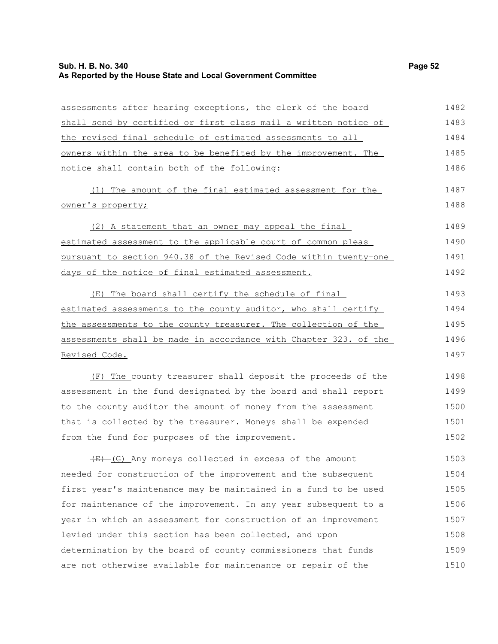#### **Sub. H. B. No. 340 Page 52 As Reported by the House State and Local Government Committee**

days of the notice of final estimated assessment.

assessments after hearing exceptions, the clerk of the board shall send by certified or first class mail a written notice of the revised final schedule of estimated assessments to all owners within the area to be benefited by the improvement. The notice shall contain both of the following: (1) The amount of the final estimated assessment for the owner's property; (2) A statement that an owner may appeal the final estimated assessment to the applicable court of common pleas pursuant to section 940.38 of the Revised Code within twenty-one

(E) The board shall certify the schedule of final estimated assessments to the county auditor, who shall certify the assessments to the county treasurer. The collection of the assessments shall be made in accordance with Chapter 323. of the Revised Code. 1493 1494 1495 1496 1497

(F) The county treasurer shall deposit the proceeds of the assessment in the fund designated by the board and shall report to the county auditor the amount of money from the assessment that is collected by the treasurer. Moneys shall be expended from the fund for purposes of the improvement. 1498 1499 1500 1501 1502

 $\overline{(E)}$  (G) Any moneys collected in excess of the amount needed for construction of the improvement and the subsequent first year's maintenance may be maintained in a fund to be used for maintenance of the improvement. In any year subsequent to a year in which an assessment for construction of an improvement levied under this section has been collected, and upon determination by the board of county commissioners that funds are not otherwise available for maintenance or repair of the 1503 1504 1505 1506 1507 1508 1509 1510

1487 1488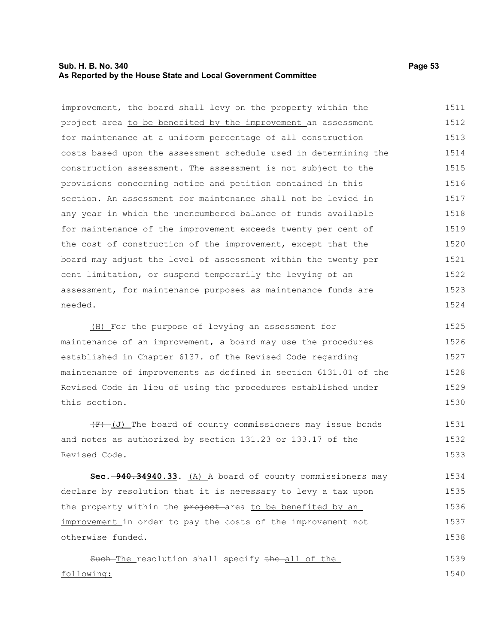### **Sub. H. B. No. 340 Page 53 As Reported by the House State and Local Government Committee**

improvement, the board shall levy on the property within the project area to be benefited by the improvement an assessment for maintenance at a uniform percentage of all construction costs based upon the assessment schedule used in determining the construction assessment. The assessment is not subject to the provisions concerning notice and petition contained in this section. An assessment for maintenance shall not be levied in any year in which the unencumbered balance of funds available for maintenance of the improvement exceeds twenty per cent of the cost of construction of the improvement, except that the board may adjust the level of assessment within the twenty per cent limitation, or suspend temporarily the levying of an assessment, for maintenance purposes as maintenance funds are needed. 1511 1512 1513 1514 1515 1516 1517 1518 1519 1520 1521 1522 1523 1524

(H) For the purpose of levying an assessment for maintenance of an improvement, a board may use the procedures established in Chapter 6137. of the Revised Code regarding maintenance of improvements as defined in section 6131.01 of the Revised Code in lieu of using the procedures established under this section. 1525 1526 1527 1528 1529 1530

 $(F)$  (J) The board of county commissioners may issue bonds and notes as authorized by section 131.23 or 133.17 of the Revised Code. 1531 1532 1533

**Sec. 940.34940.33.** (A) A board of county commissioners may declare by resolution that it is necessary to levy a tax upon the property within the project area to be benefited by an improvement in order to pay the costs of the improvement not otherwise funded. 1534 1535 1536 1537 1538

Such-The resolution shall specify the all of the following: 1539 1540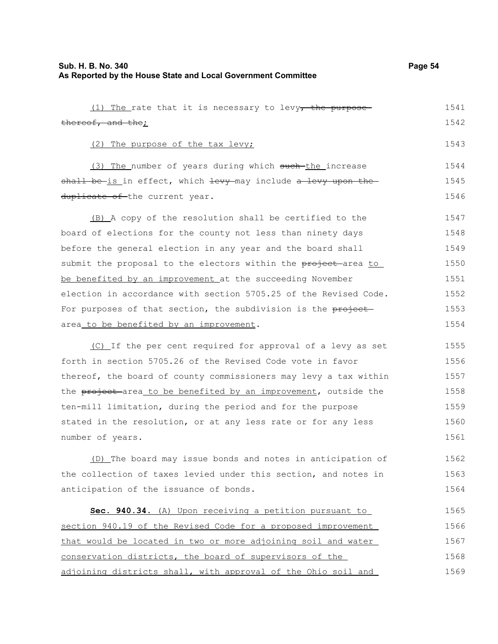(1) The rate that it is necessary to levy<sub> $\tau$ </sub> the purpose-

thereof, and the; (2) The purpose of the tax levy; (3) The number of years during which such the increase shall be-is in effect, which levy-may include a levy upon theduplicate of the current year. (B) A copy of the resolution shall be certified to the board of elections for the county not less than ninety days before the general election in any year and the board shall submit the proposal to the electors within the project-area to be benefited by an improvement at the succeeding November election in accordance with section 5705.25 of the Revised Code. For purposes of that section, the subdivision is the projectarea to be benefited by an improvement. (C) If the per cent required for approval of a levy as set forth in section 5705.26 of the Revised Code vote in favor thereof, the board of county commissioners may levy a tax within the project area to be benefited by an improvement, outside the ten-mill limitation, during the period and for the purpose stated in the resolution, or at any less rate or for any less number of years. (D) The board may issue bonds and notes in anticipation of 1542 1543 1544 1545 1546 1547 1548 1549 1550 1551 1552 1553 1554 1555 1556 1557 1558 1559 1560 1561 1562

the collection of taxes levied under this section, and notes in anticipation of the issuance of bonds. **Sec. 940.34.** (A) Upon receiving a petition pursuant to 1563 1564 1565

section 940.19 of the Revised Code for a proposed improvement that would be located in two or more adjoining soil and water conservation districts, the board of supervisors of the adjoining districts shall, with approval of the Ohio soil and 1566 1567 1568 1569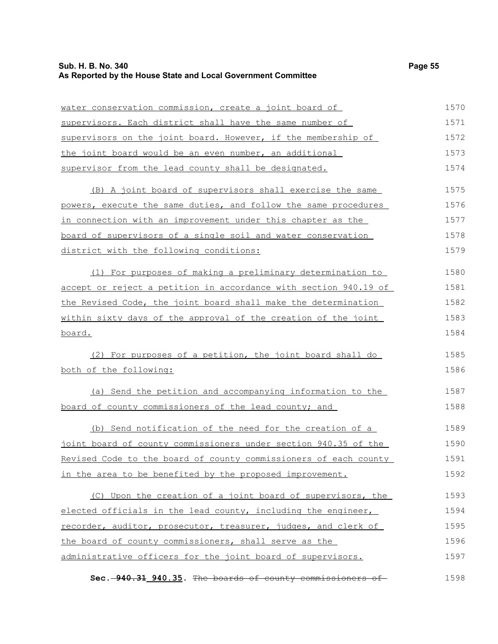## **Sub. H. B. No. 340 Page 55 As Reported by the House State and Local Government Committee**

| water conservation commission, create a joint board of           | 1570 |
|------------------------------------------------------------------|------|
| supervisors. Each district shall have the same number of         | 1571 |
| supervisors on the joint board. However, if the membership of    | 1572 |
| the joint board would be an even number, an additional           | 1573 |
| supervisor from the lead county shall be designated.             | 1574 |
| (B) A joint board of supervisors shall exercise the same         | 1575 |
| powers, execute the same duties, and follow the same procedures  | 1576 |
| in connection with an improvement under this chapter as the      | 1577 |
| board of supervisors of a single soil and water conservation     | 1578 |
| district with the following conditions:                          | 1579 |
| (1) For purposes of making a preliminary determination to        | 1580 |
| accept or reject a petition in accordance with section 940.19 of | 1581 |
| the Revised Code, the joint board shall make the determination   | 1582 |
| within sixty days of the approval of the creation of the joint   | 1583 |
| board.                                                           | 1584 |
| (2) For purposes of a petition, the joint board shall do         | 1585 |
| both of the following:                                           | 1586 |
| (a) Send the petition and accompanying information to the        | 1587 |
| board of county commissioners of the lead county; and            | 1588 |
| (b) Send notification of the need for the creation of a          | 1589 |
| joint board of county commissioners under section 940.35 of the  | 1590 |
| Revised Code to the board of county commissioners of each county | 1591 |
| in the area to be benefited by the proposed improvement.         | 1592 |
| (C) Upon the creation of a joint board of supervisors, the       | 1593 |
| elected officials in the lead county, including the engineer,    | 1594 |
| recorder, auditor, prosecutor, treasurer, judges, and clerk of   | 1595 |
| the board of county commissioners, shall serve as the            | 1596 |
| administrative officers for the joint board of supervisors.      | 1597 |
| Sec. -940.31 940.35. The boards of county commissioners of       | 1598 |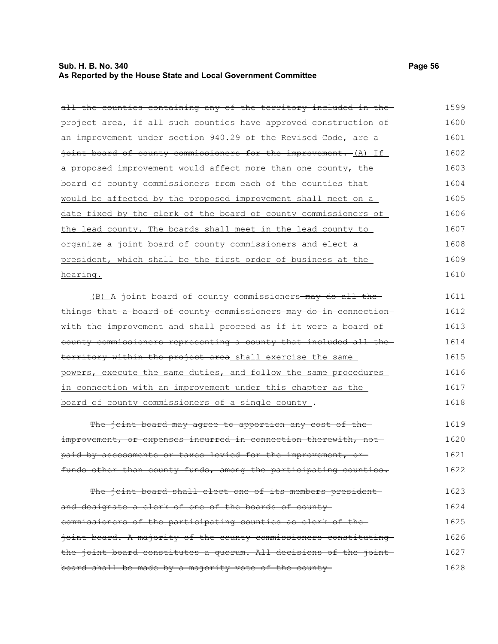## **Sub. H. B. No. 340 Page 56 As Reported by the House State and Local Government Committee**

| all the counties containing any of the territory included in the- | 1599 |
|-------------------------------------------------------------------|------|
| project area, if all such counties have approved construction of  | 1600 |
| an improvement under section 940.29 of the Revised Code, are a    | 1601 |
| joint board of county commissioners for the improvement. (A) If   | 1602 |
| a proposed improvement would affect more than one county, the     | 1603 |
| board of county commissioners from each of the counties that      | 1604 |
| would be affected by the proposed improvement shall meet on a     | 1605 |
| date fixed by the clerk of the board of county commissioners of   | 1606 |
| the lead county. The boards shall meet in the lead county to      | 1607 |
| organize a joint board of county commissioners and elect a        | 1608 |
| president, which shall be the first order of business at the      | 1609 |
| hearing.                                                          | 1610 |
| (B) A joint board of county commissioners-may do all the-         | 1611 |
| things that a board of county commissioners may do in connection  | 1612 |
| with the improvement and shall proceed as if it were a board of   | 1613 |
| county commissioners representing a county that included all the  | 1614 |
| territory within the project area shall exercise the same         | 1615 |
| powers, execute the same duties, and follow the same procedures   | 1616 |
| in connection with an improvement under this chapter as the       | 1617 |
| board of county commissioners of a single county.                 | 1618 |
| The joint board may agree to apportion any cost of the            | 1619 |
| improvement, or expenses incurred in connection therewith, not-   | 1620 |
| paid by assessments or taxes levied for the improvement, or       | 1621 |
| funds other than county funds, among the participating counties.  | 1622 |
| The joint board shall elect one of its members president          | 1623 |
| and designate a clerk of one of the boards of county-             | 1624 |
| commissioners of the participating counties as clerk of the-      | 1625 |
| joint board. A majority of the county commissioners constituting  | 1626 |
| the joint board constitutes a quorum. All decisions of the joint  | 1627 |
| board shall be made by a majority vote of the county-             | 1628 |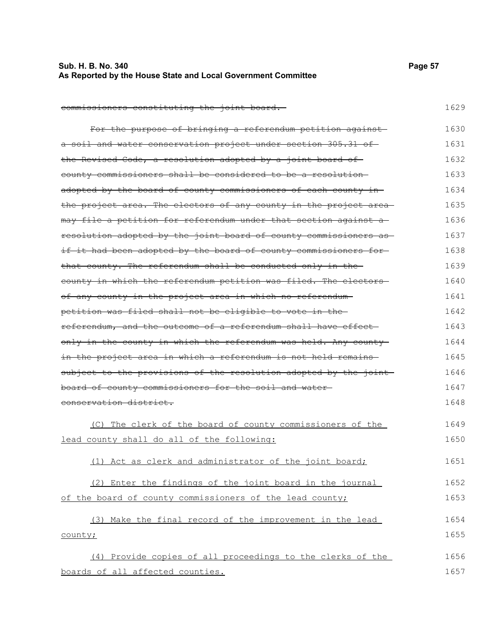| Sub. H. B. No. 340                                            | Page 57 |  |
|---------------------------------------------------------------|---------|--|
| As Reported by the House State and Local Government Committee |         |  |

1629

commissioners constituting the joint board.

For the purpose of bringing a referendum petition against a soil and water conservation project under section 305.31 of the Revised Code, a resolution adopted by a joint board of county commissioners shall be considered to be a resolution adopted by the board of county commissioners of each county in the project area. The electors of any county in the project areamay file a petition for referendum under that section against a resolution adopted by the joint board of county commissioners as if it had been adopted by the board of county commissioners forthat county. The referendum shall be conducted only in the county in which the referendum petition was filed. The electors of any county in the project area in which no referendum petition was filed shall not be eligible to vote in the referendum, and the outcome of a referendum shall have effect only in the county in which the referendum was held. Any county in the project area in which a referendum is not held remains subject to the provisions of the resolution adopted by the jointboard of county commissioners for the soil and water conservation district. (C) The clerk of the board of county commissioners of the 1630 1631 1632 1633 1634 1635 1636 1637 1638 1639 1640 1641 1642 1643 1644 1645 1646 1647 1648 1649

lead county shall do all of the following: 1650

(1) Act as clerk and administrator of the joint board; 1651

(2) Enter the findings of the joint board in the journal of the board of county commissioners of the lead county; 1652 1653

(3) Make the final record of the improvement in the lead county; 1654 1655

(4) Provide copies of all proceedings to the clerks of the boards of all affected counties. 1656 1657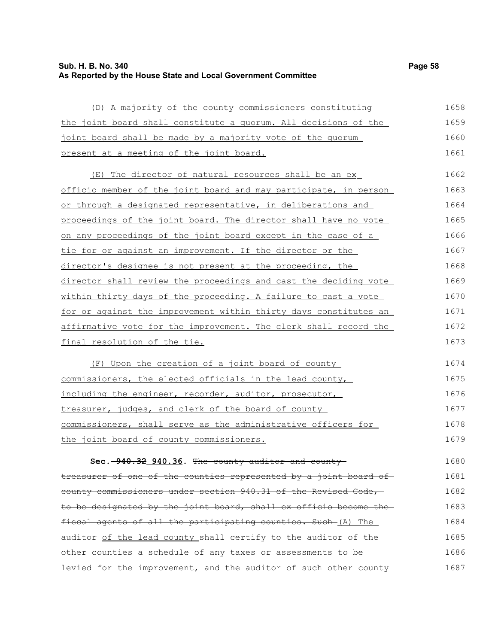## **Sub. H. B. No. 340 Page 58 As Reported by the House State and Local Government Committee**

| (D) A majority of the county commissioners constituting          | 1658 |
|------------------------------------------------------------------|------|
| the joint board shall constitute a quorum. All decisions of the  | 1659 |
| joint board shall be made by a majority vote of the quorum       | 1660 |
| present at a meeting of the joint board.                         | 1661 |
| (E) The director of natural resources shall be an ex_            | 1662 |
| officio member of the joint board and may participate, in person | 1663 |
| or through a designated representative, in deliberations and     | 1664 |
| proceedings of the joint board. The director shall have no vote  | 1665 |
| on any proceedings of the joint board except in the case of a    | 1666 |
| tie for or against an improvement. If the director or the        | 1667 |
| director's designee is not present at the proceeding, the        | 1668 |
| director shall review the proceedings and cast the deciding vote | 1669 |
| within thirty days of the proceeding. A failure to cast a vote   | 1670 |
| for or against the improvement within thirty days constitutes an | 1671 |
| affirmative vote for the improvement. The clerk shall record the | 1672 |
| final resolution of the tie.                                     | 1673 |
| (F) Upon the creation of a joint board of county                 | 1674 |
| commissioners, the elected officials in the lead county,         | 1675 |
| including the engineer, recorder, auditor, prosecutor,           | 1676 |
| treasurer, judges, and clerk of the board of county              | 1677 |
| commissioners, shall serve as the administrative officers for    | 1678 |
| the joint board of county commissioners.                         | 1679 |
| Sec. -940.32 940.36. The county auditor and coun                 | 1680 |
| treasurer of one of the counties represented by a joint board of | 1681 |
| county commissioners under section 940.31 of the Revised Code,   | 1682 |
| to be designated by the joint board, shall ex officio become the | 1683 |
| fiscal agents of all the participating counties. Such (A) The    | 1684 |
| auditor of the lead county shall certify to the auditor of the   | 1685 |
| other counties a schedule of any taxes or assessments to be      | 1686 |
| levied for the improvement, and the auditor of such other county | 1687 |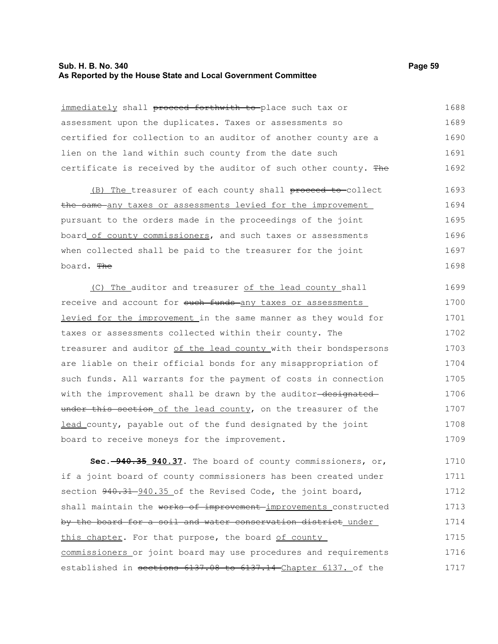### **Sub. H. B. No. 340 Page 59 As Reported by the House State and Local Government Committee**

| immediately shall proceed forthwith to-place such tax or         | 1688 |
|------------------------------------------------------------------|------|
| assessment upon the duplicates. Taxes or assessments so          | 1689 |
| certified for collection to an auditor of another county are a   | 1690 |
| lien on the land within such county from the date such           | 1691 |
| certificate is received by the auditor of such other county. The | 1692 |
| (B) The treasurer of each county shall proceed to collect        | 1693 |
| the same any taxes or assessments levied for the improvement     | 1694 |
| pursuant to the orders made in the proceedings of the joint      | 1695 |
| board of county commissioners, and such taxes or assessments     | 1696 |
| when collected shall be paid to the treasurer for the joint      | 1697 |
| board. The                                                       | 1698 |
| (C) The auditor and treasurer of the lead county shall           | 1699 |
| receive and account for such funds any taxes or assessments      | 1700 |
| levied for the improvement in the same manner as they would for  | 1701 |
| taxes or assessments collected within their county. The          | 1702 |
| treasurer and auditor of the lead county with their bondspersons | 1703 |
| are liable on their official bonds for any misappropriation of   | 1704 |
| such funds. All warrants for the payment of costs in connection  | 1705 |
| with the improvement shall be drawn by the auditor-designated-   | 1706 |
| under this section of the lead county, on the treasurer of the   | 1707 |
| lead county, payable out of the fund designated by the joint     | 1708 |
| board to receive moneys for the improvement.                     | 1709 |
| Sec. -940.35 940.37. The board of county commissioners, or,      | 1710 |
| if a joint board of county commissioners has been created under  | 1711 |
| section 940.31 940.35 of the Revised Code, the joint board,      | 1712 |
| shall maintain the works of improvement improvements constructed | 1713 |
| by the board for a soil and water conservation district under    | 1714 |
| this chapter. For that purpose, the board of county              | 1715 |
| commissioners or joint board may use procedures and requirements | 1716 |
| established in sections 6137.08 to 6137.14 Chapter 6137. of the  | 1717 |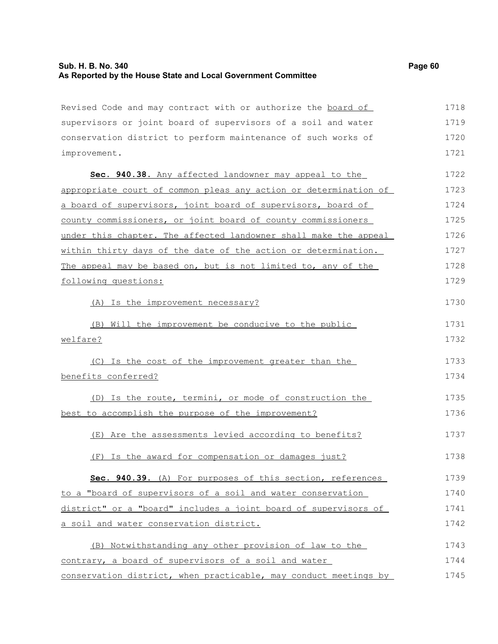## **Sub. H. B. No. 340 Page 60 As Reported by the House State and Local Government Committee**

| Revised Code and may contract with or authorize the board of     | 1718 |
|------------------------------------------------------------------|------|
| supervisors or joint board of supervisors of a soil and water    | 1719 |
| conservation district to perform maintenance of such works of    | 1720 |
| improvement.                                                     | 1721 |
| Sec. 940.38. Any affected landowner may appeal to the            | 1722 |
| appropriate court of common pleas any action or determination of | 1723 |
| a board of supervisors, joint board of supervisors, board of     | 1724 |
| county commissioners, or joint board of county commissioners     | 1725 |
| under this chapter. The affected landowner shall make the appeal | 1726 |
| within thirty days of the date of the action or determination.   | 1727 |
| The appeal may be based on, but is not limited to, any of the    | 1728 |
| following questions:                                             | 1729 |
| (A) Is the improvement necessary?                                | 1730 |
| Will the improvement be conducive to the public<br>(B)           | 1731 |
| welfare?                                                         | 1732 |
| (C) Is the cost of the improvement greater than the              | 1733 |
| benefits conferred?                                              | 1734 |
| (D) Is the route, termini, or mode of construction the           | 1735 |
| best to accomplish the purpose of the improvement?               | 1736 |
| (E) Are the assessments levied according to benefits?            | 1737 |
| Is the award for compensation or damages just?<br>(F)            | 1738 |
| Sec. 940.39. (A) For purposes of this section, references        | 1739 |
| to a "board of supervisors of a soil and water conservation      | 1740 |
| district" or a "board" includes a joint board of supervisors of  | 1741 |
| a soil and water conservation district.                          | 1742 |
| (B) Notwithstanding any other provision of law to the            | 1743 |
| contrary, a board of supervisors of a soil and water             | 1744 |
| conservation district, when practicable, may conduct meetings by | 1745 |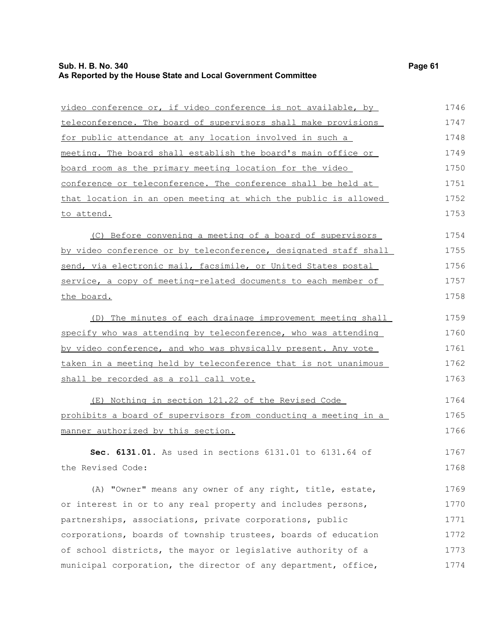#### **Sub. H. B. No. 340 Page 61 As Reported by the House State and Local Government Committee**

video conference or, if video conference is not available, by teleconference. The board of supervisors shall make provisions for public attendance at any location involved in such a meeting. The board shall establish the board's main office or board room as the primary meeting location for the video

conference or teleconference. The conference shall be held at that location in an open meeting at which the public is allowed to attend. 1751 1752 1753

(C) Before convening a meeting of a board of supervisors by video conference or by teleconference, designated staff shall send, via electronic mail, facsimile, or United States postal service, a copy of meeting-related documents to each member of the board. 1754 1755 1756 1757 1758

(D) The minutes of each drainage improvement meeting shall specify who was attending by teleconference, who was attending by video conference, and who was physically present. Any vote taken in a meeting held by teleconference that is not unanimous shall be recorded as a roll call vote. 1759 1760 1761 1762 1763

(E) Nothing in section 121.22 of the Revised Code prohibits a board of supervisors from conducting a meeting in a manner authorized by this section. 1764 1765 1766

**Sec. 6131.01.** As used in sections 6131.01 to 6131.64 of the Revised Code: 1767 1768

(A) "Owner" means any owner of any right, title, estate, or interest in or to any real property and includes persons, partnerships, associations, private corporations, public corporations, boards of township trustees, boards of education of school districts, the mayor or legislative authority of a municipal corporation, the director of any department, office, 1769 1770 1771 1772 1773 1774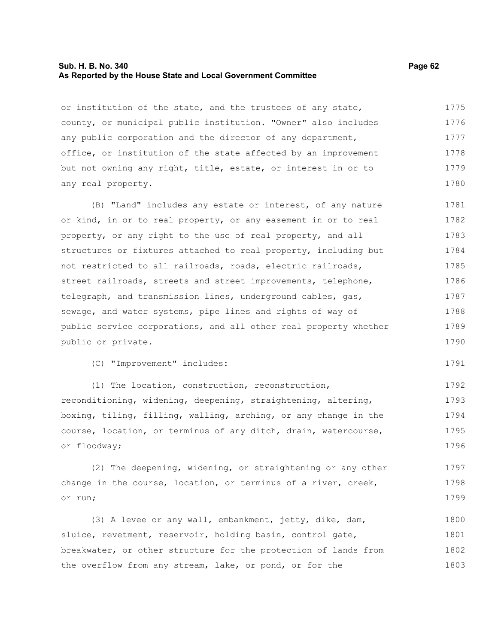#### **Sub. H. B. No. 340 Page 62 As Reported by the House State and Local Government Committee**

or institution of the state, and the trustees of any state, county, or municipal public institution. "Owner" also includes any public corporation and the director of any department, office, or institution of the state affected by an improvement but not owning any right, title, estate, or interest in or to any real property. 1775 1776 1777 1778 1779 1780

(B) "Land" includes any estate or interest, of any nature or kind, in or to real property, or any easement in or to real property, or any right to the use of real property, and all structures or fixtures attached to real property, including but not restricted to all railroads, roads, electric railroads, street railroads, streets and street improvements, telephone, telegraph, and transmission lines, underground cables, gas, sewage, and water systems, pipe lines and rights of way of public service corporations, and all other real property whether public or private. 1781 1782 1783 1784 1785 1786 1787 1788 1789 1790

(C) "Improvement" includes:

(1) The location, construction, reconstruction, reconditioning, widening, deepening, straightening, altering, boxing, tiling, filling, walling, arching, or any change in the course, location, or terminus of any ditch, drain, watercourse, or floodway; 1792 1793 1794 1795 1796

(2) The deepening, widening, or straightening or any other change in the course, location, or terminus of a river, creek, or run; 1797 1798 1799

(3) A levee or any wall, embankment, jetty, dike, dam, sluice, revetment, reservoir, holding basin, control gate, breakwater, or other structure for the protection of lands from the overflow from any stream, lake, or pond, or for the 1800 1801 1802 1803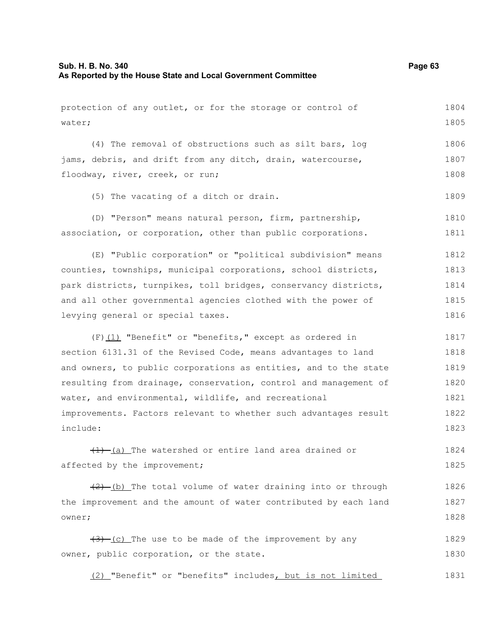| protection of any outlet, or for the storage or control of                  | 1804 |
|-----------------------------------------------------------------------------|------|
| water;                                                                      | 1805 |
| (4) The removal of obstructions such as silt bars, log                      | 1806 |
| jams, debris, and drift from any ditch, drain, watercourse,                 | 1807 |
| floodway, river, creek, or run;                                             | 1808 |
|                                                                             |      |
| (5) The vacating of a ditch or drain.                                       | 1809 |
| (D) "Person" means natural person, firm, partnership,                       | 1810 |
| association, or corporation, other than public corporations.                | 1811 |
| (E) "Public corporation" or "political subdivision" means                   | 1812 |
| counties, townships, municipal corporations, school districts,              | 1813 |
| park districts, turnpikes, toll bridges, conservancy districts,             | 1814 |
| and all other governmental agencies clothed with the power of               | 1815 |
| levying general or special taxes.                                           | 1816 |
| $(F)$ (1) "Benefit" or "benefits," except as ordered in                     | 1817 |
| section 6131.31 of the Revised Code, means advantages to land               | 1818 |
| and owners, to public corporations as entities, and to the state            | 1819 |
| resulting from drainage, conservation, control and management of            | 1820 |
| water, and environmental, wildlife, and recreational                        | 1821 |
| improvements. Factors relevant to whether such advantages result            | 1822 |
| include:                                                                    | 1823 |
| $\left(\frac{1}{1}\right)$ (a) The watershed or entire land area drained or | 1824 |
| affected by the improvement;                                                | 1825 |
| $(2)$ (b) The total volume of water draining into or through                | 1826 |
| the improvement and the amount of water contributed by each land            | 1827 |
| owner;                                                                      | 1828 |
| $(3)$ (c) The use to be made of the improvement by any                      | 1829 |
| owner, public corporation, or the state.                                    | 1830 |
| (2) "Benefit" or "benefits" includes, but is not limited                    | 1831 |
|                                                                             |      |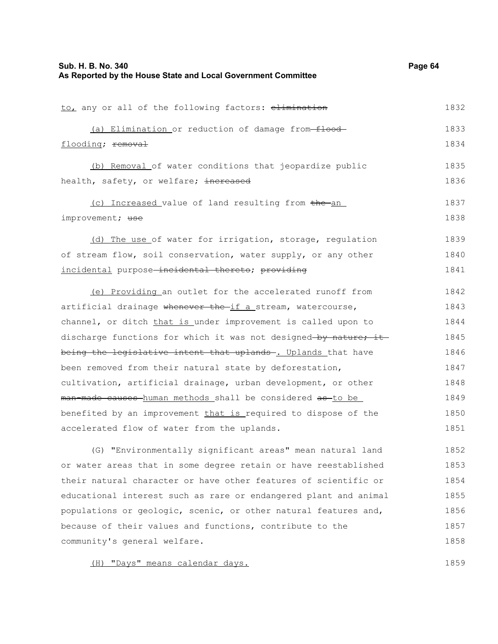| to, any or all of the following factors: elimination            | 1832 |
|-----------------------------------------------------------------|------|
| (a) Elimination or reduction of damage from-flood-              | 1833 |
| flooding; removal                                               | 1834 |
| (b) Removal of water conditions that jeopardize public          | 1835 |
| health, safety, or welfare; increased                           | 1836 |
| (c) Increased value of land resulting from the an               | 1837 |
| improvement; use                                                | 1838 |
| (d) The use of water for irrigation, storage, regulation        | 1839 |
| of stream flow, soil conservation, water supply, or any other   | 1840 |
| incidental purpose-incidental thereto; providing                | 1841 |
| (e) Providing an outlet for the accelerated runoff from         | 1842 |
| artificial drainage whenever the if a stream, watercourse,      | 1843 |
| channel, or ditch that is under improvement is called upon to   | 1844 |
| discharge functions for which it was not designed-by nature; it | 1845 |
| being the legislative intent that uplands-. Uplands that have   | 1846 |
| been removed from their natural state by deforestation,         | 1847 |
| cultivation, artificial drainage, urban development, or other   | 1848 |
| man made causes human methods shall be considered as to be      | 1849 |
| benefited by an improvement that is required to dispose of the  | 1850 |
| accelerated flow of water from the uplands.                     | 1851 |
| (G) "Environmentally significant areas" mean natural land       | 1852 |
| or water areas that in some degree retain or have reestablished | 1853 |
| their natural character or have other features of scientific or | 1854 |
|                                                                 |      |

educational interest such as rare or endangered plant and animal populations or geologic, scenic, or other natural features and, because of their values and functions, contribute to the community's general welfare. 1855 1856 1857 1858

(H) "Days" means calendar days.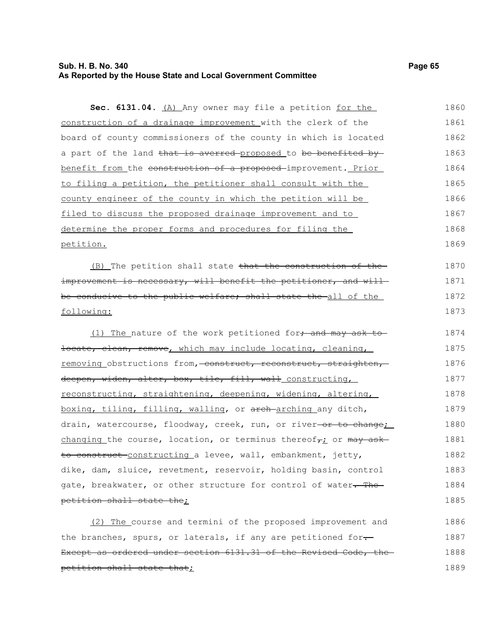### **Sub. H. B. No. 340 Page 65 As Reported by the House State and Local Government Committee**

Sec. 6131.04. (A) Any owner may file a petition for the construction of a drainage improvement with the clerk of the board of county commissioners of the county in which is located a part of the land that is averred proposed to be benefited by benefit from the construction of a proposed-improvement. Prior to filing a petition, the petitioner shall consult with the county engineer of the county in which the petition will be filed to discuss the proposed drainage improvement and to determine the proper forms and procedures for filing the petition. (B) The petition shall state  $t$  that the construction of the improvement is necessary, will benefit the petitioner, and willbe conducive to the public welfare; shall state the all of the following: (1) The nature of the work petitioned for, and may ask tolocate, clean, remove, which may include locating, cleaning, removing obstructions from, construct, reconstruct, straighten, deepen, widen, alter, box, tile, fill, wall constructing, reconstructing, straightening, deepening, widening, altering, boxing, tiling, filling, walling, or arch arching any ditch, drain, watercourse, floodway, creek, run, or river-or to change; changing the course, location, or terminus thereof<sub>7</sub>; or  $\frac{m}{q}$  askto construct-constructing a levee, wall, embankment, jetty, 1860 1861 1862 1863 1864 1865 1866 1867 1868 1869 1870 1871 1872 1873 1874 1875 1876 1877 1878 1879 1880 1881 1882

petition shall state the;

(2) The course and termini of the proposed improvement and the branches, spurs, or laterals, if any are petitioned for-Except as ordered under section 6131.31 of the Revised Code, the petition shall state that; 1886 1887 1888 1889

dike, dam, sluice, revetment, reservoir, holding basin, control gate, breakwater, or other structure for control of water. The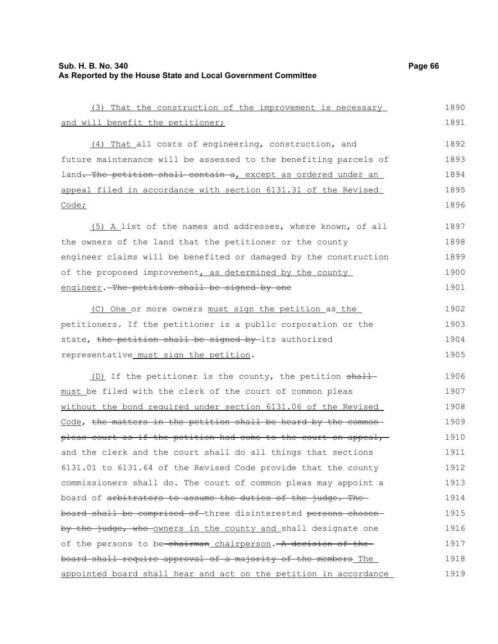| (3) That the construction of the improvement is necessary        | 1890 |
|------------------------------------------------------------------|------|
| and will benefit the petitioner;                                 | 1891 |
| (4) That all costs of engineering, construction, and             | 1892 |
| future maintenance will be assessed to the benefiting parcels of | 1893 |
| land. The petition shall contain a, except as ordered under an   | 1894 |
| appeal filed in accordance with section 6131.31 of the Revised   | 1895 |
| Code;                                                            | 1896 |
| (5) A list of the names and addresses, where known, of all       | 1897 |
| the owners of the land that the petitioner or the county         | 1898 |
| engineer claims will be benefited or damaged by the construction | 1899 |
| of the proposed improvement, as determined by the county         | 1900 |
| engineer. The petition shall be signed by one                    | 1901 |
| (C) One or more owners must sign the petition as the             | 1902 |
| petitioners. If the petitioner is a public corporation or the    | 1903 |
| state, the petition shall be signed by its authorized            | 1904 |
| representative_must_sign_the_petition.                           | 1905 |
| (D) If the petitioner is the county, the petition shall          | 1906 |
| must be filed with the clerk of the court of common pleas        | 1907 |
| without the bond required under section 6131.06 of the Revised   | 1908 |
| Code, the matters in the petition shall be heard by the common-  | 1909 |
| pleas court as if the petition had come to the court on appeal,  | 1910 |
| and the clerk and the court shall do all things that sections    | 1911 |
| 6131.01 to 6131.64 of the Revised Code provide that the county   | 1912 |
| commissioners shall do. The court of common pleas may appoint a  | 1913 |
| board of arbitrators to assume the duties of the judge. The      | 1914 |
| board shall be comprised of three disinterested persons chosen-  | 1915 |
| by the judge, who owners in the county and shall designate one   | 1916 |
| of the persons to be-chairman_chairperson. A decision of the-    | 1917 |
| board shall require approval of a majority of the members The    | 1918 |
| appointed board shall hear and act on the petition in accordance | 1919 |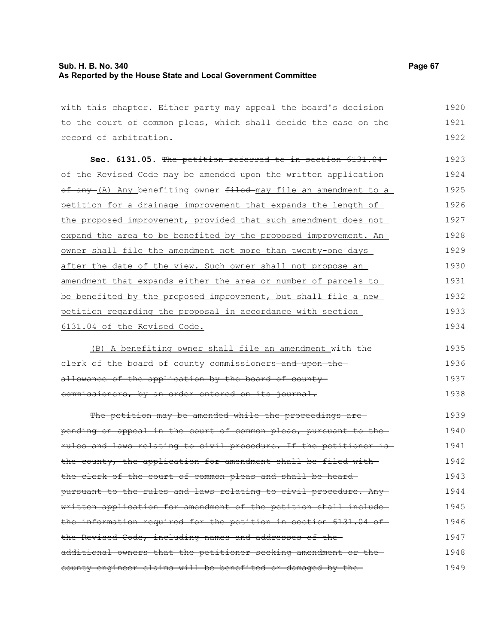| with this chapter. Either party may appeal the board's decision                     | 1920 |
|-------------------------------------------------------------------------------------|------|
| to the court of common pleas, which shall decide the case on the                    | 1921 |
| record of arbitration.                                                              | 1922 |
| Sec. 6131.05. The petition referred to in section 6131.04                           | 1923 |
| of the Revised Code may be amended upon the written application                     | 1924 |
| <u>of any (A) Any benefiting owner <del>filed </del>may file an amendment to a </u> | 1925 |
| petition for a drainage improvement that expands the length of                      | 1926 |
| the proposed improvement, provided that such amendment does not                     | 1927 |
| expand the area to be benefited by the proposed improvement. An                     | 1928 |
| owner shall file the amendment not more than twenty-one days                        | 1929 |
| after the date of the view. Such owner shall not propose an                         | 1930 |
| amendment that expands either the area or number of parcels to                      | 1931 |
| be benefited by the proposed improvement, but shall file a new                      | 1932 |
| petition regarding the proposal in accordance with section                          | 1933 |
| 6131.04 of the Revised Code.                                                        | 1934 |
| $(R)$ a benefiting owner shall file an amendment with the                           | 1935 |

(B) A benefiting owner shall file an amendment with the clerk of the board of county commissioners-and upon theallowance of the application by the board of countycommissioners, by an order entered on its journal. 1935 1936 1937 1938

The petition may be amended while the proceedings arepending on appeal in the court of common pleas, pursuant to the rules and laws relating to civil procedure. If the petitioner is the county, the application for amendment shall be filed with the clerk of the court of common pleas and shall be heard pursuant to the rules and laws relating to civil procedure. Any written application for amendment of the petition shall include the information required for the petition in section 6131.04 of the Revised Code, including names and addresses of the additional owners that the petitioner seeking amendment or the county engineer claims will be benefited or damaged by the 1939 1940 1941 1942 1943 1944 1945 1946 1947 1948 1949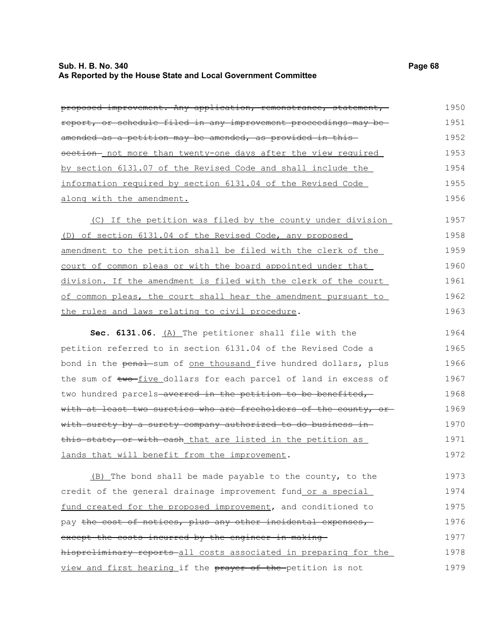## **Sub. H. B. No. 340 Page 68 As Reported by the House State and Local Government Committee**

| proposed improvement. Any application, remonstrance, statement,  | 1950 |
|------------------------------------------------------------------|------|
| report, or schedule filed in any improvement proceedings may be  | 1951 |
| amended as a petition may be amended, as provided in this-       | 1952 |
| section- not more than twenty-one days after the view required   | 1953 |
| by section 6131.07 of the Revised Code and shall include the     | 1954 |
| information required by section 6131.04 of the Revised Code      | 1955 |
| along with the amendment.                                        | 1956 |
| (C) If the petition was filed by the county under division       | 1957 |
| (D) of section 6131.04 of the Revised Code, any proposed         | 1958 |
| amendment to the petition shall be filed with the clerk of the   | 1959 |
| court of common pleas or with the board appointed under that     | 1960 |
| division. If the amendment is filed with the clerk of the court  | 1961 |
| of common pleas, the court shall hear the amendment pursuant to  | 1962 |
| the rules and laws relating to civil procedure.                  | 1963 |
| Sec. 6131.06. (A) The petitioner shall file with the             | 1964 |
| petition referred to in section 6131.04 of the Revised Code a    | 1965 |
| bond in the penal sum of one thousand five hundred dollars, plus | 1966 |
| the sum of two-five dollars for each parcel of land in excess of | 1967 |
| two hundred parcels-averred in the petition to be benefited,     | 1968 |
| with at least two sureties who are freeholders of the county, or | 1969 |
| with surety by a surety company authorized to do business in-    | 1970 |
| this state, or with cash that are listed in the petition as      | 1971 |
| lands that will benefit from the improvement.                    | 1972 |
| (B) The bond shall be made payable to the county, to the         | 1973 |
| credit of the general drainage improvement fund or a special     | 1974 |
| fund created for the proposed improvement, and conditioned to    | 1975 |
| pay the cost of notices, plus any other incidental expenses,     | 1976 |
| except the costs incurred by the engineer in making              | 1977 |
| hispreliminary reports all costs associated in preparing for the | 1978 |
| view and first hearing if the prayer of the petition is not      | 1979 |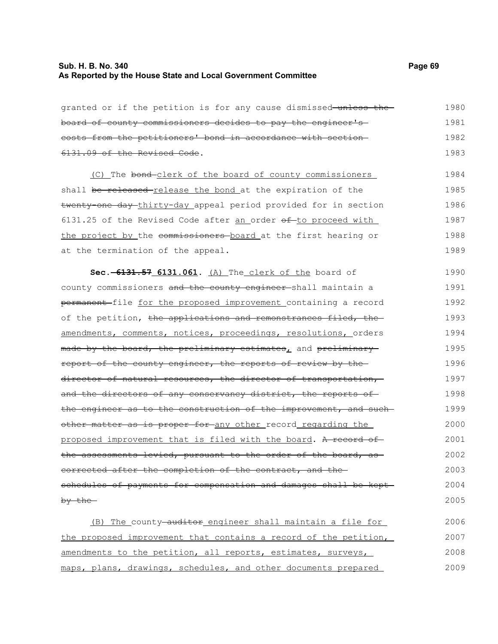granted or if the petition is for any cause dismissed unless the board of county commissioners decides to pay the engineer's costs from the petitioners' bond in accordance with section 6131.09 of the Revised Code. (C) The bond clerk of the board of county commissioners shall be released-release the bond at the expiration of the twenty-one day thirty-day appeal period provided for in section 6131.25 of the Revised Code after an order  $\theta$ f-to proceed with the project by the commissioners board at the first hearing or at the termination of the appeal. **Sec. 6131.57 6131.061.** (A) The clerk of the board of county commissioners and the county engineer shall maintain a permanent file for the proposed improvement containing a record of the petition, the applications and remonstrances filed, the amendments, comments, notices, proceedings, resolutions, orders made by the board, the preliminary estimates, and preliminary report of the county engineer, the reports of review by the director of natural resources, the director of transportation, and the directors of any conservancy district, the reports of the engineer as to the construction of the improvement, and suchother matter as is proper for any other record regarding the proposed improvement that is filed with the board. A record of the assessments levied, pursuant to the order of the board, as 1980 1981 1982 1983 1984 1985 1986 1987 1988 1989 1990 1991 1992 1993 1994 1995 1996 1997 1998 1999 2000 2001 2002

corrected after the completion of the contract, and the schedules of payments for compensation and damages shall be kept by the 2003 2004 2005

(B) The county-auditor engineer shall maintain a file for the proposed improvement that contains a record of the petition, amendments to the petition, all reports, estimates, surveys, maps, plans, drawings, schedules, and other documents prepared 2006 2007 2008 2009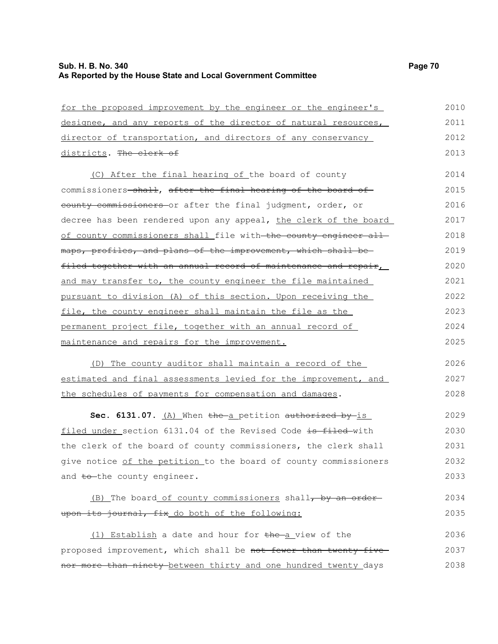| for the proposed improvement by the engineer or the engineer's   | 2010 |
|------------------------------------------------------------------|------|
| designee, and any reports of the director of natural resources,  | 2011 |
| director of transportation, and directors of any conservancy     | 2012 |
| districts. The clerk of                                          | 2013 |
| (C) After the final hearing of the board of county               | 2014 |
| commissioners-shall, after the final hearing of the board of     | 2015 |
| county commissioners or after the final judgment, order, or      | 2016 |
| decree has been rendered upon any appeal, the clerk of the board | 2017 |
| of county commissioners shall file with the county engineer all  | 2018 |
| maps, profiles, and plans of the improvement, which shall be     | 2019 |
| filed together with an annual record of maintenance and repair,  | 2020 |
| and may transfer to, the county engineer the file maintained     | 2021 |
| pursuant to division (A) of this section. Upon receiving the     | 2022 |
| file, the county engineer shall maintain the file as the         | 2023 |
| permanent project file, together with an annual record of        | 2024 |
| maintenance and repairs for the improvement.                     | 2025 |
| (D) The county auditor shall maintain a record of the            | 2026 |
| estimated and final assessments levied for the improvement, and  | 2027 |
| the schedules of payments for compensation and damages.          | 2028 |
| Sec. 6131.07. (A) When the a petition authorized by is           | 2029 |
| filed under section 6131.04 of the Revised Code is filed with    | 2030 |
| the clerk of the board of county commissioners, the clerk shall  | 2031 |
| give notice of the petition to the board of county commissioners | 2032 |
| and to-the county engineer.                                      | 2033 |
| (B) The board of county commissioners shall, by an order         | 2034 |
| upon its journal, fix do both of the following:                  | 2035 |
| (1) Establish a date and hour for the a view of the              | 2036 |
| proposed improvement, which shall be not fewer than twenty-five  | 2037 |
| nor more than ninety between thirty and one hundred twenty days  | 2038 |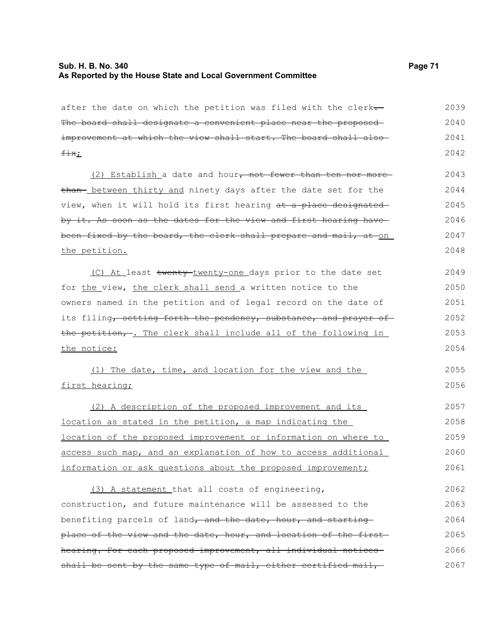| after the date on which the petition was filed with the clerk-               | 2039 |
|------------------------------------------------------------------------------|------|
| The board shall designate a convenient place near the proposed-              | 2040 |
| improvement at which the view shall start. The board shall also-             | 2041 |
| <del>fix</del> ;                                                             | 2042 |
| (2) Establish a date and hour <del>, not fewer than ten nor more</del>       | 2043 |
| than- between thirty and ninety days after the date set for the              | 2044 |
| view, when it will hold its first hearing at a place designated              | 2045 |
| by it. As soon as the dates for the view and first hearing have-             | 2046 |
| been fixed by the board, the clerk shall prepare and mail, at on .           | 2047 |
| the petition.                                                                | 2048 |
| (C) At least twenty-twenty-one days prior to the date set                    | 2049 |
| for the view, the clerk shall send a written notice to the                   | 2050 |
| owners named in the petition and of legal record on the date of              | 2051 |
| its filing <del>, setting forth the pendency, substance, and prayer of</del> | 2052 |
| the petition, - The clerk shall include all of the following in              | 2053 |
| <u>the notice:</u>                                                           | 2054 |
| (1) The date, time, and location for the view and the                        | 2055 |
| first hearing;                                                               | 2056 |
| (2) A description of the proposed improvement and its                        | 2057 |
| <u>location as stated in the petition, a map indicating the </u>             | 2058 |
| <u>location of the proposed improvement or information on where to</u>       | 2059 |
| access such map, and an explanation of how to access additional              | 2060 |
| information or ask questions about the proposed improvement;                 | 2061 |
| (3) A statement that all costs of engineering,                               | 2062 |
| construction, and future maintenance will be assessed to the                 | 2063 |
| benefiting parcels of land <del>, and the date, hour, and starting</del>     | 2064 |
| place of the view and the date, hour, and location of the first-             | 2065 |
| hearing. For each proposed improvement, all individual notices               | 2066 |
| shall be sent by the same type of mail, either certified mail,               | 2067 |
|                                                                              |      |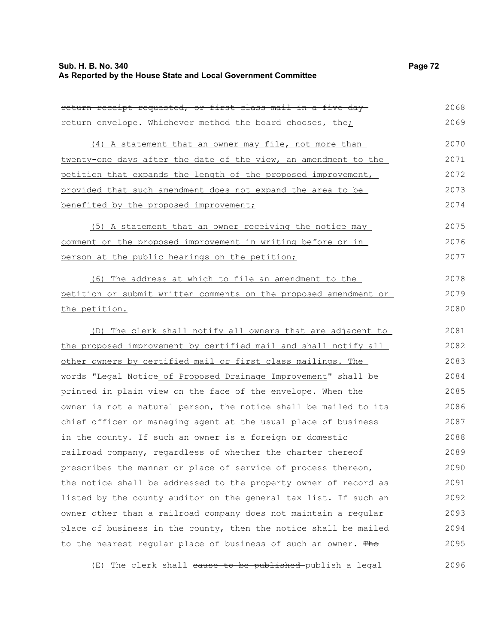| return receipt requested, or first class mail in a five day      | 2068 |
|------------------------------------------------------------------|------|
| return envelope. Whichever method the board chooses, the;        | 2069 |
| (4) A statement that an owner may file, not more than            | 2070 |
| twenty-one days after the date of the view, an amendment to the  | 2071 |
| petition that expands the length of the proposed improvement,    | 2072 |
| provided that such amendment does not expand the area to be      | 2073 |
| benefited by the proposed improvement;                           | 2074 |
| (5) A statement that an owner receiving the notice may           | 2075 |
| comment on the proposed improvement in writing before or in      | 2076 |
| person at the public hearings on the petition;                   | 2077 |
| (6) The address at which to file an amendment to the             | 2078 |
| petition or submit written comments on the proposed amendment or | 2079 |
| the petition.                                                    | 2080 |
|                                                                  |      |
| (D) The clerk shall notify all owners that are adjacent to       | 2081 |
| the proposed improvement by certified mail and shall notify all  | 2082 |
| other owners by certified mail or first class mailings. The      | 2083 |
| words "Legal Notice of Proposed Drainage Improvement" shall be   | 2084 |
| printed in plain view on the face of the envelope. When the      | 2085 |
| owner is not a natural person, the notice shall be mailed to its | 2086 |
| chief officer or managing agent at the usual place of business   | 2087 |
| in the county. If such an owner is a foreign or domestic         | 2088 |
| railroad company, regardless of whether the charter thereof      | 2089 |
| prescribes the manner or place of service of process thereon,    | 2090 |
| the notice shall be addressed to the property owner of record as | 2091 |
| listed by the county auditor on the general tax list. If such an | 2092 |
| owner other than a railroad company does not maintain a regular  | 2093 |
| place of business in the county, then the notice shall be mailed | 2094 |
| to the nearest regular place of business of such an owner. The   | 2095 |
| The clerk shall eause to be published publish a legal<br>(E)     | 2096 |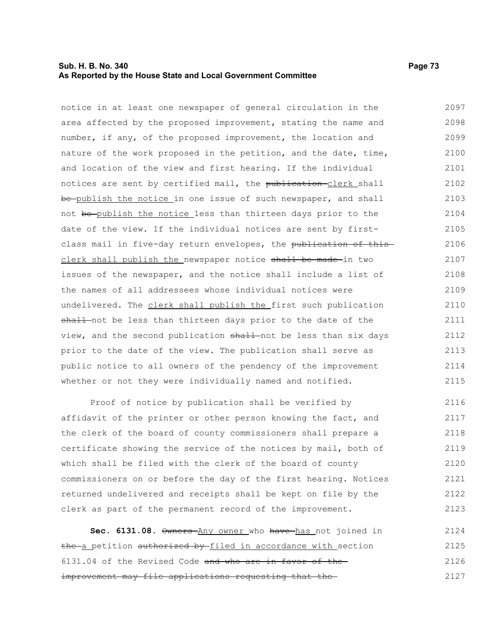### **Sub. H. B. No. 340 Page 73 As Reported by the House State and Local Government Committee**

notice in at least one newspaper of general circulation in the area affected by the proposed improvement, stating the name and number, if any, of the proposed improvement, the location and nature of the work proposed in the petition, and the date, time, and location of the view and first hearing. If the individual notices are sent by certified mail, the publication-clerk shall be publish the notice in one issue of such newspaper, and shall not be publish the notice less than thirteen days prior to the date of the view. If the individual notices are sent by firstclass mail in five-day return envelopes, the publication of thisclerk shall publish the newspaper notice shall be made in two issues of the newspaper, and the notice shall include a list of the names of all addressees whose individual notices were undelivered. The clerk shall publish the first such publication shall-not be less than thirteen days prior to the date of the view, and the second publication shall not be less than six days prior to the date of the view. The publication shall serve as 2097 2098 2099 2100 2101 2102 2103 2104 2105 2106 2107 2108 2109 2110 2111 2112 2113

public notice to all owners of the pendency of the improvement whether or not they were individually named and notified. 2114 2115

Proof of notice by publication shall be verified by affidavit of the printer or other person knowing the fact, and the clerk of the board of county commissioners shall prepare a certificate showing the service of the notices by mail, both of which shall be filed with the clerk of the board of county commissioners on or before the day of the first hearing. Notices returned undelivered and receipts shall be kept on file by the clerk as part of the permanent record of the improvement. 2116 2117 2118 2119 2120 2121 2122 2123

**Sec. 6131.08.**  $\theta$ wners Any owner who have has not joined in the a petition authorized by filed in accordance with section 6131.04 of the Revised Code and who are in favor of the improvement may file applications requesting that the 2124 2125 2126 2127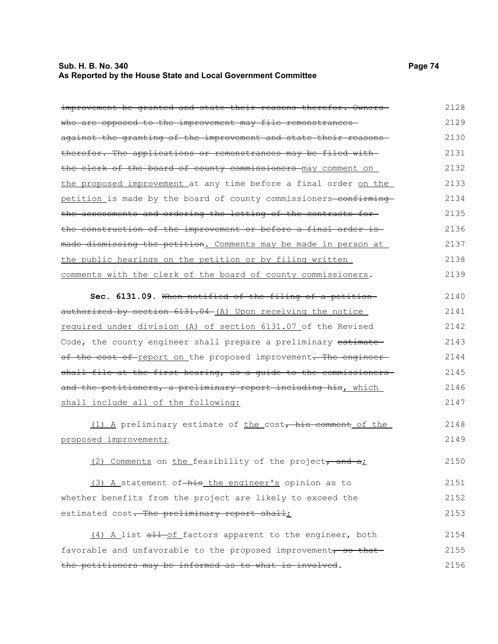### **Sub. H. B. No. 340 Page 74 As Reported by the House State and Local Government Committee**

improvement be granted and state their reasons therefor. Ownerswho are opposed to the improvement may file remonstrances against the granting of the improvement and state their reasons therefor. The applications or remonstrances may be filed with the clerk of the board of county commissioners may comment on the proposed improvement at any time before a final order on the petition is made by the board of county commissioners-confirmingthe assessments and ordering the letting of the contracts for the construction of the improvement or before a final order is made dismissing the petition. Comments may be made in person at the public hearings on the petition or by filing written comments with the clerk of the board of county commissioners. **Sec. 6131.09.** When notified of the filing of a petition authorized by section 6131.04 (A) Upon receiving the notice required under division (A) of section 6131.07 of the Revised Code, the county engineer shall prepare a preliminary estimate of the cost of report on the proposed improvement. The engineer shall file at the first hearing, as a guide to the commissionersand the petitioners, a preliminary report including his, which shall include all of the following: (1) A preliminary estimate of the cost, his comment of the proposed improvement; (2) Comments on the feasibility of the project, and  $a_i$ (3) A statement of his the engineer's opinion as to whether benefits from the project are likely to exceed the estimated cost. The preliminary report shall; (4) A list all of factors apparent to the engineer, both favorable and unfavorable to the proposed improvement, so thatthe petitioners may be informed as to what is involved. 2128 2129 2130 2131 2132 2133 2134 2135 2136 2137 2138 2139 2140 2141 2142 2143 2144 2145 2146 2147 2148 2149 2150 2151 2152 2153 2154 2155 2156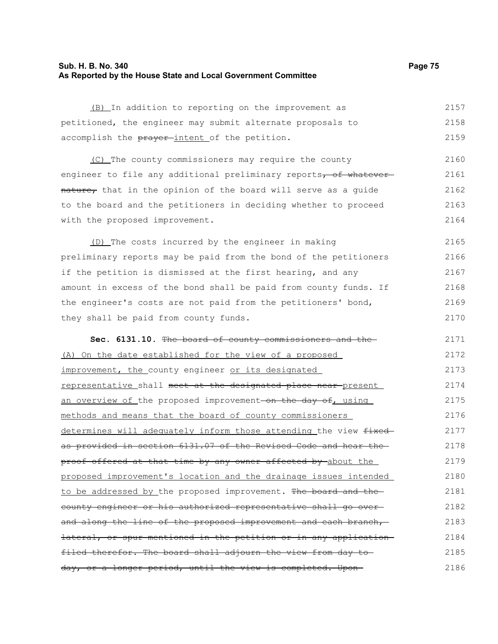# **Sub. H. B. No. 340 Page 75 As Reported by the House State and Local Government Committee**

| (B) In addition to reporting on the improvement as                | 2157 |
|-------------------------------------------------------------------|------|
| petitioned, the engineer may submit alternate proposals to        | 2158 |
| accomplish the prayer-intent of the petition.                     | 2159 |
| (C) The county commissioners may require the county               | 2160 |
| engineer to file any additional preliminary reports, of whatever  | 2161 |
| nature, that in the opinion of the board will serve as a guide    | 2162 |
| to the board and the petitioners in deciding whether to proceed   |      |
|                                                                   | 2163 |
| with the proposed improvement.                                    | 2164 |
| (D) The costs incurred by the engineer in making                  | 2165 |
| preliminary reports may be paid from the bond of the petitioners  | 2166 |
| if the petition is dismissed at the first hearing, and any        | 2167 |
| amount in excess of the bond shall be paid from county funds. If  | 2168 |
| the engineer's costs are not paid from the petitioners' bond,     | 2169 |
| they shall be paid from county funds.                             | 2170 |
|                                                                   |      |
| Sec. 6131.10. The board of county commissioners and the           | 2171 |
| (A) On the date established for the view of a proposed            | 2172 |
| improvement, the county engineer or its designated                | 2173 |
| representative shall meet at the designated place near-present    | 2174 |
| an overview of the proposed improvement on the day of, using      | 2175 |
| methods and means that the board of county commissioners          | 2176 |
| determines will adequately inform those attending the view fixed- | 2177 |
| as provided in section 6131.07 of the Revised Code and hear the   | 2178 |
| proof offered at that time by any owner affected by about the     | 2179 |
| proposed improvement's location and the drainage issues intended  | 2180 |
| to be addressed by the proposed improvement. The board and the-   | 2181 |
| eounty engineer or his authorized representative shall go over-   | 2182 |
| and along the line of the proposed improvement and each branch,   | 2183 |
| lateral, or spur mentioned in the petition or in any application  | 2184 |
| filed therefor. The board shall adjourn the view from day to      | 2185 |
| day, or a longer period, until the view is completed. Upon-       | 2186 |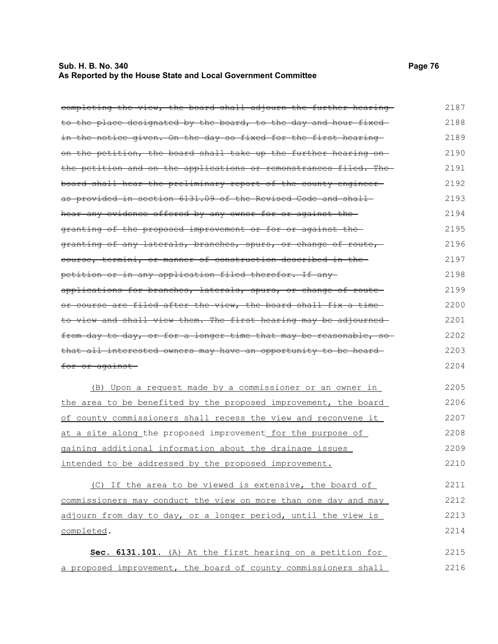# **Sub. H. B. No. 340 Page 76 As Reported by the House State and Local Government Committee**

| completing the view, the board shall adjourn the further hearing | 2187 |
|------------------------------------------------------------------|------|
| to the place designated by the board, to the day and hour fixed  | 2188 |
| in the notice given. On the day so fixed for the first hearing   | 2189 |
| on the petition, the board shall take up the further hearing on- | 2190 |
| the petition and on the applications or remonstrances filed. The | 2191 |
| board shall hear the preliminary report of the county engineer-  | 2192 |
| as provided in section 6131.09 of the Revised Code and shall     | 2193 |
| hear any evidence offered by any owner for or against the        | 2194 |
| granting of the proposed improvement or for or against the       | 2195 |
| granting of any laterals, branches, spurs, or change of route,   | 2196 |
| eourse, termini, or manner of construction described in the      | 2197 |
| petition or in any application filed therefor. If any-           | 2198 |
| applications for branches, laterals, spurs, or change of route-  | 2199 |
| or course are filed after the view, the board shall fix a time   | 2200 |
| to view and shall view them. The first hearing may be adjourned  | 2201 |
| from day to day, or for a longer time that may be reasonable, so | 2202 |
| that all interested owners may have an opportunity to be heard-  | 2203 |
| <del>for or against</del>                                        | 2204 |
| (B) Upon a request made by a commissioner or an owner in         | 2205 |
| the area to be benefited by the proposed improvement, the board  | 2206 |
| of county commissioners shall recess the view and reconvene it   | 2207 |
| at a site along the proposed improvement for the purpose of      | 2208 |
| gaining additional information about the drainage issues         | 2209 |
| intended to be addressed by the proposed improvement.            | 2210 |
| (C) If the area to be viewed is extensive, the board of          | 2211 |
| commissioners may conduct the view on more than one day and may  | 2212 |
| adjourn from day to day, or a longer period, until the view is   | 2213 |
| completed.                                                       | 2214 |
| Sec. 6131.101. (A) At the first hearing on a petition for        | 2215 |
| a proposed improvement, the board of county commissioners shall  | 2216 |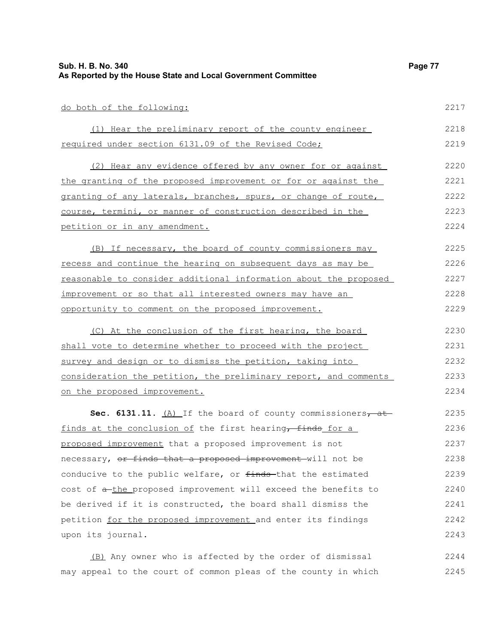| Sub. H. B. No. 340<br>As Reported by the House State and Local Government Committee | Page 77 |
|-------------------------------------------------------------------------------------|---------|
| do both of the following:                                                           | 2217    |
| (1) Hear the preliminary report of the county engineer                              | 2218    |
| required under section 6131.09 of the Revised Code;                                 | 2219    |
| (2) Hear any evidence offered by any owner for or against                           | 2220    |
| <u>the granting of the proposed improvement or for or against the</u>               | 2221    |
| granting of any laterals, branches, spurs, or change of route,                      | 2222    |
| course, termini, or manner of construction described in the                         | 2223    |
| petition or in any amendment.                                                       | 2224    |
| (B) If necessary, the board of county commissioners may                             | 2225    |
| recess and continue the hearing on subsequent days as may be                        | 2226    |
| reasonable to consider additional information about the proposed                    | 2227    |
| improvement or so that all interested owners may have an                            | 2228    |
| opportunity to comment on the proposed improvement.                                 | 2229    |
| (C) At the conclusion of the first hearing, the board                               | 2230    |
| shall vote to determine whether to proceed with the project                         | 2231    |
| survey and design or to dismiss the petition, taking into                           | 2232    |
| consideration the petition, the preliminary report, and comments                    | 2233    |
| on the proposed improvement.                                                        | 2234    |
| Sec. 6131.11. $(A)$ If the board of county commissioners, at                        | 2235    |
| finds at the conclusion of the first hearing, finds for a                           | 2236    |
| proposed improvement that a proposed improvement is not                             | 2237    |
| necessary, or finds that a proposed improvement will not be                         | 2238    |
| conducive to the public welfare, or finds-that the estimated                        | 2239    |
| cost of a-the proposed improvement will exceed the benefits to                      | 2240    |
| be derived if it is constructed, the board shall dismiss the                        | 2241    |
| petition for the proposed improvement and enter its findings                        | 2242    |
| upon its journal.                                                                   | 2243    |

(B) Any owner who is affected by the order of dismissal may appeal to the court of common pleas of the county in which 2244 2245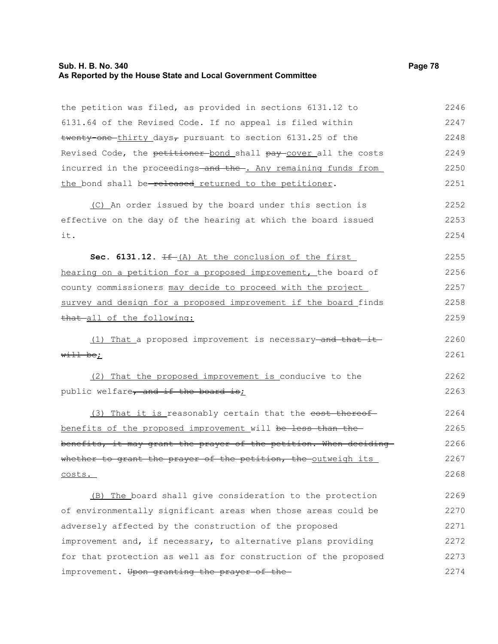# **Sub. H. B. No. 340 Page 78 As Reported by the House State and Local Government Committee**

| the petition was filed, as provided in sections 6131.12 to                  | 2246 |
|-----------------------------------------------------------------------------|------|
| 6131.64 of the Revised Code. If no appeal is filed within                   | 2247 |
| twenty-one-thirty days <sub>7</sub> pursuant to section 6131.25 of the      | 2248 |
| Revised Code, the petitioner-bond shall pay-cover all the costs             | 2249 |
| incurred in the proceedings <del>-and the-</del> . Any remaining funds from | 2250 |
| the bond shall be-released returned to the petitioner.                      | 2251 |
| (C) An order issued by the board under this section is                      | 2252 |
| effective on the day of the hearing at which the board issued               | 2253 |
| it.                                                                         | 2254 |
| Sec. 6131.12. If (A) At the conclusion of the first                         | 2255 |
| hearing on a petition for a proposed improvement, the board of              | 2256 |
| county commissioners may decide to proceed with the project                 | 2257 |
| survey and design for a proposed improvement if the board finds             | 2258 |
| that all of the following:                                                  | 2259 |
| (1) That a proposed improvement is necessary and that it                    | 2260 |
| will be;                                                                    | 2261 |
| (2) That the proposed improvement is conducive to the                       | 2262 |
| public welfare, and if the board is;                                        | 2263 |
| (3) That it is reasonably certain that the cost thereof                     | 2264 |
| benefits of the proposed improvement will be less than the-                 | 2265 |
| benefits, it may grant the prayer of the petition. When deciding            | 2266 |
| whether to grant the prayer of the petition, the outweigh its               | 2267 |
| <u>costs.</u>                                                               | 2268 |
| (B) The board shall give consideration to the protection                    | 2269 |
| of environmentally significant areas when those areas could be              | 2270 |
| adversely affected by the construction of the proposed                      | 2271 |
| improvement and, if necessary, to alternative plans providing               | 2272 |
| for that protection as well as for construction of the proposed             | 2273 |
| improvement. Upon granting the prayer of the                                | 2274 |

improvement. Upon granting the prayer of the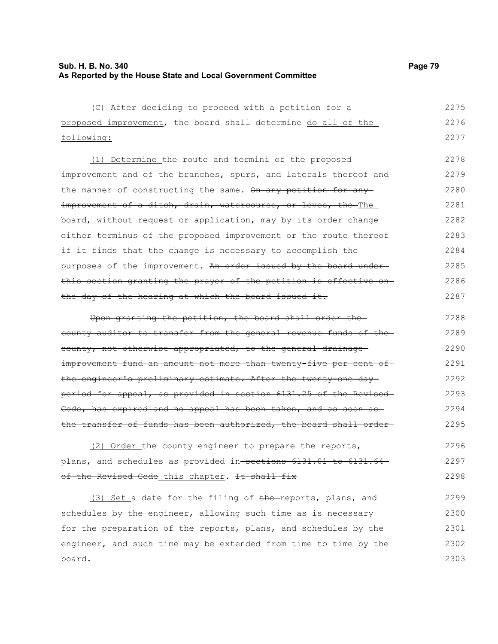### **Sub. H. B. No. 340 Page 79 As Reported by the House State and Local Government Committee**

| (C) After deciding to proceed with a petition for a               | 2275 |
|-------------------------------------------------------------------|------|
| proposed improvement, the board shall determine do all of the     | 2276 |
| following:                                                        | 2277 |
| (1) Determine the route and termini of the proposed               | 2278 |
| improvement and of the branches, spurs, and laterals thereof and  | 2279 |
| the manner of constructing the same. On any petition for any      | 2280 |
| improvement of a ditch, drain, watercourse, or levee, the-The     | 2281 |
| board, without request or application, may by its order change    | 2282 |
| either terminus of the proposed improvement or the route thereof  | 2283 |
| if it finds that the change is necessary to accomplish the        | 2284 |
| purposes of the improvement. An order issued by the board under-  | 2285 |
| this section granting the prayer of the petition is effective on  | 2286 |
| the day of the hearing at which the board issued it.              | 2287 |
| Upon granting the petition, the board shall order the             | 2288 |
| county auditor to transfer from the general revenue funds of the  | 2289 |
| county, not otherwise appropriated, to the general drainage       | 2290 |
| improvement fund an amount not more than twenty five per cent of  | 2291 |
| the engineer's preliminary estimate. After the twenty-one day-    | 2292 |
| period for appeal, as provided in section 6131.25 of the Revised  | 2293 |
| Code, has expired and no appeal has been taken, and as soon as    | 2294 |
| the transfer of funds has been authorized, the board shall order- | 2295 |
| (2) Order the county engineer to prepare the reports,             | 2296 |
| plans, and schedules as provided in-sections 6131.01 to 6131.64   | 2297 |
| of the Revised Code this chapter. It shall fix                    | 2298 |
| (3) Set a date for the filing of the reports, plans, and          | 2299 |

schedules by the engineer, allowing such time as is necessary for the preparation of the reports, plans, and schedules by the engineer, and such time may be extended from time to time by the board. 2300 2301 2302 2303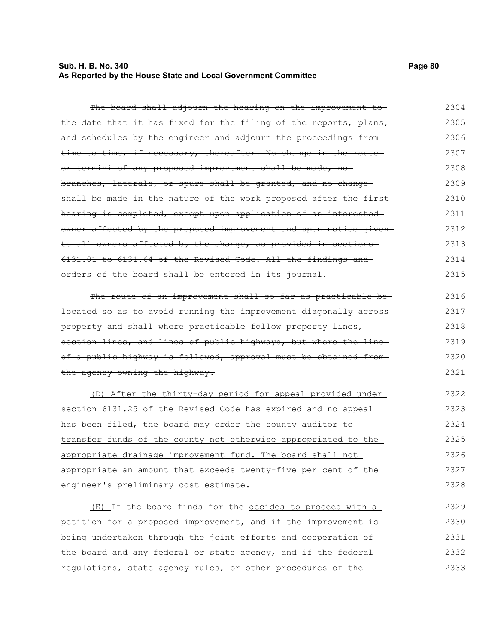# **Sub. H. B. No. 340 Page 80 As Reported by the House State and Local Government Committee**

2333

| The board shall adjourn the hearing on the improvement to         | 2304 |
|-------------------------------------------------------------------|------|
| the date that it has fixed for the filing of the reports, plans,  | 2305 |
| and schedules by the engineer and adjourn the proceedings from-   | 2306 |
| time to time, if necessary, thereafter. No change in the route-   | 2307 |
| or termini of any proposed improvement shall be made, no-         | 2308 |
| branches, laterals, or spurs shall be granted, and no change-     | 2309 |
| shall be made in the nature of the work proposed after the first- | 2310 |
| hearing is completed, except upon application of an interested    | 2311 |
| owner affected by the proposed improvement and upon notice given- | 2312 |
| to all owners affected by the change, as provided in sections     | 2313 |
| 6131.01 to 6131.64 of the Revised Code. All the findings and      | 2314 |
| orders of the board shall be entered in its journal.              | 2315 |
| The route of an improvement shall so far as practicable be-       | 2316 |
| located so as to avoid running the improvement diagonally across- | 2317 |
| property and shall where practicable follow property lines,       | 2318 |
| section lines, and lines of public highways, but where the line   | 2319 |
| of a public highway is followed, approval must be obtained from-  | 2320 |
| the agency owning the highway.                                    | 2321 |
| (D) After the thirty-day period for appeal provided under         | 2322 |
| section 6131.25 of the Revised Code has expired and no appeal     | 2323 |
| has been filed, the board may order the county auditor to         | 2324 |
| transfer funds of the county not otherwise appropriated to the    | 2325 |
| appropriate drainage improvement fund. The board shall not        | 2326 |
| appropriate an amount that exceeds twenty-five per cent of the    | 2327 |
| engineer's preliminary cost estimate.                             | 2328 |
| (E) If the board finds for the decides to proceed with a          | 2329 |
| petition for a proposed improvement, and if the improvement is    | 2330 |
| being undertaken through the joint efforts and cooperation of     | 2331 |
| the board and any federal or state agency, and if the federal     | 2332 |

regulations, state agency rules, or other procedures of the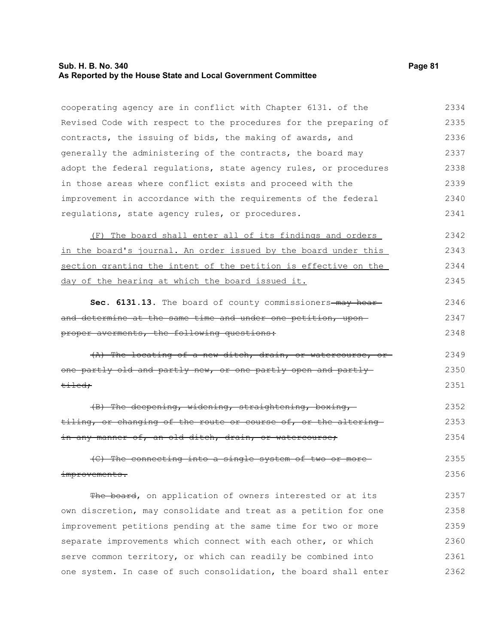#### **Sub. H. B. No. 340 Page 81 As Reported by the House State and Local Government Committee**

cooperating agency are in conflict with Chapter 6131. of the Revised Code with respect to the procedures for the preparing of contracts, the issuing of bids, the making of awards, and generally the administering of the contracts, the board may adopt the federal regulations, state agency rules, or procedures in those areas where conflict exists and proceed with the improvement in accordance with the requirements of the federal regulations, state agency rules, or procedures. 2334 2335 2336 2337 2338 2339 2340 2341

(F) The board shall enter all of its findings and orders in the board's journal. An order issued by the board under this section granting the intent of the petition is effective on the day of the hearing at which the board issued it. 2342 2343 2344 2345

| Sec. 6131.13. The board of county commissioners-may hear-    | 2346 |
|--------------------------------------------------------------|------|
| and determine at the same time and under one petition, upon- | 2347 |
| proper averments, the following questions:                   | 2348 |

(A) The locating of a new ditch, drain, or watercourse, or one partly old and partly new, or one partly open and partly tiled; 2349 2350 2351

(B) The deepening, widening, straightening, boxing, tiling, or changing of the route or course of, or the altering in any manner of, an old ditch, drain, or watercourse; 2352 2353 2354

(C) The connecting into a single system of two or more improvements. 2355 2356

The board, on application of owners interested or at its own discretion, may consolidate and treat as a petition for one improvement petitions pending at the same time for two or more separate improvements which connect with each other, or which serve common territory, or which can readily be combined into one system. In case of such consolidation, the board shall enter 2357 2358 2359 2360 2361 2362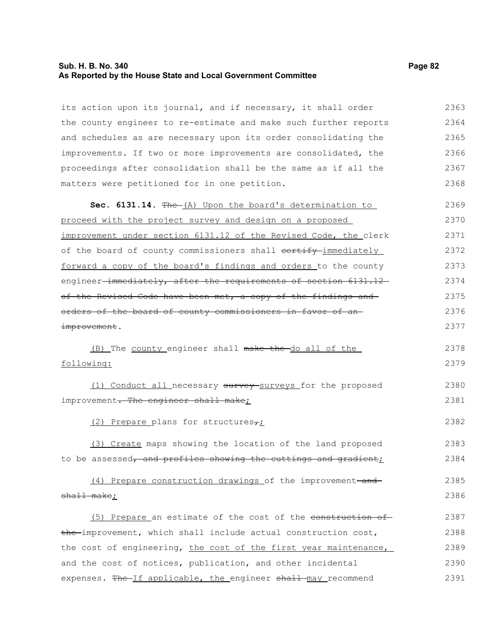# **Sub. H. B. No. 340 Page 82 As Reported by the House State and Local Government Committee**

| its action upon its journal, and if necessary, it shall order               | 2363 |
|-----------------------------------------------------------------------------|------|
| the county engineer to re-estimate and make such further reports            | 2364 |
| and schedules as are necessary upon its order consolidating the             | 2365 |
| improvements. If two or more improvements are consolidated, the             | 2366 |
| proceedings after consolidation shall be the same as if all the             | 2367 |
| matters were petitioned for in one petition.                                | 2368 |
| Sec. 6131.14. The (A) Upon the board's determination to                     | 2369 |
| proceed with the project survey and design on a proposed                    | 2370 |
| improvement under section 6131.12 of the Revised Code, the clerk            | 2371 |
| of the board of county commissioners shall eertify-immediately              | 2372 |
| forward a copy of the board's findings and orders to the county             | 2373 |
| engineer <del>-immediately, after the requirements of section 6131.12</del> | 2374 |
| of the Revised Code have been met, a copy of the findings and               | 2375 |
| orders of the board of county commissioners in favor of an-                 | 2376 |
| improvement.                                                                | 2377 |
| (B) The county engineer shall make the do all of the                        | 2378 |
| following:                                                                  | 2379 |
| (1) Conduct all necessary survey-surveys for the proposed                   | 2380 |
| improvement. The engineer shall make;                                       | 2381 |
| (2) Prepare plans for structures <sub>7</sub> ;                             | 2382 |
| (3) Create maps showing the location of the land proposed                   | 2383 |
| to be assessed, and profiles showing the cuttings and gradient;             | 2384 |
| (4) Prepare construction drawings of the improvement-and-                   | 2385 |
| shall make;                                                                 | 2386 |
| (5) Prepare an estimate of the cost of the construction of                  | 2387 |
| the improvement, which shall include actual construction cost,              | 2388 |
| the cost of engineering, the cost of the first year maintenance,            | 2389 |
| and the cost of notices, publication, and other incidental                  | 2390 |
| expenses. The If applicable, the engineer shall may recommend               | 2391 |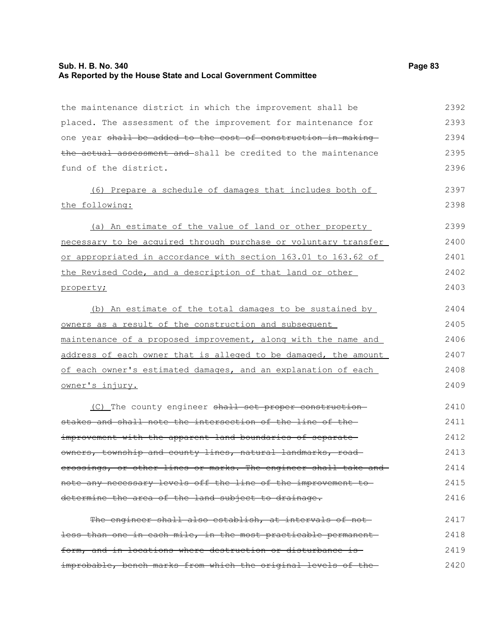### **Sub. H. B. No. 340 Page 83 As Reported by the House State and Local Government Committee**

the maintenance district in which the improvement shall be placed. The assessment of the improvement for maintenance for one year shall be added to the cost of construction in making the actual assessment and shall be credited to the maintenance fund of the district. (6) Prepare a schedule of damages that includes both of the following: (a) An estimate of the value of land or other property necessary to be acquired through purchase or voluntary transfer or appropriated in accordance with section 163.01 to 163.62 of the Revised Code, and a description of that land or other property; (b) An estimate of the total damages to be sustained by owners as a result of the construction and subsequent maintenance of a proposed improvement, along with the name and address of each owner that is alleged to be damaged, the amount of each owner's estimated damages, and an explanation of each owner's injury. (C) The county engineer shall set proper constructionstakes and shall note the intersection of the line of the improvement with the apparent land boundaries of separateowners, township and county lines, natural landmarks, road-2392 2393 2394 2395 2396 2397 2398 2399 2400 2401 2402 2403 2404 2405 2406 2407 2408 2409 2410 2411 2412 2413

crossings, or other lines or marks. The engineer shall take and note any necessary levels off the line of the improvement to determine the area of the land subject to drainage. 2414 2415 2416

The engineer shall also establish, at intervals of notless than one in each mile, in the most practicable permanent form, and in locations where destruction or disturbance is improbable, bench marks from which the original levels of the 2417 2418 2419 2420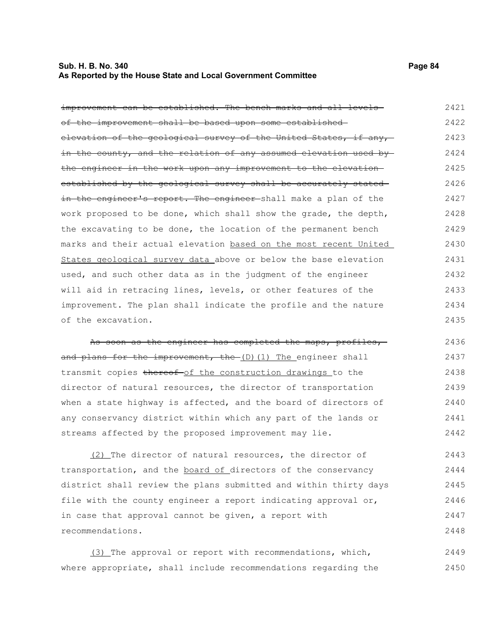# **Sub. H. B. No. 340 Page 84 As Reported by the House State and Local Government Committee**

| improvement can be established. The bench marks and all levels-  | 2421 |
|------------------------------------------------------------------|------|
| of the improvement shall be based upon some established          | 2422 |
| elevation of the geological survey of the United States, if any, | 2423 |
| in the county, and the relation of any assumed elevation used by | 2424 |
| the engineer in the work upon any improvement to the elevation-  | 2425 |
| established by the geological survey shall be accurately stated  | 2426 |
| in the engineer's report. The engineer shall make a plan of the  | 2427 |
| work proposed to be done, which shall show the grade, the depth, | 2428 |
| the excavating to be done, the location of the permanent bench   | 2429 |
| marks and their actual elevation based on the most recent United | 2430 |
| States geological survey data above or below the base elevation  | 2431 |
| used, and such other data as in the judgment of the engineer     | 2432 |
| will aid in retracing lines, levels, or other features of the    | 2433 |
| improvement. The plan shall indicate the profile and the nature  | 2434 |
| of the excavation.                                               | 2435 |
| As soon as the engineer has completed the maps, profiles,        | 2436 |
| and plans for the improvement, the (D) (1) The engineer shall    | 2437 |
|                                                                  |      |
| transmit copies thereof-of the construction drawings to the      | 2438 |
| director of natural resources, the director of transportation    | 2439 |
| when a state highway is affected, and the board of directors of  | 2440 |
| any conservancy district within which any part of the lands or   | 2441 |
| streams affected by the proposed improvement may lie.            | 2442 |
| (2) The director of natural resources, the director of           | 2443 |
| transportation, and the board of directors of the conservancy    | 2444 |
| district shall review the plans submitted and within thirty days | 2445 |
| file with the county engineer a report indicating approval or,   | 2446 |
| in case that approval cannot be given, a report with             | 2447 |
| recommendations.                                                 | 2448 |

(3) The approval or report with recommendations, which, where appropriate, shall include recommendations regarding the 2449 2450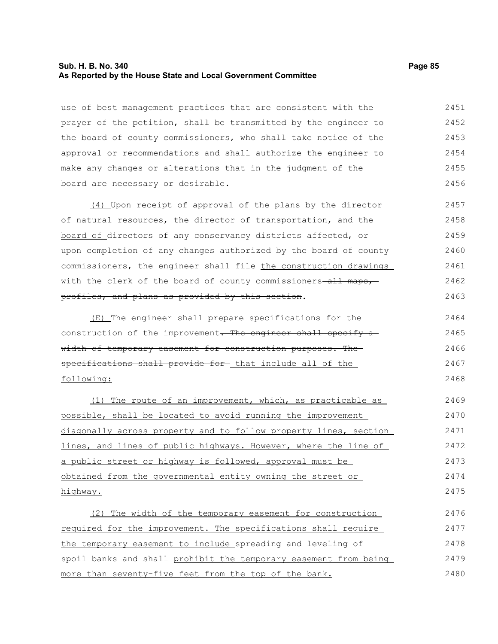#### **Sub. H. B. No. 340 Page 85 As Reported by the House State and Local Government Committee**

use of best management practices that are consistent with the prayer of the petition, shall be transmitted by the engineer to the board of county commissioners, who shall take notice of the approval or recommendations and shall authorize the engineer to make any changes or alterations that in the judgment of the board are necessary or desirable. 2451 2452 2453 2454 2455 2456

(4) Upon receipt of approval of the plans by the director of natural resources, the director of transportation, and the board of directors of any conservancy districts affected, or upon completion of any changes authorized by the board of county commissioners, the engineer shall file the construction drawings with the clerk of the board of county commissioners all maps, profiles, and plans as provided by this section. 2457 2458 2459 2460 2461 2462 2463

(E) The engineer shall prepare specifications for the construction of the improvement. The engineer shall specify a width of temporary easement for construction purposes. Thespecifications shall provide for that include all of the following: 2464 2465 2466 2467 2468

(1) The route of an improvement, which, as practicable as possible, shall be located to avoid running the improvement diagonally across property and to follow property lines, section lines, and lines of public highways. However, where the line of a public street or highway is followed, approval must be obtained from the governmental entity owning the street or highway. 2469 2470 2471 2472 2473 2474 2475

(2) The width of the temporary easement for construction required for the improvement. The specifications shall require the temporary easement to include spreading and leveling of spoil banks and shall prohibit the temporary easement from being more than seventy-five feet from the top of the bank. 2476 2477 2478 2479 2480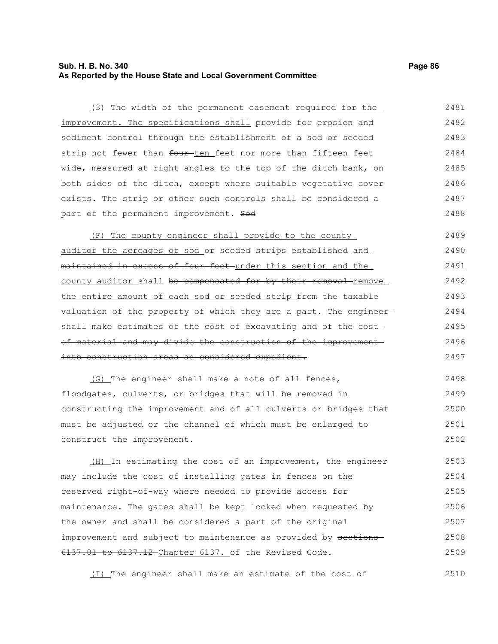### **Sub. H. B. No. 340 Page 86 As Reported by the House State and Local Government Committee**

part of the permanent improvement. Sod

(3) The width of the permanent easement required for the improvement. The specifications shall provide for erosion and sediment control through the establishment of a sod or seeded strip not fewer than four ten feet nor more than fifteen feet wide, measured at right angles to the top of the ditch bank, on both sides of the ditch, except where suitable vegetative cover 2481 2482 2483 2484 2485 2486

exists. The strip or other such controls shall be considered a

(F) The county engineer shall provide to the county auditor the acreages of sod or seeded strips established and maintained in excess of four feet under this section and the county auditor shall be compensated for by their removal remove the entire amount of each sod or seeded strip from the taxable valuation of the property of which they are a part. The engineershall make estimates of the cost of excavating and of the costof material and may divide the construction of the improvement into construction areas as considered expedient. 2489 2490 2491 2492 2493 2494 2495 2496 2497

(G) The engineer shall make a note of all fences, floodgates, culverts, or bridges that will be removed in constructing the improvement and of all culverts or bridges that must be adjusted or the channel of which must be enlarged to construct the improvement. 2498 2499 2500 2501 2502

(H) In estimating the cost of an improvement, the engineer may include the cost of installing gates in fences on the reserved right-of-way where needed to provide access for maintenance. The gates shall be kept locked when requested by the owner and shall be considered a part of the original improvement and subject to maintenance as provided by sections-6137.01 to 6137.12 Chapter 6137. of the Revised Code. 2503 2504 2505 2506 2507 2508 2509

(I) The engineer shall make an estimate of the cost of 2510

2487 2488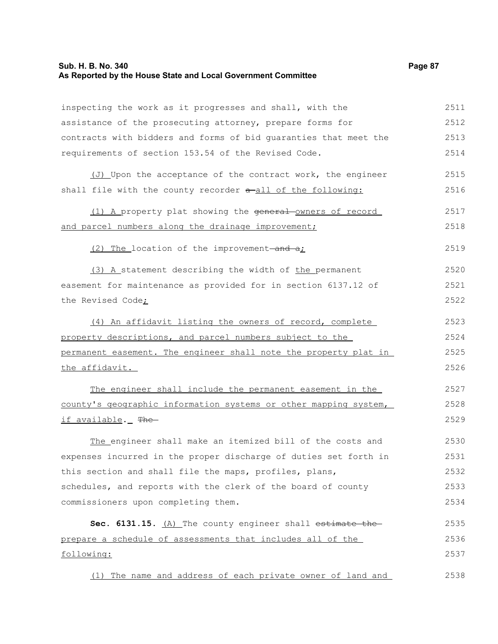# **Sub. H. B. No. 340 Page 87 As Reported by the House State and Local Government Committee**

| inspecting the work as it progresses and shall, with the         | 2511 |
|------------------------------------------------------------------|------|
| assistance of the prosecuting attorney, prepare forms for        | 2512 |
| contracts with bidders and forms of bid quaranties that meet the | 2513 |
| requirements of section 153.54 of the Revised Code.              | 2514 |
| (J) Upon the acceptance of the contract work, the engineer       | 2515 |
| shall file with the county recorder a-all of the following:      | 2516 |
| (1) A property plat showing the general owners of record         | 2517 |
| and parcel numbers along the drainage improvement;               | 2518 |
| (2) The location of the improvement-and a;                       | 2519 |
| (3) A statement describing the width of the permanent            | 2520 |
| easement for maintenance as provided for in section 6137.12 of   | 2521 |
| the Revised Code;                                                | 2522 |
| (4) An affidavit listing the owners of record, complete          | 2523 |
| property descriptions, and parcel numbers subject to the         | 2524 |
| permanent easement. The engineer shall note the property plat in | 2525 |
| the affidavit.                                                   | 2526 |
| The engineer shall include the permanent easement in the         | 2527 |
| county's geographic information systems or other mapping system, | 2528 |
| if available._ The                                               | 2529 |
| The engineer shall make an itemized bill of the costs and        | 2530 |
| expenses incurred in the proper discharge of duties set forth in | 2531 |
| this section and shall file the maps, profiles, plans,           | 2532 |
| schedules, and reports with the clerk of the board of county     | 2533 |
| commissioners upon completing them.                              | 2534 |
| Sec. 6131.15. (A) The county engineer shall estimate the         | 2535 |
| prepare a schedule of assessments that includes all of the       | 2536 |
| following:                                                       | 2537 |
| (1) The name and address of each private owner of land and       | 2538 |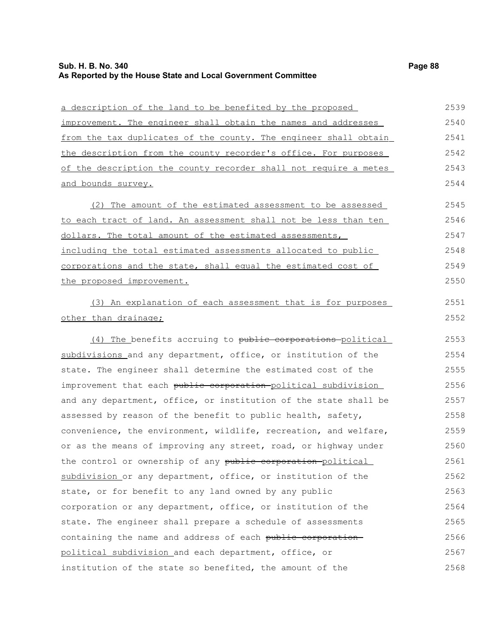### **Sub. H. B. No. 340 Page 88 As Reported by the House State and Local Government Committee**

a description of the land to be benefited by the proposed improvement. The engineer shall obtain the names and addresses from the tax duplicates of the county. The engineer shall obtain the description from the county recorder's office. For purposes of the description the county recorder shall not require a metes and bounds survey. 2539 2540 2541 2542 2543 2544

(2) The amount of the estimated assessment to be assessed to each tract of land. An assessment shall not be less than ten dollars. The total amount of the estimated assessments, including the total estimated assessments allocated to public corporations and the state, shall equal the estimated cost of the proposed improvement. 2545 2546 2547 2548 2549 2550

(3) An explanation of each assessment that is for purposes other than drainage;

(4) The benefits accruing to public corporations political subdivisions and any department, office, or institution of the state. The engineer shall determine the estimated cost of the improvement that each public corporation political subdivision and any department, office, or institution of the state shall be assessed by reason of the benefit to public health, safety, convenience, the environment, wildlife, recreation, and welfare, or as the means of improving any street, road, or highway under the control or ownership of any public corporation political subdivision or any department, office, or institution of the state, or for benefit to any land owned by any public corporation or any department, office, or institution of the state. The engineer shall prepare a schedule of assessments containing the name and address of each public corporation political subdivision and each department, office, or institution of the state so benefited, the amount of the 2553 2554 2555 2556 2557 2558 2559 2560 2561 2562 2563 2564 2565 2566 2567 2568

2551 2552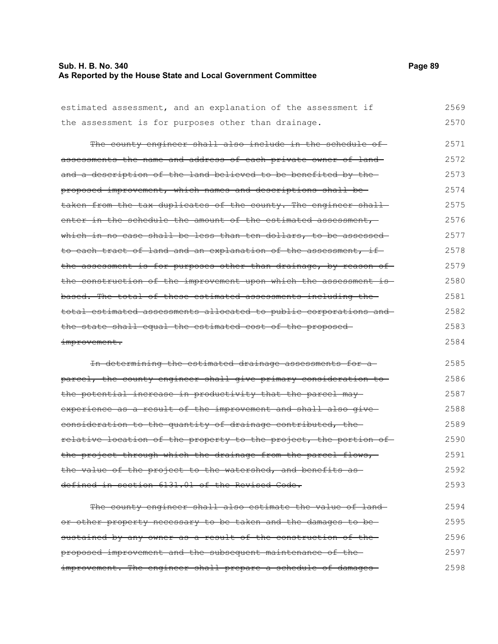# **Sub. H. B. No. 340 Page 89 As Reported by the House State and Local Government Committee**

| estimated assessment, and an explanation of the assessment if     | 2569 |
|-------------------------------------------------------------------|------|
| the assessment is for purposes other than drainage.               | 2570 |
|                                                                   |      |
| The county engineer shall also include in the schedule of-        | 2571 |
| assessments the name and address of each private owner of land-   | 2572 |
| and a description of the land believed to be benefited by the     | 2573 |
| proposed improvement, which names and descriptions shall be-      | 2574 |
| taken from the tax duplicates of the county. The engineer shall-  | 2575 |
| enter in the schedule the amount of the estimated assessment,     | 2576 |
| which in no case shall be less than ten dollars, to be assessed   | 2577 |
| to each tract of land and an explanation of the assessment, if    | 2578 |
| the assessment is for purposes other than drainage, by reason of  | 2579 |
| the construction of the improvement upon which the assessment is- | 2580 |
| based. The total of these estimated assessments including the-    | 2581 |
| total estimated assessments allocated to public corporations and  | 2582 |
| the state shall equal the estimated cost of the proposed          | 2583 |
| improvement.                                                      | 2584 |
| In determining the estimated drainage assessments for a           | 2585 |
|                                                                   |      |
| parcel, the county engineer shall give primary consideration to   | 2586 |
| the potential increase in productivity that the parcel may-       | 2587 |
| experience as a result of the improvement and shall also give-    | 2588 |
| consideration to the quantity of drainage contributed, the        | 2589 |
| relative location of the property to the project, the portion of  | 2590 |
| the project through which the drainage from the parcel flows,     | 2591 |
| the value of the project to the watershed, and benefits as        | 2592 |
| defined in section 6131.01 of the Revised Code.                   | 2593 |
| The county engineer shall also estimate the value of land-        | 2594 |
|                                                                   |      |
| or other property necessary to be taken and the damages to be-    | 2595 |
| sustained by any owner as a result of the construction of the-    | 2596 |
| proposed improvement and the subsequent maintenance of the-       | 2597 |

improvement. The engineer shall prepare a schedule of damages-2598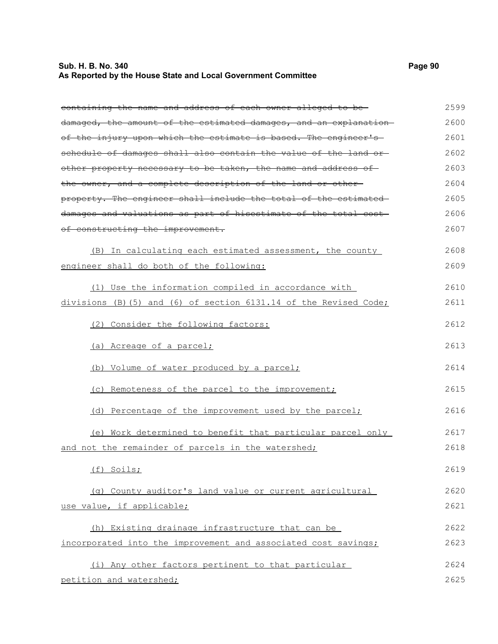# **Sub. H. B. No. 340 Page 90 As Reported by the House State and Local Government Committee**

| containing the name and address of each owner alleged to be-      | 2599 |
|-------------------------------------------------------------------|------|
| damaged, the amount of the estimated damages, and an explanation- | 2600 |
| of the injury upon which the estimate is based. The engineer's    | 2601 |
| schedule of damages shall also contain the value of the land or-  | 2602 |
| other property necessary to be taken, the name and address of-    | 2603 |
| the owner, and a complete description of the land or other-       | 2604 |
| property. The engineer shall include the total of the estimated   | 2605 |
| damages and valuations as part of hisestimate of the total cost-  | 2606 |
| of constructing the improvement.                                  | 2607 |
| (B) In calculating each estimated assessment, the county          | 2608 |
| engineer shall do both of the following:                          | 2609 |
| (1) Use the information compiled in accordance with               | 2610 |
| divisions (B) (5) and (6) of section 6131.14 of the Revised Code; | 2611 |
| (2) Consider the following factors:                               | 2612 |
| (a) Acreage of a parcel;                                          | 2613 |
| (b) Volume of water produced by a parcel;                         | 2614 |
| (c) Remoteness of the parcel to the improvement;                  | 2615 |
| (d) Percentage of the improvement used by the parcel;             | 2616 |
| (e) Work determined to benefit that particular parcel only        | 2617 |
| and not the remainder of parcels in the watershed;                | 2618 |
| (f) Soils;                                                        | 2619 |
| (q) County auditor's land value or current agricultural           | 2620 |
| use value, if applicable;                                         | 2621 |
| (h) Existing drainage infrastructure that can be                  | 2622 |
| incorporated into the improvement and associated cost savings;    | 2623 |
| (i) Any other factors pertinent to that particular                | 2624 |
| petition and watershed;                                           | 2625 |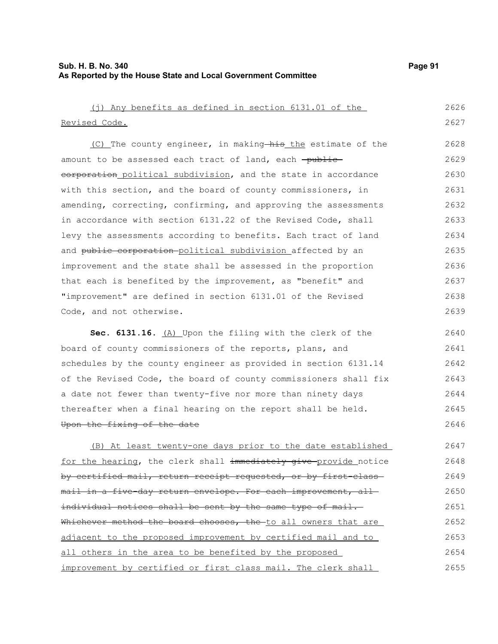# **Sub. H. B. No. 340 Page 91 As Reported by the House State and Local Government Committee**

| (j) Any benefits as defined in section 6131.01 of the            | 2626 |
|------------------------------------------------------------------|------|
| Revised Code.                                                    | 2627 |
| (C) The county engineer, in making his the estimate of the       | 2628 |
| amount to be assessed each tract of land, each -public-          | 2629 |
| eorporation political subdivision, and the state in accordance   | 2630 |
| with this section, and the board of county commissioners, in     | 2631 |
| amending, correcting, confirming, and approving the assessments  | 2632 |
| in accordance with section 6131.22 of the Revised Code, shall    | 2633 |
| levy the assessments according to benefits. Each tract of land   | 2634 |
| and public corporation political subdivision affected by an      | 2635 |
| improvement and the state shall be assessed in the proportion    | 2636 |
| that each is benefited by the improvement, as "benefit" and      | 2637 |
| "improvement" are defined in section 6131.01 of the Revised      | 2638 |
| Code, and not otherwise.                                         | 2639 |
| Sec. 6131.16. (A) Upon the filing with the clerk of the          | 2640 |
| board of county commissioners of the reports, plans, and         | 2641 |
| schedules by the county engineer as provided in section 6131.14  | 2642 |
| of the Revised Code, the board of county commissioners shall fix | 2643 |
| a date not fewer than twenty-five nor more than ninety days      | 2644 |
| thereafter when a final hearing on the report shall be held.     | 2645 |
| Upon the fixing of the date                                      | 2646 |
| (B) At least twenty-one days prior to the date established       | 2647 |
| for the hearing, the clerk shall immediately give provide notice | 2648 |
| by certified mail, return receipt requested, or by first class   | 2649 |
| mail in a five day return envelope. For each improvement, all-   | 2650 |
| individual notices shall be sent by the same type of mail.       | 2651 |
| Whichever method the board chooses, the to all owners that are   | 2652 |
| adjacent to the proposed improvement by certified mail and to    | 2653 |
| all others in the area to be benefited by the proposed           | 2654 |
| improvement by certified or first class mail. The clerk shall    | 2655 |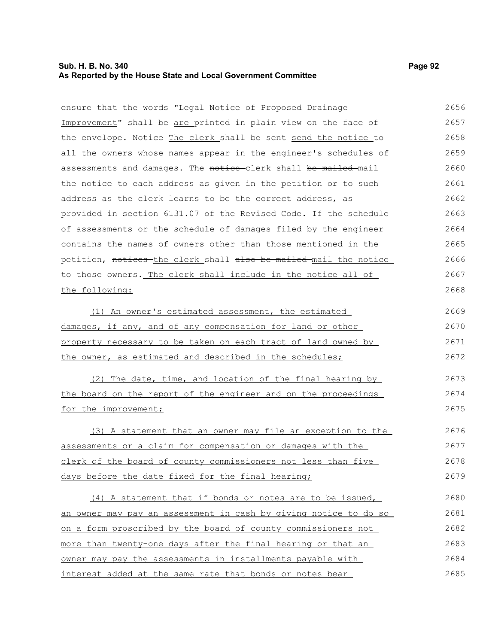### **Sub. H. B. No. 340 Page 92 As Reported by the House State and Local Government Committee**

ensure that the words "Legal Notice of Proposed Drainage Improvement" shall be are printed in plain view on the face of the envelope. Notice The clerk shall be sent send the notice to all the owners whose names appear in the engineer's schedules of assessments and damages. The notice-clerk shall be mailed mail the notice to each address as given in the petition or to such address as the clerk learns to be the correct address, as provided in section 6131.07 of the Revised Code. If the schedule of assessments or the schedule of damages filed by the engineer contains the names of owners other than those mentioned in the petition, notices the clerk shall also be mailed mail the notice 2656 2657 2658 2659 2660 2661 2662 2663 2664 2665 2666

to those owners. The clerk shall include in the notice all of the following: (1) An owner's estimated assessment, the estimated damages, if any, and of any compensation for land or other property necessary to be taken on each tract of land owned by the owner, as estimated and described in the schedules; 2667 2668 2669 2670 2671 2672

(2) The date, time, and location of the final hearing by the board on the report of the engineer and on the proceedings for the improvement; 2673 2674 2675

(3) A statement that an owner may file an exception to the assessments or a claim for compensation or damages with the clerk of the board of county commissioners not less than five days before the date fixed for the final hearing; 2676 2677 2678 2679

(4) A statement that if bonds or notes are to be issued, an owner may pay an assessment in cash by giving notice to do so on a form proscribed by the board of county commissioners not more than twenty-one days after the final hearing or that an owner may pay the assessments in installments payable with interest added at the same rate that bonds or notes bear 2680 2681 2682 2683 2684 2685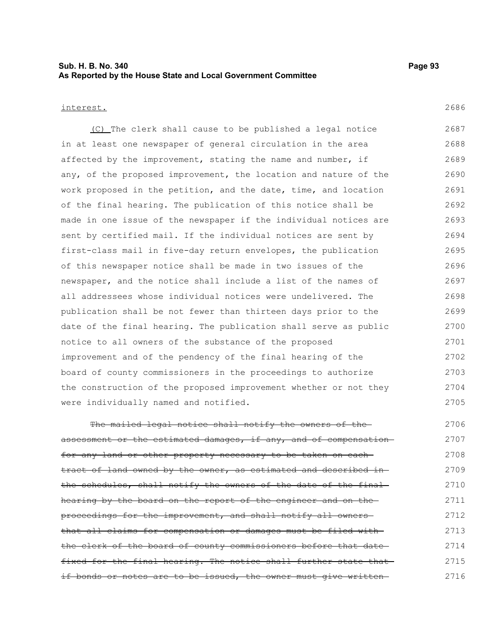### **Sub. H. B. No. 340 Page 93 As Reported by the House State and Local Government Committee**

#### interest.

(C) The clerk shall cause to be published a legal notice in at least one newspaper of general circulation in the area affected by the improvement, stating the name and number, if any, of the proposed improvement, the location and nature of the work proposed in the petition, and the date, time, and location of the final hearing. The publication of this notice shall be made in one issue of the newspaper if the individual notices are sent by certified mail. If the individual notices are sent by first-class mail in five-day return envelopes, the publication of this newspaper notice shall be made in two issues of the newspaper, and the notice shall include a list of the names of all addressees whose individual notices were undelivered. The publication shall be not fewer than thirteen days prior to the date of the final hearing. The publication shall serve as public notice to all owners of the substance of the proposed improvement and of the pendency of the final hearing of the board of county commissioners in the proceedings to authorize the construction of the proposed improvement whether or not they were individually named and notified. 2687 2688 2689 2690 2691 2692 2693 2694 2695 2696 2697 2698 2699 2700 2701 2702 2703 2704 2705

The mailed legal notice shall notify the owners of theassessment or the estimated damages, if any, and of compensation for any land or other property necessary to be taken on each tract of land owned by the owner, as estimated and described in the schedules, shall notify the owners of the date of the finalhearing by the board on the report of the engineer and on the proceedings for the improvement, and shall notify all owners that all claims for compensation or damages must be filed with the clerk of the board of county commissioners before that date fixed for the final hearing. The notice shall further state that if bonds or notes are to be issued, the owner must give written-2706 2707 2708 2709 2710 2711 2712 2713 2714 2715 2716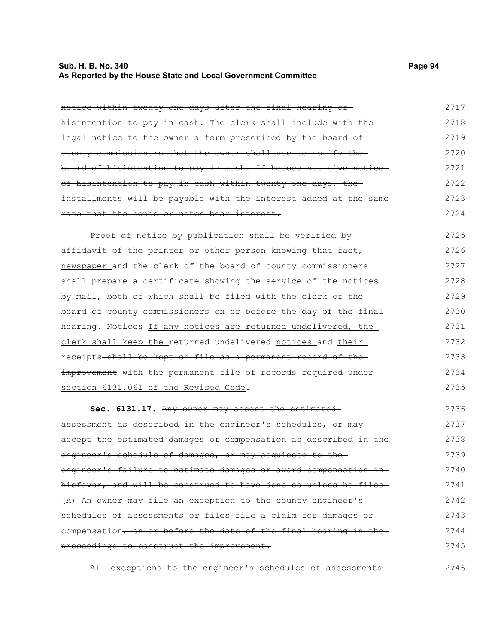### **Sub. H. B. No. 340 Page 94 As Reported by the House State and Local Government Committee**

| notice within twenty one days after the final hearing of         | 2717 |
|------------------------------------------------------------------|------|
| hisintention to pay in cash. The clerk shall include with the-   | 2718 |
| legal notice to the owner a form prescribed by the board of      | 2719 |
| county commissioners that the owner shall use to notify the-     | 2720 |
| board of hisintention to pay in cash. If hedoes not give notice- | 2721 |
| of hisintention to pay in cash within twenty-one days, the-      | 2722 |
| installments will be payable with the interest added at the same | 2723 |
| rate that the bonds or notes bear interest.                      | 2724 |
| Proof of notice by publication shall be verified by              | 2725 |
| affidavit of the printer or other person knowing that fact,      | 2726 |
| newspaper and the clerk of the board of county commissioners     | 2727 |
| shall prepare a certificate showing the service of the notices   | 2728 |
| by mail, both of which shall be filed with the clerk of the      | 2729 |
| board of county commissioners on or before the day of the final  | 2730 |
|                                                                  |      |

hearing. Notices-If any notices are returned undelivered, the clerk shall keep the returned undelivered notices and their receipts shall be kept on file as a permanent record of the improvement with the permanent file of records required under section 6131.061 of the Revised Code. 2731 2732 2733 2734 2735

**Sec. 6131.17.** Any owner may accept the estimated assessment as described in the engineer's schedules, or may accept the estimated damages or compensation as described in the engineer's schedule of damages, or may acquiesce to the engineer's failure to estimate damages or award compensation in hisfavor, and will be construed to have done so unless he files-(A) An owner may file an exception to the county engineer's schedules of assessments or files-file a claim for damages or compensation, on or before the date of the final hearing in theproceedings to construct the improvement. 2736 2737 2738 2739 2740 2741 2742 2743 2744 2745

All exceptions to the engineer's schedules of assessments 2746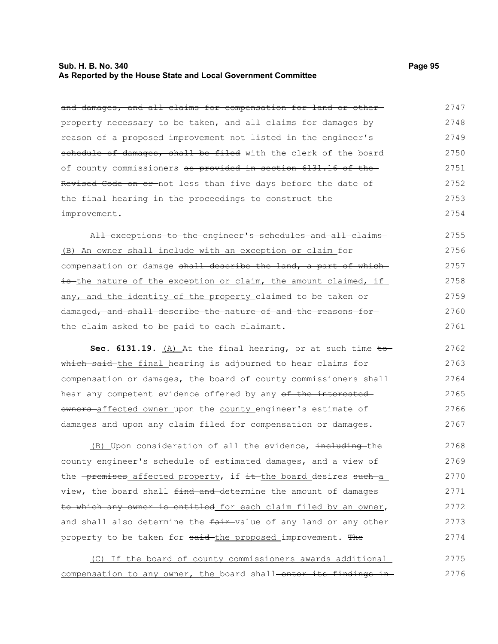### **Sub. H. B. No. 340 Page 95 As Reported by the House State and Local Government Committee**

and damages, and all claims for compensation for land or otherproperty necessary to be taken, and all claims for damages by reason of a proposed improvement not listed in the engineer's schedule of damages, shall be filed with the clerk of the board of county commissioners as provided in section 6131.16 of the Revised Code on or not less than five days before the date of the final hearing in the proceedings to construct the improvement. 2747 2748 2749 2750 2751 2752 2753 2754

All exceptions to the engineer's schedules and all claims-(B) An owner shall include with an exception or claim for compensation or damage shall describe the land, a part of whichis the nature of the exception or claim, the amount claimed, if any, and the identity of the property claimed to be taken or damaged, and shall describe the nature of and the reasons forthe claim asked to be paid to each claimant. 2755 2756 2757 2758 2759 2760 2761

**Sec. 6131.19.** (A) At the final hearing, or at such time  $\pm \circ$ which said the final hearing is adjourned to hear claims for compensation or damages, the board of county commissioners shall hear any competent evidence offered by any of the interested owners-affected owner upon the county engineer's estimate of damages and upon any claim filed for compensation or damages. 2762 2763 2764 2765 2766 2767

(B) Upon consideration of all the evidence, including the county engineer's schedule of estimated damages, and a view of the -premises affected property, if it-the board desires such-a view, the board shall find and determine the amount of damages to which any owner is entitled for each claim filed by an owner, and shall also determine the fair-value of any land or any other property to be taken for said-the proposed improvement. The 2768 2769 2770 2771 2772 2773 2774

(C) If the board of county commissioners awards additional compensation to any owner, the board shall-enter its findings in-2775 2776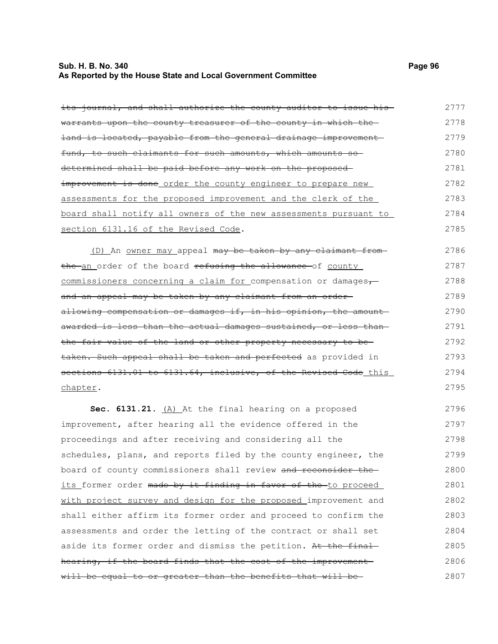### **Sub. H. B. No. 340 Page 96 As Reported by the House State and Local Government Committee**

its journal, and shall authorize the county auditor to issue hiswarrants upon the county treasurer of the county in which theland is located, payable from the general drainage improvement fund, to such claimants for such amounts, which amounts so determined shall be paid before any work on the proposed improvement is done order the county engineer to prepare new

assessments for the proposed improvement and the clerk of the board shall notify all owners of the new assessments pursuant to section 6131.16 of the Revised Code. 2783 2784 2785

(D) An owner may appeal may be taken by any claimant fromthe an order of the board refusing the allowance of county commissioners concerning a claim for compensation or damages, and an appeal may be taken by any claimant from an order allowing compensation or damages if, in his opinion, the amount awarded is less than the actual damages sustained, or less than the fair value of the land or other property necessary to be taken. Such appeal shall be taken and perfected as provided in sections 6131.01 to 6131.64, inclusive, of the Revised Code this chapter. 2786 2787 2788 2789 2790 2791 2792 2793 2794 2795

**Sec. 6131.21.** (A) At the final hearing on a proposed improvement, after hearing all the evidence offered in the proceedings and after receiving and considering all the schedules, plans, and reports filed by the county engineer, the board of county commissioners shall review and reconsider the its former order made by it finding in favor of the to proceed with project survey and design for the proposed improvement and shall either affirm its former order and proceed to confirm the assessments and order the letting of the contract or shall set aside its former order and dismiss the petition. At the finalhearing, if the board finds that the cost of the improvement will be equal to or greater than the benefits that will be-2796 2797 2798 2799 2800 2801 2802 2803 2804 2805 2806 2807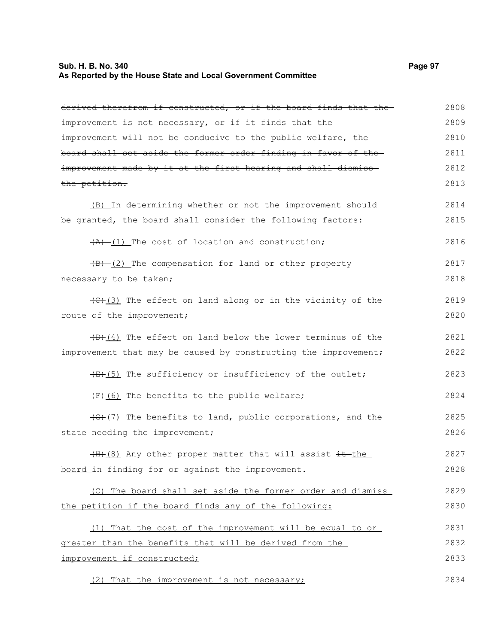#### **Sub. H. B. No. 340 Page 97 As Reported by the House State and Local Government Committee**

derived therefrom if constructed, or if the board finds that the improvement is not necessary, or if it finds that theimprovement will not be conducive to the public welfare, the board shall set aside the former order finding in favor of the improvement made by it at the first hearing and shall dismiss the petition. (B) In determining whether or not the improvement should be granted, the board shall consider the following factors:  $(A)$  (1) The cost of location and construction;  $(B)$  (2) The compensation for land or other property necessary to be taken;  $\left(\frac{1}{\sqrt{C}}\right)$  (3) The effect on land along or in the vicinity of the route of the improvement;  $(D)$  (4) The effect on land below the lower terminus of the improvement that may be caused by constructing the improvement;  $(E)$ (5) The sufficiency or insufficiency of the outlet;  $(F)$ (6) The benefits to the public welfare;  $(4)$  (7) The benefits to land, public corporations, and the state needing the improvement;  $(H+(8)$  Any other proper matter that will assist  $\pm t$  the board in finding for or against the improvement. (C) The board shall set aside the former order and dismiss the petition if the board finds any of the following: (1) That the cost of the improvement will be equal to or greater than the benefits that will be derived from the improvement if constructed; (2) That the improvement is not necessary; 2808 2809 2810 2811 2812 2813 2814 2815 2816 2817 2818 2819 2820 2821 2822 2823 2824 2825 2826 2827 2828 2829 2830 2831 2832 2833 2834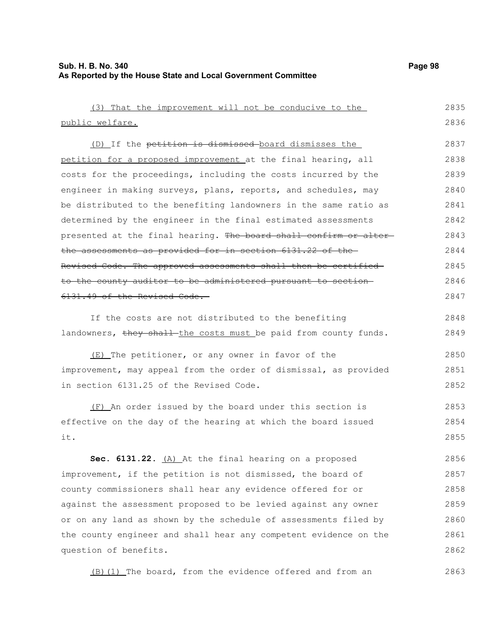| (3) That the improvement will not be conducive to the            | 2835 |
|------------------------------------------------------------------|------|
| public welfare.                                                  | 2836 |
| (D) If the petition is dismissed board dismisses the             | 2837 |
| petition for a proposed improvement at the final hearing, all    | 2838 |
| costs for the proceedings, including the costs incurred by the   | 2839 |
| engineer in making surveys, plans, reports, and schedules, may   | 2840 |
| be distributed to the benefiting landowners in the same ratio as | 2841 |
| determined by the engineer in the final estimated assessments    | 2842 |
| presented at the final hearing. The board shall confirm or alter | 2843 |
| the assessments as provided for in section 6131.22 of the-       | 2844 |
| Revised Code. The approved assessments shall then be certified-  | 2845 |
| to the county auditor to be administered pursuant to section     | 2846 |
| 6131.49 of the Revised Code.                                     | 2847 |
|                                                                  |      |
| If the costs are not distributed to the benefiting               | 2848 |
| landowners, they shall-the costs must be paid from county funds. | 2849 |
| (E) The petitioner, or any owner in favor of the                 | 2850 |
| improvement, may appeal from the order of dismissal, as provided | 2851 |
| in section 6131.25 of the Revised Code.                          | 2852 |
| (F) An order issued by the board under this section is           | 2853 |
| effective on the day of the hearing at which the board issued    | 2854 |
| it.                                                              | 2855 |
|                                                                  |      |
| Sec. 6131.22. $(A)$ At the final hearing on a proposed           | 2856 |
| improvement, if the petition is not dismissed, the board of      | 2857 |
| county commissioners shall hear any evidence offered for or      | 2858 |
| against the assessment proposed to be levied against any owner   | 2859 |
| or on any land as shown by the schedule of assessments filed by  | 2860 |
| the county engineer and shall hear any competent evidence on the | 2861 |
| question of benefits.                                            | 2862 |
| (B) (1) The board, from the evidence offered and from an         | 2863 |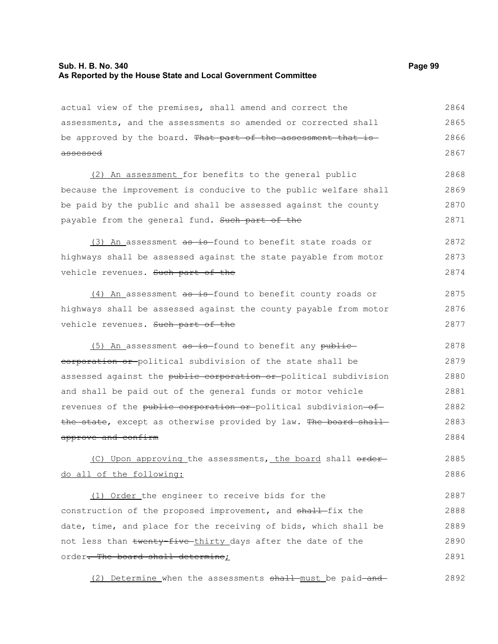# **Sub. H. B. No. 340 Page 99 As Reported by the House State and Local Government Committee**

| actual view of the premises, shall amend and correct the         | 2864 |
|------------------------------------------------------------------|------|
| assessments, and the assessments so amended or corrected shall   | 2865 |
| be approved by the board. That part of the assessment that is    | 2866 |
| <del>assessed</del>                                              | 2867 |
| (2) An assessment for benefits to the general public             | 2868 |
| because the improvement is conducive to the public welfare shall | 2869 |
| be paid by the public and shall be assessed against the county   | 2870 |
| payable from the general fund. Such part of the                  | 2871 |
| (3) An assessment as is found to benefit state roads or          | 2872 |
| highways shall be assessed against the state payable from motor  | 2873 |
| vehicle revenues. Such part of the                               | 2874 |
| (4) An assessment as is found to benefit county roads or         | 2875 |
| highways shall be assessed against the county payable from motor | 2876 |
| vehicle revenues. Such part of the                               | 2877 |
| (5) An assessment as is found to benefit any public              | 2878 |
| eorporation or political subdivision of the state shall be       | 2879 |
| assessed against the public corporation or political subdivision | 2880 |
| and shall be paid out of the general funds or motor vehicle      | 2881 |
| revenues of the public corporation or political subdivision-of-  | 2882 |
| the state, except as otherwise provided by law. The board shall  | 2883 |
| approve and confirm                                              | 2884 |
| (C) Upon approving the assessments, the board shall order        | 2885 |
| do all of the following:                                         | 2886 |
| (1) Order the engineer to receive bids for the                   | 2887 |
| construction of the proposed improvement, and shall fix the      | 2888 |
| date, time, and place for the receiving of bids, which shall be  | 2889 |
| not less than twenty-five-thirty days after the date of the      | 2890 |
| order. The board shall determine;                                | 2891 |

(2) Determine when the assessments shall must be paid and 2892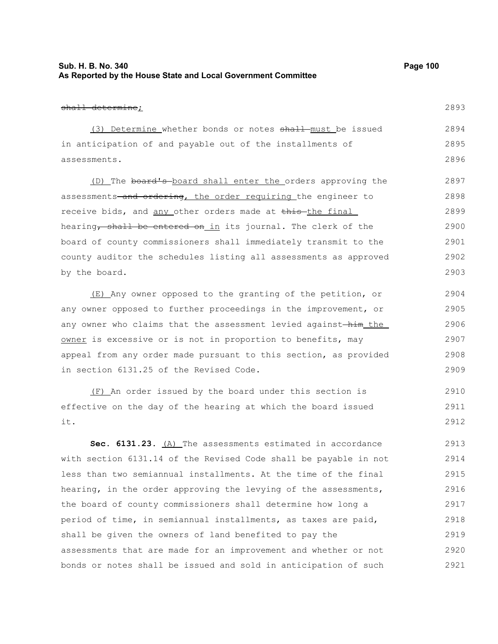### **Sub. H. B. No. 340 Page 100 As Reported by the House State and Local Government Committee**

shall determine; (3) Determine whether bonds or notes shall must be issued in anticipation of and payable out of the installments of assessments. (D) The board's board shall enter the orders approving the assessments-and ordering, the order requiring the engineer to receive bids, and any other orders made at this the final hearing, shall be entered on in its journal. The clerk of the board of county commissioners shall immediately transmit to the county auditor the schedules listing all assessments as approved by the board. (E) Any owner opposed to the granting of the petition, or any owner opposed to further proceedings in the improvement, or any owner who claims that the assessment levied against-him the owner is excessive or is not in proportion to benefits, may appeal from any order made pursuant to this section, as provided in section 6131.25 of the Revised Code. 2893 2894 2895 2896 2897 2898 2899 2900 2901 2902 2903 2904 2905 2906 2907 2908 2909

(F) An order issued by the board under this section is effective on the day of the hearing at which the board issued it. 2910 2911 2912

**Sec. 6131.23.** (A) The assessments estimated in accordance with section 6131.14 of the Revised Code shall be payable in not less than two semiannual installments. At the time of the final hearing, in the order approving the levying of the assessments, the board of county commissioners shall determine how long a period of time, in semiannual installments, as taxes are paid, shall be given the owners of land benefited to pay the assessments that are made for an improvement and whether or not bonds or notes shall be issued and sold in anticipation of such 2913 2914 2915 2916 2917 2918 2919 2920 2921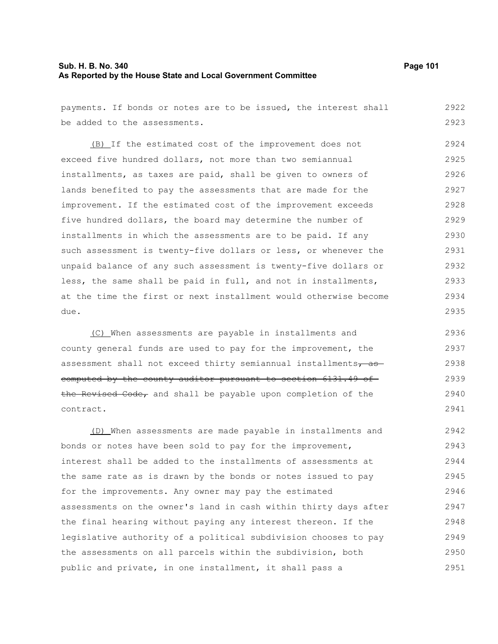### **Sub. H. B. No. 340 Page 101 As Reported by the House State and Local Government Committee**

payments. If bonds or notes are to be issued, the interest shall be added to the assessments. (B) If the estimated cost of the improvement does not exceed five hundred dollars, not more than two semiannual installments, as taxes are paid, shall be given to owners of lands benefited to pay the assessments that are made for the improvement. If the estimated cost of the improvement exceeds five hundred dollars, the board may determine the number of installments in which the assessments are to be paid. If any such assessment is twenty-five dollars or less, or whenever the unpaid balance of any such assessment is twenty-five dollars or less, the same shall be paid in full, and not in installments, at the time the first or next installment would otherwise become due. 2922 2923 2924 2925 2926 2927 2928 2929 2930 2931 2932 2933 2934 2935

(C) When assessments are payable in installments and county general funds are used to pay for the improvement, the assessment shall not exceed thirty semiannual installments, as computed by the county auditor pursuant to section 6131.49 of the Revised Code, and shall be payable upon completion of the contract. 2936 2937 2938 2939 2940 2941

(D) When assessments are made payable in installments and bonds or notes have been sold to pay for the improvement, interest shall be added to the installments of assessments at the same rate as is drawn by the bonds or notes issued to pay for the improvements. Any owner may pay the estimated assessments on the owner's land in cash within thirty days after the final hearing without paying any interest thereon. If the legislative authority of a political subdivision chooses to pay the assessments on all parcels within the subdivision, both public and private, in one installment, it shall pass a 2942 2943 2944 2945 2946 2947 2948 2949 2950 2951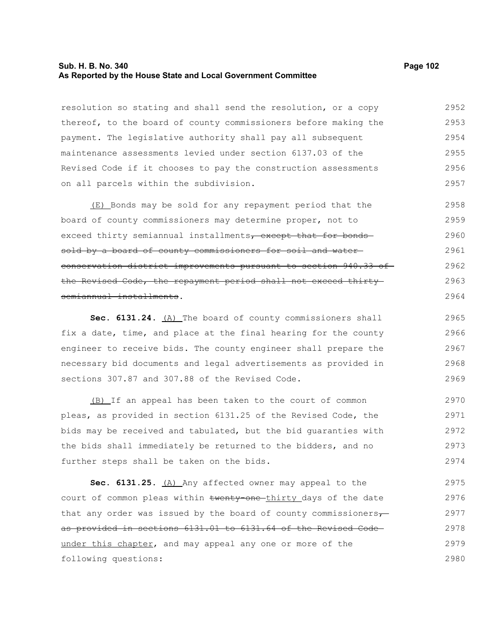#### **Sub. H. B. No. 340 Page 102 As Reported by the House State and Local Government Committee**

resolution so stating and shall send the resolution, or a copy thereof, to the board of county commissioners before making the payment. The legislative authority shall pay all subsequent maintenance assessments levied under section 6137.03 of the Revised Code if it chooses to pay the construction assessments on all parcels within the subdivision. 2952 2953 2954 2955 2956 2957

(E) Bonds may be sold for any repayment period that the board of county commissioners may determine proper, not to exceed thirty semiannual installments, except that for bonds sold by a board of county commissioners for soil and water conservation district improvements pursuant to section 940.33 of the Revised Code, the repayment period shall not exceed thirtysemiannual installments. 2958 2959 2960 2961 2962 2963 2964

Sec. 6131.24. (A) The board of county commissioners shall fix a date, time, and place at the final hearing for the county engineer to receive bids. The county engineer shall prepare the necessary bid documents and legal advertisements as provided in sections 307.87 and 307.88 of the Revised Code. 2965 2966 2967 2968 2969

(B) If an appeal has been taken to the court of common pleas, as provided in section 6131.25 of the Revised Code, the bids may be received and tabulated, but the bid guaranties with the bids shall immediately be returned to the bidders, and no further steps shall be taken on the bids. 2970 2971 2972 2973 2974

Sec. 6131.25. (A) Any affected owner may appeal to the court of common pleas within twenty one thirty days of the date that any order was issued by the board of county commissioners $\tau$ as provided in sections 6131.01 to 6131.64 of the Revised Code under this chapter, and may appeal any one or more of the following questions: 2975 2976 2977 2978 2979 2980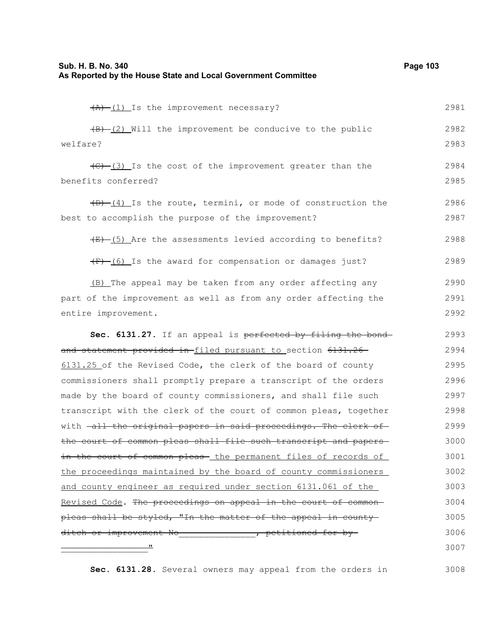| Sub. H. B. No. 340<br>As Reported by the House State and Local Government Committee | Page 103 |
|-------------------------------------------------------------------------------------|----------|
| $(A)$ $(1)$ Is the improvement necessary?                                           | 2981     |
| $(B)$ (2) Will the improvement be conducive to the public                           | 2982     |
| welfare?                                                                            | 2983     |
| $\overline{(C) - (3)}$ Is the cost of the improvement greater than the              | 2984     |
| benefits conferred?                                                                 | 2985     |
| $(D)$ $(4)$ Is the route, termini, or mode of construction the                      | 2986     |
| best to accomplish the purpose of the improvement?                                  | 2987     |
| $(E)$ (5) Are the assessments levied according to benefits?                         | 2988     |
| $(F)$ (6) Is the award for compensation or damages just?                            | 2989     |
| (B) The appeal may be taken from any order affecting any                            | 2990     |
| part of the improvement as well as from any order affecting the                     | 2991     |
| entire improvement.                                                                 | 2992     |
| Sec. 6131.27. If an appeal is perfected by filing the bond-                         | 2993     |
| and statement provided in filed pursuant to section 6131.26                         | 2994     |
| 6131.25 of the Revised Code, the clerk of the board of county                       | 2995     |
| commissioners shall promptly prepare a transcript of the orders                     | 2996     |
| made by the board of county commissioners, and shall file such                      | 2997     |
| transcript with the clerk of the court of common pleas, together                    | 2998     |
| with -all the original papers in said proceedings. The clerk of                     | 2999     |
| the court of common pleas shall file such transcript and papers-                    | 3000     |
| in the court of common pleas- the permanent files of records of                     | 3001     |
| the proceedings maintained by the board of county commissioners                     | 3002     |
| and county engineer as required under section 6131.061 of the                       | 3003     |
| Revised Code. The proceedings on appeal in the court of common-                     | 3004     |
| pleas shall be styled, "In the matter of the appeal in county-                      | 3005     |
| ditch or improvement No _______________, petitioned for by-                         | 3006     |
|                                                                                     | 3007     |

**Sec. 6131.28.** Several owners may appeal from the orders in 3008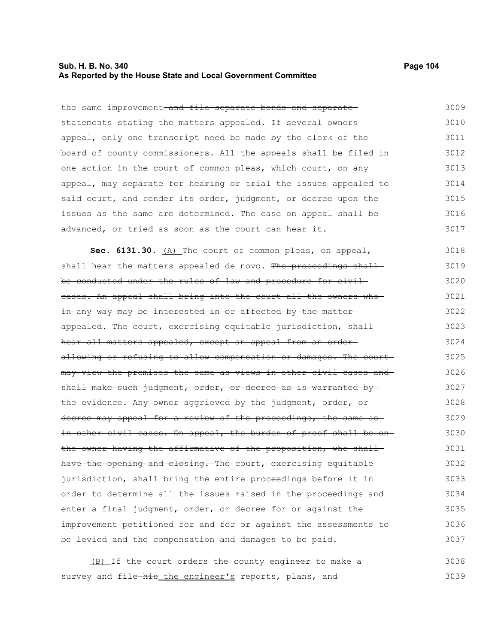### **Sub. H. B. No. 340 Page 104 As Reported by the House State and Local Government Committee**

the same improvement-and file separate bonds and separatestatements stating the matters appealed. If several owners appeal, only one transcript need be made by the clerk of the board of county commissioners. All the appeals shall be filed in one action in the court of common pleas, which court, on any appeal, may separate for hearing or trial the issues appealed to said court, and render its order, judgment, or decree upon the issues as the same are determined. The case on appeal shall be advanced, or tried as soon as the court can hear it. 3009 3010 3011 3012 3013 3014 3015 3016 3017

Sec. 6131.30. (A) The court of common pleas, on appeal, shall hear the matters appealed de novo. The proceedings shall be conducted under the rules of law and procedure for civil cases. An appeal shall bring into the court all the owners who in any way may be interested in or affected by the matter appealed. The court, exercising equitable jurisdiction, shallhear all matters appealed, except an appeal from an orderallowing or refusing to allow compensation or damages. The court may view the premises the same as views in other civil cases and shall make such judgment, order, or decree as is warranted bythe evidence. Any owner aggrieved by the judgment, order, or decree may appeal for a review of the proceedings, the same asin other civil cases. On appeal, the burden of proof shall be on the owner having the affirmative of the proposition, who shall have the opening and closing. The court, exercising equitable jurisdiction, shall bring the entire proceedings before it in order to determine all the issues raised in the proceedings and enter a final judgment, order, or decree for or against the improvement petitioned for and for or against the assessments to be levied and the compensation and damages to be paid. 3018 3019 3020 3021 3022 3023 3024 3025 3026 3027 3028 3029 3030 3031 3032 3033 3034 3035 3036 3037

(B) If the court orders the county engineer to make a survey and file-his the engineer's reports, plans, and 3038 3039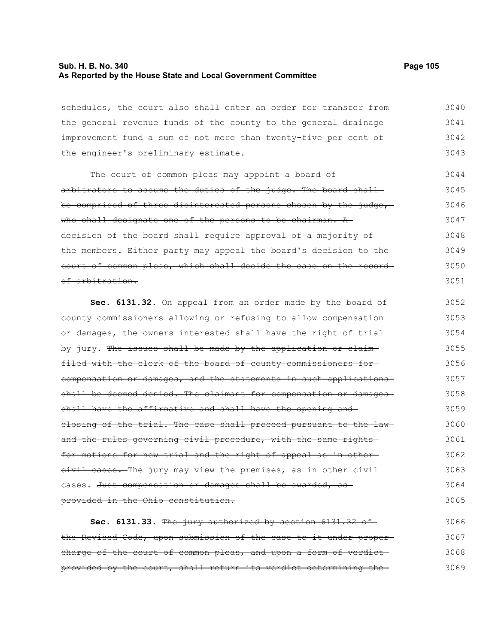### **Sub. H. B. No. 340 Page 105 As Reported by the House State and Local Government Committee**

the engineer's preliminary estimate.

schedules, the court also shall enter an order for transfer from the general revenue funds of the county to the general drainage improvement fund a sum of not more than twenty-five per cent of 3040 3041 3042

The court of common pleas may appoint a board ofarbitrators to assume the duties of the judge. The board shallbe comprised of three disinterested persons chosen by the judge, who shall designate one of the persons to be chairman. A decision of the board shall require approval of a majority of the members. Either party may appeal the board's decision to the court of common pleas, which shall decide the case on the record of arbitration. 3044 3045 3046 3047 3048 3049 3050 3051

**Sec. 6131.32.** On appeal from an order made by the board of county commissioners allowing or refusing to allow compensation or damages, the owners interested shall have the right of trial by jury. The issues shall be made by the application or claimfiled with the clerk of the board of county commissioners for compensation or damages, and the statements in such applications shall be deemed denied. The claimant for compensation or damagesshall have the affirmative and shall have the opening and closing of the trial. The case shall proceed pursuant to the lawand the rules governing civil procedure, with the same rightsfor motions for new trial and the right of appeal as in other eivil cases. The jury may view the premises, as in other civil cases. Just compensation or damages shall be awarded, as provided in the Ohio constitution. 3052 3053 3054 3055 3056 3057 3058 3059 3060 3061 3062 3063 3064 3065

**Sec. 6131.33.** The jury authorized by section 6131.32 of the Revised Code, upon submission of the case to it under proper charge of the court of common pleas, and upon a form of verdictprovided by the court, shall return its verdict determining the 3066 3067 3068 3069

3043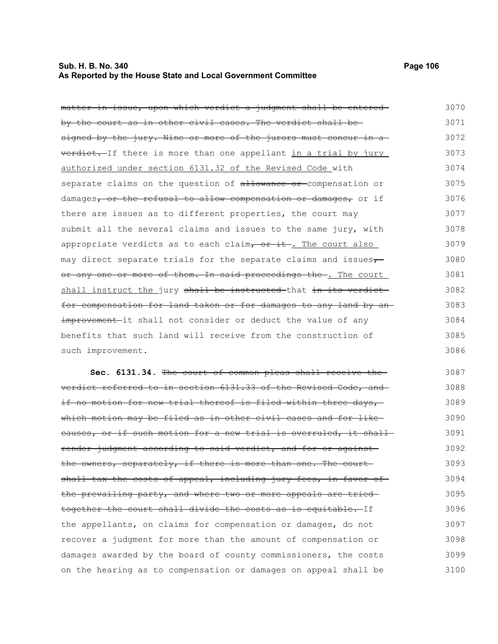### **Sub. H. B. No. 340 Page 106 As Reported by the House State and Local Government Committee**

| matter in issue, upon which verdict a judgment shall be entered   | 3070 |
|-------------------------------------------------------------------|------|
| by the court as in other civil cases. The verdict shall be-       | 3071 |
| signed by the jury. Nine or more of the jurors must concur in a   | 3072 |
| verdict. If there is more than one appellant in a trial by jury   | 3073 |
| authorized under section 6131.32 of the Revised Code with         | 3074 |
| separate claims on the question of allowance or compensation or   | 3075 |
| damages, or the refusal to allow compensation or damages, or if   | 3076 |
| there are issues as to different properties, the court may        | 3077 |
| submit all the several claims and issues to the same jury, with   | 3078 |
| appropriate verdicts as to each claim, or it. The court also      | 3079 |
| may direct separate trials for the separate claims and issues-    | 3080 |
| or any one or more of them. In said proceedings the . The court   | 3081 |
| shall instruct the jury shall be instructed-that in its verdict-  | 3082 |
| for compensation for land taken or for damages to any land by an- | 3083 |
| improvement-it shall not consider or deduct the value of any      | 3084 |
| benefits that such land will receive from the construction of     | 3085 |
| such improvement.                                                 | 3086 |
|                                                                   |      |

**Sec. 6131.34.** The court of common pleas shall receive the verdict referred to in section 6131.33 of the Revised Code, and if no motion for new trial thereof is filed within three days,which motion may be filed as in other civil cases and for like causes, or if such motion for a new trial is overruled, it shall render judgment according to said verdict, and for or against the owners, separately, if there is more than one. The court shall tax the costs of appeal, including jury fees, in favor of the prevailing party, and where two or more appeals are tried together the court shall divide the costs as is equitable. If the appellants, on claims for compensation or damages, do not recover a judgment for more than the amount of compensation or damages awarded by the board of county commissioners, the costs on the hearing as to compensation or damages on appeal shall be 3087 3088 3089 3090 3091 3092 3093 3094 3095 3096 3097 3098 3099 3100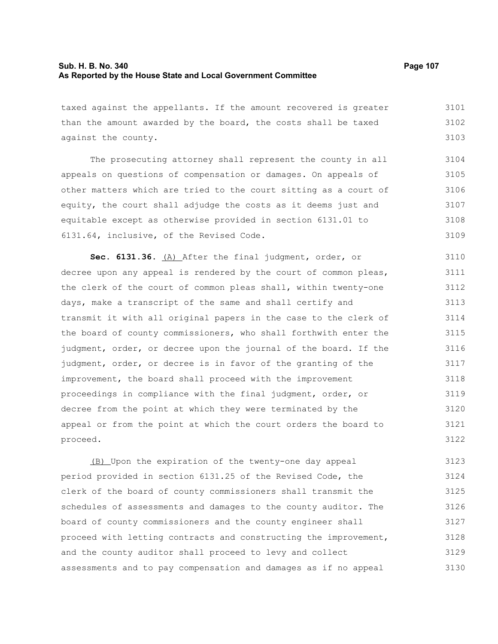### **Sub. H. B. No. 340 Page 107 As Reported by the House State and Local Government Committee**

taxed against the appellants. If the amount recovered is greater than the amount awarded by the board, the costs shall be taxed against the county. 3101 3102 3103

The prosecuting attorney shall represent the county in all appeals on questions of compensation or damages. On appeals of other matters which are tried to the court sitting as a court of equity, the court shall adjudge the costs as it deems just and equitable except as otherwise provided in section 6131.01 to 6131.64, inclusive, of the Revised Code. 3104 3105 3106 3107 3108 3109

**Sec. 6131.36.** (A) After the final judgment, order, or decree upon any appeal is rendered by the court of common pleas, the clerk of the court of common pleas shall, within twenty-one days, make a transcript of the same and shall certify and transmit it with all original papers in the case to the clerk of the board of county commissioners, who shall forthwith enter the judgment, order, or decree upon the journal of the board. If the judgment, order, or decree is in favor of the granting of the improvement, the board shall proceed with the improvement proceedings in compliance with the final judgment, order, or decree from the point at which they were terminated by the appeal or from the point at which the court orders the board to proceed. 3110 3111 3112 3113 3114 3115 3116 3117 3118 3119 3120 3121 3122

(B) Upon the expiration of the twenty-one day appeal period provided in section 6131.25 of the Revised Code, the clerk of the board of county commissioners shall transmit the schedules of assessments and damages to the county auditor. The board of county commissioners and the county engineer shall proceed with letting contracts and constructing the improvement, and the county auditor shall proceed to levy and collect assessments and to pay compensation and damages as if no appeal 3123 3124 3125 3126 3127 3128 3129 3130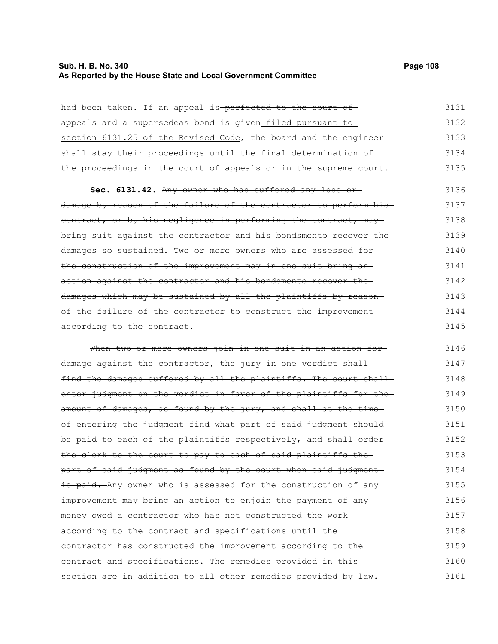# **Sub. H. B. No. 340 Page 108 As Reported by the House State and Local Government Committee**

| had been taken. If an appeal is-perfected to the court of-        | 3131 |
|-------------------------------------------------------------------|------|
| appeals and a supersedeas bond is given filed pursuant to         | 3132 |
| section 6131.25 of the Revised Code, the board and the engineer   | 3133 |
| shall stay their proceedings until the final determination of     | 3134 |
| the proceedings in the court of appeals or in the supreme court.  | 3135 |
| Sec. 6131.42. Any owner who has suffered any loss or              | 3136 |
| damage by reason of the failure of the contractor to perform his- | 3137 |
| contract, or by his negligence in performing the contract, may    | 3138 |
| bring suit against the contractor and his bondsmento recover the  | 3139 |
| damages so sustained. Two or more owners who are assessed for-    | 3140 |
| the construction of the improvement may in one suit bring an-     | 3141 |
| action against the contractor and his bondsmento recover the      | 3142 |
| damages which may be sustained by all the plaintiffs by reason-   | 3143 |
| of the failure of the contractor to construct the improvement     | 3144 |
| according to the contract.                                        | 3145 |
| When two or more owners join in one suit in an action for-        | 3146 |
| damage against the contractor, the jury in one verdict shall      | 3147 |
| find the damages suffered by all the plaintiffs. The court shall  | 3148 |
| enter judgment on the verdict in favor of the plaintiffs for the- | 3149 |
| amount of damages, as found by the jury, and shall at the time-   | 3150 |
| of entering the judgment find what part of said judgment should-  | 3151 |
| be paid to each of the plaintiffs respectively, and shall order-  | 3152 |
| the clerk to the court to pay to each of said plaintiffs the      | 3153 |
| part of said judgment as found by the court when said judgment    | 3154 |
| is paid. Any owner who is assessed for the construction of any    | 3155 |
| improvement may bring an action to enjoin the payment of any      | 3156 |
| money owed a contractor who has not constructed the work          | 3157 |
| according to the contract and specifications until the            | 3158 |
| contractor has constructed the improvement according to the       | 3159 |
| contract and specifications. The remedies provided in this        | 3160 |
| section are in addition to all other remedies provided by law.    | 3161 |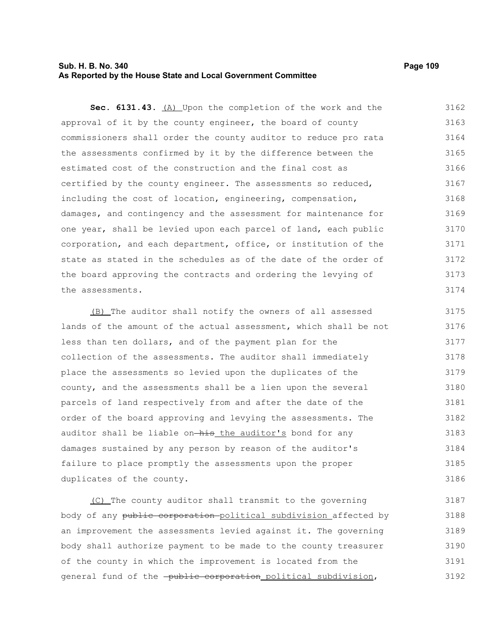### **Sub. H. B. No. 340 Page 109 As Reported by the House State and Local Government Committee**

**Sec. 6131.43.** (A) Upon the completion of the work and the approval of it by the county engineer, the board of county commissioners shall order the county auditor to reduce pro rata the assessments confirmed by it by the difference between the estimated cost of the construction and the final cost as certified by the county engineer. The assessments so reduced, including the cost of location, engineering, compensation, damages, and contingency and the assessment for maintenance for one year, shall be levied upon each parcel of land, each public corporation, and each department, office, or institution of the state as stated in the schedules as of the date of the order of the board approving the contracts and ordering the levying of the assessments. 3162 3163 3164 3165 3166 3167 3168 3169 3170 3171 3172 3173 3174

(B) The auditor shall notify the owners of all assessed lands of the amount of the actual assessment, which shall be not less than ten dollars, and of the payment plan for the collection of the assessments. The auditor shall immediately place the assessments so levied upon the duplicates of the county, and the assessments shall be a lien upon the several parcels of land respectively from and after the date of the order of the board approving and levying the assessments. The auditor shall be liable on-his the auditor's bond for any damages sustained by any person by reason of the auditor's failure to place promptly the assessments upon the proper duplicates of the county. 3175 3176 3177 3178 3179 3180 3181 3182 3183 3184 3185 3186

(C) The county auditor shall transmit to the governing body of any public corporation political subdivision affected by an improvement the assessments levied against it. The governing body shall authorize payment to be made to the county treasurer of the county in which the improvement is located from the general fund of the -public corporation political subdivision, 3187 3188 3189 3190 3191 3192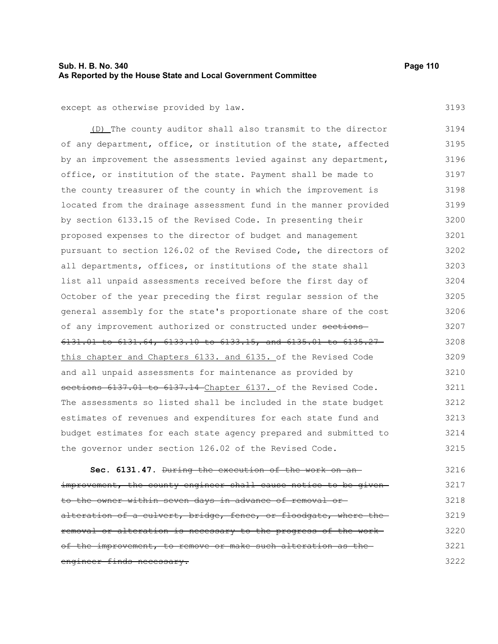### **Sub. H. B. No. 340 Page 110 As Reported by the House State and Local Government Committee**

3193

except as otherwise provided by law.

(D) The county auditor shall also transmit to the director of any department, office, or institution of the state, affected by an improvement the assessments levied against any department, office, or institution of the state. Payment shall be made to the county treasurer of the county in which the improvement is located from the drainage assessment fund in the manner provided by section 6133.15 of the Revised Code. In presenting their proposed expenses to the director of budget and management pursuant to section 126.02 of the Revised Code, the directors of all departments, offices, or institutions of the state shall list all unpaid assessments received before the first day of October of the year preceding the first regular session of the general assembly for the state's proportionate share of the cost of any improvement authorized or constructed under sections 6131.01 to 6131.64, 6133.10 to 6133.15, and 6135.01 to 6135.27 this chapter and Chapters 6133. and 6135. of the Revised Code and all unpaid assessments for maintenance as provided by sections 6137.01 to 6137.14 Chapter 6137. of the Revised Code. The assessments so listed shall be included in the state budget estimates of revenues and expenditures for each state fund and budget estimates for each state agency prepared and submitted to the governor under section 126.02 of the Revised Code. 3194 3195 3196 3197 3198 3199 3200 3201 3202 3203 3204 3205 3206 3207 3208 3209 3210 3211 3212 3213 3214 3215

**Sec. 6131.47.** During the execution of the work on an improvement, the county engineer shall cause notice to be givento the owner within seven days in advance of removal or alteration of a culvert, bridge, fence, or floodgate, where the removal or alteration is necessary to the progress of the work of the improvement, to remove or make such alteration as the engineer finds necessary. 3216 3217 3218 3219 3220 3221 3222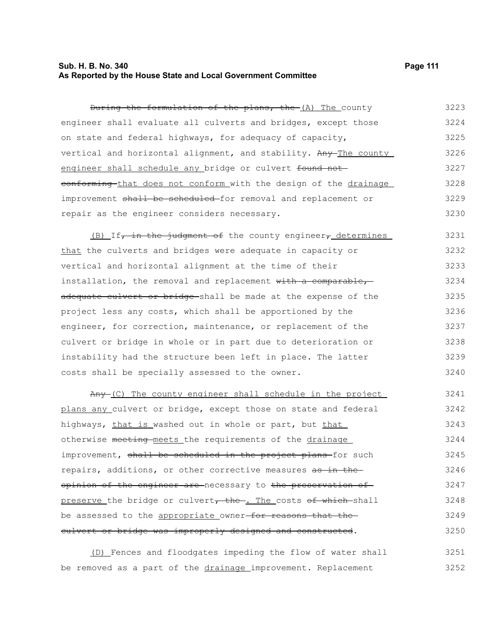### **Sub. H. B. No. 340 Page 111 As Reported by the House State and Local Government Committee**

During the formulation of the plans, the (A) The county engineer shall evaluate all culverts and bridges, except those on state and federal highways, for adequacy of capacity, vertical and horizontal alignment, and stability. Any The county engineer shall schedule any bridge or culvert found not eonforming that does not conform with the design of the drainage improvement shall be scheduled for removal and replacement or repair as the engineer considers necessary. 3223 3224 3225 3226 3227 3228 3229 3230

 $(B)$  If, in the judgment of the county engineer, determines that the culverts and bridges were adequate in capacity or vertical and horizontal alignment at the time of their installation, the removal and replacement with a comparable, adequate culvert or bridge shall be made at the expense of the project less any costs, which shall be apportioned by the engineer, for correction, maintenance, or replacement of the culvert or bridge in whole or in part due to deterioration or instability had the structure been left in place. The latter costs shall be specially assessed to the owner. 3231 3232 3233 3234 3235 3236 3237 3238 3239 3240

Any (C) The county engineer shall schedule in the project plans any culvert or bridge, except those on state and federal highways, that is washed out in whole or part, but that otherwise meeting meets the requirements of the drainage improvement, shall be scheduled in the project plans-for such repairs, additions, or other corrective measures as in theopinion of the engineer are necessary to the preservation of preserve the bridge or culvert, the . The costs of which shall be assessed to the appropriate owner-for reasons that the culvert or bridge was improperly designed and constructed. 3241 3242 3243 3244 3245 3246 3247 3248 3249 3250

(D) Fences and floodgates impeding the flow of water shall be removed as a part of the drainage improvement. Replacement 3251 3252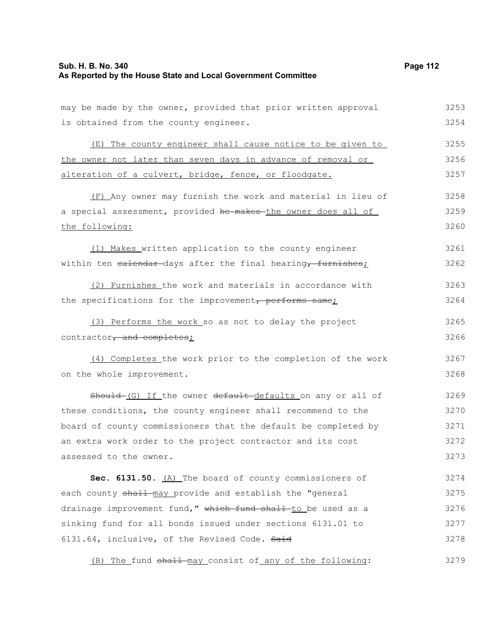| may be made by the owner, provided that prior written approval | 3253 |
|----------------------------------------------------------------|------|
| is obtained from the county engineer.                          | 3254 |
| (E) The county engineer shall cause notice to be given to      | 3255 |
| the owner not later than seven days in advance of removal or   | 3256 |
| alteration of a culvert, bridge, fence, or floodgate.          | 3257 |
| (F) Any owner may furnish the work and material in lieu of     | 3258 |
| a special assessment, provided he makes the owner does all of  | 3259 |
| the following:                                                 | 3260 |
| (1) Makes written application to the county engineer           | 3261 |
| within ten ealendar-days after the final hearing, furnishes;   | 3262 |
| (2) Furnishes the work and materials in accordance with        | 3263 |
| the specifications for the improvement, performs same;         | 3264 |
| (3) Performs the work so as not to delay the project           | 3265 |
| contractor, and completes;                                     | 3266 |
| (4) Completes the work prior to the completion of the work     | 3267 |
| on the whole improvement.                                      | 3268 |
| Should (G) If the owner default defaults on any or all of      | 3269 |
| these conditions, the county engineer shall recommend to the   | 3270 |
| board of county commissioners that the default be completed by | 3271 |
| an extra work order to the project contractor and its cost     | 3272 |
| assessed to the owner.                                         | 3273 |
| Sec. 6131.50. (A) The board of county commissioners of         | 3274 |
| each county shall may provide and establish the "general       | 3275 |
| drainage improvement fund," which fund shall to be used as a   | 3276 |
| sinking fund for all bonds issued under sections 6131.01 to    | 3277 |
| 6131.64, inclusive, of the Revised Code. Said                  | 3278 |
| (B) The fund shall-may consist of any of the following:        | 3279 |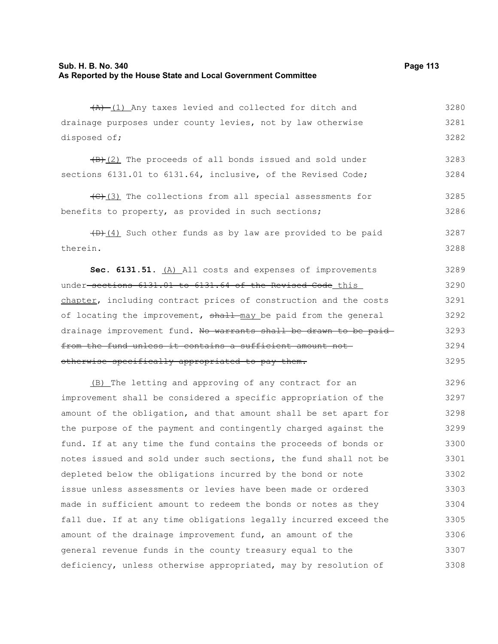|                                                             | $(A)$ (1) Any taxes levied and collected for ditch and |  |  |  |  | 3280 |
|-------------------------------------------------------------|--------------------------------------------------------|--|--|--|--|------|
| drainage purposes under county levies, not by law otherwise |                                                        |  |  |  |  | 3281 |
| disposed of;                                                |                                                        |  |  |  |  | 3282 |

 $\frac{1}{B}(2)$  The proceeds of all bonds issued and sold under sections 6131.01 to 6131.64, inclusive, of the Revised Code; 3283 3284

(C)(3) The collections from all special assessments for benefits to property, as provided in such sections; 3285 3286

 $(D)$  (4) Such other funds as by law are provided to be paid therein. 3287 3288

**Sec. 6131.51.** (A) All costs and expenses of improvements under sections 6131.01 to 6131.64 of the Revised Code this chapter, including contract prices of construction and the costs of locating the improvement, shall may be paid from the general drainage improvement fund. No warrants shall be drawn to be paid from the fund unless it contains a sufficient amount not otherwise specifically appropriated to pay them. 3289 3290 3291 3292 3293 3294 3295

(B) The letting and approving of any contract for an improvement shall be considered a specific appropriation of the amount of the obligation, and that amount shall be set apart for the purpose of the payment and contingently charged against the fund. If at any time the fund contains the proceeds of bonds or notes issued and sold under such sections, the fund shall not be depleted below the obligations incurred by the bond or note issue unless assessments or levies have been made or ordered made in sufficient amount to redeem the bonds or notes as they fall due. If at any time obligations legally incurred exceed the amount of the drainage improvement fund, an amount of the general revenue funds in the county treasury equal to the deficiency, unless otherwise appropriated, may by resolution of 3296 3297 3298 3299 3300 3301 3302 3303 3304 3305 3306 3307 3308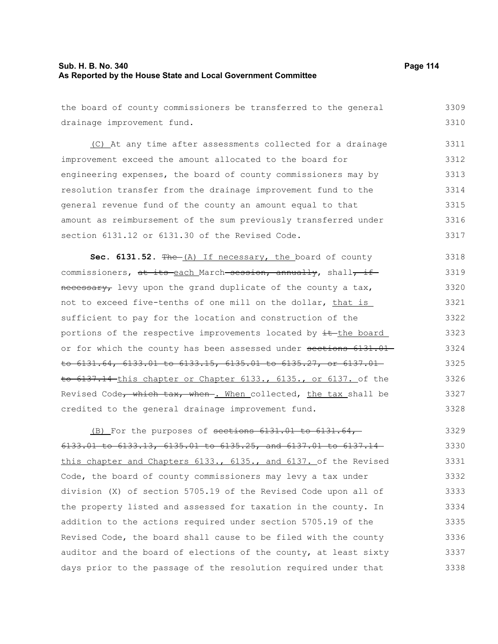### **Sub. H. B. No. 340 Page 114 As Reported by the House State and Local Government Committee**

the board of county commissioners be transferred to the general drainage improvement fund. (C) At any time after assessments collected for a drainage improvement exceed the amount allocated to the board for engineering expenses, the board of county commissioners may by resolution transfer from the drainage improvement fund to the general revenue fund of the county an amount equal to that amount as reimbursement of the sum previously transferred under section 6131.12 or 6131.30 of the Revised Code. 3309 3310 3311 3312 3313 3314 3315 3316 3317

Sec. 6131.52. The (A) If necessary, the board of county commissioners, at its each March session, annually, shall, if necessary, levy upon the grand duplicate of the county a tax, not to exceed five-tenths of one mill on the dollar, that is sufficient to pay for the location and construction of the portions of the respective improvements located by  $\pm$ -the board or for which the county has been assessed under sections 6131.01 to 6131.64, 6133.01 to 6133.15, 6135.01 to 6135.27, or 6137.01 to 6137.14 this chapter or Chapter 6133., 6135., or 6137. of the Revised Code, which tax, when . When collected, the tax shall be credited to the general drainage improvement fund. 3318 3319 3320 3321 3322 3323 3324 3325 3326 3327 3328

(B) For the purposes of sections  $6131.01$  to  $6131.64$ , 6133.01 to 6133.13, 6135.01 to 6135.25, and 6137.01 to 6137.14 this chapter and Chapters 6133., 6135., and 6137. of the Revised Code, the board of county commissioners may levy a tax under division (X) of section 5705.19 of the Revised Code upon all of the property listed and assessed for taxation in the county. In addition to the actions required under section 5705.19 of the Revised Code, the board shall cause to be filed with the county auditor and the board of elections of the county, at least sixty days prior to the passage of the resolution required under that 3329 3330 3331 3332 3333 3334 3335 3336 3337 3338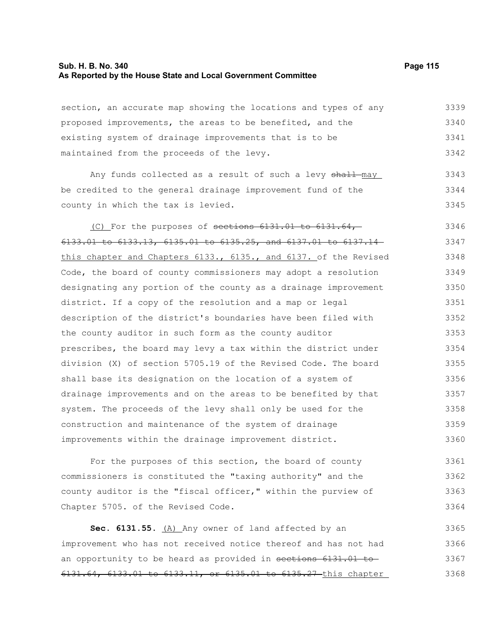#### **Sub. H. B. No. 340 Page 115 As Reported by the House State and Local Government Committee**

section, an accurate map showing the locations and types of any proposed improvements, the areas to be benefited, and the existing system of drainage improvements that is to be maintained from the proceeds of the levy. 3339 3340 3341 3342

Any funds collected as a result of such a levy shall-may be credited to the general drainage improvement fund of the county in which the tax is levied. 3343 3344 3345

(C) For the purposes of sections 6131.01 to 6131.64, 6133.01 to 6133.13, 6135.01 to 6135.25, and 6137.01 to 6137.14 this chapter and Chapters 6133., 6135., and 6137. of the Revised Code, the board of county commissioners may adopt a resolution designating any portion of the county as a drainage improvement district. If a copy of the resolution and a map or legal description of the district's boundaries have been filed with the county auditor in such form as the county auditor prescribes, the board may levy a tax within the district under division (X) of section 5705.19 of the Revised Code. The board shall base its designation on the location of a system of drainage improvements and on the areas to be benefited by that system. The proceeds of the levy shall only be used for the construction and maintenance of the system of drainage improvements within the drainage improvement district. 3346 3347 3348 3349 3350 3351 3352 3353 3354 3355 3356 3357 3358 3359 3360

For the purposes of this section, the board of county commissioners is constituted the "taxing authority" and the county auditor is the "fiscal officer," within the purview of Chapter 5705. of the Revised Code. 3361 3362 3363 3364

Sec. 6131.55. (A) Any owner of land affected by an improvement who has not received notice thereof and has not had an opportunity to be heard as provided in sections 6131.01 to 6131.64, 6133.01 to 6133.11, or 6135.01 to 6135.27 this chapter 3365 3366 3367 3368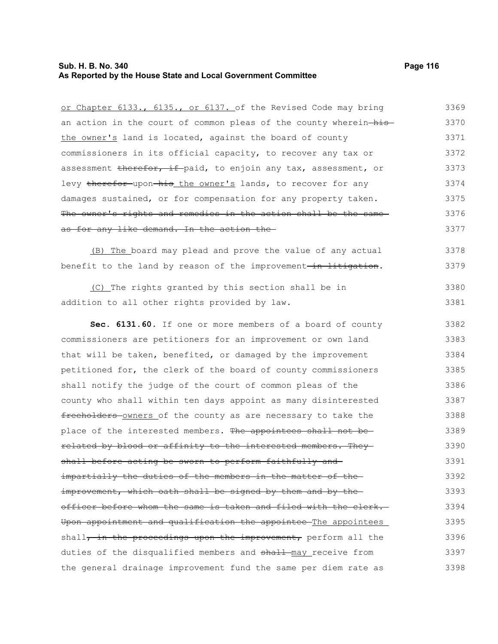# **Sub. H. B. No. 340 Page 116 As Reported by the House State and Local Government Committee**

| or Chapter 6133., 6135., or 6137. of the Revised Code may bring   | 3369 |
|-------------------------------------------------------------------|------|
| an action in the court of common pleas of the county wherein-his- | 3370 |
| the owner's land is located, against the board of county          | 3371 |
| commissioners in its official capacity, to recover any tax or     | 3372 |
| assessment therefor, if paid, to enjoin any tax, assessment, or   | 3373 |
| levy therefor upon his the owner's lands, to recover for any      | 3374 |
| damages sustained, or for compensation for any property taken.    | 3375 |
| The owner's rights and remedies in the action shall be the same   | 3376 |
| as for any like demand. In the action the                         | 3377 |
| (B) The board may plead and prove the value of any actual         | 3378 |
| benefit to the land by reason of the improvement-in litigation.   | 3379 |
| (C) The rights granted by this section shall be in                | 3380 |
| addition to all other rights provided by law.                     | 3381 |
| Sec. 6131.60. If one or more members of a board of county         | 3382 |
| commissioners are petitioners for an improvement or own land      | 3383 |
| that will be taken, benefited, or damaged by the improvement      | 3384 |
| petitioned for, the clerk of the board of county commissioners    | 3385 |
| shall notify the judge of the court of common pleas of the        | 3386 |
| county who shall within ten days appoint as many disinterested    | 3387 |
| freeholders-owners of the county as are necessary to take the     | 3388 |
| place of the interested members. The appointees shall not be-     | 3389 |
| related by blood or affinity to the interested members. They      | 3390 |
| shall before acting be sworn to perform faithfully and-           | 3391 |
| impartially the duties of the members in the matter of the-       | 3392 |
| improvement, which oath shall be signed by them and by the-       | 3393 |
| officer before whom the same is taken and filed with the clerk.   | 3394 |
| Upon appointment and qualification the appointee The appointees   | 3395 |
| shall, in the proceedings upon the improvement, perform all the   | 3396 |
| duties of the disqualified members and shall may receive from     | 3397 |
| the general drainage improvement fund the same per diem rate as   | 3398 |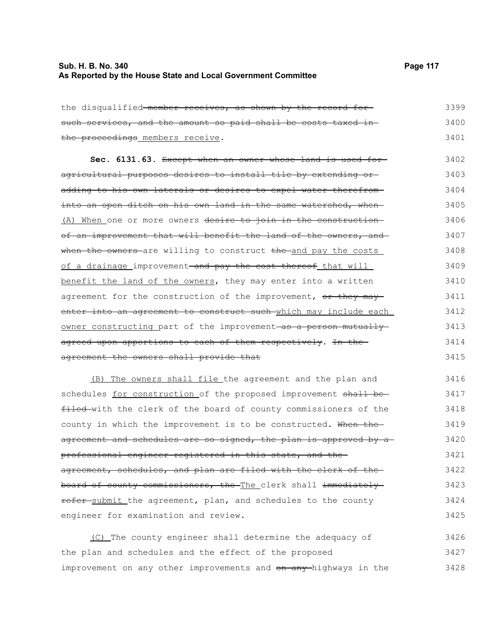### **Sub. H. B. No. 340 Page 117 As Reported by the House State and Local Government Committee**

| the disqualified member receives, as shown by the record for                 | 3399 |
|------------------------------------------------------------------------------|------|
| such services, and the amount so paid shall be costs taxed in-               | 3400 |
| the proceedings members receive.                                             | 3401 |
| Sec. 6131.63. Except when an owner whose land is used for-                   | 3402 |
| agricultural purposes desires to install tile by extending or-               | 3403 |
| adding to his own laterals or desires to expel water therefrom-              | 3404 |
| into an open ditch on his own land in the same watershed, when-              | 3405 |
| (A) When one or more owners desire to join in the construction-              | 3406 |
| of an improvement that will benefit the land of the owners, and              | 3407 |
| when the owners are willing to construct the and pay the costs               | 3408 |
| of a drainage improvement <del> and pay the cost thereof</del> that will     | 3409 |
| benefit the land of the owners, they may enter into a written                | 3410 |
| agreement for the construction of the improvement, or they may               | 3411 |
| enter into an agreement to construct such which may include each             | 3412 |
| owner constructing part of the improvement-as a person mutually-             | 3413 |
| agreed upon apportions to each of them respectively. In the-                 | 3414 |
| agreement the owners shall provide that                                      | 3415 |
| (B) The owners shall file the agreement and the plan and                     | 3416 |
| schedules for construction of the proposed improvement shall be-             | 3417 |
| 2011 administrator alguna de Ebra barriol de armieiro armiteristraria de Ebr | 2110 |

filed with the clerk of the board of county commissioners of the county in which the improvement is to be constructed. When the agreement and schedules are so signed, the plan is approved by a professional engineer registered in this state, and the agreement, schedules, and plan are filed with the clerk of the board of county commissioners, the The clerk shall immediately refer submit the agreement, plan, and schedules to the county engineer for examination and review. 3418 3419 3420 3421 3422 3423 3424 3425

(C) The county engineer shall determine the adequacy of the plan and schedules and the effect of the proposed improvement on any other improvements and on any highways in the 3426 3427 3428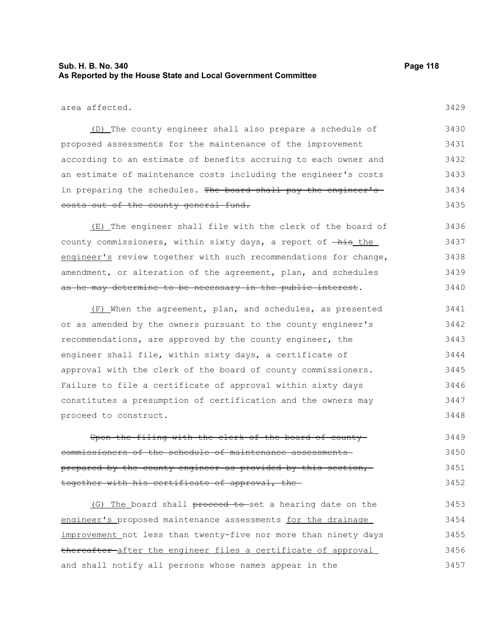### **Sub. H. B. No. 340 Page 118 As Reported by the House State and Local Government Committee**

area affected.

3429

(D) The county engineer shall also prepare a schedule of proposed assessments for the maintenance of the improvement according to an estimate of benefits accruing to each owner and an estimate of maintenance costs including the engineer's costs in preparing the schedules. The board shall pay the engineer'scosts out of the county general fund. 3430 3431 3432 3433 3434 3435

(E) The engineer shall file with the clerk of the board of county commissioners, within sixty days, a report of  $-\text{his\_the}$ engineer's review together with such recommendations for change, amendment, or alteration of the agreement, plan, and schedules as he may determine to be necessary in the public interest. 3436 3437 3438 3439 3440

(F) When the agreement, plan, and schedules, as presented or as amended by the owners pursuant to the county engineer's recommendations, are approved by the county engineer, the engineer shall file, within sixty days, a certificate of approval with the clerk of the board of county commissioners. Failure to file a certificate of approval within sixty days constitutes a presumption of certification and the owners may proceed to construct. 3441 3442 3443 3444 3445 3446 3447 3448

Upon the filing with the clerk of the board of county commissioners of the schedule of maintenance assessments prepared by the county engineer as provided by this section, together with his certificate of approval, the 3449 3450 3451 3452

(G) The board shall proceed to set a hearing date on the engineer's proposed maintenance assessments for the drainage improvement not less than twenty-five nor more than ninety days thereafter after the engineer files a certificate of approval and shall notify all persons whose names appear in the 3453 3454 3455 3456 3457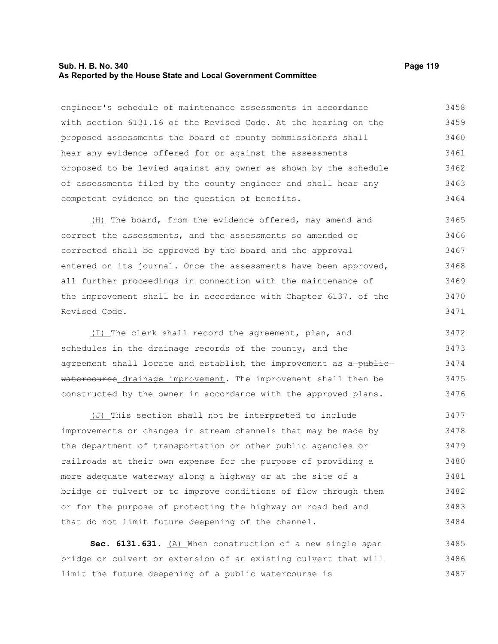#### **Sub. H. B. No. 340 Page 119 As Reported by the House State and Local Government Committee**

engineer's schedule of maintenance assessments in accordance with section 6131.16 of the Revised Code. At the hearing on the proposed assessments the board of county commissioners shall hear any evidence offered for or against the assessments proposed to be levied against any owner as shown by the schedule of assessments filed by the county engineer and shall hear any competent evidence on the question of benefits. 3458 3459 3460 3461 3462 3463 3464

(H) The board, from the evidence offered, may amend and correct the assessments, and the assessments so amended or corrected shall be approved by the board and the approval entered on its journal. Once the assessments have been approved, all further proceedings in connection with the maintenance of the improvement shall be in accordance with Chapter 6137. of the Revised Code. 3465 3466 3467 3468 3469 3470 3471

(I) The clerk shall record the agreement, plan, and schedules in the drainage records of the county, and the agreement shall locate and establish the improvement as a-publicwatercourse drainage improvement. The improvement shall then be constructed by the owner in accordance with the approved plans. 3472 3473 3474 3475 3476

(J) This section shall not be interpreted to include improvements or changes in stream channels that may be made by the department of transportation or other public agencies or railroads at their own expense for the purpose of providing a more adequate waterway along a highway or at the site of a bridge or culvert or to improve conditions of flow through them or for the purpose of protecting the highway or road bed and that do not limit future deepening of the channel. 3477 3478 3479 3480 3481 3482 3483 3484

Sec. 6131.631. (A) When construction of a new single span bridge or culvert or extension of an existing culvert that will limit the future deepening of a public watercourse is 3485 3486 3487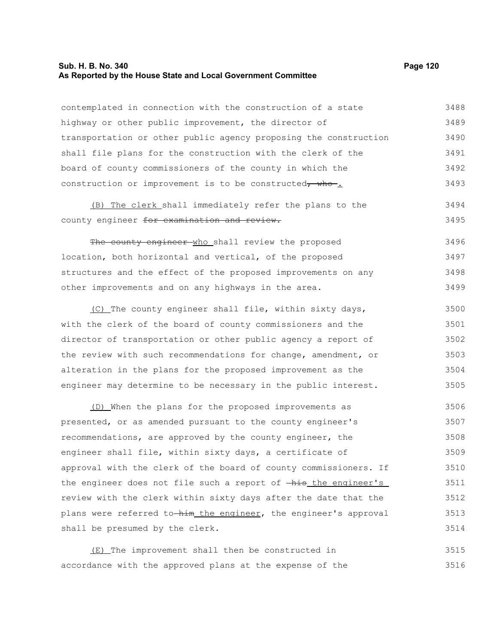# **Sub. H. B. No. 340 Page 120 As Reported by the House State and Local Government Committee**

| contemplated in connection with the construction of a state               | 3488 |
|---------------------------------------------------------------------------|------|
| highway or other public improvement, the director of                      | 3489 |
| transportation or other public agency proposing the construction          | 3490 |
| shall file plans for the construction with the clerk of the               | 3491 |
| board of county commissioners of the county in which the                  | 3492 |
| construction or improvement is to be constructed, who.                    | 3493 |
| (B) The clerk shall immediately refer the plans to the                    | 3494 |
| county engineer for examination and review.                               | 3495 |
| The county engineer who shall review the proposed                         | 3496 |
| location, both horizontal and vertical, of the proposed                   | 3497 |
| structures and the effect of the proposed improvements on any             | 3498 |
| other improvements and on any highways in the area.                       | 3499 |
| (C) The county engineer shall file, within sixty days,                    | 3500 |
| with the clerk of the board of county commissioners and the               | 3501 |
| director of transportation or other public agency a report of             | 3502 |
| the review with such recommendations for change, amendment, or            | 3503 |
| alteration in the plans for the proposed improvement as the               | 3504 |
| engineer may determine to be necessary in the public interest.            | 3505 |
| (D) When the plans for the proposed improvements as                       | 3506 |
| presented, or as amended pursuant to the county engineer's                | 3507 |
| recommendations, are approved by the county engineer, the                 | 3508 |
| engineer shall file, within sixty days, a certificate of                  | 3509 |
| approval with the clerk of the board of county commissioners. If          | 3510 |
| the engineer does not file such a report of $-\frac{h}{h}$ the engineer's | 3511 |
| review with the clerk within sixty days after the date that the           | 3512 |
| plans were referred to-him the engineer, the engineer's approval          | 3513 |
| shall be presumed by the clerk.                                           | 3514 |
| (E) The improvement shall then be constructed in                          | 3515 |

accordance with the approved plans at the expense of the 3516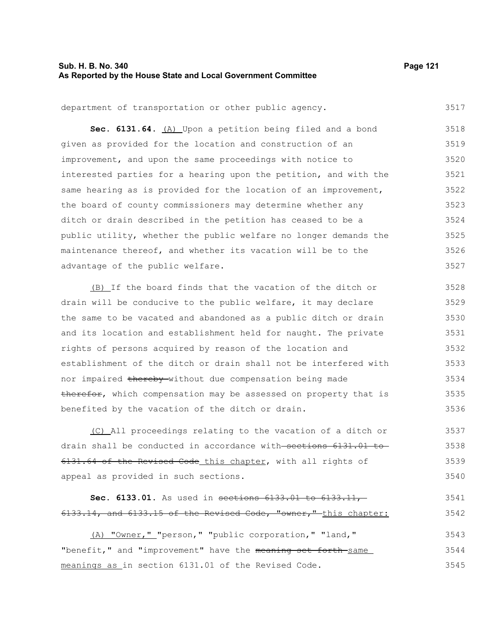### **Sub. H. B. No. 340 Page 121 As Reported by the House State and Local Government Committee**

3517

department of transportation or other public agency.

Sec. 6131.64. **(A)** Upon a petition being filed and a bond given as provided for the location and construction of an improvement, and upon the same proceedings with notice to interested parties for a hearing upon the petition, and with the same hearing as is provided for the location of an improvement, the board of county commissioners may determine whether any ditch or drain described in the petition has ceased to be a public utility, whether the public welfare no longer demands the maintenance thereof, and whether its vacation will be to the advantage of the public welfare. 3518 3519 3520 3521 3522 3523 3524 3525 3526 3527

(B) If the board finds that the vacation of the ditch or drain will be conducive to the public welfare, it may declare the same to be vacated and abandoned as a public ditch or drain and its location and establishment held for naught. The private rights of persons acquired by reason of the location and establishment of the ditch or drain shall not be interfered with nor impaired thereby without due compensation being made therefor, which compensation may be assessed on property that is benefited by the vacation of the ditch or drain. 3528 3529 3530 3531 3532 3533 3534 3535 3536

(C) All proceedings relating to the vacation of a ditch or drain shall be conducted in accordance with sections 6131.01 to 6131.64 of the Revised Code this chapter, with all rights of appeal as provided in such sections. 3537 3538 3539 3540

#### **Sec. 6133.01.** As used in sections 6133.01 to 6133.11, 6133.14, and 6133.15 of the Revised Code, "owner," this chapter: 3541 3542

(A) "Owner," "person," "public corporation," "land," "benefit," and "improvement" have the meaning set forth same meanings as in section 6131.01 of the Revised Code. 3543 3544 3545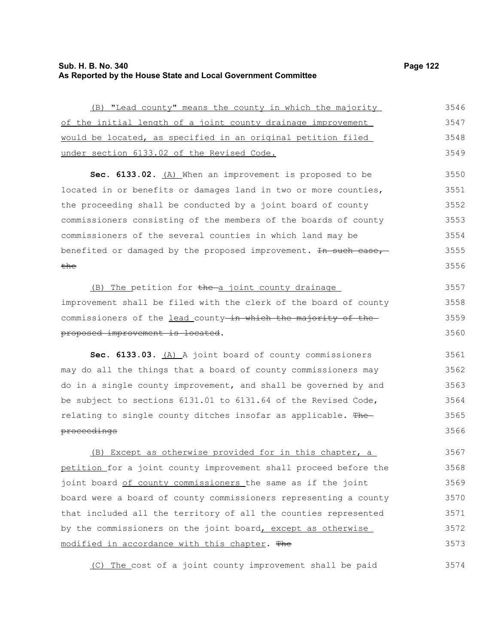# **Sub. H. B. No. 340 Page 122 As Reported by the House State and Local Government Committee**

3574

| (B) "Lead county" means the county in which the majority         | 3546 |
|------------------------------------------------------------------|------|
| of the initial length of a joint county drainage improvement     | 3547 |
| would be located, as specified in an original petition filed     | 3548 |
| under section 6133.02 of the Revised Code.                       | 3549 |
| Sec. 6133.02. (A) When an improvement is proposed to be          | 3550 |
| located in or benefits or damages land in two or more counties,  | 3551 |
| the proceeding shall be conducted by a joint board of county     | 3552 |
| commissioners consisting of the members of the boards of county  | 3553 |
| commissioners of the several counties in which land may be       | 3554 |
| benefited or damaged by the proposed improvement. In such case,  | 3555 |
| <del>the</del>                                                   | 3556 |
| (B) The petition for the a joint county drainage                 | 3557 |
| improvement shall be filed with the clerk of the board of county | 3558 |
| commissioners of the lead county-in which the majority of the-   | 3559 |
| proposed improvement is located.                                 | 3560 |
| Sec. 6133.03. (A) A joint board of county commissioners          | 3561 |
| may do all the things that a board of county commissioners may   | 3562 |
| do in a single county improvement, and shall be governed by and  | 3563 |
| be subject to sections 6131.01 to 6131.64 of the Revised Code,   | 3564 |
| relating to single county ditches insofar as applicable. The     | 3565 |
| proceedings                                                      | 3566 |
| (B) Except as otherwise provided for in this chapter, a          | 3567 |
| petition for a joint county improvement shall proceed before the | 3568 |
| joint board of county commissioners the same as if the joint     | 3569 |
| board were a board of county commissioners representing a county | 3570 |
| that included all the territory of all the counties represented  | 3571 |
| by the commissioners on the joint board, except as otherwise     | 3572 |
| modified in accordance with this chapter. The                    | 3573 |
|                                                                  |      |

(C) The cost of a joint county improvement shall be paid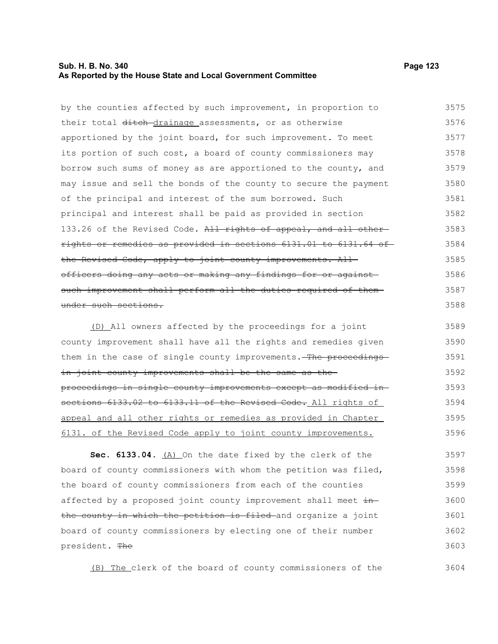### **Sub. H. B. No. 340 Page 123 As Reported by the House State and Local Government Committee**

by the counties affected by such improvement, in proportion to their total ditch-drainage assessments, or as otherwise apportioned by the joint board, for such improvement. To meet its portion of such cost, a board of county commissioners may borrow such sums of money as are apportioned to the county, and may issue and sell the bonds of the county to secure the payment of the principal and interest of the sum borrowed. Such principal and interest shall be paid as provided in section 133.26 of the Revised Code. All rights of appeal, and all otherrights or remedies as provided in sections 6131.01 to 6131.64 of the Revised Code, apply to joint county improvements. Allofficers doing any acts or making any findings for or against such improvement shall perform all the duties required of them under such sections. 3575 3576 3577 3578 3579 3580 3581 3582 3583 3584 3585 3586 3587 3588

(D) All owners affected by the proceedings for a joint county improvement shall have all the rights and remedies given them in the case of single county improvements. The proceedingsin joint county improvements shall be the same as theproceedings in single county improvements except as modified in sections 6133.02 to 6133.11 of the Revised Code. All rights of appeal and all other rights or remedies as provided in Chapter 6131. of the Revised Code apply to joint county improvements. 3589 3590 3591 3592 3593 3594 3595 3596

**Sec. 6133.04.** (A) On the date fixed by the clerk of the board of county commissioners with whom the petition was filed, the board of county commissioners from each of the counties affected by a proposed joint county improvement shall meet inthe county in which the petition is filed and organize a joint board of county commissioners by electing one of their number president. The 3597 3598 3599 3600 3601 3602 3603

(B) The clerk of the board of county commissioners of the

3604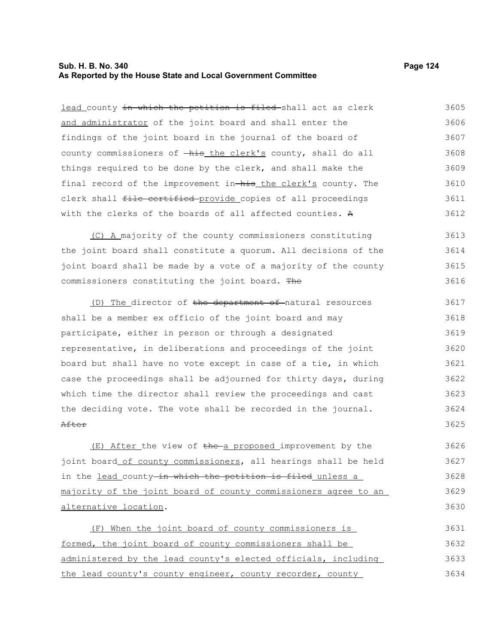### **Sub. H. B. No. 340 Page 124 As Reported by the House State and Local Government Committee**

lead county in which the petition is filed-shall act as clerk and administrator of the joint board and shall enter the findings of the joint board in the journal of the board of county commissioners of  $-\hbox{his}$  the clerk's county, shall do all things required to be done by the clerk, and shall make the final record of the improvement in-his the clerk's county. The clerk shall file certified provide copies of all proceedings with the clerks of the boards of all affected counties. A 3605 3606 3607 3608 3609 3610 3611 3612

(C) A majority of the county commissioners constituting the joint board shall constitute a quorum. All decisions of the joint board shall be made by a vote of a majority of the county commissioners constituting the joint board. The 3613 3614 3615 3616

(D) The director of the department of natural resources shall be a member ex officio of the joint board and may participate, either in person or through a designated representative, in deliberations and proceedings of the joint board but shall have no vote except in case of a tie, in which case the proceedings shall be adjourned for thirty days, during which time the director shall review the proceedings and cast the deciding vote. The vote shall be recorded in the journal. After 3617 3618 3619 3620 3621 3622 3623 3624 3625

 $(E)$  After the view of the a proposed improvement by the joint board of county commissioners, all hearings shall be held in the lead county-in which the petition is filed unless a majority of the joint board of county commissioners agree to an alternative location. 3626 3627 3628 3629 3630

(F) When the joint board of county commissioners is formed, the joint board of county commissioners shall be administered by the lead county's elected officials, including the lead county's county engineer, county recorder, county 3631 3632 3633 3634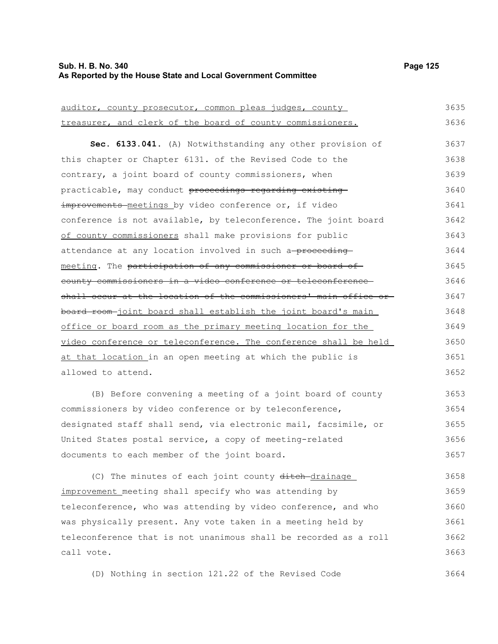#### **Sub. H. B. No. 340 Page 125 As Reported by the House State and Local Government Committee**

3657

| auditor, county prosecutor, common pleas judges, county          | 3635 |
|------------------------------------------------------------------|------|
| treasurer, and clerk of the board of county commissioners.       | 3636 |
| Sec. 6133.041. (A) Notwithstanding any other provision of        | 3637 |
| this chapter or Chapter 6131. of the Revised Code to the         | 3638 |
| contrary, a joint board of county commissioners, when            | 3639 |
| practicable, may conduct proceedings regarding existing          | 3640 |
| improvements meetings by video conference or, if video           | 3641 |
| conference is not available, by teleconference. The joint board  | 3642 |
| of county commissioners shall make provisions for public         | 3643 |
| attendance at any location involved in such a-proceeding-        | 3644 |
| meeting. The participation of any commissioner or board of       | 3645 |
| county commissioners in a video conference or teleconference     | 3646 |
| shall occur at the location of the commissioners' main office or | 3647 |
| board room-joint board shall establish the joint board's main    | 3648 |
| office or board room as the primary meeting location for the     | 3649 |
| video conference or teleconference. The conference shall be held | 3650 |
| at that location in an open meeting at which the public is       | 3651 |
| allowed to attend.                                               | 3652 |
| (B) Before convening a meeting of a joint board of county        | 3653 |
| commissioners by video conference or by teleconference,          | 3654 |
| designated staff shall send, via electronic mail, facsimile, or  | 3655 |
| United States postal service, a copy of meeting-related          | 3656 |

documents to each member of the joint board.

(C) The minutes of each joint county ditch-drainage improvement meeting shall specify who was attending by teleconference, who was attending by video conference, and who was physically present. Any vote taken in a meeting held by teleconference that is not unanimous shall be recorded as a roll call vote. 3658 3659 3660 3661 3662 3663

(D) Nothing in section 121.22 of the Revised Code 3664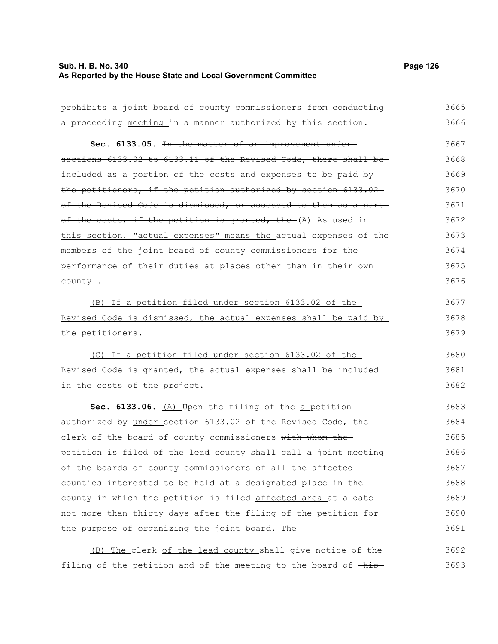# **Sub. H. B. No. 340 Page 126 As Reported by the House State and Local Government Committee**

| prohibits a joint board of county commissioners from conducting  | 3665 |
|------------------------------------------------------------------|------|
| a proceeding-meeting in a manner authorized by this section.     | 3666 |
| Sec. 6133.05. In the matter of an improvement under-             | 3667 |
| sections 6133.02 to 6133.11 of the Revised Code, there shall be- | 3668 |
| included as a portion of the costs and expenses to be paid by-   | 3669 |
| the petitioners, if the petition authorized by section 6133.02   | 3670 |
| of the Revised Code is dismissed, or assessed to them as a part  | 3671 |
| of the costs, if the petition is granted, the (A) As used in     | 3672 |
| this section, "actual expenses" means the actual expenses of the | 3673 |
| members of the joint board of county commissioners for the       | 3674 |
| performance of their duties at places other than in their own    | 3675 |
| county .                                                         | 3676 |
| (B) If a petition filed under section 6133.02 of the             | 3677 |
| Revised Code is dismissed, the actual expenses shall be paid by  | 3678 |
| the petitioners.                                                 | 3679 |
| (C) If a petition filed under section 6133.02 of the             | 3680 |
| Revised Code is granted, the actual expenses shall be included   | 3681 |
| in the costs of the project.                                     | 3682 |
| Sec. 6133.06. (A) Upon the filing of the a petition              | 3683 |
| authorized by under section 6133.02 of the Revised Code, the     | 3684 |
| clerk of the board of county commissioners with whom the         | 3685 |
| petition is filed of the lead county shall call a joint meeting  | 3686 |
| of the boards of county commissioners of all the affected        | 3687 |
| counties interested to be held at a designated place in the      | 3688 |
| county in which the petition is filed-affected area at a date    | 3689 |
| not more than thirty days after the filing of the petition for   | 3690 |
| the purpose of organizing the joint board. The                   | 3691 |
| (B) The clerk of the lead county shall give notice of the        | 3692 |

filing of the petition and of the meeting to the board of  $-\text{his}-$  3693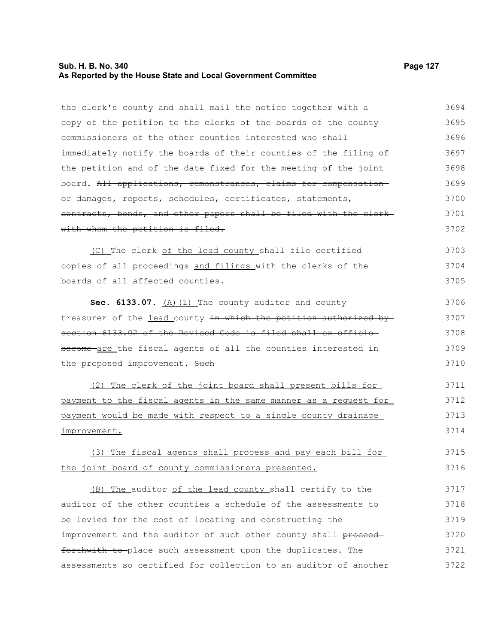# **Sub. H. B. No. 340 Page 127 As Reported by the House State and Local Government Committee**

| the clerk's county and shall mail the notice together with a      | 3694 |
|-------------------------------------------------------------------|------|
| copy of the petition to the clerks of the boards of the county    | 3695 |
| commissioners of the other counties interested who shall          | 3696 |
| immediately notify the boards of their counties of the filing of  | 3697 |
| the petition and of the date fixed for the meeting of the joint   | 3698 |
| board. All applications, remonstrances, claims for compensation   | 3699 |
| or damages, reports, schedules, certificates, statements,         | 3700 |
| contracts, bonds, and other papers shall be filed with the clerk- | 3701 |
| with whom the petition is filed.                                  | 3702 |
| (C) The clerk of the lead county shall file certified             | 3703 |
| copies of all proceedings and filings with the clerks of the      | 3704 |
| boards of all affected counties.                                  | 3705 |
| Sec. 6133.07. $(A)$ $(1)$ The county auditor and county           | 3706 |
| treasurer of the lead county in which the petition authorized by  | 3707 |
| section 6133.02 of the Revised Code is filed shall ex officio-    | 3708 |
| become are the fiscal agents of all the counties interested in    | 3709 |
| the proposed improvement. Such                                    | 3710 |
| (2) The clerk of the joint board shall present bills for          | 3711 |
| payment to the fiscal agents in the same manner as a request for  | 3712 |
| payment would be made with respect to a single county drainage    | 3713 |
| improvement.                                                      | 3714 |
| (3) The fiscal agents shall process and pay each bill for         | 3715 |
| the joint board of county commissioners presented.                | 3716 |
| (B) The auditor of the lead county shall certify to the           | 3717 |
| auditor of the other counties a schedule of the assessments to    | 3718 |
| be levied for the cost of locating and constructing the           | 3719 |
| improvement and the auditor of such other county shall proceed-   | 3720 |
| forthwith to-place such assessment upon the duplicates. The       | 3721 |
| assessments so certified for collection to an auditor of another  | 3722 |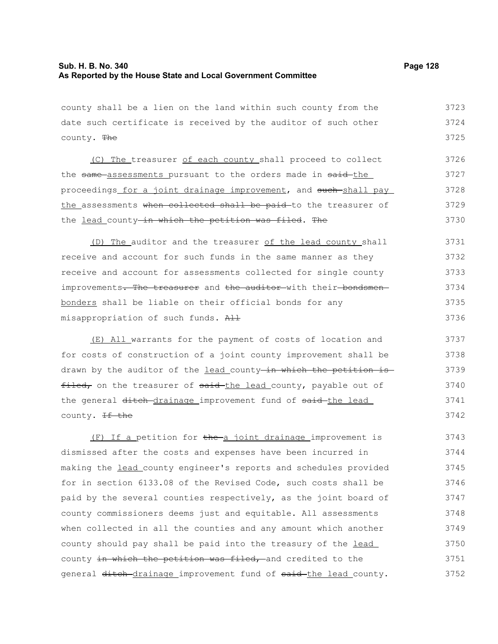the lead county-in which the petition was filed. The

3730

county shall be a lien on the land within such county from the date such certificate is received by the auditor of such other county. The (C) The treasurer of each county shall proceed to collect the same assessments pursuant to the orders made in said-the proceedings for a joint drainage improvement, and such shall pay the assessments when collected shall be paid to the treasurer of 3723 3724 3725 3726 3727 3728 3729

(D) The auditor and the treasurer of the lead county shall receive and account for such funds in the same manner as they receive and account for assessments collected for single county improvements. The treasurer and the auditor with their-bondsmenbonders shall be liable on their official bonds for any misappropriation of such funds. All 3731 3732 3733 3734 3735 3736

(E) All warrants for the payment of costs of location and for costs of construction of a joint county improvement shall be drawn by the auditor of the lead county in which the petition is filed, on the treasurer of said the lead county, payable out of the general ditch drainage improvement fund of said the lead county. <del>If the</del> 3737 3738 3739 3740 3741 3742

(F) If a petition for the a joint drainage improvement is dismissed after the costs and expenses have been incurred in making the lead county engineer's reports and schedules provided for in section 6133.08 of the Revised Code, such costs shall be paid by the several counties respectively, as the joint board of county commissioners deems just and equitable. All assessments when collected in all the counties and any amount which another county should pay shall be paid into the treasury of the lead county in which the petition was filed, and credited to the general ditch drainage improvement fund of said the lead county. 3743 3744 3745 3746 3747 3748 3749 3750 3751 3752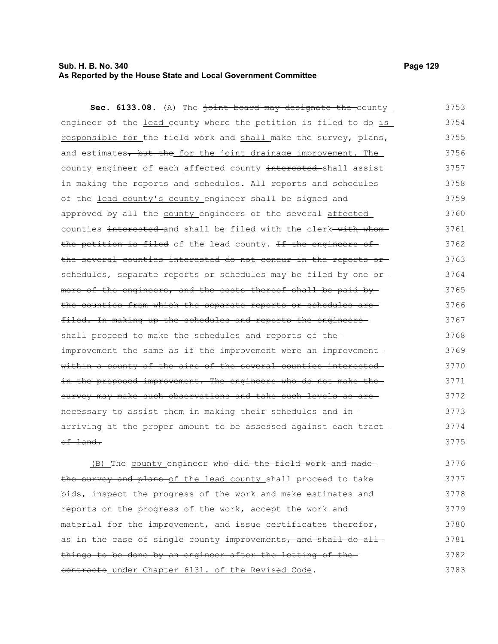### **Sub. H. B. No. 340 Page 129 As Reported by the House State and Local Government Committee**

| Sec. 6133.08. (A) The joint board may designate the county       | 3753   |
|------------------------------------------------------------------|--------|
| engineer of the lead county where the petition is filed to do-is | 3754   |
| responsible for the field work and shall make the survey, plans, | 3755   |
| and estimates, but the for the joint drainage improvement. The   | 3756   |
| county engineer of each affected county interested-shall assist  | 3757   |
| in making the reports and schedules. All reports and schedules   | 3758   |
| of the lead county's county engineer shall be signed and         | 3759   |
| approved by all the county engineers of the several affected     | 3760   |
| counties interested and shall be filed with the clerk-with whom- | 3761   |
| the petition is filed of the lead county. If the engineers of    | 3762   |
| the several counties interested do not concur in the reports or  | 3763   |
| schedules, separate reports or schedules may be filed by one or- | 3764   |
| more of the engineers, and the costs thereof shall be paid by-   | 3765   |
| the counties from which the separate reports or schedules are    | 3766   |
| filed. In making up the schedules and reports the engineers      | 3767   |
| shall proceed to make the schedules and reports of the-          | 3768   |
| improvement the same as if the improvement were an improvement-  | 3769   |
| within a county of the size of the several counties interested-  | 3770   |
| in the proposed improvement. The engineers who do not make the-  | 3771   |
| survey may make such observations and take such levels as are-   | 3772   |
| necessary to assist them in making their schedules and in-       | 3773   |
| arriving at the proper amount to be assessed against each tract- | 3774   |
| of land.                                                         | 3775   |
| (D) The county engineer who did the field week and               | $2776$ |

(B) The county engineer who did the field work and made the survey and plans of the lead county shall proceed to take bids, inspect the progress of the work and make estimates and reports on the progress of the work, accept the work and material for the improvement, and issue certificates therefor, as in the case of single county improvements, and shall do allthings to be done by an engineer after the letting of the contracts under Chapter 6131. of the Revised Code. 3776 3777 3778 3779 3780 3781 3782 3783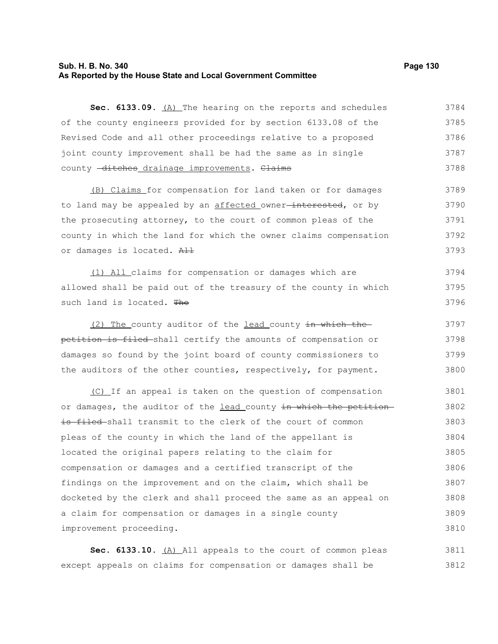#### **Sub. H. B. No. 340 Page 130 As Reported by the House State and Local Government Committee**

Sec. 6133.09. (A) The hearing on the reports and schedules of the county engineers provided for by section 6133.08 of the Revised Code and all other proceedings relative to a proposed joint county improvement shall be had the same as in single county -ditches drainage improvements. Claims 3784 3785 3786 3787 3788

(B) Claims for compensation for land taken or for damages to land may be appealed by an affected owner<del>-interested</del>, or by the prosecuting attorney, to the court of common pleas of the county in which the land for which the owner claims compensation or damages is located. All 3789 3790 3791 3792 3793

(1) All claims for compensation or damages which are allowed shall be paid out of the treasury of the county in which such land is located. The 3794 3795 3796

(2) The county auditor of the lead county in which the petition is filed shall certify the amounts of compensation or damages so found by the joint board of county commissioners to the auditors of the other counties, respectively, for payment. 3797 3798 3799 3800

(C) If an appeal is taken on the question of compensation or damages, the auditor of the lead county in which the petitionis filed shall transmit to the clerk of the court of common pleas of the county in which the land of the appellant is located the original papers relating to the claim for compensation or damages and a certified transcript of the findings on the improvement and on the claim, which shall be docketed by the clerk and shall proceed the same as an appeal on a claim for compensation or damages in a single county improvement proceeding. 3801 3802 3803 3804 3805 3806 3807 3808 3809 3810

Sec. 6133.10. (A) All appeals to the court of common pleas except appeals on claims for compensation or damages shall be 3811 3812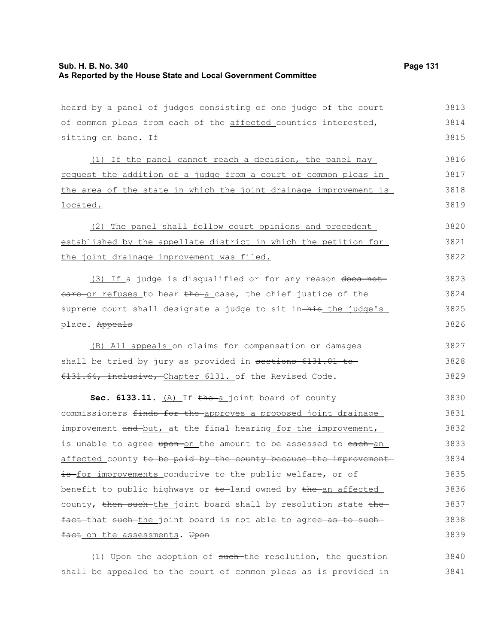| heard by a panel of judges consisting of one judge of the court  | 3813 |
|------------------------------------------------------------------|------|
| of common pleas from each of the affected counties-interested,   | 3814 |
| sitting en bane. If                                              | 3815 |
| (1) If the panel cannot reach a decision, the panel may          | 3816 |
| request the addition of a judge from a court of common pleas in  | 3817 |
| the area of the state in which the joint drainage improvement is | 3818 |
| located.                                                         | 3819 |
|                                                                  |      |
| (2) The panel shall follow court opinions and precedent          | 3820 |
| established by the appellate district in which the petition for  | 3821 |
| the joint drainage improvement was filed.                        | 3822 |
| (3) If a judge is disqualified or for any reason does not        | 3823 |
| eare or refuses to hear the a case, the chief justice of the     | 3824 |
|                                                                  |      |
| supreme court shall designate a judge to sit in-his the judge's  | 3825 |
| place. Appeals                                                   | 3826 |
| (B) All appeals on claims for compensation or damages            | 3827 |
| shall be tried by jury as provided in sections 6131.01 to        | 3828 |
| 6131.64, inclusive, Chapter 6131. of the Revised Code.           | 3829 |
| Sec. 6133.11. $(A)$ If the a joint board of county               | 3830 |
| commissioners finds for the approves a proposed joint drainage   | 3831 |
| improvement and but, at the final hearing for the improvement,   | 3832 |
| is unable to agree upon-on the amount to be assessed to each-an  | 3833 |
| affected county to be paid by the county because the improvement | 3834 |
| is for improvements conducive to the public welfare, or of       | 3835 |
| benefit to public highways or to land owned by the an affected   | 3836 |
| county, then such the joint board shall by resolution state the  | 3837 |
| fact that such the joint board is not able to agree as to such   | 3838 |
| fact on the assessments. Upon                                    | 3839 |
|                                                                  |      |

(1) Upon the adoption of such the resolution, the question shall be appealed to the court of common pleas as is provided in 3840 3841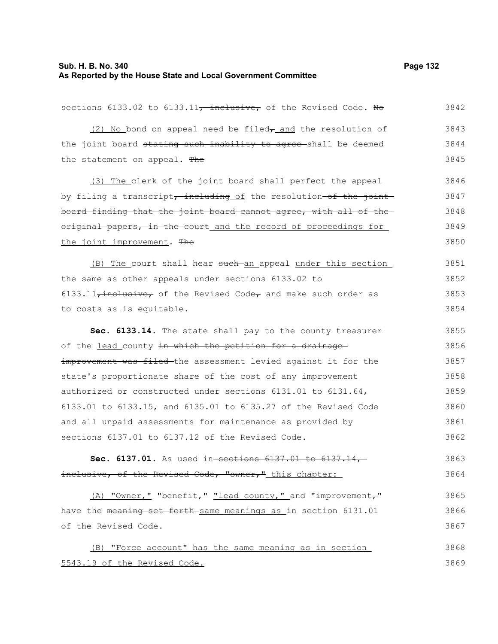| sections 6133.02 to 6133.11, inclusive, of the Revised Code. No                           | 3842 |
|-------------------------------------------------------------------------------------------|------|
| (2) No bond on appeal need be filed <sub>r</sub> and the resolution of                    | 3843 |
| the joint board stating such inability to agree-shall be deemed                           | 3844 |
| the statement on appeal. The                                                              | 3845 |
| (3) The clerk of the joint board shall perfect the appeal                                 | 3846 |
| by filing a transcript <del>, including</del> of the resolution <del>-of the joint-</del> | 3847 |
| board finding that the joint board cannot agree, with all of the                          | 3848 |
| original papers, in the court and the record of proceedings for                           | 3849 |
| the joint improvement. The                                                                | 3850 |
| (B) The court shall hear such an appeal under this section                                | 3851 |
| the same as other appeals under sections 6133.02 to                                       | 3852 |
| $6133.11$ , inclusive, of the Revised Code, and make such order as                        | 3853 |
| to costs as is equitable.                                                                 | 3854 |
| Sec. 6133.14. The state shall pay to the county treasurer                                 | 3855 |
| of the lead county in which the petition for a drainage                                   | 3856 |
| improvement was filed the assessment levied against it for the                            | 3857 |
| state's proportionate share of the cost of any improvement                                | 3858 |
| authorized or constructed under sections 6131.01 to 6131.64,                              | 3859 |
| 6133.01 to 6133.15, and 6135.01 to 6135.27 of the Revised Code                            | 3860 |
| and all unpaid assessments for maintenance as provided by                                 | 3861 |
| sections 6137.01 to 6137.12 of the Revised Code.                                          | 3862 |
| Sec. 6137.01. As used in-sections 6137.01 to 6137.14                                      | 3863 |
| inclusive, of the Revised Code, "owner," this chapter:                                    | 3864 |
| (A) "Owner," "benefit," "lead county," and "improvement,"                                 | 3865 |
| have the meaning set forth same meanings as in section 6131.01                            | 3866 |
| of the Revised Code.                                                                      | 3867 |
| (B) "Force account" has the same meaning as in section                                    | 3868 |
| 5543.19 of the Revised Code.                                                              | 3869 |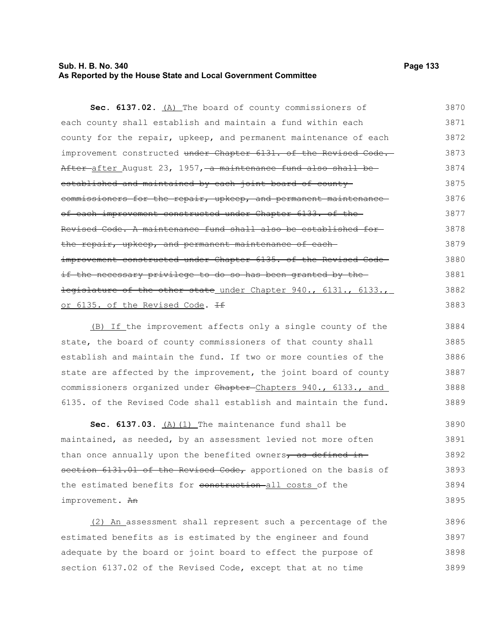### **Sub. H. B. No. 340 Page 133 As Reported by the House State and Local Government Committee**

| Sec. 6137.02. (A) The board of county commissioners of                                 | 3870 |
|----------------------------------------------------------------------------------------|------|
| each county shall establish and maintain a fund within each                            | 3871 |
| county for the repair, upkeep, and permanent maintenance of each                       | 3872 |
| improvement constructed under Chapter 6131. of the Revised Code.                       | 3873 |
| <del>After a</del> fter August 23, 1957, <del> a maintenance fund also shall be-</del> | 3874 |
| established and maintained by each joint board of county-                              | 3875 |
| commissioners for the repair, upkeep, and permanent maintenance                        | 3876 |
| of each improvement constructed under Chapter 6133. of the-                            | 3877 |
| Revised Code. A maintenance fund shall also be established for-                        | 3878 |
| the repair, upkeep, and permanent maintenance of each-                                 | 3879 |
| improvement constructed under Chapter 6135. of the Revised Code-                       | 3880 |
| if the necessary privilege to do so has been granted by the                            | 3881 |
| legislature of the other state under Chapter 940., 6131., 6133.,                       | 3882 |
| or 6135. of the Revised Code. If                                                       | 3883 |

(B) If the improvement affects only a single county of the state, the board of county commissioners of that county shall establish and maintain the fund. If two or more counties of the state are affected by the improvement, the joint board of county commissioners organized under Chapter-Chapters 940., 6133., and 6135. of the Revised Code shall establish and maintain the fund. 3884 3885 3886 3887 3888 3889

Sec. 6137.03. (A) (1) The maintenance fund shall be maintained, as needed, by an assessment levied not more often than once annually upon the benefited owners, as defined insection 6131.01 of the Revised Code, apportioned on the basis of the estimated benefits for construction all costs of the improvement. An 3890 3891 3892 3893 3894 3895

(2) An assessment shall represent such a percentage of the estimated benefits as is estimated by the engineer and found adequate by the board or joint board to effect the purpose of section 6137.02 of the Revised Code, except that at no time 3896 3897 3898 3899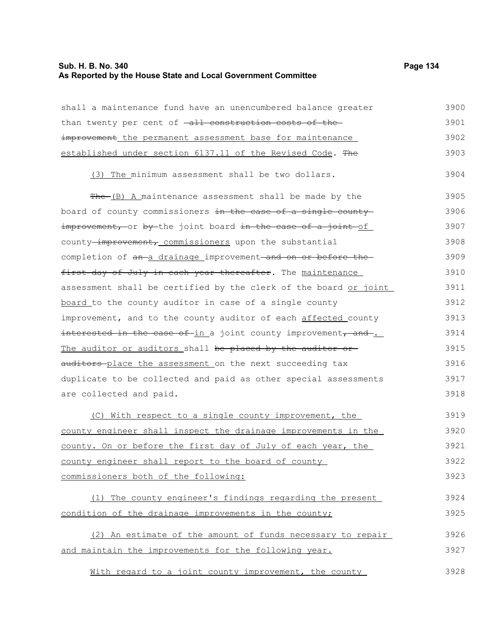# **Sub. H. B. No. 340 Page 134 As Reported by the House State and Local Government Committee**

| shall a maintenance fund have an unencumbered balance greater    | 3900 |
|------------------------------------------------------------------|------|
| than twenty per cent of -all construction costs of the-          | 3901 |
| improvement the permanent assessment base for maintenance        | 3902 |
| established under section 6137.11 of the Revised Code. The       | 3903 |
| (3) The minimum assessment shall be two dollars.                 | 3904 |
| $The - (B)$ A maintenance assessment shall be made by the        | 3905 |
| board of county commissioners in the case of a single county     | 3906 |
| improvement, or by the joint board in the case of a joint of     | 3907 |
| county-improvement, commissioners upon the substantial           | 3908 |
| completion of an a drainage improvement and on or before the     | 3909 |
| first day of July in each year thereafter. The maintenance       | 3910 |
| assessment shall be certified by the clerk of the board or joint | 3911 |
| board to the county auditor in case of a single county           | 3912 |
| improvement, and to the county auditor of each affected county   | 3913 |
| interested in the case of-in a joint county improvement, and-.   | 3914 |
| The auditor or auditors shall be placed by the auditor or        | 3915 |
| auditors place the assessment on the next succeeding tax         | 3916 |
| duplicate to be collected and paid as other special assessments  | 3917 |
| are collected and paid.                                          | 3918 |
| (C) With respect to a single county improvement, the             | 3919 |
| county engineer shall inspect the drainage improvements in the   | 3920 |
| county. On or before the first day of July of each year, the     | 3921 |
| county engineer shall report to the board of county              | 3922 |
| commissioners both of the following:                             | 3923 |
| (1) The county engineer's findings regarding the present         | 3924 |
| condition of the drainage improvements in the county;            | 3925 |
| (2) An estimate of the amount of funds necessary to repair       | 3926 |
| and maintain the improvements for the following year.            | 3927 |
| With regard to a joint county improvement, the county            | 3928 |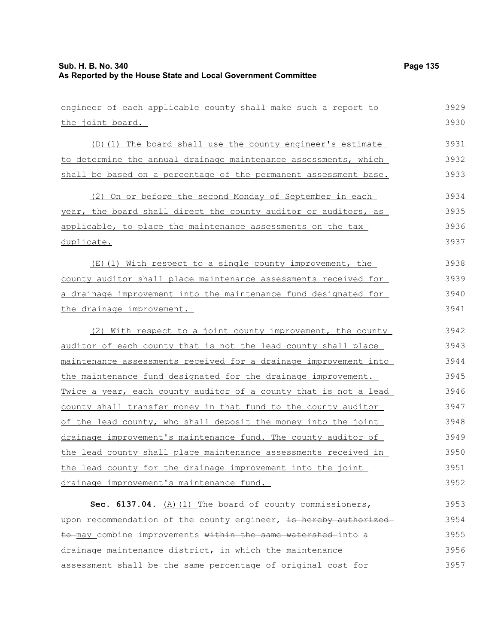| engineer of each applicable county shall make such a report to   | 3929 |
|------------------------------------------------------------------|------|
| the joint board.                                                 | 3930 |
| (D)(1) The board shall use the county engineer's estimate        | 3931 |
| to determine the annual drainage maintenance assessments, which  | 3932 |
| shall be based on a percentage of the permanent assessment base. | 3933 |
| (2) On or before the second Monday of September in each          | 3934 |
| year, the board shall direct the county auditor or auditors, as  | 3935 |
| applicable, to place the maintenance assessments on the tax      | 3936 |
| duplicate.                                                       | 3937 |
| (E)(1) With respect to a single county improvement, the          | 3938 |
| county auditor shall place maintenance assessments received for  | 3939 |
| a drainage improvement into the maintenance fund designated for  | 3940 |
| the drainage improvement.                                        | 3941 |
| (2) With respect to a joint county improvement, the county       | 3942 |
| auditor of each county that is not the lead county shall place   | 3943 |
| maintenance assessments received for a drainage improvement into | 3944 |
| the maintenance fund designated for the drainage improvement.    | 3945 |
| Twice a year, each county auditor of a county that is not a lead | 3946 |
| county shall transfer money in that fund to the county auditor   | 3947 |
| of the lead county, who shall deposit the money into the joint   | 3948 |
| drainage improvement's maintenance fund. The county auditor of   | 3949 |
| the lead county shall place maintenance assessments received in  | 3950 |
| the lead county for the drainage improvement into the joint      | 3951 |
| drainage improvement's maintenance fund.                         | 3952 |
| Sec. 6137.04. $(A)$ (1) The board of county commissioners,       | 3953 |
| upon recommendation of the county engineer, is hereby authorized | 3954 |
| to may combine improvements within the same watershed into a     | 3955 |
| drainage maintenance district, in which the maintenance          | 3956 |
| assessment shall be the same percentage of original cost for     | 3957 |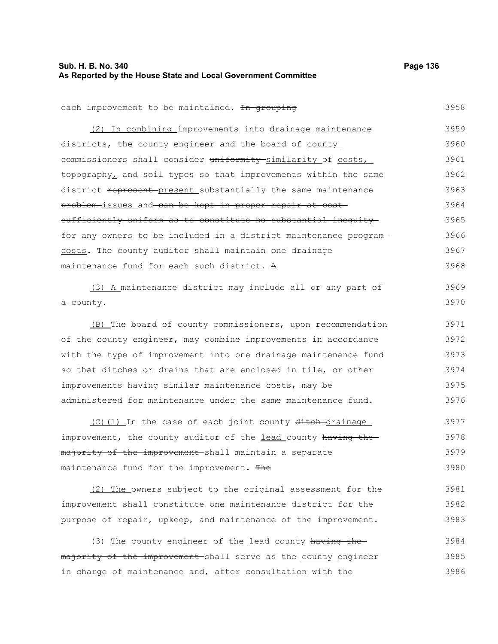# **Sub. H. B. No. 340 Page 136 As Reported by the House State and Local Government Committee**

| each improvement to be maintained. In grouping                   | 3958 |
|------------------------------------------------------------------|------|
| (2) In combining improvements into drainage maintenance          | 3959 |
| districts, the county engineer and the board of county           | 3960 |
| commissioners shall consider uniformity similarity of costs,     | 3961 |
| topography, and soil types so that improvements within the same  | 3962 |
| district represent present substantially the same maintenance    | 3963 |
| problem-issues and can be kept in proper repair at cost-         | 3964 |
| sufficiently uniform as to constitute no substantial inequity    | 3965 |
| for any owners to be included in a district maintenance program- | 3966 |
| costs. The county auditor shall maintain one drainage            | 3967 |
| maintenance fund for each such district. A                       | 3968 |
| (3) A maintenance district may include all or any part of        | 3969 |
| a county.                                                        | 3970 |
| (B) The board of county commissioners, upon recommendation       | 3971 |
| of the county engineer, may combine improvements in accordance   | 3972 |
| with the type of improvement into one drainage maintenance fund  | 3973 |
| so that ditches or drains that are enclosed in tile, or other    | 3974 |
| improvements having similar maintenance costs, may be            | 3975 |
| administered for maintenance under the same maintenance fund.    | 3976 |
| (C)(1) In the case of each joint county ditch drainage           | 3977 |
| improvement, the county auditor of the lead county having the    | 3978 |
| majority of the improvement-shall maintain a separate            | 3979 |
| maintenance fund for the improvement. The                        | 3980 |
| (2) The owners subject to the original assessment for the        | 3981 |
| improvement shall constitute one maintenance district for the    | 3982 |
| purpose of repair, upkeep, and maintenance of the improvement.   | 3983 |
| (3) The county engineer of the lead county having the-           | 3984 |
| majority of the improvement shall serve as the county engineer   | 3985 |
| in charge of maintenance and, after consultation with the        | 3986 |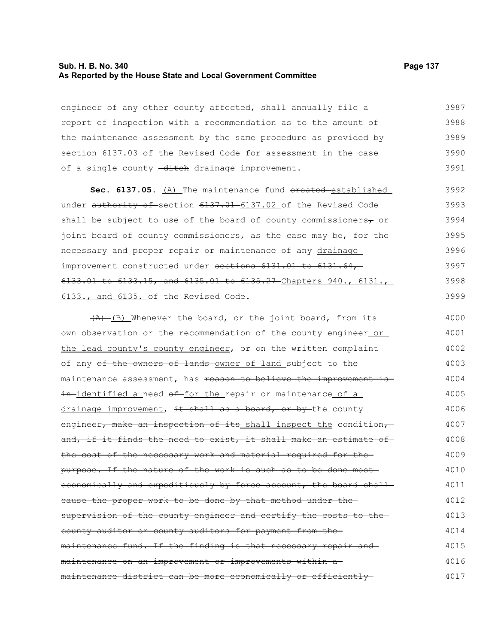#### **Sub. H. B. No. 340 Page 137 As Reported by the House State and Local Government Committee**

engineer of any other county affected, shall annually file a report of inspection with a recommendation as to the amount of the maintenance assessment by the same procedure as provided by section 6137.03 of the Revised Code for assessment in the case of a single county -ditch drainage improvement. 3987 3988 3989 3990 3991

Sec. 6137.05. (A) The maintenance fund created established under authority of section 6137.01 6137.02 of the Revised Code shall be subject to use of the board of county commissioners $\tau$  or joint board of county commissioners, as the case may be, for the necessary and proper repair or maintenance of any drainage improvement constructed under sections 6131.01 to 6131.64,-6133.01 to 6133.15, and 6135.01 to 6135.27 Chapters 940., 6131., 6133., and 6135. of the Revised Code. 3992 3993 3994 3995 3996 3997 3998 3999

 $(A)$  (B) Whenever the board, or the joint board, from its own observation or the recommendation of the county engineer or the lead county's county engineer, or on the written complaint of any of the owners of lands owner of land subject to the maintenance assessment, has reason to believe the improvement isin-identified a need of for the repair or maintenance of a drainage improvement, it shall as a board, or by the county engineer, make an inspection of its shall inspect the condition, and, if it finds the need to exist, it shall make an estimate ofthe cost of the necessary work and material required for the purpose. If the nature of the work is such as to be done most economically and expeditiously by force account, the board shallcause the proper work to be done by that method under the supervision of the county engineer and certify the costs to thecounty auditor or county auditors for payment from the maintenance fund. If the finding is that necessary repair and maintenance on an improvement or improvements within a maintenance district can be more economically or efficiently 4000 4001 4002 4003 4004 4005 4006 4007 4008 4009 4010 4011 4012 4013 4014 4015 4016 4017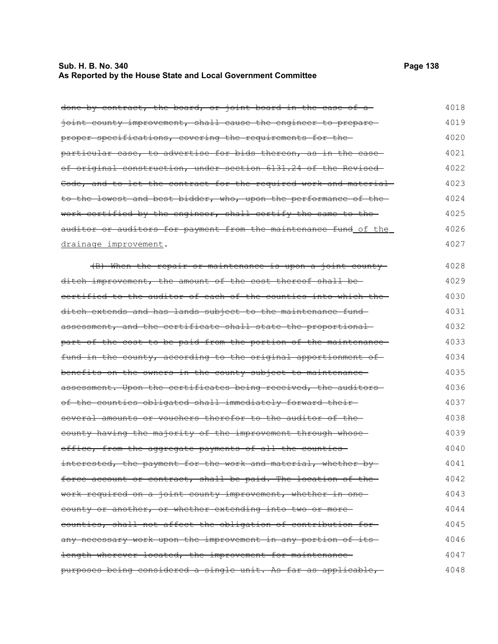# **Sub. H. B. No. 340 Page 138 As Reported by the House State and Local Government Committee**

| done by contract, the board, or joint board in the case of a     | 4018 |
|------------------------------------------------------------------|------|
| joint county improvement, shall cause the engineer to prepare    | 4019 |
| proper specifications, covering the requirements for the         | 4020 |
| particular case, to advertise for bids thereon, as in the case-  | 4021 |
| of original construction, under section 6131.24 of the Revised-  | 4022 |
| Code, and to let the contract for the required work and material | 4023 |
| to the lowest and best bidder, who, upon the performance of the- | 4024 |
| work certified by the engineer, shall certify the same to the    | 4025 |
| auditor or auditors for payment from the maintenance fund of the | 4026 |
| drainage improvement.                                            | 4027 |
| (B) When the repair or maintenance is upon a joint county        | 4028 |
| ditch improvement, the amount of the cost thereof shall be-      | 4029 |
| eertified to the auditor of each of the counties into which the  | 4030 |
| ditch extends and has lands subject to the maintenance fund-     | 4031 |
| assessment, and the certificate shall state the proportional     | 4032 |
| part of the cost to be paid from the portion of the maintenance- | 4033 |
| fund in the county, according to the original apportionment of   | 4034 |
| benefits on the owners in the county subject to maintenance      | 4035 |
| assessment. Upon the certificates being received, the auditors-  | 4036 |
| of the counties obligated shall immediately forward their-       | 4037 |
| several amounts or vouchers therefor to the auditor of the-      | 4038 |
|                                                                  |      |
| county having the majority of the improvement through whose      | 4039 |
| office, from the aggregate payments of all the counties-         | 4040 |
| interested, the payment for the work and material, whether by    | 4041 |
| force account or contract, shall be paid. The location of the    | 4042 |
| work required on a joint county improvement, whether in one      | 4043 |
| county or another, or whether extending into two or more-        | 4044 |
| counties, shall not affect the obligation of contribution for-   | 4045 |
| any necessary work upon the improvement in any portion of its    | 4046 |
| length wherever located, the improvement for maintenance-        | 4047 |
| purposes being considered a single unit. As far as applicable,   | 4048 |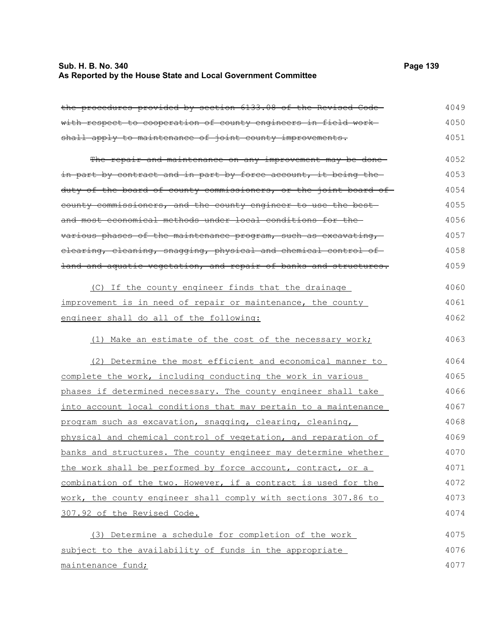# **Sub. H. B. No. 340 Page 139 As Reported by the House State and Local Government Committee**

| the procedures provided by section 6133.08 of the Revised Code-  | 4049 |
|------------------------------------------------------------------|------|
| with respect to cooperation of county engineers in field work-   | 4050 |
| shall apply to maintenance of joint county improvements.         | 4051 |
| The repair and maintenance on any improvement may be done-       | 4052 |
| in part by contract and in part by force account, it being the-  | 4053 |
| duty of the board of county commissioners, or the joint board of | 4054 |
| county commissioners, and the county engineer to use the best-   | 4055 |
| and most economical methods under local conditions for the-      | 4056 |
| various phases of the maintenance program, such as excavating,   | 4057 |
| elearing, eleaning, snagging, physical and chemical control of   | 4058 |
| land and aquatic vegetation, and repair of banks and structures. | 4059 |
| (C) If the county engineer finds that the drainage               | 4060 |
| improvement is in need of repair or maintenance, the county      | 4061 |
| engineer shall do all of the following:                          | 4062 |
| (1) Make an estimate of the cost of the necessary work;          | 4063 |
| (2) Determine the most efficient and economical manner to        | 4064 |
| complete the work, including conducting the work in various      | 4065 |
| phases if determined necessary. The county engineer shall take   | 4066 |
| into account local conditions that may pertain to a maintenance  | 4067 |
| program such as excavation, snagging, clearing, cleaning,        | 4068 |
| physical and chemical control of vegetation, and reparation of   | 4069 |
| banks and structures. The county engineer may determine whether  | 4070 |
| the work shall be performed by force account, contract, or a     | 4071 |
| combination of the two. However, if a contract is used for the   | 4072 |
| work, the county engineer shall comply with sections 307.86 to   | 4073 |
| 307.92 of the Revised Code.                                      | 4074 |
| (3) Determine a schedule for completion of the work              | 4075 |
| subject to the availability of funds in the appropriate          | 4076 |
| maintenance fund;                                                | 4077 |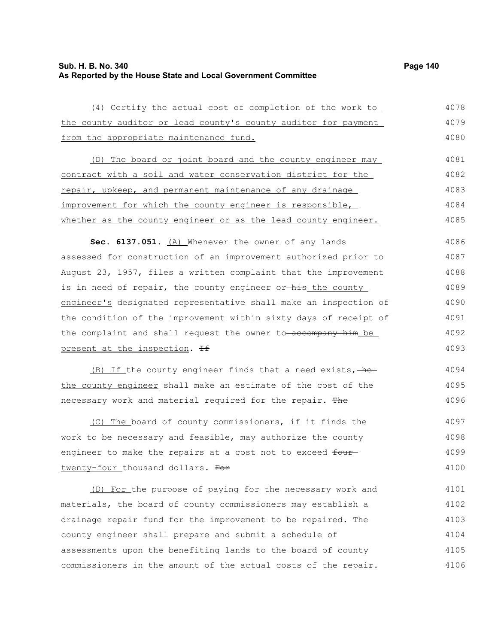| (4) Certify the actual cost of completion of the work to         | 4078 |
|------------------------------------------------------------------|------|
| the county auditor or lead county's county auditor for payment   | 4079 |
| from the appropriate maintenance fund.                           | 4080 |
| (D) The board or joint board and the county engineer may         | 4081 |
|                                                                  |      |
| contract with a soil and water conservation district for the     | 4082 |
| repair, upkeep, and permanent maintenance of any drainage        | 4083 |
| improvement for which the county engineer is responsible,        | 4084 |
| whether as the county engineer or as the lead county engineer.   | 4085 |
| Sec. 6137.051. (A) Whenever the owner of any lands               | 4086 |
| assessed for construction of an improvement authorized prior to  | 4087 |
| August 23, 1957, files a written complaint that the improvement  | 4088 |
| is in need of repair, the county engineer or-his the county      | 4089 |
| engineer's designated representative shall make an inspection of | 4090 |
| the condition of the improvement within sixty days of receipt of | 4091 |
| the complaint and shall request the owner to-accompany him be    | 4092 |
| present at the inspection. He                                    | 4093 |
| (B) If the county engineer finds that a need exists, -he         | 4094 |
| the county engineer shall make an estimate of the cost of the    | 4095 |
| necessary work and material required for the repair. The         | 4096 |
| (C) The board of county commissioners, if it finds the           | 4097 |
| work to be necessary and feasible, may authorize the county      | 4098 |
| engineer to make the repairs at a cost not to exceed four-       | 4099 |
| twenty-four thousand dollars. For                                | 4100 |
| (D) For the purpose of paying for the necessary work and         | 4101 |
| materials, the board of county commissioners may establish a     | 4102 |
| drainage repair fund for the improvement to be repaired. The     | 4103 |
| county engineer shall prepare and submit a schedule of           | 4104 |
|                                                                  |      |

assessments upon the benefiting lands to the board of county commissioners in the amount of the actual costs of the repair. 4105 4106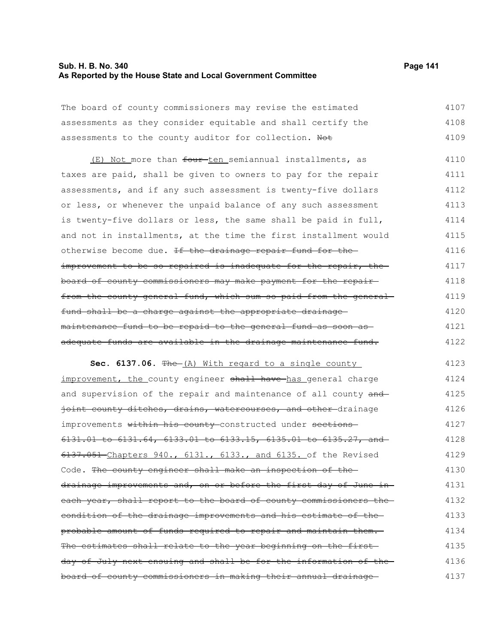#### **Sub. H. B. No. 340 Page 141 As Reported by the House State and Local Government Committee**

| The board of county commissioners may revise the estimated   | 4107 |
|--------------------------------------------------------------|------|
| assessments as they consider equitable and shall certify the | 4108 |
| assessments to the county auditor for collection. Not        | 4109 |

(E) Not more than four ten semiannual installments, as taxes are paid, shall be given to owners to pay for the repair assessments, and if any such assessment is twenty-five dollars or less, or whenever the unpaid balance of any such assessment is twenty-five dollars or less, the same shall be paid in full, and not in installments, at the time the first installment would otherwise become due. If the drainage repair fund for theimprovement to be so repaired is inadequate for the repair, theboard of county commissioners may make payment for the repair from the county general fund, which sum so paid from the generalfund shall be a charge against the appropriate drainage maintenance fund to be repaid to the general fund as soon as adequate funds are available in the drainage maintenance fund. 4110 4111 4112 4113 4114 4115 4116 4117 4118 4119 4120 4121 4122

**Sec. 6137.06.** The (A) With regard to a single county improvement, the county engineer shall have has general charge and supervision of the repair and maintenance of all county and joint county ditches, drains, watercourses, and other drainage improvements within his county-constructed under sections-6131.01 to 6131.64, 6133.01 to 6133.15, 6135.01 to 6135.27, and 6137.051 Chapters 940., 6131., 6133., and 6135. of the Revised Code. The county engineer shall make an inspection of thedrainage improvements and, on or before the first day of June in each year, shall report to the board of county commissioners the condition of the drainage improvements and his estimate of the probable amount of funds required to repair and maintain them. The estimates shall relate to the year beginning on the first day of July next ensuing and shall be for the information of the board of county commissioners in making their annual drainage 4123 4124 4125 4126 4127 4128 4129 4130 4131 4132 4133 4134 4135 4136 4137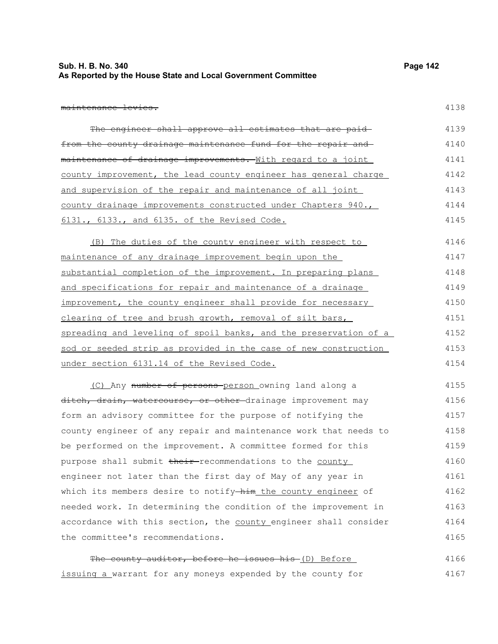| Sub. H. B. No. 340                                            | Page 142 |
|---------------------------------------------------------------|----------|
| As Reported by the House State and Local Government Committee |          |

maintenance levies.

| The engineer shall approve all estimates that are paid-          | 4139 |
|------------------------------------------------------------------|------|
| from the county drainage maintenance fund for the repair and     | 4140 |
| maintenance of drainage improvements. With regard to a joint     | 4141 |
| county improvement, the lead county engineer has general charge  | 4142 |
| and supervision of the repair and maintenance of all joint       | 4143 |
| county drainage improvements constructed under Chapters 940.,    | 4144 |
| 6131., 6133., and 6135. of the Revised Code.                     | 4145 |
| (B) The duties of the county engineer with respect to            | 4146 |
| maintenance of any drainage improvement begin upon the           | 4147 |
| substantial completion of the improvement. In preparing plans    | 4148 |
| and specifications for repair and maintenance of a drainage      | 4149 |
| improvement, the county engineer shall provide for necessary     | 4150 |
| clearing of tree and brush growth, removal of silt bars,         | 4151 |
| spreading and leveling of spoil banks, and the preservation of a | 4152 |
| sod or seeded strip as provided in the case of new construction  | 4153 |
| under section 6131.14 of the Revised Code.                       | 4154 |
| (C) Any number of persons-person owning land along a             | 4155 |
| ditch, drain, watercourse, or other drainage improvement may     | 4156 |
| form an advisory committee for the purpose of notifying the      | 4157 |
| county engineer of any repair and maintenance work that needs to | 4158 |
| be performed on the improvement. A committee formed for this     | 4159 |
| purpose shall submit their-recommendations to the county         | 4160 |
| engineer not later than the first day of May of any year in      | 4161 |
| which its members desire to notify-him the county engineer of    | 4162 |
| needed work. In determining the condition of the improvement in  | 4163 |
| accordance with this section, the county engineer shall consider | 4164 |
| the committee's recommendations.                                 | 4165 |
| The county auditor, before he issues his-(D) Before              | 4166 |

issuing a warrant for any moneys expended by the county for 4167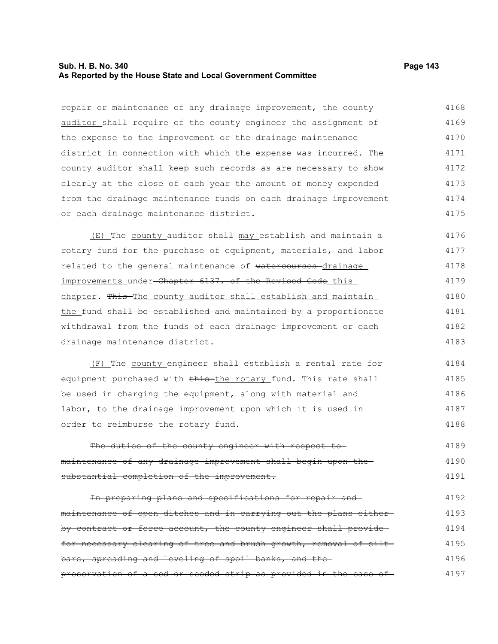#### **Sub. H. B. No. 340 Page 143 As Reported by the House State and Local Government Committee**

repair or maintenance of any drainage improvement, the county auditor shall require of the county engineer the assignment of the expense to the improvement or the drainage maintenance district in connection with which the expense was incurred. The county auditor shall keep such records as are necessary to show clearly at the close of each year the amount of money expended from the drainage maintenance funds on each drainage improvement or each drainage maintenance district. 4168 4169 4170 4171 4172 4173 4174 4175

(E) The county auditor shall may establish and maintain a rotary fund for the purchase of equipment, materials, and labor related to the general maintenance of watercourses drainage improvements under-Chapter 6137. of the Revised Code this chapter. This The county auditor shall establish and maintain the fund shall be established and maintained by a proportionate withdrawal from the funds of each drainage improvement or each drainage maintenance district. 4176 4177 4178 4179 4180 4181 4182 4183

(F) The county engineer shall establish a rental rate for equipment purchased with this the rotary fund. This rate shall be used in charging the equipment, along with material and labor, to the drainage improvement upon which it is used in order to reimburse the rotary fund. 4184 4185 4186 4187 4188

The duties of the county engineer with respect tomaintenance of any drainage improvement shall begin upon the substantial completion of the improvement. 4189 4190 4191

In preparing plans and specifications for repair and maintenance of open ditches and in carrying out the plans either by contract or force account, the county engineer shall providefor necessary clearing of tree and brush growth, removal of siltbars, spreading and leveling of spoil banks, and the preservation of a sod or seeded strip as provided in the case of 4192 4193 4194 4195 4196 4197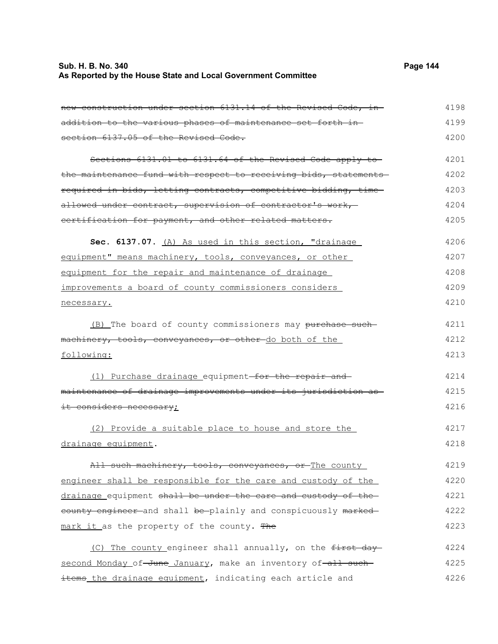# **Sub. H. B. No. 340 Page 144 As Reported by the House State and Local Government Committee**

| new construction under section 6131.14 of the Revised Code, in- | 4198 |
|-----------------------------------------------------------------|------|
| addition to the various phases of maintenance set forth in-     | 4199 |
| section 6137.05 of the Revised Code.                            | 4200 |
| Sections 6131.01 to 6131.64 of the Revised Code apply to        | 4201 |
| the maintenance fund with respect to receiving bids, statements | 4202 |
| required in bids, letting contracts, competitive bidding, time  | 4203 |
| allowed under contract, supervision of contractor's work,       | 4204 |
| certification for payment, and other related matters.           | 4205 |
| Sec. 6137.07. (A) As used in this section, "drainage            | 4206 |
| equipment" means machinery, tools, conveyances, or other        | 4207 |
| equipment for the repair and maintenance of drainage            | 4208 |
| improvements a board of county commissioners considers          | 4209 |
| necessary.                                                      | 4210 |
| (B) The board of county commissioners may purchase such         | 4211 |
| machinery, tools, conveyances, or other do both of the          | 4212 |
| following:                                                      | 4213 |
| (1) Purchase drainage equipment-for the repair and              | 4214 |
| maintenance of drainage improvements under its jurisdiction as  | 4215 |
| it considers necessary;                                         | 4216 |
| (2) Provide a suitable place to house and store the             | 4217 |
| drainage equipment.                                             | 4218 |
| All such machinery, tools, conveyances, or The county           | 4219 |
| engineer shall be responsible for the care and custody of the   | 4220 |
| drainage equipment shall be under the care and custody of the   | 4221 |
| eounty engineer and shall be plainly and conspicuously marked   | 4222 |
| mark it as the property of the county. The                      | 4223 |
| (C) The county engineer shall annually, on the first day        | 4224 |
| second Monday of-June January, make an inventory of-all such-   | 4225 |
| items the drainage equipment, indicating each article and       | 4226 |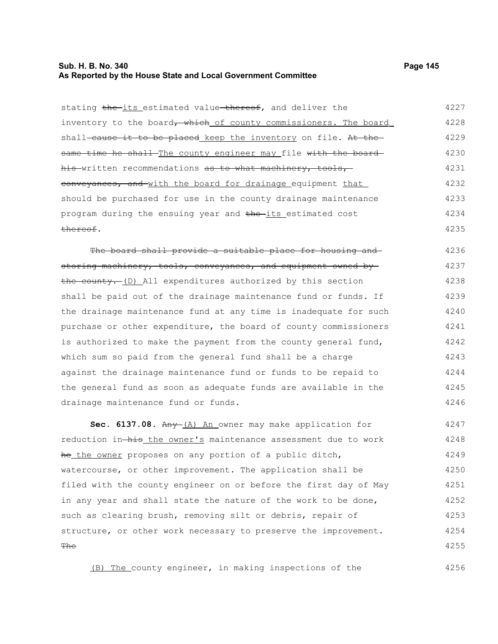## **Sub. H. B. No. 340 Page 145 As Reported by the House State and Local Government Committee**

| stating the its estimated value thereof, and deliver the         | 4227 |
|------------------------------------------------------------------|------|
| inventory to the board, which of county commissioners. The board | 4228 |
| shall-cause it to be placed keep the inventory on file. At the-  | 4229 |
| same time he shall The county engineer may file with the board-  | 4230 |
| his written recommendations as to what machinery, tools,         | 4231 |
| conveyances, and with the board for drainage equipment that      | 4232 |
| should be purchased for use in the county drainage maintenance   | 4233 |
| program during the ensuing year and the its estimated cost       | 4234 |
| thereof.                                                         | 4235 |
| The board shall provide a suitable place for housing and         | 4236 |
| storing machinery, tools, conveyances, and equipment owned by    | 4237 |
| the county. (D) All expenditures authorized by this section      | 4238 |
| shall be paid out of the drainage maintenance fund or funds. If  | 4239 |
| the drainage maintenance fund at any time is inadequate for such | 4240 |
| purchase or other expenditure, the board of county commissioners | 4241 |
| is authorized to make the payment from the county general fund,  | 4242 |
| which sum so paid from the general fund shall be a charge        | 4243 |
| against the drainage maintenance fund or funds to be repaid to   | 4244 |
| the general fund as soon as adequate funds are available in the  | 4245 |
| drainage maintenance fund or funds.                              | 4246 |
| Sec. 6137.08. Any (A) An owner may make application for          | 4247 |
| reduction in-his the owner's maintenance assessment due to work  | 4248 |
| he the owner proposes on any portion of a public ditch,          | 4249 |

watercourse, or other improvement. The application shall be filed with the county engineer on or before the first day of May in any year and shall state the nature of the work to be done, such as clearing brush, removing silt or debris, repair of structure, or other work necessary to preserve the improvement. **The** 4250 4251 4252 4253 4254 4255

(B) The county engineer, in making inspections of the

4256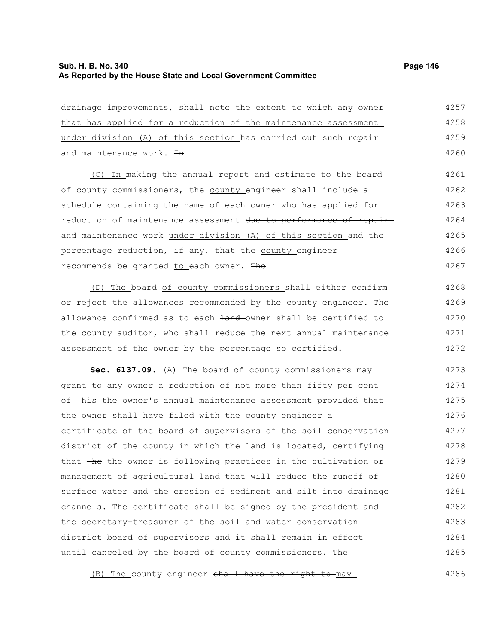# **Sub. H. B. No. 340 Page 146 As Reported by the House State and Local Government Committee**

| drainage improvements, shall note the extent to which any owner  | 4257 |
|------------------------------------------------------------------|------|
| that has applied for a reduction of the maintenance assessment   | 4258 |
| under division (A) of this section has carried out such repair   | 4259 |
| and maintenance work. In                                         | 4260 |
| (C) In making the annual report and estimate to the board        | 4261 |
| of county commissioners, the county engineer shall include a     | 4262 |
| schedule containing the name of each owner who has applied for   | 4263 |
| reduction of maintenance assessment due to performance of repair | 4264 |
| and maintenance work under division (A) of this section and the  | 4265 |
| percentage reduction, if any, that the county engineer           | 4266 |
| recommends be granted to each owner. The                         | 4267 |
| The board of county commissioners shall either confirm<br>(D)    | 4268 |
| or reject the allowances recommended by the county engineer. The | 4269 |
| allowance confirmed as to each land-owner shall be certified to  | 4270 |
| the county auditor, who shall reduce the next annual maintenance | 4271 |
| assessment of the owner by the percentage so certified.          | 4272 |
| Sec. 6137.09. (A) The board of county commissioners may          | 4273 |
| grant to any owner a reduction of not more than fifty per cent   | 4274 |
| of -his the owner's annual maintenance assessment provided that  | 4275 |
| the owner shall have filed with the county engineer a            | 4276 |
| certificate of the board of supervisors of the soil conservation | 4277 |
| district of the county in which the land is located, certifying  | 4278 |
| that -he the owner is following practices in the cultivation or  | 4279 |
| management of agricultural land that will reduce the runoff of   | 4280 |
| surface water and the erosion of sediment and silt into drainage | 4281 |
| channels. The certificate shall be signed by the president and   | 4282 |
| the secretary-treasurer of the soil and water conservation       | 4283 |
| district board of supervisors and it shall remain in effect      | 4284 |
| until canceled by the board of county commissioners. The         | 4285 |

(B) The county engineer shall have the right to may 4286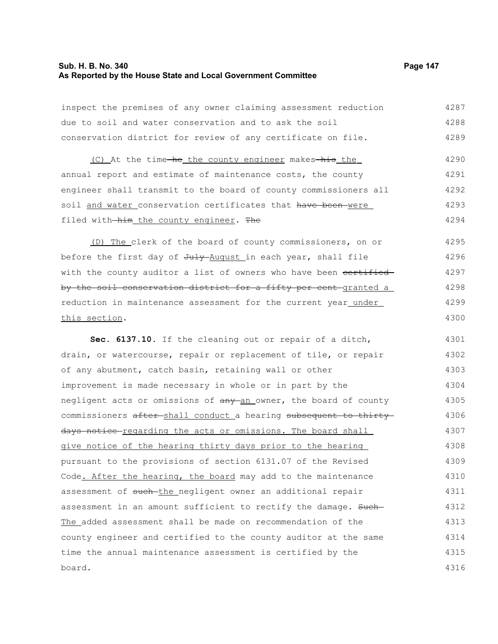# **Sub. H. B. No. 340 Page 147 As Reported by the House State and Local Government Committee**

| inspect the premises of any owner claiming assessment reduction   | 4287 |
|-------------------------------------------------------------------|------|
| due to soil and water conservation and to ask the soil            | 4288 |
| conservation district for review of any certificate on file.      | 4289 |
| (C) At the time-he the county engineer makes-his the              | 4290 |
| annual report and estimate of maintenance costs, the county       | 4291 |
| engineer shall transmit to the board of county commissioners all  | 4292 |
| soil and water conservation certificates that have been were      | 4293 |
| filed with-him_the_county_engineer. The                           | 4294 |
| (D) The clerk of the board of county commissioners, on or         | 4295 |
| before the first day of July August in each year, shall file      | 4296 |
| with the county auditor a list of owners who have been certified  | 4297 |
| by the soil conservation district for a fifty per cent granted a  | 4298 |
| reduction in maintenance assessment for the current year under    | 4299 |
| this section.                                                     | 4300 |
| Sec. 6137.10. If the cleaning out or repair of a ditch,           | 4301 |
| drain, or watercourse, repair or replacement of tile, or repair   | 4302 |
| of any abutment, catch basin, retaining wall or other             | 4303 |
| improvement is made necessary in whole or in part by the          | 4304 |
| negligent acts or omissions of any an owner, the board of county  | 4305 |
| commissioners after-shall conduct a hearing subsequent to thirty- | 4306 |
| days notice regarding the acts or omissions. The board shall      | 4307 |
| give notice of the hearing thirty days prior to the hearing       | 4308 |
| pursuant to the provisions of section 6131.07 of the Revised      | 4309 |
| Code. After the hearing, the board may add to the maintenance     | 4310 |
| assessment of such-the negligent owner an additional repair       | 4311 |
| assessment in an amount sufficient to rectify the damage. Such-   | 4312 |
| The added assessment shall be made on recommendation of the       | 4313 |
| county engineer and certified to the county auditor at the same   | 4314 |
| time the annual maintenance assessment is certified by the        | 4315 |
| board.                                                            | 4316 |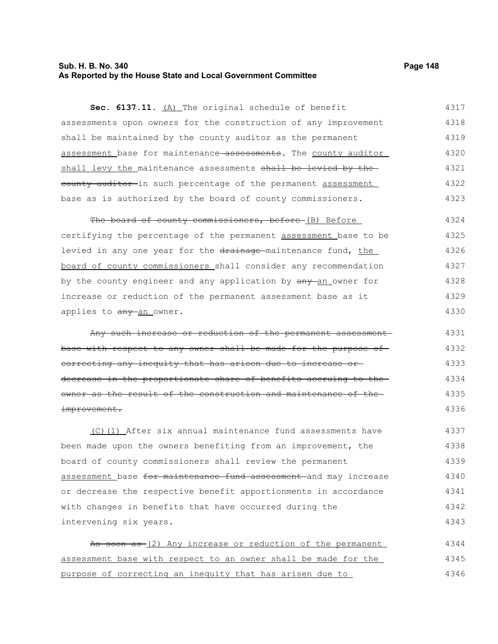### **Sub. H. B. No. 340 Page 148 As Reported by the House State and Local Government Committee**

**Sec. 6137.11.** (A) The original schedule of benefit assessments upon owners for the construction of any improvement shall be maintained by the county auditor as the permanent assessment base for maintenance assessments. The county auditor shall levy the maintenance assessments shall be levied by the eounty auditor in such percentage of the permanent assessment base as is authorized by the board of county commissioners. 4317 4318 4319 4320 4321 4322 4323

The board of county commissioners, before (B) Before certifying the percentage of the permanent assessment base to be levied in any one year for the drainage-maintenance fund, the board of county commissioners shall consider any recommendation by the county engineer and any application by  $\frac{any - an}{bm}$  owner for increase or reduction of the permanent assessment base as it applies to any an owner. 4324 4325 4326 4327 4328 4329 4330

Any such increase or reduction of the permanent assessment base with respect to any owner shall be made for the purpose of correcting any inequity that has arisen due to increase or decrease in the proportionate share of benefits accruing to the owner as the result of the construction and maintenance of the improvement. 4331 4332 4333 4334 4335 4336

(C)(1) After six annual maintenance fund assessments have been made upon the owners benefiting from an improvement, the board of county commissioners shall review the permanent assessment base for maintenance fund assessment and may increase or decrease the respective benefit apportionments in accordance with changes in benefits that have occurred during the intervening six years. 4337 4338 4339 4340 4341 4342 4343

As soon as (2) Any increase or reduction of the permanent assessment base with respect to an owner shall be made for the purpose of correcting an inequity that has arisen due to 4344 4345 4346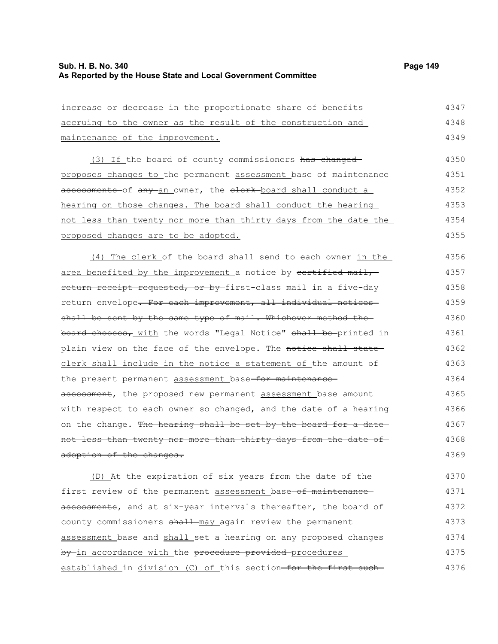4374 4375

| increase or decrease in the proportionate share of benefits                                     | 4347 |
|-------------------------------------------------------------------------------------------------|------|
| accruing to the owner as the result of the construction and                                     | 4348 |
| maintenance of the improvement.                                                                 | 4349 |
| (3) If the board of county commissioners has changed                                            | 4350 |
| proposes changes to the permanent assessment base of maintenance                                | 4351 |
| <del>assessments </del> of <del>any a</del> n owner, the <del>clerk board</del> shall conduct a | 4352 |
| hearing on those changes. The board shall conduct the hearing                                   | 4353 |
| not less than twenty nor more than thirty days from the date the                                | 4354 |
| <u>proposed changes are to be adopted.</u>                                                      | 4355 |
| (4) The clerk of the board shall send to each owner in the                                      | 4356 |
| area benefited by the improvement a notice by certified mail,                                   | 4357 |
| <del>return receipt requested, or by </del> first-class mail in a five-day                      | 4358 |
| return envelope <del>. For each improvement, all individual notices-</del>                      | 4359 |
| shall be sent by the same type of mail. Whichever method the-                                   | 4360 |
| board chooses, with the words "Legal Notice" <del>shall be </del> printed in                    | 4361 |
| plain view on the face of the envelope. The <del>notice shall state</del>                       | 4362 |
| clerk shall include in the notice a statement of the amount of                                  | 4363 |
| the present permanent assessment base <del>-for maintenance-</del>                              | 4364 |
| assessment, the proposed new permanent <u>assessment b</u> ase amount                           | 4365 |
| with respect to each owner so changed, and the date of a hearing                                | 4366 |
| on the change. <del>The hearing shall be set by the board for a date-</del>                     | 4367 |
| not less than twenty nor more than thirty days from the date of—                                | 4368 |
| adoption of the changes.                                                                        | 4369 |
| (D) At the expiration of six years from the date of the                                         | 4370 |
| first review of the permanent assessment base-of maintenance-                                   | 4371 |
| assessments, and at six-year intervals thereafter, the board of                                 | 4372 |
| county commissioners shall may again review the permanent                                       | 4373 |

established in division (C) of this section-for the first such-4376

assessment base and shall set a hearing on any proposed changes

by in accordance with the procedure provided procedures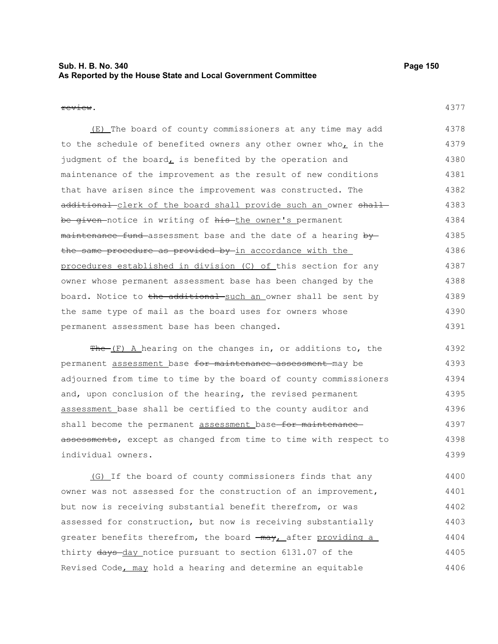## **Sub. H. B. No. 340 Page 150 As Reported by the House State and Local Government Committee**

#### review.

| (E) The board of county commissioners at any time may add                              | 4378 |
|----------------------------------------------------------------------------------------|------|
| to the schedule of benefited owners any other owner who, in the                        | 4379 |
| judgment of the board, is benefited by the operation and                               | 4380 |
| maintenance of the improvement as the result of new conditions                         | 4381 |
| that have arisen since the improvement was constructed. The                            | 4382 |
| additional-clerk of the board shall provide such an owner shall-                       | 4383 |
| <del>be given </del> notice in writing of <del>his t</del> he owner's permanent        | 4384 |
| <del>maintenance fund </del> assessment base and the date of a hearing <del>by -</del> | 4385 |
| the same procedure as provided by in accordance with the                               | 4386 |
| procedures established in division (C) of this section for any                         | 4387 |
| owner whose permanent assessment base has been changed by the                          | 4388 |
| board. Notice to <del>the additional such an</del> owner shall be sent by              | 4389 |
| the same type of mail as the board uses for owners whose                               | 4390 |
| permanent assessment base has been changed.                                            | 4391 |

 $Fhe-(F)$  A hearing on the changes in, or additions to, the permanent assessment base for maintenance assessment may be adjourned from time to time by the board of county commissioners and, upon conclusion of the hearing, the revised permanent assessment base shall be certified to the county auditor and shall become the permanent assessment base-for maintenanceassessments, except as changed from time to time with respect to individual owners. 4392 4393 4394 4395 4396 4397 4398 4399

(G) If the board of county commissioners finds that any owner was not assessed for the construction of an improvement, but now is receiving substantial benefit therefrom, or was assessed for construction, but now is receiving substantially greater benefits therefrom, the board  $\frac{1}{2}$  may, after providing a thirty days-day notice pursuant to section 6131.07 of the Revised Code, may hold a hearing and determine an equitable 4400 4401 4402 4403 4404 4405 4406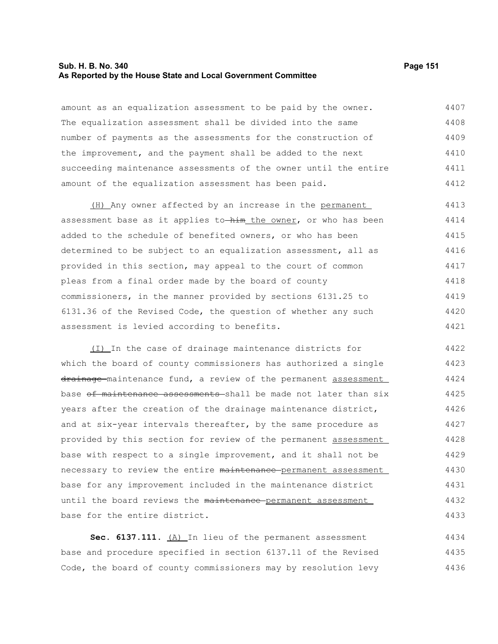#### **Sub. H. B. No. 340 Page 151 As Reported by the House State and Local Government Committee**

amount as an equalization assessment to be paid by the owner. The equalization assessment shall be divided into the same number of payments as the assessments for the construction of the improvement, and the payment shall be added to the next succeeding maintenance assessments of the owner until the entire amount of the equalization assessment has been paid. 4407 4408 4409 4410 4411 4412

(H) Any owner affected by an increase in the permanent assessment base as it applies to-him the owner, or who has been added to the schedule of benefited owners, or who has been determined to be subject to an equalization assessment, all as provided in this section, may appeal to the court of common pleas from a final order made by the board of county commissioners, in the manner provided by sections 6131.25 to 6131.36 of the Revised Code, the question of whether any such assessment is levied according to benefits. 4413 4414 4415 4416 4417 4418 4419 4420 4421

(I) In the case of drainage maintenance districts for which the board of county commissioners has authorized a single drainage maintenance fund, a review of the permanent assessment base of maintenance assessments shall be made not later than six years after the creation of the drainage maintenance district, and at six-year intervals thereafter, by the same procedure as provided by this section for review of the permanent assessment base with respect to a single improvement, and it shall not be necessary to review the entire maintenance permanent assessment base for any improvement included in the maintenance district until the board reviews the maintenance permanent assessment base for the entire district. 4422 4423 4424 4425 4426 4427 4428 4429 4430 4431 4432 4433

Sec. 6137.111. (A) In lieu of the permanent assessment base and procedure specified in section 6137.11 of the Revised Code, the board of county commissioners may by resolution levy 4434 4435 4436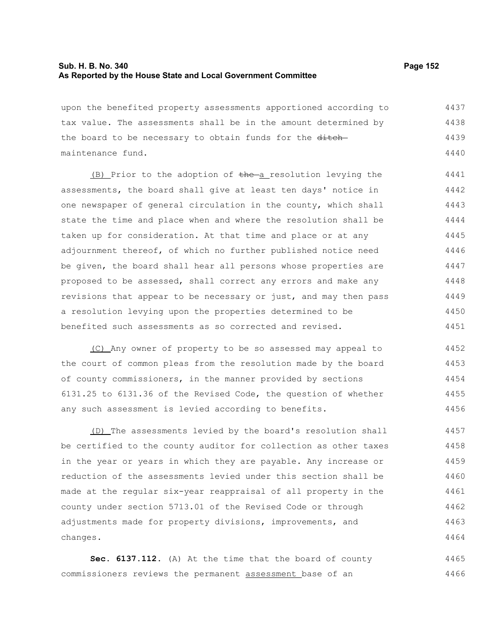### **Sub. H. B. No. 340 Page 152 As Reported by the House State and Local Government Committee**

| upon the benefited property assessments apportioned according to | 4437 |
|------------------------------------------------------------------|------|
| tax value. The assessments shall be in the amount determined by  | 4438 |
| the board to be necessary to obtain funds for the ditch-         | 4439 |
| maintenance fund.                                                | 4440 |

(B) Prior to the adoption of the a resolution levying the assessments, the board shall give at least ten days' notice in one newspaper of general circulation in the county, which shall state the time and place when and where the resolution shall be taken up for consideration. At that time and place or at any adjournment thereof, of which no further published notice need be given, the board shall hear all persons whose properties are proposed to be assessed, shall correct any errors and make any revisions that appear to be necessary or just, and may then pass a resolution levying upon the properties determined to be benefited such assessments as so corrected and revised. 4441 4442 4443 4444 4445 4446 4447 4448 4449 4450 4451

(C) Any owner of property to be so assessed may appeal to the court of common pleas from the resolution made by the board of county commissioners, in the manner provided by sections 6131.25 to 6131.36 of the Revised Code, the question of whether any such assessment is levied according to benefits. 4452 4453 4454 4455 4456

(D) The assessments levied by the board's resolution shall be certified to the county auditor for collection as other taxes in the year or years in which they are payable. Any increase or reduction of the assessments levied under this section shall be made at the regular six-year reappraisal of all property in the county under section 5713.01 of the Revised Code or through adjustments made for property divisions, improvements, and changes. 4457 4458 4459 4460 4461 4462 4463 4464

**Sec. 6137.112.** (A) At the time that the board of county commissioners reviews the permanent assessment base of an 4465 4466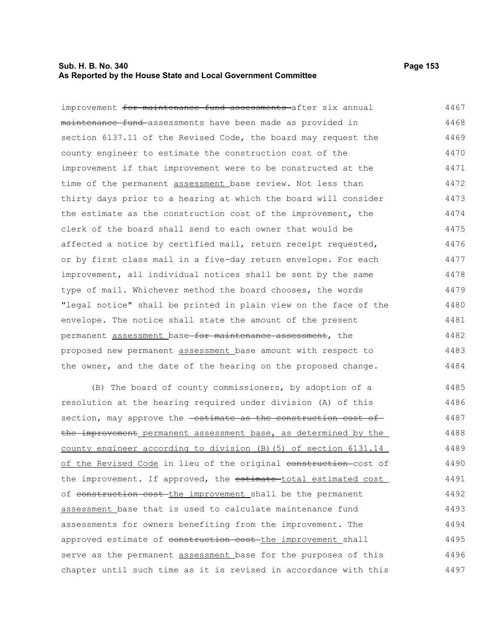### **Sub. H. B. No. 340 Page 153 As Reported by the House State and Local Government Committee**

improvement for maintenance fund assessments after six annual maintenance fund assessments have been made as provided in section 6137.11 of the Revised Code, the board may request the county engineer to estimate the construction cost of the improvement if that improvement were to be constructed at the time of the permanent assessment base review. Not less than thirty days prior to a hearing at which the board will consider the estimate as the construction cost of the improvement, the clerk of the board shall send to each owner that would be affected a notice by certified mail, return receipt requested, or by first class mail in a five-day return envelope. For each improvement, all individual notices shall be sent by the same type of mail. Whichever method the board chooses, the words "legal notice" shall be printed in plain view on the face of the envelope. The notice shall state the amount of the present permanent assessment base for maintenance assessment, the proposed new permanent assessment base amount with respect to the owner, and the date of the hearing on the proposed change. 4467 4468 4469 4470 4471 4472 4473 4474 4475 4476 4477 4478 4479 4480 4481 4482 4483 4484

(B) The board of county commissioners, by adoption of a resolution at the hearing required under division (A) of this section, may approve the **estimate as the construction cost of** the improvement permanent assessment base, as determined by the county engineer according to division (B)(5) of section 6131.14 of the Revised Code in lieu of the original construction-cost of the improvement. If approved, the estimate-total estimated cost of construction cost the improvement shall be the permanent assessment base that is used to calculate maintenance fund assessments for owners benefiting from the improvement. The approved estimate of construction cost-the improvement shall serve as the permanent assessment base for the purposes of this chapter until such time as it is revised in accordance with this 4485 4486 4487 4488 4489 4490 4491 4492 4493 4494 4495 4496 4497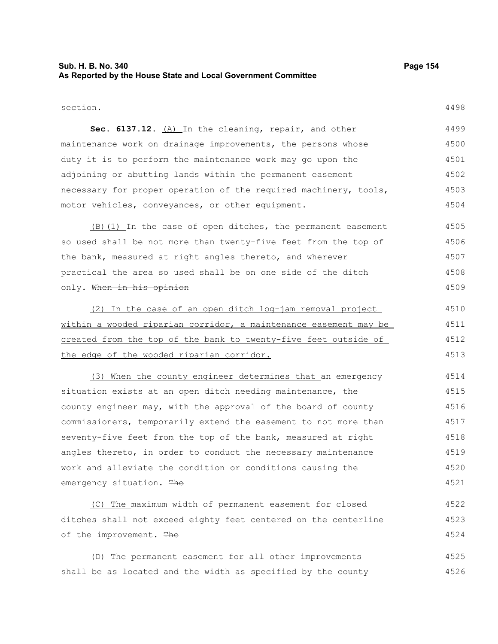## **Sub. H. B. No. 340 Page 154 As Reported by the House State and Local Government Committee**

section.

4498

Sec. 6137.12. (A) In the cleaning, repair, and other maintenance work on drainage improvements, the persons whose duty it is to perform the maintenance work may go upon the adjoining or abutting lands within the permanent easement necessary for proper operation of the required machinery, tools, motor vehicles, conveyances, or other equipment. 4499 4500 4501 4502 4503 4504

(B)(1) In the case of open ditches, the permanent easement so used shall be not more than twenty-five feet from the top of the bank, measured at right angles thereto, and wherever practical the area so used shall be on one side of the ditch only. When in his opinion 4505 4506 4507 4508 4509

(2) In the case of an open ditch log-jam removal project within a wooded riparian corridor, a maintenance easement may be created from the top of the bank to twenty-five feet outside of the edge of the wooded riparian corridor. 4510 4511 4512 4513

(3) When the county engineer determines that an emergency situation exists at an open ditch needing maintenance, the county engineer may, with the approval of the board of county commissioners, temporarily extend the easement to not more than seventy-five feet from the top of the bank, measured at right angles thereto, in order to conduct the necessary maintenance work and alleviate the condition or conditions causing the emergency situation. The 4514 4515 4516 4517 4518 4519 4520 4521

(C) The maximum width of permanent easement for closed ditches shall not exceed eighty feet centered on the centerline of the improvement. The 4522 4523 4524

(D) The permanent easement for all other improvements shall be as located and the width as specified by the county 4525 4526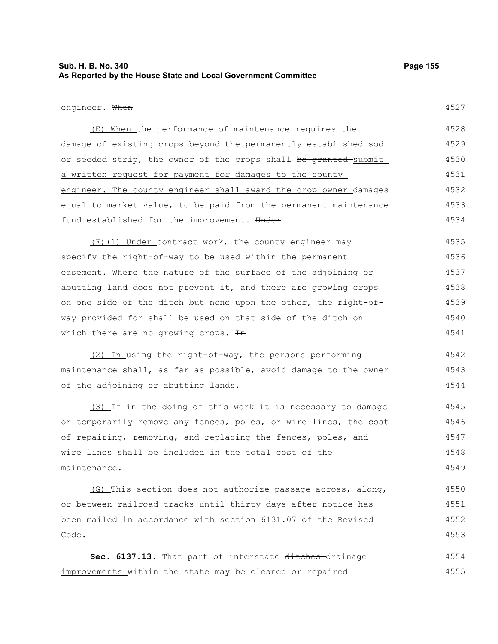## **Sub. H. B. No. 340 Page 155 As Reported by the House State and Local Government Committee**

#### engineer. When

4527

(E) When the performance of maintenance requires the damage of existing crops beyond the permanently established sod or seeded strip, the owner of the crops shall be granted submit a written request for payment for damages to the county engineer. The county engineer shall award the crop owner damages equal to market value, to be paid from the permanent maintenance fund established for the improvement. Under 4528 4529 4530 4531 4532 4533 4534

(F)(1) Under contract work, the county engineer may specify the right-of-way to be used within the permanent easement. Where the nature of the surface of the adjoining or abutting land does not prevent it, and there are growing crops on one side of the ditch but none upon the other, the right-ofway provided for shall be used on that side of the ditch on which there are no growing crops.  $H$ n 4535 4536 4537 4538 4539 4540 4541

(2) In using the right-of-way, the persons performing maintenance shall, as far as possible, avoid damage to the owner of the adjoining or abutting lands. 4542 4543 4544

(3) If in the doing of this work it is necessary to damage or temporarily remove any fences, poles, or wire lines, the cost of repairing, removing, and replacing the fences, poles, and wire lines shall be included in the total cost of the maintenance. 4545 4546 4547 4548 4549

(G) This section does not authorize passage across, along, or between railroad tracks until thirty days after notice has been mailed in accordance with section 6131.07 of the Revised Code. 4550 4551 4552 4553

Sec. 6137.13. That part of interstate ditches drainage improvements within the state may be cleaned or repaired 4554 4555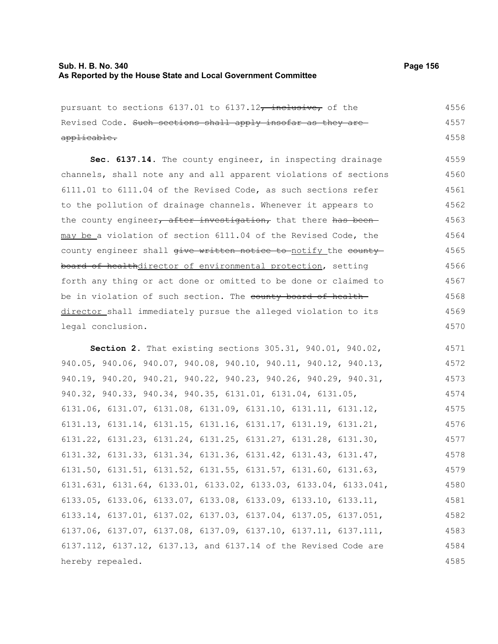# **Sub. H. B. No. 340 Page 156 As Reported by the House State and Local Government Committee**

| pursuant to sections 6137.01 to 6137.12, inclusive, of the                          | 4556 |
|-------------------------------------------------------------------------------------|------|
| Revised Code. Such sections shall apply insofar as they are                         | 4557 |
| applicable.                                                                         | 4558 |
| Sec. 6137.14. The county engineer, in inspecting drainage                           | 4559 |
| channels, shall note any and all apparent violations of sections                    | 4560 |
| 6111.01 to 6111.04 of the Revised Code, as such sections refer                      | 4561 |
| to the pollution of drainage channels. Whenever it appears to                       | 4562 |
| the county engineer, after investigation, that there has been                       | 4563 |
| may be a violation of section 6111.04 of the Revised Code, the                      | 4564 |
| county engineer shall give written notice to notify the county                      | 4565 |
| board of healthdirector of environmental protection, setting                        | 4566 |
| forth any thing or act done or omitted to be done or claimed to                     | 4567 |
| be in violation of such section. The county board of health-                        | 4568 |
| director shall immediately pursue the alleged violation to its                      | 4569 |
| legal conclusion.                                                                   | 4570 |
| Section 2. That existing sections 305.31, 940.01, 940.02,                           | 4571 |
| 940.05, 940.06, 940.07, 940.08, 940.10, 940.11, 940.12, 940.13,                     | 4572 |
| 940.19, 940.20, 940.21, 940.22, 940.23, 940.26, 940.29, 940.31,                     | 4573 |
| 940.32, 940.33, 940.34, 940.35, 6131.01, 6131.04, 6131.05,                          | 4574 |
| 6131.06, 6131.07, 6131.08, 6131.09, 6131.10, 6131.11, 6131.12,                      | 4575 |
| 6131.13, 6131.14, 6131.15, 6131.16, 6131.17, 6131.19, 6131.21,                      | 4576 |
| $6131.22$ , $6131.23$ , $6131.24$ , $6131.25$ , $6131.27$ , $6131.28$ , $6131.30$ , | 4577 |
| 6131.32, 6131.33, 6131.34, 6131.36, 6131.42, 6131.43, 6131.47,                      | 4578 |
| 6131.50, 6131.51, 6131.52, 6131.55, 6131.57, 6131.60, 6131.63,                      | 4579 |
| $6131.631, 6131.64, 6133.01, 6133.02, 6133.03, 6133.04, 6133.041,$                  | 4580 |
| 6133.05, 6133.06, 6133.07, 6133.08, 6133.09, 6133.10, 6133.11,                      | 4581 |
| 6133.14, 6137.01, 6137.02, 6137.03, 6137.04, 6137.05, 6137.051,                     | 4582 |
| 6137.06, 6137.07, 6137.08, 6137.09, 6137.10, 6137.11, 6137.111,                     | 4583 |
| 6137.112, 6137.12, 6137.13, and 6137.14 of the Revised Code are                     | 4584 |
| hereby repealed.                                                                    | 4585 |